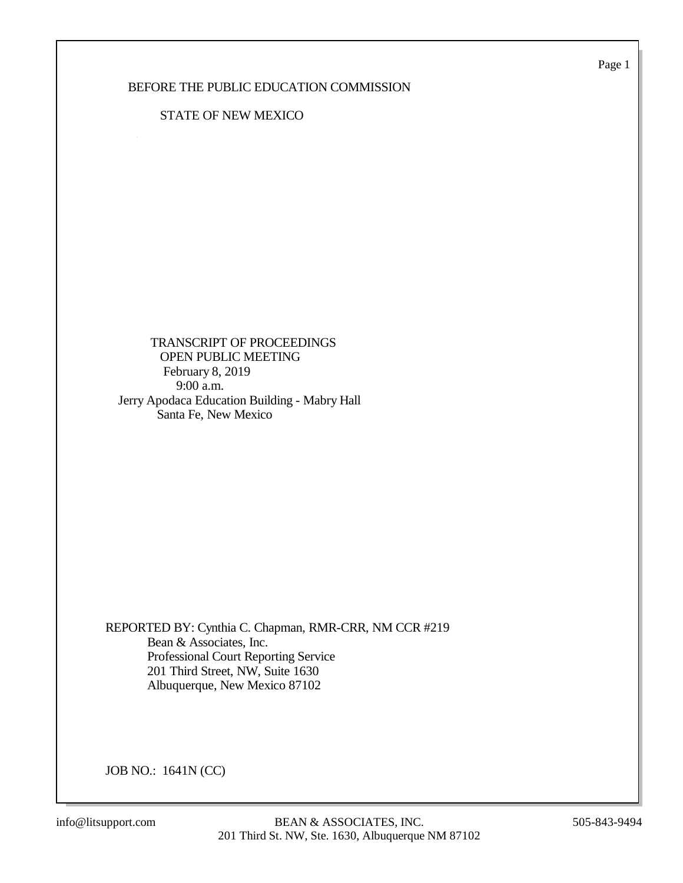Page 1

## BEFORE THE PUBLIC EDUCATION COMMISSION

## STATE OF NEW MEXICO

 TRANSCRIPT OF PROCEEDINGS OPEN PUBLIC MEETING February 8, 2019 9:00 a.m. Jerry Apodaca Education Building - Mabry Hall Santa Fe, New Mexico

REPORTED BY: Cynthia C. Chapman, RMR-CRR, NM CCR #219 Bean & Associates, Inc. Professional Court Reporting Service 201 Third Street, NW, Suite 1630 Albuquerque, New Mexico 87102

JOB NO.: 1641N (CC)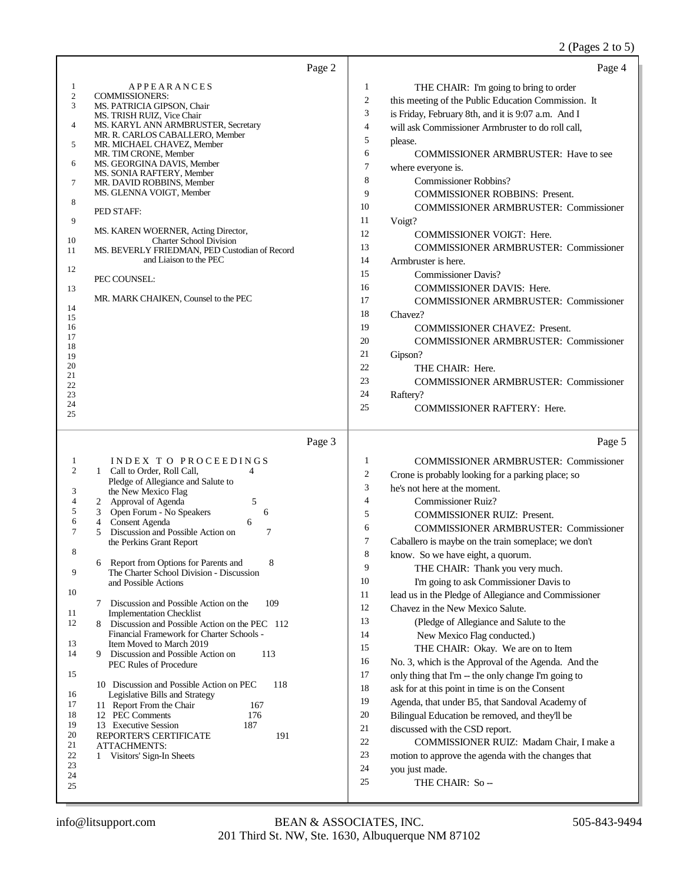## 2 (Pages 2 to 5)

| Page 2                                                                                                                                                                                                                                                                                                                                                                                                                                                                                                                                                                                                                                                                                                                                      | Page 4                                                                                                                                                                                                                                                                                                                                                                                                                                                                                                                                                                                                                                                                                                                                                                                                                                                                                                                                                                                                                                                                 |
|---------------------------------------------------------------------------------------------------------------------------------------------------------------------------------------------------------------------------------------------------------------------------------------------------------------------------------------------------------------------------------------------------------------------------------------------------------------------------------------------------------------------------------------------------------------------------------------------------------------------------------------------------------------------------------------------------------------------------------------------|------------------------------------------------------------------------------------------------------------------------------------------------------------------------------------------------------------------------------------------------------------------------------------------------------------------------------------------------------------------------------------------------------------------------------------------------------------------------------------------------------------------------------------------------------------------------------------------------------------------------------------------------------------------------------------------------------------------------------------------------------------------------------------------------------------------------------------------------------------------------------------------------------------------------------------------------------------------------------------------------------------------------------------------------------------------------|
| APPEARANCES<br>1<br>$\boldsymbol{2}$<br><b>COMMISSIONERS:</b><br>3<br>MS. PATRICIA GIPSON, Chair<br>MS. TRISH RUIZ, Vice Chair<br>4<br>MS. KARYL ANN ARMBRUSTER, Secretary<br>MR. R. CARLOS CABALLERO, Member<br>5<br>MR. MICHAEL CHAVEZ, Member<br>MR. TIM CRONE, Member<br>MS. GEORGINA DAVIS, Member<br>6<br>MS. SONIA RAFTERY, Member<br>7<br>MR. DAVID ROBBINS, Member<br>MS. GLENNA VOIGT, Member<br>8<br>PED STAFF:<br>9<br>MS. KAREN WOERNER, Acting Director,<br><b>Charter School Division</b><br>10<br>MS. BEVERLY FRIEDMAN, PED Custodian of Record<br>11<br>and Liaison to the PEC<br>12<br>PEC COUNSEL:<br>13<br>MR. MARK CHAIKEN, Counsel to the PEC<br>14<br>15<br>16<br>17<br>18<br>19<br>20<br>21<br>22<br>23<br>24<br>25 | 1<br>THE CHAIR: I'm going to bring to order<br>$\mathbf{2}$<br>this meeting of the Public Education Commission. It<br>3<br>is Friday, February 8th, and it is 9:07 a.m. And I<br>$\overline{4}$<br>will ask Commissioner Armbruster to do roll call,<br>5<br>please.<br>6<br><b>COMMISSIONER ARMBRUSTER: Have to see</b><br>$\tau$<br>where everyone is.<br>8<br><b>Commissioner Robbins?</b><br>9<br><b>COMMISSIONER ROBBINS: Present.</b><br>10<br><b>COMMISSIONER ARMBRUSTER: Commissioner</b><br>11<br>Voigt?<br>12<br><b>COMMISSIONER VOIGT: Here.</b><br>13<br><b>COMMISSIONER ARMBRUSTER: Commissioner</b><br>14<br>Armbruster is here.<br>15<br><b>Commissioner Davis?</b><br>16<br><b>COMMISSIONER DAVIS: Here.</b><br>17<br><b>COMMISSIONER ARMBRUSTER: Commissioner</b><br>18<br>Chavez?<br>19<br><b>COMMISSIONER CHAVEZ: Present.</b><br>20<br><b>COMMISSIONER ARMBRUSTER: Commissioner</b><br>21<br>Gipson?<br>22<br>THE CHAIR: Here.<br>23<br><b>COMMISSIONER ARMBRUSTER: Commissioner</b><br>24<br>Raftery?<br>25<br><b>COMMISSIONER RAFTERY: Here.</b> |
| Page 3<br>INDEX TO PROCEEDINGS<br>1<br>$\mathfrak{2}$<br>1 Call to Order, Roll Call,<br>4<br>Pledge of Allegiance and Salute to<br>the New Mexico Flag<br>3<br>4<br>5<br>Approval of Agenda<br>2<br>5<br>Open Forum - No Speakers<br>3<br>6<br>6<br>Consent Agenda<br>6<br>4<br>$\tau$<br>$\tau$<br>5<br>Discussion and Possible Action on<br>the Perkins Grant Report<br>8<br>Report from Options for Parents and<br>8<br>6<br>9<br>The Charter School Division - Discussion<br>and Possible Actions<br>10<br>109<br>7<br>Discussion and Possible Action on the                                                                                                                                                                            | Page 5<br>1<br><b>COMMISSIONER ARMBRUSTER: Commissioner</b><br>$\boldsymbol{2}$<br>Crone is probably looking for a parking place; so<br>3<br>he's not here at the moment.<br>$\overline{4}$<br><b>Commissioner Ruiz?</b><br>5<br><b>COMMISSIONER RUIZ: Present.</b><br>6<br><b>COMMISSIONER ARMBRUSTER: Commissioner</b><br>$\tau$<br>Caballero is maybe on the train someplace; we don't<br>8<br>know. So we have eight, a quorum.<br>9<br>THE CHAIR: Thank you very much.<br>10<br>I'm going to ask Commissioner Davis to<br>11<br>lead us in the Pledge of Allegiance and Commissioner<br>12<br>Chavez in the New Mexico Salute.                                                                                                                                                                                                                                                                                                                                                                                                                                    |
| 11<br><b>Implementation Checklist</b><br>12<br>Discussion and Possible Action on the PEC 112<br>8.<br>Financial Framework for Charter Schools -<br>13<br>Item Moved to March 2019<br>14<br>9<br>Discussion and Possible Action on<br>113<br><b>PEC Rules of Procedure</b><br>15<br>10 Discussion and Possible Action on PEC<br>118<br>16<br>Legislative Bills and Strategy<br>17<br>11 Report From the Chair<br>167<br>18<br>12 PEC Comments<br>176<br>19<br>187<br>13 Executive Session<br>20<br>191<br>REPORTER'S CERTIFICATE<br>21<br>ATTACHMENTS:<br>22<br>1 Visitors' Sign-In Sheets<br>23<br>24<br>25                                                                                                                                 | 13<br>(Pledge of Allegiance and Salute to the<br>14<br>New Mexico Flag conducted.)<br>15<br>THE CHAIR: Okay. We are on to Item<br>16<br>No. 3, which is the Approval of the Agenda. And the<br>17<br>only thing that I'm -- the only change I'm going to<br>18<br>ask for at this point in time is on the Consent<br>19<br>Agenda, that under B5, that Sandoval Academy of<br>20<br>Bilingual Education be removed, and they'll be<br>21<br>discussed with the CSD report.<br>22<br>COMMISSIONER RUIZ: Madam Chair, I make a<br>23<br>motion to approve the agenda with the changes that<br>24<br>you just made.<br>25<br>THE CHAIR: So-                                                                                                                                                                                                                                                                                                                                                                                                                               |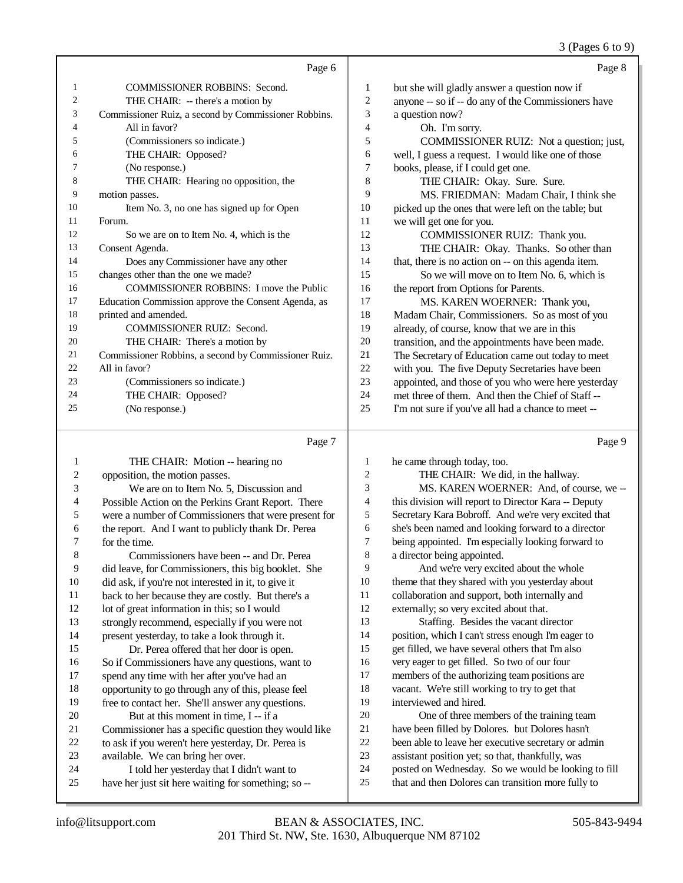3 (Pages 6 to 9)

|                |                                                      |                | $\bullet$ $\circ$ $\bullet$ $\bullet$ $\bullet$     |
|----------------|------------------------------------------------------|----------------|-----------------------------------------------------|
|                | Page 6                                               |                | Page 8                                              |
| 1              | <b>COMMISSIONER ROBBINS: Second.</b>                 | 1              | but she will gladly answer a question now if        |
| $\overline{c}$ | THE CHAIR: -- there's a motion by                    | $\mathfrak{2}$ | anyone -- so if -- do any of the Commissioners have |
| 3              | Commissioner Ruiz, a second by Commissioner Robbins. | 3              | a question now?                                     |
| 4              | All in favor?                                        | $\overline{4}$ | Oh. I'm sorry.                                      |
| 5              | (Commissioners so indicate.)                         | 5              | COMMISSIONER RUIZ: Not a question; just,            |
| 6              | THE CHAIR: Opposed?                                  | 6              | well, I guess a request. I would like one of those  |
| 7              | (No response.)                                       | 7              | books, please, if I could get one.                  |
| 8              | THE CHAIR: Hearing no opposition, the                | 8              | THE CHAIR: Okay. Sure. Sure.                        |
| 9              | motion passes.                                       | 9              | MS. FRIEDMAN: Madam Chair, I think she              |
| 10             | Item No. 3, no one has signed up for Open            | 10             | picked up the ones that were left on the table; but |
| 11             | Forum.                                               | 11             | we will get one for you.                            |
| 12             | So we are on to Item No. 4, which is the             | 12             | COMMISSIONER RUIZ: Thank you.                       |
| 13             | Consent Agenda.                                      | 13             | THE CHAIR: Okay. Thanks. So other than              |
| 14             | Does any Commissioner have any other                 | 14             | that, there is no action on -- on this agenda item. |
| 15             | changes other than the one we made?                  | 15             | So we will move on to Item No. 6, which is          |
| 16             | <b>COMMISSIONER ROBBINS: I move the Public</b>       | 16             | the report from Options for Parents.                |
| 17             | Education Commission approve the Consent Agenda, as  | 17             | MS. KAREN WOERNER: Thank you,                       |
| 18             | printed and amended.                                 | 18             | Madam Chair, Commissioners. So as most of you       |
| 19             | <b>COMMISSIONER RUIZ: Second.</b>                    | 19             | already, of course, know that we are in this        |
| 20             | THE CHAIR: There's a motion by                       | 20             | transition, and the appointments have been made.    |
| 21             | Commissioner Robbins, a second by Commissioner Ruiz. | 21             | The Secretary of Education came out today to meet   |
| 22             | All in favor?                                        | 22             | with you. The five Deputy Secretaries have been     |
| 23             | (Commissioners so indicate.)                         | 23             | appointed, and those of you who were here yesterday |
| 24             | THE CHAIR: Opposed?                                  | 24             | met three of them. And then the Chief of Staff --   |
| 25             | (No response.)                                       | 25             | I'm not sure if you've all had a chance to meet --  |
|                |                                                      |                |                                                     |

# Page 7

|    | THE CHAIR: Motion -- hearing no                      | 1  | he came through today, too.                          |
|----|------------------------------------------------------|----|------------------------------------------------------|
| 2  | opposition, the motion passes.                       | 2  | THE CHAIR: We did, in the hallway.                   |
| 3  | We are on to Item No. 5, Discussion and              | 3  | MS. KAREN WOERNER: And, of course, we --             |
| 4  | Possible Action on the Perkins Grant Report. There   | 4  | this division will report to Director Kara -- Deputy |
| 5  | were a number of Commissioners that were present for | 5  | Secretary Kara Bobroff. And we're very excited that  |
| 6  | the report. And I want to publicly thank Dr. Perea   | 6  | she's been named and looking forward to a director   |
| 7  | for the time.                                        | 7  | being appointed. I'm especially looking forward to   |
| 8  | Commissioners have been -- and Dr. Perea             | 8  | a director being appointed.                          |
| 9  | did leave, for Commissioners, this big booklet. She  | 9  | And we're very excited about the whole               |
| 10 | did ask, if you're not interested in it, to give it  | 10 | theme that they shared with you yesterday about      |
| 11 | back to her because they are costly. But there's a   | 11 | collaboration and support, both internally and       |
| 12 | lot of great information in this; so I would         | 12 | externally; so very excited about that.              |
| 13 | strongly recommend, especially if you were not       | 13 | Staffing. Besides the vacant director                |
| 14 | present yesterday, to take a look through it.        | 14 | position, which I can't stress enough I'm eager to   |
| 15 | Dr. Perea offered that her door is open.             | 15 | get filled, we have several others that I'm also     |
| 16 | So if Commissioners have any questions, want to      | 16 | very eager to get filled. So two of our four         |
| 17 | spend any time with her after you've had an          | 17 | members of the authorizing team positions are        |
| 18 | opportunity to go through any of this, please feel   | 18 | vacant. We're still working to try to get that       |
| 19 | free to contact her. She'll answer any questions.    | 19 | interviewed and hired.                               |
| 20 | But at this moment in time, I -- if a                | 20 | One of three members of the training team            |
| 21 | Commissioner has a specific question they would like | 21 | have been filled by Dolores. but Dolores hasn't      |
| 22 | to ask if you weren't here yesterday, Dr. Perea is   | 22 | been able to leave her executive secretary or admin  |
| 23 | available. We can bring her over.                    | 23 | assistant position yet; so that, thankfully, was     |
| 24 | I told her yesterday that I didn't want to           | 24 | posted on Wednesday. So we would be looking to fill  |
| 25 | have her just sit here waiting for something; so --  | 25 | that and then Dolores can transition more fully to   |
|    |                                                      |    |                                                      |

Page 9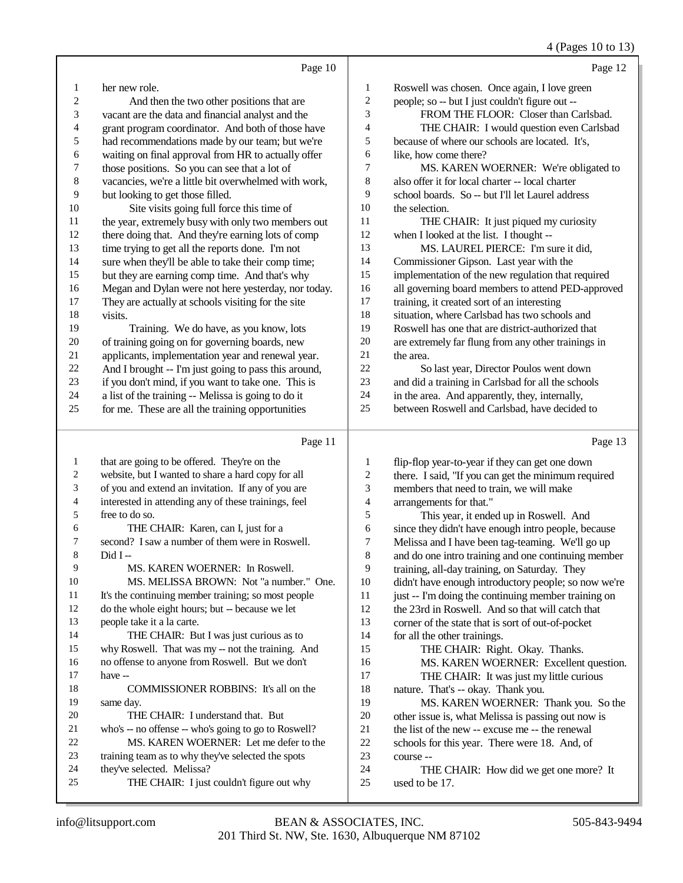## 4 (Pages 10 to 13)

|                          | Page 10                                                                                        |                  | Page 12                                                    |
|--------------------------|------------------------------------------------------------------------------------------------|------------------|------------------------------------------------------------|
| 1                        | her new role.                                                                                  | 1                | Roswell was chosen. Once again, I love green               |
| $\overline{c}$           | And then the two other positions that are                                                      | $\sqrt{2}$       | people; so -- but I just couldn't figure out --            |
| 3                        | vacant are the data and financial analyst and the                                              | 3                | FROM THE FLOOR: Closer than Carlsbad.                      |
| $\overline{\mathcal{L}}$ | grant program coordinator. And both of those have                                              | $\overline{4}$   | THE CHAIR: I would question even Carlsbad                  |
| 5                        | had recommendations made by our team; but we're                                                | 5                | because of where our schools are located. It's,            |
| 6                        | waiting on final approval from HR to actually offer                                            | 6                | like, how come there?                                      |
| $\boldsymbol{7}$         | those positions. So you can see that a lot of                                                  | 7                | MS. KAREN WOERNER: We're obligated to                      |
| 8                        | vacancies, we're a little bit overwhelmed with work,                                           | $\,8\,$          | also offer it for local charter -- local charter           |
| 9                        | but looking to get those filled.                                                               | 9                | school boards. So -- but I'll let Laurel address           |
| $10\,$                   | Site visits going full force this time of                                                      | $10\,$           | the selection.                                             |
| 11                       | the year, extremely busy with only two members out                                             | 11               | THE CHAIR: It just piqued my curiosity                     |
| 12                       | there doing that. And they're earning lots of comp                                             | 12               | when I looked at the list. I thought --                    |
| 13                       | time trying to get all the reports done. I'm not                                               | 13               | MS. LAUREL PIERCE: I'm sure it did,                        |
| 14                       | sure when they'll be able to take their comp time;                                             | 14               | Commissioner Gipson. Last year with the                    |
| 15                       | but they are earning comp time. And that's why                                                 | 15               | implementation of the new regulation that required         |
| 16                       | Megan and Dylan were not here yesterday, nor today.                                            | 16               | all governing board members to attend PED-approved         |
| 17                       | They are actually at schools visiting for the site                                             | 17               | training, it created sort of an interesting                |
| 18                       | visits.                                                                                        | 18               | situation, where Carlsbad has two schools and              |
| 19                       | Training. We do have, as you know, lots                                                        | 19               | Roswell has one that are district-authorized that          |
| $20\,$                   | of training going on for governing boards, new                                                 | $20\,$           | are extremely far flung from any other trainings in        |
| 21                       | applicants, implementation year and renewal year.                                              | 21               | the area.                                                  |
| $22\,$                   | And I brought -- I'm just going to pass this around,                                           | $22\,$           | So last year, Director Poulos went down                    |
| $23\,$                   | if you don't mind, if you want to take one. This is                                            | $23\,$           | and did a training in Carlsbad for all the schools         |
| 24                       | a list of the training -- Melissa is going to do it                                            | $24\,$           | in the area. And apparently, they, internally,             |
| 25                       | for me. These are all the training opportunities                                               | 25               | between Roswell and Carlsbad, have decided to              |
|                          | Page 11                                                                                        |                  | Page 13                                                    |
|                          |                                                                                                |                  |                                                            |
| $\mathbf{1}$             | that are going to be offered. They're on the                                                   | 1                | flip-flop year-to-year if they can get one down            |
| 2                        | website, but I wanted to share a hard copy for all                                             | $\overline{c}$   | there. I said, "If you can get the minimum required        |
| 3                        | of you and extend an invitation. If any of you are                                             | 3                | members that need to train, we will make                   |
| 4                        | interested in attending any of these trainings, feel                                           | $\overline{4}$   | arrangements for that."                                    |
| 5                        | free to do so.                                                                                 | $\mathfrak s$    | This year, it ended up in Roswell. And                     |
| 6                        | THE CHAIR: Karen, can I, just for a                                                            | $\sqrt{6}$       | since they didn't have enough intro people, because        |
| 7                        | second? I saw a number of them were in Roswell.                                                | $\boldsymbol{7}$ | Melissa and I have been tag-teaming. We'll go up           |
| 8                        | Did I-                                                                                         | $\,$ 8 $\,$      | and do one intro training and one continuing member        |
| 9                        | MS. KAREN WOERNER: In Roswell.                                                                 | 9                | training, all-day training, on Saturday. They              |
| 10                       | MS. MELISSA BROWN: Not "a number." One.                                                        | $10\,$           | didn't have enough introductory people; so now we're       |
| 11                       | It's the continuing member training; so most people                                            | 11               | just -- I'm doing the continuing member training on        |
| 12                       | do the whole eight hours; but -- because we let                                                | 12               | the 23rd in Roswell. And so that will catch that           |
| 13                       | people take it a la carte.                                                                     | 13               | corner of the state that is sort of out-of-pocket          |
| 14                       | THE CHAIR: But I was just curious as to                                                        | 14               | for all the other trainings.                               |
| 15                       | why Roswell. That was my -- not the training. And                                              | 15               | THE CHAIR: Right. Okay. Thanks.                            |
| 16                       | no offense to anyone from Roswell. But we don't                                                | 16               | MS. KAREN WOERNER: Excellent question.                     |
| 17                       | have --                                                                                        | 17               | THE CHAIR: It was just my little curious                   |
| 18                       | COMMISSIONER ROBBINS: It's all on the                                                          | 18               | nature. That's -- okay. Thank you.                         |
| 19                       | same day.                                                                                      | 19               | MS. KAREN WOERNER: Thank you. So the                       |
| 20<br>21                 | THE CHAIR: I understand that. But                                                              | $20\,$<br>21     | other issue is, what Melissa is passing out now is         |
| $22\,$                   | who's -- no offense -- who's going to go to Roswell?<br>MS. KAREN WOERNER: Let me defer to the | 22               | the list of the new -- excuse me -- the renewal            |
| 23                       | training team as to why they've selected the spots                                             | 23               | schools for this year. There were 18. And, of<br>course -- |
| 24                       | they've selected. Melissa?                                                                     | 24               | THE CHAIR: How did we get one more? It                     |
| 25                       | THE CHAIR: I just couldn't figure out why                                                      | 25               | used to be 17.                                             |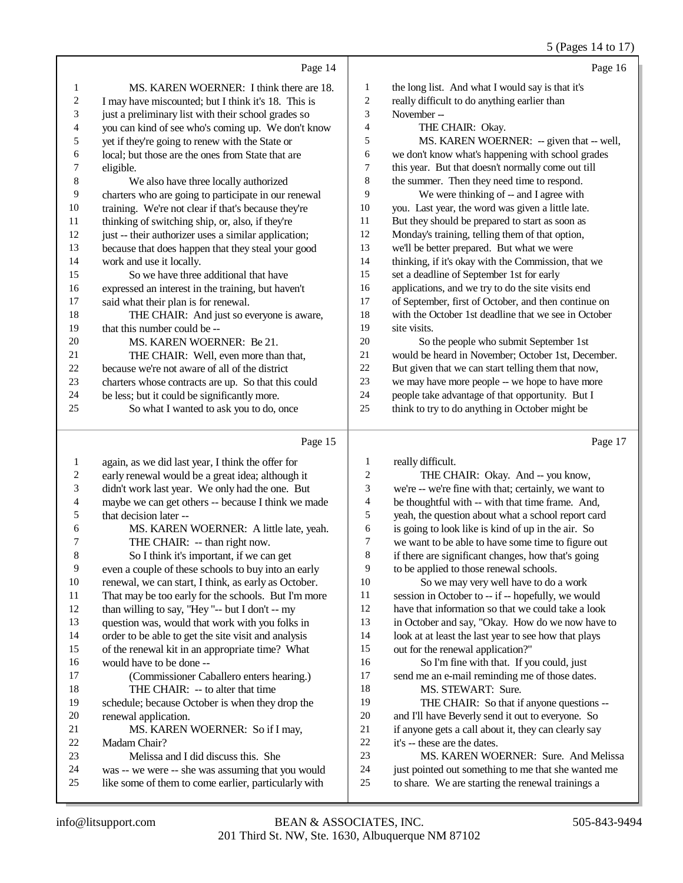#### 5 (Pages 14 to 17)

|    | Page 14                                              |    | Page 16                                              |
|----|------------------------------------------------------|----|------------------------------------------------------|
| 1  | MS. KAREN WOERNER: I think there are 18.             | 1  | the long list. And what I would say is that it's     |
| 2  | I may have miscounted; but I think it's 18. This is  | 2  | really difficult to do anything earlier than         |
| 3  | just a preliminary list with their school grades so  | 3  | November-                                            |
| 4  | you can kind of see who's coming up. We don't know   | 4  | THE CHAIR: Okay.                                     |
| 5  | yet if they're going to renew with the State or      | 5  | MS. KAREN WOERNER: -- given that -- well,            |
| 6  | local; but those are the ones from State that are    | 6  | we don't know what's happening with school grades    |
| 7  | eligible.                                            | 7  | this year. But that doesn't normally come out till   |
| 8  | We also have three locally authorized                | 8  | the summer. Then they need time to respond.          |
| 9  | charters who are going to participate in our renewal | 9  | We were thinking of -- and I agree with              |
| 10 | training. We're not clear if that's because they're  | 10 | you. Last year, the word was given a little late.    |
| 11 | thinking of switching ship, or, also, if they're     | 11 | But they should be prepared to start as soon as      |
| 12 | just -- their authorizer uses a similar application; | 12 | Monday's training, telling them of that option,      |
| 13 | because that does happen that they steal your good   | 13 | we'll be better prepared. But what we were           |
| 14 | work and use it locally.                             | 14 | thinking, if it's okay with the Commission, that we  |
| 15 | So we have three additional that have                | 15 | set a deadline of September 1st for early            |
| 16 | expressed an interest in the training, but haven't   | 16 | applications, and we try to do the site visits end   |
| 17 | said what their plan is for renewal.                 | 17 | of September, first of October, and then continue on |
| 18 | THE CHAIR: And just so everyone is aware,            | 18 | with the October 1st deadline that we see in October |
| 19 | that this number could be --                         | 19 | site visits.                                         |
| 20 | MS. KAREN WOERNER: Be 21.                            | 20 | So the people who submit September 1st               |
| 21 | THE CHAIR: Well, even more than that,                | 21 | would be heard in November; October 1st, December.   |
| 22 | because we're not aware of all of the district       | 22 | But given that we can start telling them that now,   |
| 23 | charters whose contracts are up. So that this could  | 23 | we may have more people -- we hope to have more      |
| 24 | be less; but it could be significantly more.         | 24 | people take advantage of that opportunity. But I     |
| 25 | So what I wanted to ask you to do, once              | 25 | think to try to do anything in October might be      |
|    |                                                      |    |                                                      |

#### Page 15

 again, as we did last year, I think the offer for 2 early renewal would be a great idea; although it<br>3 didn't work last year. We only had the one. But didn't work last year. We only had the one. But 4 maybe we can get others  $-$  because I think we made<br>5 that decision later  $-$ 5 that decision later --<br>6 MS. KAREN 6 MS. KAREN WOERNER: A little late, yeah.<br>
THE CHAIR: -- than right now. 7 THE CHAIR: -- than right now.<br>8 So I think it's important, if we can So I think it's important, if we can get 9 even a couple of these schools to buy into an early<br>10 renewal, we can start. I think, as early as October. 10 renewal, we can start, I think, as early as October.<br>11 That may be too early for the schools. But I'm more 11 That may be too early for the schools. But I'm more<br>12 than willing to say. "Hey"-- but I don't -- my than willing to say, "Hey "-- but I don't -- my question was, would that work with you folks in order to be able to get the site visit and analysis of the renewal kit in an appropriate time? What 16 would have to be done --<br>17 (Commissioner Ca (Commissioner Caballero enters hearing.) 18 THE CHAIR: -- to alter that time<br>19 schedule: because October is when they schedule; because October is when they drop the 20 renewal application.<br>21 MS. KAREN 21 MS. KAREN WOERNER: So if I may,<br>22 Madam Chair? 22 Madam Chair?<br>23 Melissa a Melissa and I did discuss this. She 24 was -- we were -- she was assuming that you would<br>25 like some of them to come earlier, particularly with like some of them to come earlier, particularly with really difficult. THE CHAIR: Okay. And -- you know, we're -- we're fine with that; certainly, we want to be thoughtful with -- with that time frame. And, yeah, the question about what a school report card is going to look like is kind of up in the air. So we want to be able to have some time to figure out if there are significant changes, how that's going to be applied to those renewal schools. So we may very well have to do a work session in October to -- if -- hopefully, we would have that information so that we could take a look in October and say, "Okay. How do we now have to 14 look at at least the last year to see how that plays out for the renewal application?" So I'm fine with that. If you could, just send me an e-mail reminding me of those dates. MS. STEWART: Sure. THE CHAIR: So that if anyone questions -- and I'll have Beverly send it out to everyone. So if anyone gets a call about it, they can clearly say it's -- these are the dates. MS. KAREN WOERNER: Sure. And Melissa just pointed out something to me that she wanted me to share. We are starting the renewal trainings a

Page 17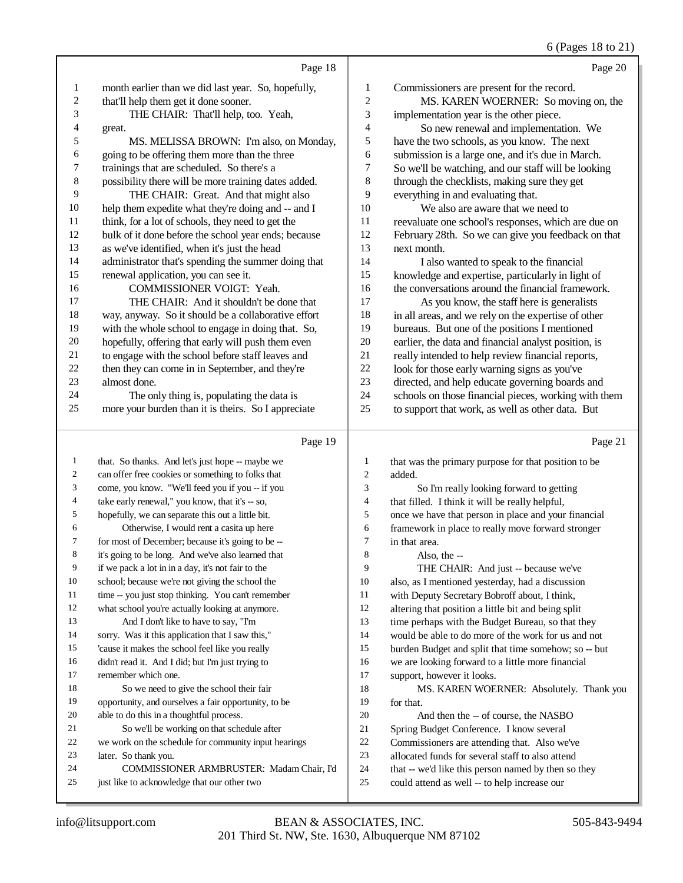## 6 (Pages 18 to 21)

|                |                                                                                                                                             |                | $\sigma$ (1 ages 10 to 21                            |
|----------------|---------------------------------------------------------------------------------------------------------------------------------------------|----------------|------------------------------------------------------|
|                | Page 18                                                                                                                                     |                | Page 20                                              |
| 1              | month earlier than we did last year. So, hopefully,                                                                                         | 1              | Commissioners are present for the record.            |
| 2              | that'll help them get it done sooner.                                                                                                       | 2              | MS. KAREN WOERNER: So moving on, the                 |
| 3              | THE CHAIR: That'll help, too. Yeah,                                                                                                         | 3              | implementation year is the other piece.              |
| 4              | great.                                                                                                                                      | 4              | So new renewal and implementation. We                |
| 5              | MS. MELISSA BROWN: I'm also, on Monday,                                                                                                     | 5              | have the two schools, as you know. The next          |
| 6              | going to be offering them more than the three                                                                                               | 6              | submission is a large one, and it's due in March.    |
| 7              | trainings that are scheduled. So there's a                                                                                                  | 7              | So we'll be watching, and our staff will be looking  |
| 8              | possibility there will be more training dates added.                                                                                        | 8              | through the checklists, making sure they get         |
| 9              | THE CHAIR: Great. And that might also                                                                                                       | 9              | everything in and evaluating that.                   |
| 10             | help them expedite what they're doing and -- and I                                                                                          | 10             | We also are aware that we need to                    |
| 11             | think, for a lot of schools, they need to get the                                                                                           | 11             | reevaluate one school's responses, which are due on  |
| 12             | bulk of it done before the school year ends; because                                                                                        | 12             | February 28th. So we can give you feedback on that   |
| 13             | as we've identified, when it's just the head                                                                                                | 13             | next month.                                          |
| 14             | administrator that's spending the summer doing that                                                                                         | 14             | I also wanted to speak to the financial              |
| 15             | renewal application, you can see it.                                                                                                        | 15             | knowledge and expertise, particularly in light of    |
| 16             | COMMISSIONER VOIGT: Yeah.                                                                                                                   | 16             | the conversations around the financial framework.    |
| 17             | THE CHAIR: And it shouldn't be done that                                                                                                    | 17             | As you know, the staff here is generalists           |
| 18             | way, anyway. So it should be a collaborative effort                                                                                         | 18             | in all areas, and we rely on the expertise of other  |
| 19             | with the whole school to engage in doing that. So,                                                                                          | 19             | bureaus. But one of the positions I mentioned        |
| $20\,$         | hopefully, offering that early will push them even                                                                                          | $20\,$         | earlier, the data and financial analyst position, is |
| 21             | to engage with the school before staff leaves and                                                                                           | 21             | really intended to help review financial reports,    |
| 22             | then they can come in in September, and they're                                                                                             | $22\,$         | look for those early warning signs as you've         |
| 23             | almost done.                                                                                                                                | 23             | directed, and help educate governing boards and      |
| 24             | The only thing is, populating the data is                                                                                                   | 24             | schools on those financial pieces, working with them |
| 25             | more your burden than it is theirs. So I appreciate                                                                                         | 25             | to support that work, as well as other data. But     |
|                | Page 19                                                                                                                                     |                | Page 21                                              |
| 1              | that. So thanks. And let's just hope -- maybe we                                                                                            | 1              | that was the primary purpose for that position to be |
| $\mathfrak{2}$ | can offer free cookies or something to folks that                                                                                           | $\overline{c}$ | added.                                               |
|                | $\frac{1}{1}$ $\frac{1}{1}$ $\frac{1}{1}$ $\frac{1}{1}$ $\frac{1}{1}$ $\frac{1}{1}$ $\frac{1}{1}$ $\frac{1}{1}$ $\frac{1}{1}$ $\frac{1}{1}$ |                |                                                      |

| $\overline{c}$ | can offer free cookies or something to folks that    | $\overline{c}$ | added.                                               |
|----------------|------------------------------------------------------|----------------|------------------------------------------------------|
| 3              | come, you know. "We'll feed you if you -- if you     | 3              | So I'm really looking forward to getting             |
| 4              | take early renewal," you know, that it's -- so,      | 4              | that filled. I think it will be really helpful,      |
| 5              | hopefully, we can separate this out a little bit.    | 5              | once we have that person in place and your financial |
| 6              | Otherwise, I would rent a casita up here             | 6              | framework in place to really move forward stronger   |
| 7              | for most of December; because it's going to be --    | 7              | in that area.                                        |
| 8              | it's going to be long. And we've also learned that   | 8              | Also, the --                                         |
| 9              | if we pack a lot in in a day, it's not fair to the   | 9              | THE CHAIR: And just -- because we've                 |
| 10             | school; because we're not giving the school the      | 10             | also, as I mentioned yesterday, had a discussion     |
| 11             | time -- you just stop thinking. You can't remember   | 11             | with Deputy Secretary Bobroff about, I think,        |
| 12             | what school you're actually looking at anymore.      | 12             | altering that position a little bit and being split  |
| 13             | And I don't like to have to say, "I'm                | 13             | time perhaps with the Budget Bureau, so that they    |
| 14             | sorry. Was it this application that I saw this,"     | 14             | would be able to do more of the work for us and not  |
| 15             | 'cause it makes the school feel like you really      | 15             | burden Budget and split that time somehow; so -- but |
| 16             | didn't read it. And I did; but I'm just trying to    | 16             | we are looking forward to a little more financial    |
| 17             | remember which one.                                  | 17             | support, however it looks.                           |
| 18             | So we need to give the school their fair             | 18             | MS. KAREN WOERNER: Absolutely. Thank you             |
| 19             | opportunity, and ourselves a fair opportunity, to be | 19             | for that.                                            |
| 20             | able to do this in a thoughtful process.             | 20             | And then the -- of course, the NASBO                 |
| 21             | So we'll be working on that schedule after           | 21             | Spring Budget Conference. I know several             |
| 22             | we work on the schedule for community input hearings | 22             | Commissioners are attending that. Also we've         |
| 23             | later. So thank you.                                 | 23             | allocated funds for several staff to also attend     |
| 24             | COMMISSIONER ARMBRUSTER: Madam Chair, I'd            | 24             | that -- we'd like this person named by then so they  |
| 25             | just like to acknowledge that our other two          | 25             | could attend as well -- to help increase our         |
|                |                                                      |                |                                                      |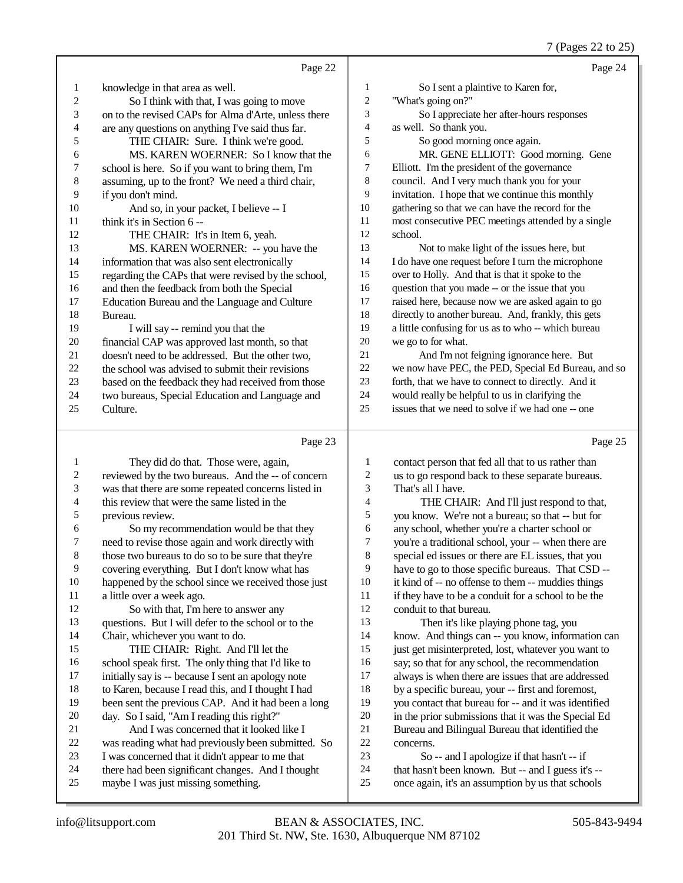### 7 (Pages 22 to 25)

|                          |                                                      |                  | $\frac{1}{2}$ (Pages 22 to 25)                      |
|--------------------------|------------------------------------------------------|------------------|-----------------------------------------------------|
|                          | Page 22                                              |                  | Page 24                                             |
| 1                        | knowledge in that area as well.                      | 1                | So I sent a plaintive to Karen for,                 |
| $\overline{c}$           | So I think with that, I was going to move            | $\boldsymbol{2}$ | "What's going on?"                                  |
| 3                        | on to the revised CAPs for Alma d'Arte, unless there | 3                | So I appreciate her after-hours responses           |
| $\overline{\mathcal{A}}$ | are any questions on anything I've said thus far.    | $\overline{4}$   | as well. So thank you.                              |
| 5                        | THE CHAIR: Sure. I think we're good.                 | 5                | So good morning once again.                         |
| 6                        | MS. KAREN WOERNER: So I know that the                | 6                | MR. GENE ELLIOTT: Good morning. Gene                |
| 7                        | school is here. So if you want to bring them, I'm    | 7                | Elliott. I'm the president of the governance        |
| 8                        | assuming, up to the front? We need a third chair,    | $\,8\,$          | council. And I very much thank you for your         |
| 9                        | if you don't mind.                                   | 9                | invitation. I hope that we continue this monthly    |
| 10                       | And so, in your packet, I believe -- I               | 10               | gathering so that we can have the record for the    |
| 11                       | think it's in Section 6 --                           | 11               | most consecutive PEC meetings attended by a single  |
| 12                       | THE CHAIR: It's in Item 6, yeah.                     | 12               | school.                                             |
| 13                       | MS. KAREN WOERNER: -- you have the                   | 13               | Not to make light of the issues here, but           |
| 14                       | information that was also sent electronically        | 14               | I do have one request before I turn the microphone  |
| 15                       | regarding the CAPs that were revised by the school,  | 15               | over to Holly. And that is that it spoke to the     |
| 16                       | and then the feedback from both the Special          | 16               | question that you made -- or the issue that you     |
| 17                       | Education Bureau and the Language and Culture        | 17               | raised here, because now we are asked again to go   |
| 18                       | Bureau.                                              | 18               | directly to another bureau. And, frankly, this gets |
| 19                       | I will say -- remind you that the                    | 19               | a little confusing for us as to who -- which bureau |
| 20                       | financial CAP was approved last month, so that       | 20               | we go to for what.                                  |
| 21                       | doesn't need to be addressed. But the other two,     | 21               | And I'm not feigning ignorance here. But            |
| 22                       | the school was advised to submit their revisions     | $22\,$           | we now have PEC, the PED, Special Ed Bureau, and so |
| 23                       | based on the feedback they had received from those   | 23               | forth, that we have to connect to directly. And it  |
| 24                       | two bureaus, Special Education and Language and      | 24               | would really be helpful to us in clarifying the     |
| 25                       | Culture.                                             | 25               | issues that we need to solve if we had one -- one   |
|                          |                                                      |                  |                                                     |
|                          | Page 23                                              |                  | Page 25                                             |
| $\mathbf{1}$             | They did do that. Those were, again,                 | 1                | contact person that fed all that to us rather than  |
| $\overline{c}$           | reviewed by the two bureaus. And the -- of concern   | 2                | us to go respond back to these separate bureaus.    |
| 3                        | was that there are some repeated concerns listed in  | 3                | That's all I have.                                  |
| 4                        | this review that were the same listed in the         | 4                | THE CHAIR: And I'll just respond to that,           |

 previous review. 6 So my recommendation would be that they<br>
7 need to revise those again and work directly with 7 need to revise those again and work directly with<br>8 those two bureaus to do so to be sure that they're those two bureaus to do so to be sure that they're covering everything. But I don't know what has 10 happened by the school since we received those just<br>11 a little over a week ago. 11 a little over a week ago.<br>12 So with that I'm h So with that, I'm here to answer any questions. But I will defer to the school or to the Chair, whichever you want to do. THE CHAIR: Right. And I'll let the 16 school speak first. The only thing that I'd like to 17 initially say is -- because I sent an apology note initially say is -- because I sent an apology note 18 to Karen, because I read this, and I thought I had<br>19 been sent the previous CAP And it had been a let been sent the previous CAP. And it had been a long 20 day. So I said, "Am I reading this right?"<br>21 And I was concerned that it looked 21 And I was concerned that it looked like I<br>22 was reading what had previously been submitted 22 was reading what had previously been submitted. So<br>23 I was concerned that it didn't appear to me that

- I was concerned that it didn't appear to me that
- 24 there had been significant changes. And I thought<br>25 maybe I was just missing something.
- maybe I was just missing something.

 you know. We're not a bureau; so that -- but for any school, whether you're a charter school or you're a traditional school, your -- when there are special ed issues or there are EL issues, that you 9 have to go to those specific bureaus. That CSD --<br>10 it kind of -- no offense to them -- muddies things 10 it kind of -- no offense to them -- muddies things<br>11 if they have to be a conduit for a school to be the if they have to be a conduit for a school to be the conduit to that bureau. Then it's like playing phone tag, you

 know. And things can -- you know, information can just get misinterpreted, lost, whatever you want to 16 say; so that for any school, the recommendation<br>17 always is when there are issues that are addressed always is when there are issues that are addressed 18 by a specific bureau, your -- first and foremost,<br>19 vou contact that bureau for -- and it was identifiyou contact that bureau for -- and it was identified 20 in the prior submissions that it was the Special Ed<br>21 Bureau and Bilingual Bureau that identified the 21 Bureau and Bilingual Bureau that identified the<br>22 concerns. 22 concerns.<br>23 So  $So - and I a *pologue* if that hasn't - if$ that hasn't been known. But -- and I guess it's --

once again, it's an assumption by us that schools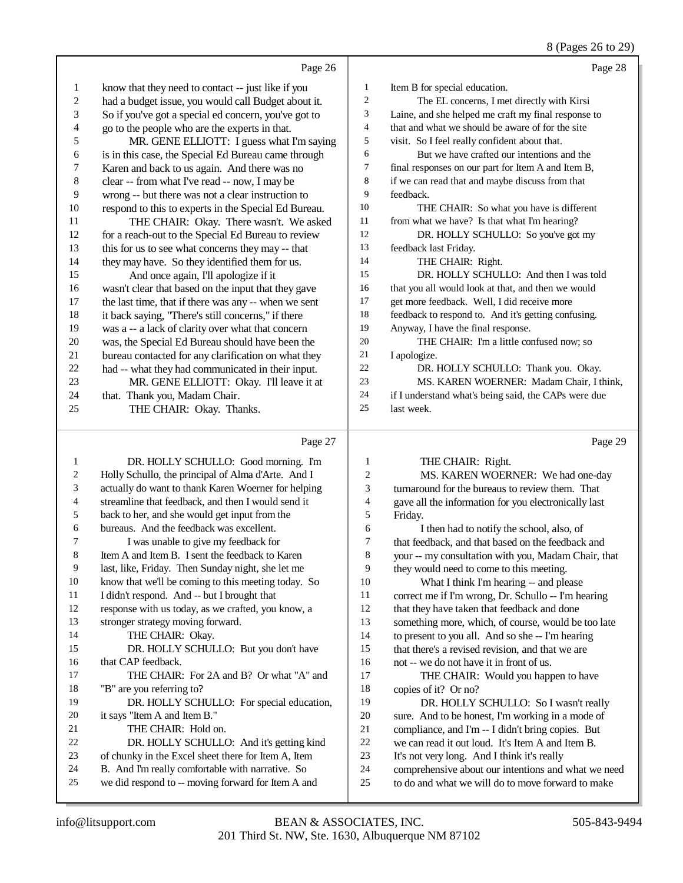#### 8 (Pages 26 to 29)

|    | Page 26                                              |                | Page 28                                              |
|----|------------------------------------------------------|----------------|------------------------------------------------------|
| 1  | know that they need to contact -- just like if you   | 1              | Item B for special education.                        |
| 2  | had a budget issue, you would call Budget about it.  | 2              | The EL concerns, I met directly with Kirsi           |
| 3  | So if you've got a special ed concern, you've got to | 3              | Laine, and she helped me craft my final response to  |
| 4  | go to the people who are the experts in that.        | $\overline{4}$ | that and what we should be aware of for the site     |
| 5  | MR. GENE ELLIOTT: I guess what I'm saying            | 5              | visit. So I feel really confident about that.        |
| 6  | is in this case, the Special Ed Bureau came through  | 6              | But we have crafted our intentions and the           |
| 7  | Karen and back to us again. And there was no         | $\tau$         | final responses on our part for Item A and Item B,   |
| 8  | clear -- from what I've read -- now, I may be        | 8              | if we can read that and maybe discuss from that      |
| 9  | wrong -- but there was not a clear instruction to    | 9              | feedback.                                            |
| 10 | respond to this to experts in the Special Ed Bureau. | 10             | THE CHAIR: So what you have is different             |
| 11 | THE CHAIR: Okay. There wasn't. We asked              | 11             | from what we have? Is that what I'm hearing?         |
| 12 | for a reach-out to the Special Ed Bureau to review   | 12             | DR. HOLLY SCHULLO: So you've got my                  |
| 13 | this for us to see what concerns they may -- that    | 13             | feedback last Friday.                                |
| 14 | they may have. So they identified them for us.       | 14             | THE CHAIR: Right.                                    |
| 15 | And once again, I'll apologize if it                 | 15             | DR. HOLLY SCHULLO: And then I was told               |
| 16 | wasn't clear that based on the input that they gave  | 16             | that you all would look at that, and then we would   |
| 17 | the last time, that if there was any -- when we sent | 17             | get more feedback. Well, I did receive more          |
| 18 | it back saying, "There's still concerns," if there   | 18             | feedback to respond to. And it's getting confusing.  |
| 19 | was a -- a lack of clarity over what that concern    | 19             | Anyway, I have the final response.                   |
| 20 | was, the Special Ed Bureau should have been the      | 20             | THE CHAIR: I'm a little confused now: so             |
| 21 | bureau contacted for any clarification on what they  | 21             | I apologize.                                         |
| 22 | had -- what they had communicated in their input.    | 22             | DR. HOLLY SCHULLO: Thank you. Okay.                  |
| 23 | MR. GENE ELLIOTT: Okay. I'll leave it at             | 23             | MS. KAREN WOERNER: Madam Chair, I think,             |
| 24 | that. Thank you, Madam Chair.                        | 24             | if I understand what's being said, the CAPs were due |
| 25 | THE CHAIR: Okay. Thanks.                             | 25             | last week.                                           |
|    | Page 27                                              |                | Page 29                                              |

#### Page 27

 DR. HOLLY SCHULLO: Good morning. I'm Holly Schullo, the principal of Alma d'Arte. And I actually do want to thank Karen Woerner for helping streamline that feedback, and then I would send it back to her, and she would get input from the bureaus. And the feedback was excellent. I was unable to give my feedback for Item A and Item B. I sent the feedback to Karen last, like, Friday. Then Sunday night, she let me know that we'll be coming to this meeting today. So I didn't respond. And -- but I brought that response with us today, as we crafted, you know, a stronger strategy moving forward. 14 THE CHAIR: Okay. DR. HOLLY SCHULLO: But you don't have that CAP feedback. THE CHAIR: For 2A and B? Or what "A" and "B" are you referring to? 19 DR. HOLLY SCHULLO: For special education, it says "Item A and Item B." 21 THE CHAIR: Hold on. DR. HOLLY SCHULLO: And it's getting kind of chunky in the Excel sheet there for Item A, Item B. And I'm really comfortable with narrative. So 25 we did respond to -- moving forward for Item A and THE CHAIR: Right. MS. KAREN WOERNER: We had one-day turnaround for the bureaus to review them. That gave all the information for you electronically last Friday. I then had to notify the school, also, of that feedback, and that based on the feedback and your -- my consultation with you, Madam Chair, that they would need to come to this meeting. What I think I'm hearing -- and please correct me if I'm wrong, Dr. Schullo -- I'm hearing that they have taken that feedback and done something more, which, of course, would be too late to present to you all. And so she -- I'm hearing that there's a revised revision, and that we are not -- we do not have it in front of us. THE CHAIR: Would you happen to have copies of it? Or no? DR. HOLLY SCHULLO: So I wasn't really sure. And to be honest, I'm working in a mode of compliance, and I'm -- I didn't bring copies. But we can read it out loud. It's Item A and Item B. It's not very long. And I think it's really comprehensive about our intentions and what we need to do and what we will do to move forward to make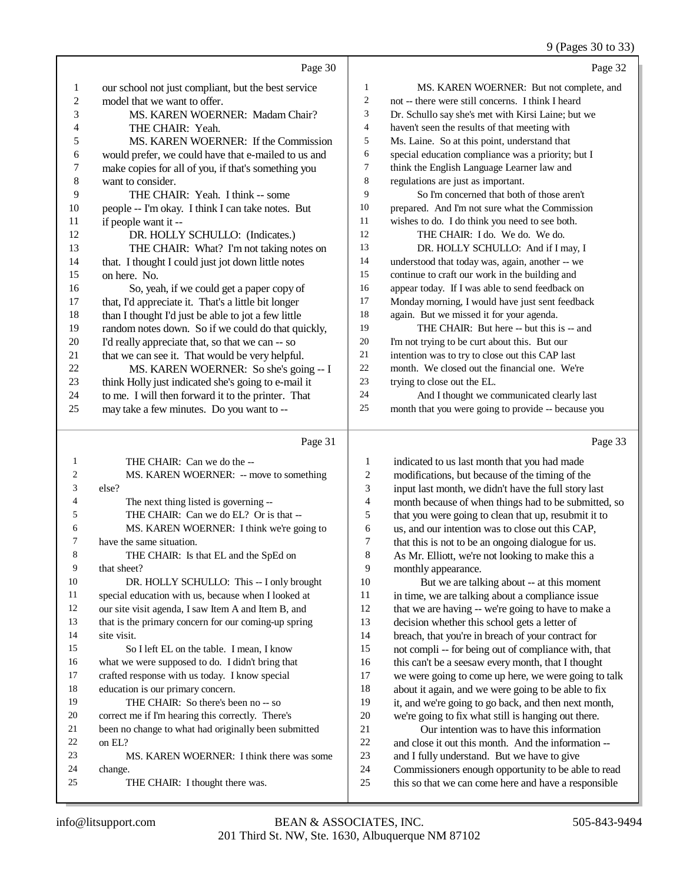9 (Pages 30 to 33)

|    |                                                     |                | $2 \text{ (14gcs 30 to 32)}$                        |
|----|-----------------------------------------------------|----------------|-----------------------------------------------------|
|    | Page 30                                             |                | Page 32                                             |
| 1  | our school not just compliant, but the best service | $\mathbf{1}$   | MS. KAREN WOERNER: But not complete, and            |
| 2  | model that we want to offer.                        | 2              | not -- there were still concerns. I think I heard   |
| 3  | MS. KAREN WOERNER: Madam Chair?                     | 3              | Dr. Schullo say she's met with Kirsi Laine; but we  |
| 4  | THE CHAIR: Yeah.                                    | $\overline{4}$ | haven't seen the results of that meeting with       |
| 5  | MS. KAREN WOERNER: If the Commission                | 5              | Ms. Laine. So at this point, understand that        |
| 6  | would prefer, we could have that e-mailed to us and | 6              | special education compliance was a priority; but I  |
| 7  | make copies for all of you, if that's something you | 7              | think the English Language Learner law and          |
| 8  | want to consider.                                   | 8              | regulations are just as important.                  |
| 9  | THE CHAIR: Yeah. I think -- some                    | 9              | So I'm concerned that both of those aren't          |
| 10 | people -- I'm okay. I think I can take notes. But   | 10             | prepared. And I'm not sure what the Commission      |
| 11 | if people want it --                                | 11             | wishes to do. I do think you need to see both.      |
| 12 | DR. HOLLY SCHULLO: (Indicates.)                     | 12             | THE CHAIR: I do. We do. We do.                      |
| 13 | THE CHAIR: What? I'm not taking notes on            | 13             | DR. HOLLY SCHULLO: And if I may, I                  |
| 14 | that. I thought I could just jot down little notes  | 14             | understood that today was, again, another -- we     |
| 15 | on here. No.                                        | 15             | continue to craft our work in the building and      |
| 16 | So, yeah, if we could get a paper copy of           | 16             | appear today. If I was able to send feedback on     |
| 17 | that, I'd appreciate it. That's a little bit longer | 17             | Monday morning, I would have just sent feedback     |
| 18 | than I thought I'd just be able to jot a few little | 18             | again. But we missed it for your agenda.            |
| 19 | random notes down. So if we could do that quickly,  | 19             | THE CHAIR: But here -- but this is -- and           |
| 20 | I'd really appreciate that, so that we can -- so    | 20             | I'm not trying to be curt about this. But our       |
| 21 | that we can see it. That would be very helpful.     | 21             | intention was to try to close out this CAP last     |
| 22 | MS. KAREN WOERNER: So she's going -- I              | 22             | month. We closed out the financial one. We're       |
| 23 | think Holly just indicated she's going to e-mail it | 23             | trying to close out the EL.                         |
| 24 | to me. I will then forward it to the printer. That  | 24             | And I thought we communicated clearly last          |
| 25 | may take a few minutes. Do you want to --           | 25             | month that you were going to provide -- because you |
|    |                                                     |                |                                                     |
|    | $D_{0.002}$ 21                                      |                | $D_{0}$ $\alpha$ $22$                               |

#### Page 31

| 1              | THE CHAIR: Can we do the --                          |
|----------------|------------------------------------------------------|
| $\overline{c}$ | MS. KAREN WOERNER: -- move to something              |
| 3              | else?                                                |
| $\overline{4}$ | The next thing listed is governing --                |
| 5              | THE CHAIR: Can we do EL? Or is that --               |
| 6              | MS. KAREN WOERNER: I think we're going to            |
| 7              | have the same situation.                             |
| 8              | THE CHAIR: Is that EL and the SpEd on                |
| 9              | that sheet?                                          |
| 10             | DR. HOLLY SCHULLO: This -- I only brought            |
| 11             | special education with us, because when I looked at  |
| 12             | our site visit agenda, I saw Item A and Item B, and  |
| 13             | that is the primary concern for our coming-up spring |
| 14             | site visit.                                          |
| 15             | So I left EL on the table. I mean, I know            |
| 16             | what we were supposed to do. I didn't bring that     |
| 17             | crafted response with us today. I know special       |
| 18             | education is our primary concern.                    |
| 19             | THE CHAIR: So there's been no -- so                  |
| 20             | correct me if I'm hearing this correctly. There's    |
| 21             | been no change to what had originally been submitted |
| 22             | on $EI$ $?$                                          |
| 23             | MS. KAREN WOERNER: I think there was some            |
| 24             | change.                                              |
| 25             | THE CHAIR: I thought there was.                      |

Page 33

| 1              | indicated to us last month that you had made         |
|----------------|------------------------------------------------------|
| $\overline{c}$ | modifications, but because of the timing of the      |
| 3              | input last month, we didn't have the full story last |
| $\overline{4}$ | month because of when things had to be submitted, so |
| 5              | that you were going to clean that up, resubmit it to |
| 6              | us, and our intention was to close out this CAP,     |
| 7              | that this is not to be an ongoing dialogue for us.   |
| 8              | As Mr. Elliott, we're not looking to make this a     |
| 9              | monthly appearance.                                  |
| 10             | But we are talking about -- at this moment           |
| 11             | in time, we are talking about a compliance issue     |
| 12             | that we are having -- we're going to have to make a  |
| 13             | decision whether this school gets a letter of        |
| 14             | breach, that you're in breach of your contract for   |
| 15             | not compli -- for being out of compliance with, that |
| 16             | this can't be a seesaw every month, that I thought   |
| 17             | we were going to come up here, we were going to talk |
| 18             | about it again, and we were going to be able to fix  |
| 19             | it, and we're going to go back, and then next month, |
| 20             | we're going to fix what still is hanging out there.  |
| 21             | Our intention was to have this information           |
| 22             | and close it out this month. And the information --  |
| 23             | and I fully understand. But we have to give          |
| 24             | Commissioners enough opportunity to be able to read  |
| 25             | this so that we can come here and have a responsible |
|                |                                                      |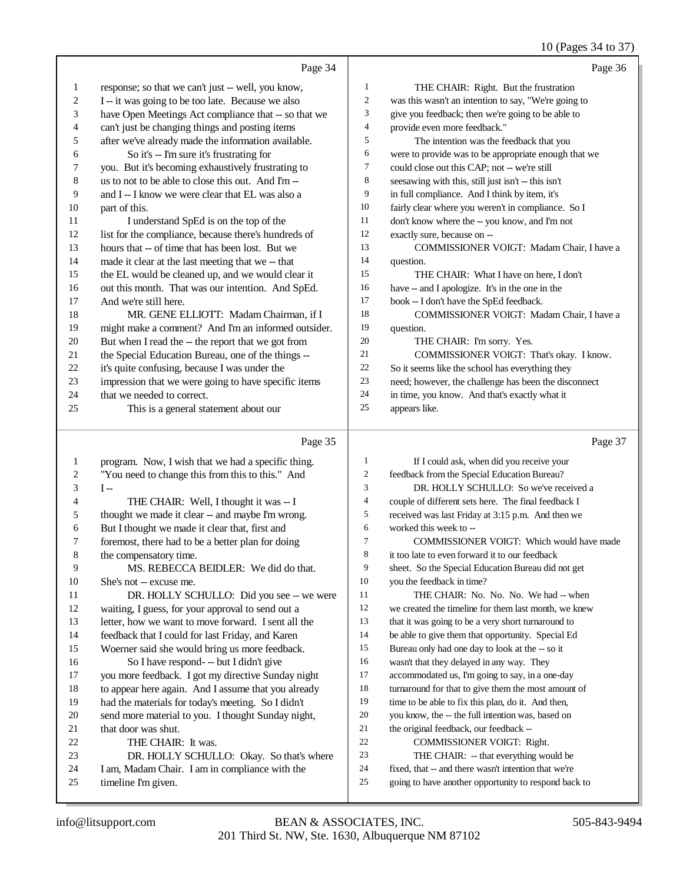## 10 (Pages 34 to 37)

|                         | Page 34                                                                                                |                          | Page 36                                                                                                      |
|-------------------------|--------------------------------------------------------------------------------------------------------|--------------------------|--------------------------------------------------------------------------------------------------------------|
| $\mathbf{1}$            | response; so that we can't just -- well, you know,                                                     | $\mathbf{1}$             | THE CHAIR: Right. But the frustration                                                                        |
| $\overline{\mathbf{c}}$ | I -- it was going to be too late. Because we also                                                      | $\overline{c}$           | was this wasn't an intention to say, "We're going to                                                         |
| 3                       | have Open Meetings Act compliance that -- so that we                                                   | 3                        | give you feedback; then we're going to be able to                                                            |
| 4                       | can't just be changing things and posting items                                                        | $\overline{4}$           | provide even more feedback."                                                                                 |
| 5                       | after we've already made the information available.                                                    | 5                        | The intention was the feedback that you                                                                      |
| 6                       | So it's -- I'm sure it's frustrating for                                                               | 6                        | were to provide was to be appropriate enough that we                                                         |
| 7                       | you. But it's becoming exhaustively frustrating to                                                     | $\boldsymbol{7}$         | could close out this CAP; not -- we're still                                                                 |
| $\,$ 8 $\,$             | us to not to be able to close this out. And I'm-                                                       | $\,$ 8 $\,$              | seesawing with this, still just isn't -- this isn't                                                          |
| 9                       | and I-- I know we were clear that EL was also a                                                        | 9                        | in full compliance. And I think by item, it's                                                                |
| 10                      | part of this.                                                                                          | 10                       | fairly clear where you weren't in compliance. So I                                                           |
| 11                      | I understand SpEd is on the top of the                                                                 | 11                       | don't know where the -- you know, and I'm not                                                                |
| 12                      | list for the compliance, because there's hundreds of                                                   | 12                       | exactly sure, because on --                                                                                  |
| 13                      | hours that -- of time that has been lost. But we                                                       | 13                       | COMMISSIONER VOIGT: Madam Chair, I have a                                                                    |
| 14                      | made it clear at the last meeting that we -- that                                                      | 14                       | question.                                                                                                    |
| 15                      | the EL would be cleaned up, and we would clear it                                                      | 15                       | THE CHAIR: What I have on here, I don't                                                                      |
| 16                      | out this month. That was our intention. And SpEd.                                                      | 16                       | have -- and I apologize. It's in the one in the                                                              |
| 17                      | And we're still here.                                                                                  | 17                       | book -- I don't have the SpEd feedback.                                                                      |
| 18                      | MR. GENE ELLIOTT: Madam Chairman, if I                                                                 | 18                       | COMMISSIONER VOIGT: Madam Chair, I have a                                                                    |
| 19                      | might make a comment? And I'm an informed outsider.                                                    | 19                       | question.                                                                                                    |
| 20                      | But when I read the -- the report that we got from                                                     | 20                       | THE CHAIR: I'm sorry. Yes.                                                                                   |
| 21                      | the Special Education Bureau, one of the things --                                                     | 21                       | COMMISSIONER VOIGT: That's okay. I know.                                                                     |
| 22                      | it's quite confusing, because I was under the                                                          | 22                       | So it seems like the school has everything they                                                              |
| 23                      | impression that we were going to have specific items                                                   | 23                       | need; however, the challenge has been the disconnect                                                         |
| 24                      | that we needed to correct.                                                                             | 24                       | in time, you know. And that's exactly what it                                                                |
| 25                      | This is a general statement about our                                                                  | 25                       | appears like.                                                                                                |
|                         |                                                                                                        |                          |                                                                                                              |
|                         | Page 35                                                                                                |                          | Page 37                                                                                                      |
| $\mathbf{1}$            |                                                                                                        | 1                        | If I could ask, when did you receive your                                                                    |
| $\overline{c}$          | program. Now, I wish that we had a specific thing.<br>"You need to change this from this to this." And | 2                        | feedback from the Special Education Bureau?                                                                  |
| 3                       | $I -$                                                                                                  | 3                        | DR. HOLLY SCHULLO: So we've received a                                                                       |
| 4                       | THE CHAIR: Well, I thought it was -- I                                                                 | $\overline{\mathcal{L}}$ | couple of different sets here. The final feedback I                                                          |
| 5                       | thought we made it clear -- and maybe I'm wrong.                                                       | 5                        | received was last Friday at 3:15 p.m. And then we                                                            |
| 6                       | But I thought we made it clear that, first and                                                         | 6                        | worked this week to --                                                                                       |
| 7                       | foremost, there had to be a better plan for doing                                                      | $\tau$                   | COMMISSIONER VOIGT: Which would have made                                                                    |
| 8                       | the compensatory time.                                                                                 | 8                        | it too late to even forward it to our feedback                                                               |
| 9                       | MS. REBECCA BEIDLER: We did do that.                                                                   | 9                        | sheet. So the Special Education Bureau did not get                                                           |
| 10                      | She's not -- excuse me.                                                                                | 10                       | you the feedback in time?                                                                                    |
| 11                      | DR. HOLLY SCHULLO: Did you see -- we were                                                              | 11                       | THE CHAIR: No. No. No. We had -- when                                                                        |
| 12                      | waiting, I guess, for your approval to send out a                                                      | 12                       | we created the timeline for them last month, we knew                                                         |
| 13                      | letter, how we want to move forward. I sent all the                                                    | 13                       | that it was going to be a very short turnaround to                                                           |
| 14                      | feedback that I could for last Friday, and Karen                                                       | 14                       | be able to give them that opportunity. Special Ed                                                            |
| 15                      | Woerner said she would bring us more feedback.                                                         | 15                       | Bureau only had one day to look at the -- so it                                                              |
| 16                      | So I have respond- -- but I didn't give                                                                | 16                       | wasn't that they delayed in any way. They                                                                    |
| 17                      | you more feedback. I got my directive Sunday night                                                     | 17                       | accommodated us, I'm going to say, in a one-day                                                              |
| 18                      | to appear here again. And I assume that you already                                                    | 18                       | turnaround for that to give them the most amount of                                                          |
| 19                      | had the materials for today's meeting. So I didn't                                                     | 19                       | time to be able to fix this plan, do it. And then,                                                           |
| 20                      | send more material to you. I thought Sunday night,                                                     | 20                       | you know, the -- the full intention was, based on                                                            |
| 21                      | that door was shut.                                                                                    | 21                       | the original feedback, our feedback --                                                                       |
| 22                      | THE CHAIR: It was.                                                                                     | 22                       | COMMISSIONER VOIGT: Right.                                                                                   |
| 23                      | DR. HOLLY SCHULLO: Okay. So that's where                                                               | 23                       | THE CHAIR: -- that everything would be                                                                       |
| 24<br>25                | I am, Madam Chair. I am in compliance with the<br>timeline I'm given.                                  | 24<br>25                 | fixed, that -- and there wasn't intention that we're<br>going to have another opportunity to respond back to |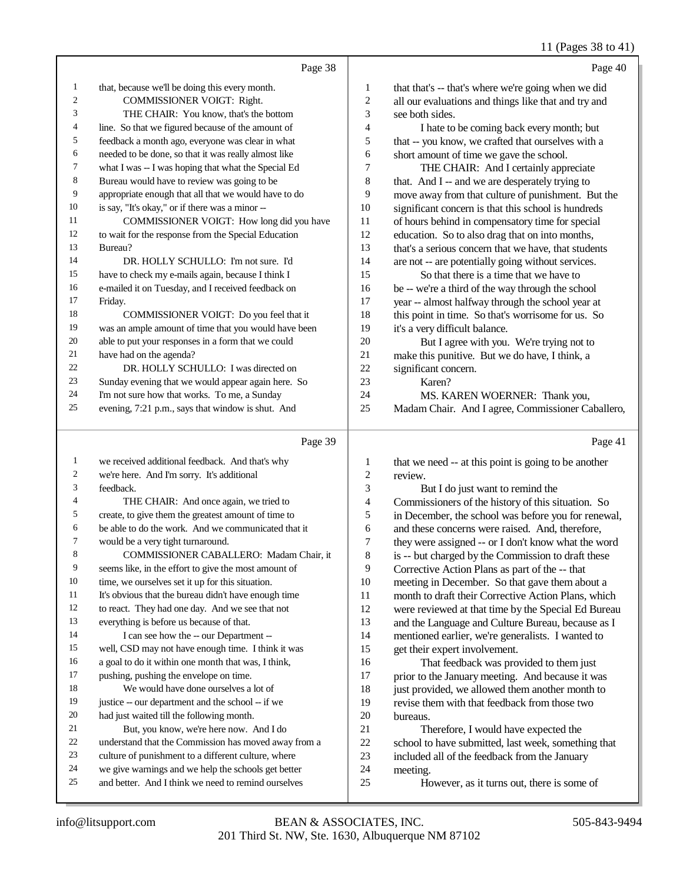## 11 (Pages 38 to 41)

|                | Page 38                                              |                | Page 40                                              |
|----------------|------------------------------------------------------|----------------|------------------------------------------------------|
| -1             | that, because we'll be doing this every month.       | $\mathbf{1}$   | that that's -- that's where we're going when we did  |
| $\mathfrak{2}$ | COMMISSIONER VOIGT: Right.                           | $\overline{2}$ | all our evaluations and things like that and try and |
| 3              | THE CHAIR: You know, that's the bottom               | 3              | see both sides.                                      |
| 4              | line. So that we figured because of the amount of    | $\overline{4}$ | I hate to be coming back every month; but            |
| 5              | feedback a month ago, everyone was clear in what     | 5              | that -- you know, we crafted that ourselves with a   |
| 6              | needed to be done, so that it was really almost like | 6              | short amount of time we gave the school.             |
| $\overline{7}$ | what I was -- I was hoping that what the Special Ed  | 7              | THE CHAIR: And I certainly appreciate                |
| 8              | Bureau would have to review was going to be          | 8              | that. And I -- and we are desperately trying to      |
| 9              | appropriate enough that all that we would have to do | 9              | move away from that culture of punishment. But the   |
| 10             | is say, "It's okay," or if there was a minor --      | 10             | significant concern is that this school is hundreds  |
| 11             | COMMISSIONER VOIGT: How long did you have            | 11             | of hours behind in compensatory time for special     |
| 12             | to wait for the response from the Special Education  | 12             | education. So to also drag that on into months,      |
| 13             | Bureau?                                              | 13             | that's a serious concern that we have, that students |
| 14             | DR. HOLLY SCHULLO: I'm not sure. I'd                 | 14             | are not -- are potentially going without services.   |
| 15             | have to check my e-mails again, because I think I    | 15             | So that there is a time that we have to              |
| 16             | e-mailed it on Tuesday, and I received feedback on   | 16             | be -- we're a third of the way through the school    |
| 17             | Friday.                                              | 17             | year -- almost halfway through the school year at    |
| 18             | COMMISSIONER VOIGT: Do you feel that it              | 18             | this point in time. So that's worrisome for us. So   |
| 19             | was an ample amount of time that you would have been | 19             | it's a very difficult balance.                       |
| 20             | able to put your responses in a form that we could   | 20             | But I agree with you. We're trying not to            |
| 21             | have had on the agenda?                              | 21             | make this punitive. But we do have, I think, a       |
| 22             | DR. HOLLY SCHULLO: I was directed on                 | 22             | significant concern.                                 |
| 23             | Sunday evening that we would appear again here. So   | 23             | Karen?                                               |
| 24             | I'm not sure how that works. To me, a Sunday         | 24             | MS. KAREN WOERNER: Thank you,                        |
| 25             | evening, 7:21 p.m., says that window is shut. And    | 25             | Madam Chair. And I agree, Commissioner Caballero,    |
|                | Page 39                                              |                | Page 41                                              |

| 1  | we received additional feedback. And that's why      | 1              | that we need -- at this point is going to be another |
|----|------------------------------------------------------|----------------|------------------------------------------------------|
| 2  | we're here. And I'm sorry. It's additional           | $\overline{2}$ | review.                                              |
| 3  | feedback.                                            | 3              | But I do just want to remind the                     |
| 4  | THE CHAIR: And once again, we tried to               | 4              | Commissioners of the history of this situation. So   |
| 5  | create, to give them the greatest amount of time to  | 5              | in December, the school was before you for renewal,  |
| 6  | be able to do the work. And we communicated that it  | 6              | and these concerns were raised. And, therefore,      |
| 7  | would be a very tight turnaround.                    | 7              | they were assigned -- or I don't know what the word  |
| 8  | COMMISSIONER CABALLERO: Madam Chair, it              | 8              | is -- but charged by the Commission to draft these   |
| 9  | seems like, in the effort to give the most amount of | 9              | Corrective Action Plans as part of the -- that       |
| 10 | time, we ourselves set it up for this situation.     | 10             | meeting in December. So that gave them about a       |
| 11 | It's obvious that the bureau didn't have enough time | 11             | month to draft their Corrective Action Plans, which  |
| 12 | to react. They had one day. And we see that not      | 12             | were reviewed at that time by the Special Ed Bureau  |
| 13 | everything is before us because of that.             | 13             | and the Language and Culture Bureau, because as I    |
| 14 | I can see how the -- our Department --               | 14             | mentioned earlier, we're generalists. I wanted to    |
| 15 | well, CSD may not have enough time. I think it was   | 15             | get their expert involvement.                        |
| 16 | a goal to do it within one month that was, I think,  | 16             | That feedback was provided to them just              |
| 17 | pushing, pushing the envelope on time.               | 17             | prior to the January meeting. And because it was     |
| 18 | We would have done ourselves a lot of                | 18             | just provided, we allowed them another month to      |
| 19 | justice -- our department and the school -- if we    | 19             | revise them with that feedback from those two        |
| 20 | had just waited till the following month.            | 20             | bureaus.                                             |
| 21 | But, you know, we're here now. And I do              | 21             | Therefore, I would have expected the                 |
| 22 | understand that the Commission has moved away from a | 22             | school to have submitted, last week, something that  |
| 23 | culture of punishment to a different culture, where  | 23             | included all of the feedback from the January        |
| 24 | we give warnings and we help the schools get better  | 24             | meeting.                                             |
| 25 | and better. And I think we need to remind ourselves  | 25             | However, as it turns out, there is some of           |
|    |                                                      |                |                                                      |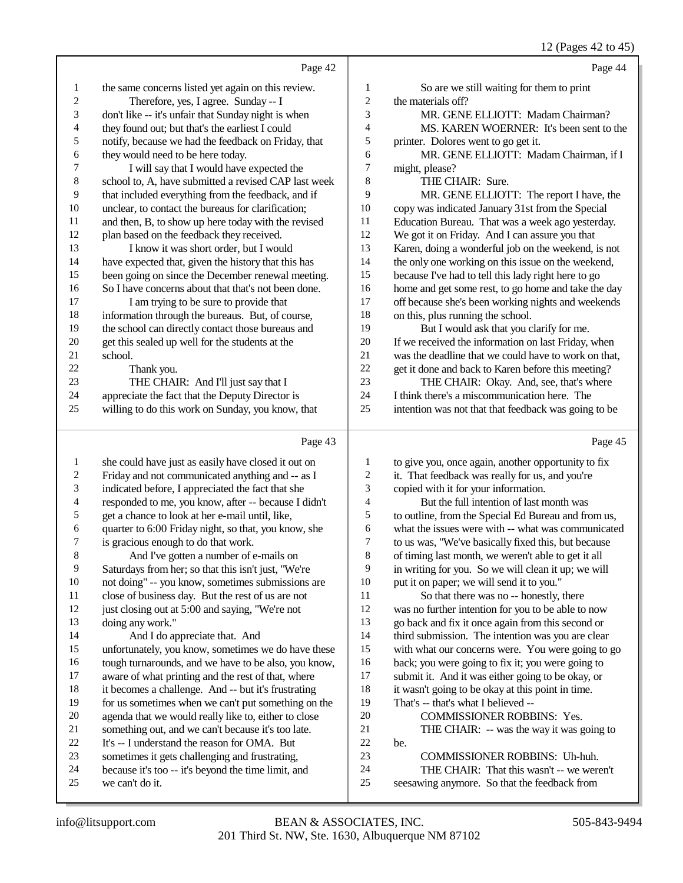12 (Pages 42 to 45)

|                          |                                                      |                  | 12 (Fages 42 to 43)                                  |
|--------------------------|------------------------------------------------------|------------------|------------------------------------------------------|
|                          | Page 42                                              |                  | Page 44                                              |
| $\mathbf{1}$             | the same concerns listed yet again on this review.   | $\mathbf{1}$     | So are we still waiting for them to print            |
| $\sqrt{2}$               | Therefore, yes, I agree. Sunday -- I                 | $\overline{c}$   | the materials off?                                   |
| 3                        | don't like -- it's unfair that Sunday night is when  | 3                | MR. GENE ELLIOTT: Madam Chairman?                    |
| $\overline{\mathcal{L}}$ | they found out; but that's the earliest I could      | $\overline{4}$   | MS. KAREN WOERNER: It's been sent to the             |
| 5                        | notify, because we had the feedback on Friday, that  | 5                | printer. Dolores went to go get it.                  |
| 6                        | they would need to be here today.                    | 6                | MR. GENE ELLIOTT: Madam Chairman, if I               |
| 7                        | I will say that I would have expected the            | $\overline{7}$   | might, please?                                       |
| $\,$ 8 $\,$              | school to, A, have submitted a revised CAP last week | 8                | THE CHAIR: Sure.                                     |
| 9                        | that included everything from the feedback, and if   | 9                | MR. GENE ELLIOTT: The report I have, the             |
| $10\,$                   | unclear, to contact the bureaus for clarification;   | 10               | copy was indicated January 31st from the Special     |
| 11                       | and then, B, to show up here today with the revised  | 11               | Education Bureau. That was a week ago yesterday.     |
| 12                       | plan based on the feedback they received.            | 12               | We got it on Friday. And I can assure you that       |
| 13                       | I know it was short order, but I would               | 13               | Karen, doing a wonderful job on the weekend, is not  |
| 14                       | have expected that, given the history that this has  | 14               | the only one working on this issue on the weekend,   |
| 15                       | been going on since the December renewal meeting.    | 15               | because I've had to tell this lady right here to go  |
| 16                       | So I have concerns about that that's not been done.  | 16               | home and get some rest, to go home and take the day  |
| 17                       | I am trying to be sure to provide that               | 17               | off because she's been working nights and weekends   |
| 18                       | information through the bureaus. But, of course,     | 18               | on this, plus running the school.                    |
| 19                       | the school can directly contact those bureaus and    | 19               | But I would ask that you clarify for me.             |
| 20                       | get this sealed up well for the students at the      | 20               | If we received the information on last Friday, when  |
| 21                       | school.                                              | 21               | was the deadline that we could have to work on that, |
| 22                       | Thank you.                                           | 22               | get it done and back to Karen before this meeting?   |
| 23                       | THE CHAIR: And I'll just say that I                  | 23               | THE CHAIR: Okay. And, see, that's where              |
| 24                       | appreciate the fact that the Deputy Director is      | 24               | I think there's a miscommunication here. The         |
| 25                       | willing to do this work on Sunday, you know, that    | 25               | intention was not that that feedback was going to be |
|                          | Page 43                                              |                  | Page 45                                              |
| $\mathbf{1}$             | she could have just as easily have closed it out on  | $\mathbf{1}$     | to give you, once again, another opportunity to fix  |
| $\overline{\mathbf{c}}$  | Friday and not communicated anything and -- as I     | $\overline{c}$   | it. That feedback was really for us, and you're      |
| 3                        | indicated before, I appreciated the fact that she    | 3                | copied with it for your information.                 |
| 4                        | responded to me, you know, after -- because I didn't | $\overline{4}$   | But the full intention of last month was             |
| 5                        | get a chance to look at her e-mail until, like,      | 5                | to outline, from the Special Ed Bureau and from us,  |
| 6                        | quarter to 6:00 Friday night, so that, you know, she | 6                | what the issues were with -- what was communicated   |
| 7                        | is gracious enough to do that work.                  | $\boldsymbol{7}$ | to us was, "We've basically fixed this, but because  |
| $\,8\,$                  | And I've gotten a number of e-mails on               | 8                | of timing last month, we weren't able to get it all  |
| 9                        | Saturdays from her; so that this isn't just, "We're  | 9                | in writing for you. So we will clean it up; we will  |
| 10                       | not doing" -- you know, sometimes submissions are    | 10               | put it on paper; we will send it to you."            |
| 11                       | close of business day. But the rest of us are not    | 11               | So that there was no -- honestly, there              |
| 12                       | just closing out at 5:00 and saying, "We're not      | 12               | was no further intention for you to be able to now   |
| 13                       | doing any work."                                     | 13               | go back and fix it once again from this second or    |
| 14                       | And I do approciate that And                         | 14               | third submission The intention was you are clear     |

- 14 And I do appreciate that. And<br>15 unfortunately, you know, sometimes unfortunately, you know, sometimes we do have these 16 tough turnarounds, and we have to be also, you know,<br>17 aware of what printing and the rest of that, where 17 aware of what printing and the rest of that, where<br>18 it becomes a challenge. And -- but it's frustrating 18 it becomes a challenge. And -- but it's frustrating<br>19 for us sometimes when we can't put something on 19 for us sometimes when we can't put something on the 20 agenda that we would really like to either to close 20 agenda that we would really like to, either to close<br>21 something out, and we can't because it's too late. 21 something out, and we can't because it's too late.<br>22 It's -- I understand the reason for OMA. But 22 It's -- I understand the reason for OMA. But<br>23 sometimes it gets challenging and frustrating.
- 23 sometimes it gets challenging and frustrating,<br>24 because it's too -- it's beyond the time limit, and 24 because it's too -- it's beyond the time limit, and<br>25 we can't do it.
- we can't do it.
- 201 Third St. NW, Ste. 1630, Albuquerque NM 87102 info@litsupport.com BEAN & ASSOCIATES, INC. 505-843-9494

| 1  | to give you, once again, another opportunity to fix |
|----|-----------------------------------------------------|
| 2  | it. That feedback was really for us, and you're     |
| 3  | copied with it for your information.                |
| 4  | But the full intention of last month was            |
| 5  | to outline, from the Special Ed Bureau and from us, |
| 6  | what the issues were with -- what was communicated  |
| 7  | to us was, "We've basically fixed this, but because |
| 8  | of timing last month, we weren't able to get it all |
| 9  | in writing for you. So we will clean it up; we will |
| 10 | put it on paper; we will send it to you."           |
| 11 | So that there was no -- honestly, there             |
| 12 | was no further intention for you to be able to now  |
| 13 | go back and fix it once again from this second or   |
| 14 | third submission. The intention was you are clear   |
| 15 | with what our concerns were. You were going to go   |
| 16 | back; you were going to fix it; you were going to   |
| 17 | submit it. And it was either going to be okay, or   |
| 18 | it wasn't going to be okay at this point in time.   |
| 19 | That's -- that's what I believed --                 |
| 20 | <b>COMMISSIONER ROBBINS: Yes.</b>                   |
| 21 | THE CHAIR: -- was the way it was going to           |
| 22 | be.                                                 |
| 23 | COMMISSIONER ROBBINS: Uh-huh.                       |
| 24 | THE CHAIR: That this wasn't -- we weren't           |
| 25 | seesawing anymore. So that the feedback from        |
|    |                                                     |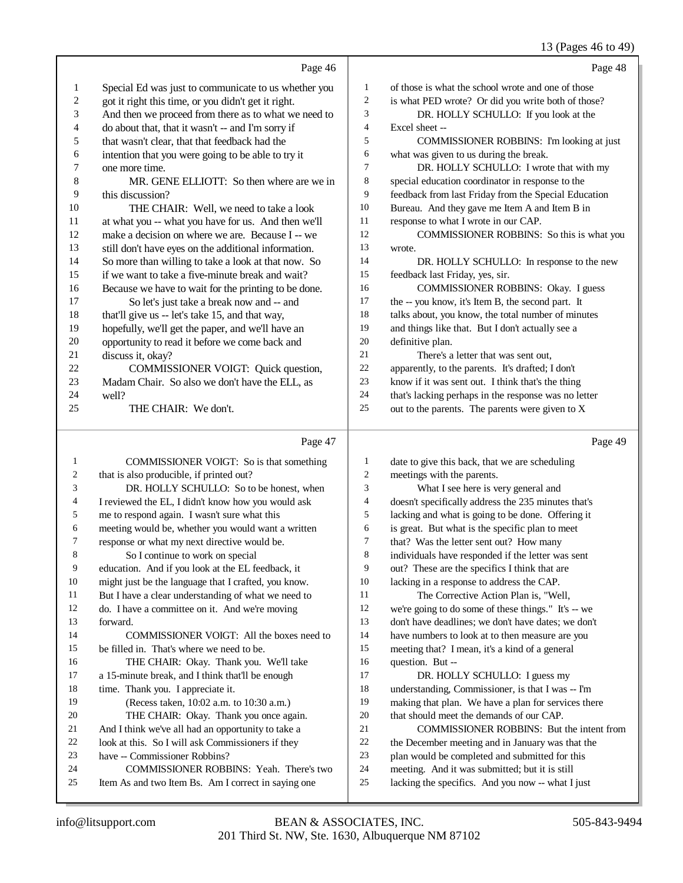#### 13 (Pages 46 to 49)

|        |                                                      |                          | $13 \text{ (1466)}$ TO to T <sub>2</sub>             |
|--------|------------------------------------------------------|--------------------------|------------------------------------------------------|
|        | Page 46                                              |                          | Page 48                                              |
| 1      | Special Ed was just to communicate to us whether you | 1                        | of those is what the school wrote and one of those   |
| 2      | got it right this time, or you didn't get it right.  | $\overline{c}$           | is what PED wrote? Or did you write both of those?   |
| 3      | And then we proceed from there as to what we need to | 3                        | DR. HOLLY SCHULLO: If you look at the                |
| 4      | do about that, that it wasn't -- and I'm sorry if    | 4                        | Excel sheet --                                       |
| 5      | that wasn't clear, that that feedback had the        | 5                        | COMMISSIONER ROBBINS: I'm looking at just            |
| 6      | intention that you were going to be able to try it   | 6                        | what was given to us during the break.               |
| 7      | one more time.                                       | 7                        | DR. HOLLY SCHULLO: I wrote that with my              |
| 8      | MR. GENE ELLIOTT: So then where are we in            | 8                        | special education coordinator in response to the     |
| 9      | this discussion?                                     | 9                        | feedback from last Friday from the Special Education |
| 10     | THE CHAIR: Well, we need to take a look              | 10                       | Bureau. And they gave me Item A and Item B in        |
| 11     | at what you -- what you have for us. And then we'll  | 11                       | response to what I wrote in our CAP.                 |
| 12     | make a decision on where we are. Because I -- we     | 12                       | COMMISSIONER ROBBINS: So this is what you            |
| 13     | still don't have eyes on the additional information. | 13                       | wrote.                                               |
| 14     | So more than willing to take a look at that now. So  | 14                       | DR. HOLLY SCHULLO: In response to the new            |
| 15     | if we want to take a five-minute break and wait?     | 15                       | feedback last Friday, yes, sir.                      |
| 16     | Because we have to wait for the printing to be done. | 16                       | COMMISSIONER ROBBINS: Okay. I guess                  |
| 17     | So let's just take a break now and -- and            | 17                       | the -- you know, it's Item B, the second part. It    |
| 18     | that'll give us -- let's take 15, and that way,      | 18                       | talks about, you know, the total number of minutes   |
| 19     | hopefully, we'll get the paper, and we'll have an    | 19                       | and things like that. But I don't actually see a     |
| 20     | opportunity to read it before we come back and       | 20                       | definitive plan.                                     |
| 21     | discuss it, okay?                                    | 21                       | There's a letter that was sent out,                  |
| 22     | COMMISSIONER VOIGT: Quick question,                  | $22\,$                   | apparently, to the parents. It's drafted; I don't    |
| 23     | Madam Chair. So also we don't have the ELL, as       | 23                       | know if it was sent out. I think that's the thing    |
| 24     | well?                                                | 24                       | that's lacking perhaps in the response was no letter |
| 25     | THE CHAIR: We don't.                                 | 25                       | out to the parents. The parents were given to X      |
|        | Page 47                                              |                          | Page 49                                              |
| 1      | COMMISSIONER VOIGT: So is that something             | $\mathbf{1}$             | date to give this back, that we are scheduling       |
| 2      | that is also producible, if printed out?             | $\overline{c}$           | meetings with the parents.                           |
| 3      | DR. HOLLY SCHULLO: So to be honest, when             | 3                        | What I see here is very general and                  |
| 4      | I reviewed the EL, I didn't know how you would ask   | $\overline{\mathcal{L}}$ | doesn't specifically address the 235 minutes that's  |
| 5      | me to respond again. I wasn't sure what this         | 5                        | lacking and what is going to be done. Offering it    |
| 6      | meeting would be, whether you would want a written   | 6                        | is great. But what is the specific plan to meet      |
| $\tau$ | response or what my next directive would be.         | 7                        | that? Was the letter sent out? How many              |
| 8      | So I continue to work on special                     | 8                        | individuals have responded if the letter was sent    |
| 9      | education. And if you look at the EL feedback, it    | 9                        | out? These are the specifics I think that are        |
| 10     | might just be the language that I crafted, you know. | 10                       | lacking in a response to address the CAP.            |
| 11     | But I have a clear understanding of what we need to  | 11                       | The Corrective Action Plan is, "Well,                |
| 12     | do. I have a committee on it. And we're moving       | 12                       | we're going to do some of these things." It's -- we  |
| 13     | forward.                                             | 13                       | don't have deadlines; we don't have dates; we don't  |
| 14     | COMMISSIONER VOIGT: All the boxes need to            | 14                       | have numbers to look at to then measure are you      |

be filled in. That's where we need to be.

18 time. Thank you. I appreciate it.<br>19 (Recess taken, 10:02 a.m. t.

 THE CHAIR: Okay. Thank you. We'll take a 15-minute break, and I think that'll be enough

 THE CHAIR: Okay. Thank you once again. 21 And I think we've all had an opportunity to take a<br>22 Iook at this. So I will ask Commissioners if they 22 look at this. So I will ask Commissioners if they<br>23 have -- Commissioner Robbins? have -- Commissioner Robbins?

(Recess taken, 10:02 a.m. to 10:30 a.m.)

24 COMMISSIONER ROBBINS: Yeah. There's two<br>25 Item As and two Item Bs. Am I correct in saying one Item As and two Item Bs. Am I correct in saying one

meeting that? I mean, it's a kind of a general

17 DR. HOLLY SCHULLO: I guess my<br>18 understanding. Commissioner. is that I was 18 understanding, Commissioner, is that I was -- I'm<br>19 making that plan. We have a plan for services the

that should meet the demands of our CAP.

24 meeting. And it was submitted; but it is still<br>25 lacking the specifics. And you now -- what I

making that plan. We have a plan for services there

21 COMMISSIONER ROBBINS: But the intent from<br>22 the December meeting and in January was that the 22 the December meeting and in January was that the<br>23 plan would be completed and submitted for this plan would be completed and submitted for this

lacking the specifics. And you now -- what I just

16 question. But --<br>17 DR. HOL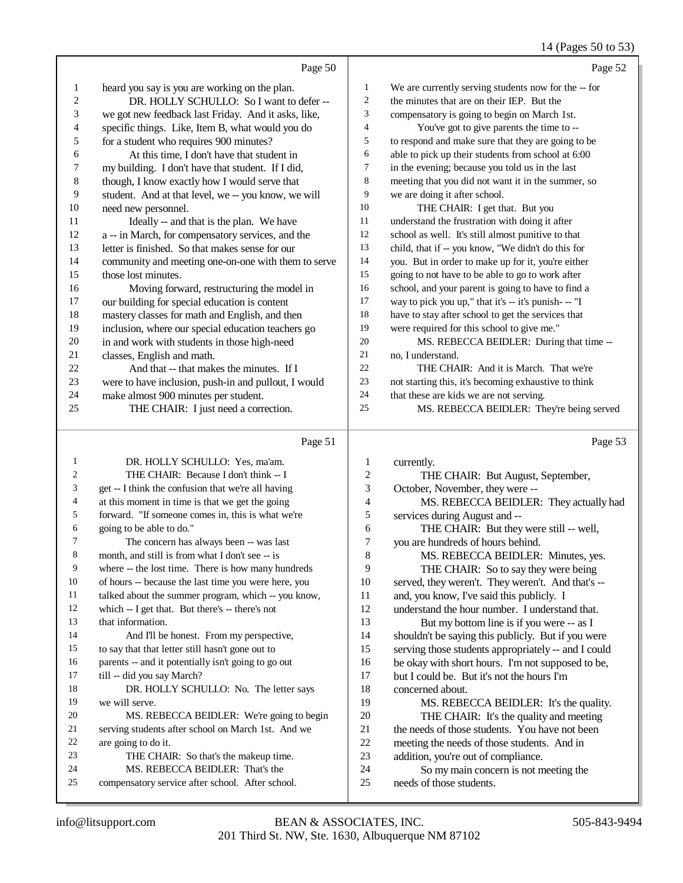#### 14 (Pages 50 to 53)

|                | Page 50                                              |                | Page 52                                              |
|----------------|------------------------------------------------------|----------------|------------------------------------------------------|
| 1              | heard you say is you are working on the plan.        | $\mathbf{1}$   | We are currently serving students now for the -- for |
| $\overline{2}$ | DR. HOLLY SCHULLO: So I want to defer --             | $\overline{c}$ | the minutes that are on their IEP. But the           |
| 3              | we got new feedback last Friday. And it asks, like,  | 3              | compensatory is going to begin on March 1st.         |
| 4              | specific things. Like, Item B, what would you do     | 4              | You've got to give parents the time to --            |
| 5              | for a student who requires 900 minutes?              | 5              | to respond and make sure that they are going to be   |
| 6              | At this time, I don't have that student in           | 6              | able to pick up their students from school at 6:00   |
| 7              | my building. I don't have that student. If I did,    | 7              | in the evening; because you told us in the last      |
| 8              | though, I know exactly how I would serve that        | 8              | meeting that you did not want it in the summer, so   |
| 9              | student. And at that level, we -- you know, we will  | 9              | we are doing it after school.                        |
| 10             | need new personnel.                                  | 10             | THE CHAIR: I get that. But you                       |
| 11             | Ideally -- and that is the plan. We have             | 11             | understand the frustration with doing it after       |
| 12             | a -- in March, for compensatory services, and the    | 12             | school as well. It's still almost punitive to that   |
| 13             | letter is finished. So that makes sense for our      | 13             | child, that if -- you know, "We didn't do this for   |
| 14             | community and meeting one-on-one with them to serve  | 14             | you. But in order to make up for it, you're either   |
| 15             | those lost minutes.                                  | 15             | going to not have to be able to go to work after     |
| 16             | Moving forward, restructuring the model in           | 16             | school, and your parent is going to have to find a   |
| 17             | our building for special education is content        | 17             | way to pick you up," that it's -- it's punish- -- "I |
| 18             | mastery classes for math and English, and then       | 18             | have to stay after school to get the services that   |
| 19             | inclusion, where our special education teachers go   | 19             | were required for this school to give me."           |
| 20             | in and work with students in those high-need         | 20             | MS. REBECCA BEIDLER: During that time --             |
| 21             | classes, English and math.                           | 21             | no, I understand.                                    |
| 22             | And that -- that makes the minutes. If I             | 22             | THE CHAIR: And it is March. That we're               |
| 23             | were to have inclusion, push-in and pullout, I would | 23             | not starting this, it's becoming exhaustive to think |
| 24             | make almost 900 minutes per student.                 | 24             | that these are kids we are not serving.              |
| 25             | THE CHAIR: I just need a correction.                 | 25             | MS. REBECCA BEIDLER: They're being served            |
|                | Page 51                                              |                | Page 53                                              |

#### Page 51

 DR. HOLLY SCHULLO: Yes, ma'am. THE CHAIR: Because I don't think -- I get -- I think the confusion that we're all having 4 at this moment in time is that we get the going<br>5 forward. "If someone comes in. this is what we forward. "If someone comes in, this is what we're 6 going to be able to do."<br>The concern has The concern has always been -- was last month, and still is from what I don't see -- is where -- the lost time. There is how many hundreds of hours -- because the last time you were here, you 11 talked about the summer program, which -- you know,<br>12 which -- I get that. But there's -- there's not which  $-$  I get that. But there's  $-$  there's not that information. And I'll be honest. From my perspective, to say that that letter still hasn't gone out to parents -- and it potentially isn't going to go out 17 till -- did you say March? 18 DR. HOLLY SCHULLO: No. The letter says we will serve. MS. REBECCA BEIDLER: We're going to begin 21 serving students after school on March 1st. And we<br>22 are going to do it. 22 are going to do it.<br>23 THE CHAI THE CHAIR: So that's the makeup time. 24 MS. REBECCA BEIDLER: That's the<br>25 compensatory service after school After scho compensatory service after school. After school. 1 currently.<br>2 THI 2 THE CHAIR: But August, September,<br>3 October. November. they were --October, November, they were --4 MS. REBECCA BEIDLER: They actually had<br>5 services during August and --5 services during August and --<br>6 THE CHAIR: But they 6 THE CHAIR: But they were still -- well,<br>
7 vou are hundreds of hours behind. 7 you are hundreds of hours behind.<br>8 MS REBECCA BEIDLER MS. REBECCA BEIDLER: Minutes, yes. 9 THE CHAIR: So to say they were being<br>10 served, they weren't. They weren't. And that's 10 served, they weren't. They weren't. And that's --<br>11 and you know. I've said this publicly. I 11 and, you know, I've said this publicly. I<br>12 understand the hour number. I understa understand the hour number. I understand that. 13 But my bottom line is if you were -- as I shouldn't be saying this publicly. But if you were serving those students appropriately -- and I could 16 be okay with short hours. I'm not supposed to be,<br>17 but I could be. But it's not the hours I'm but I could be. But it's not the hours I'm 18 concerned about.<br>19 MS REBE MS. REBECCA BEIDLER: It's the quality. 20 THE CHAIR: It's the quality and meeting<br>21 the needs of those students. You have not been 21 the needs of those students. You have not been<br>22 meeting the needs of those students. And in 22 meeting the needs of those students. And in<br>23 addition, vou're out of compliance. 23 addition, you're out of compliance.<br>24 So my main concern is not m So my main concern is not meeting the needs of those students.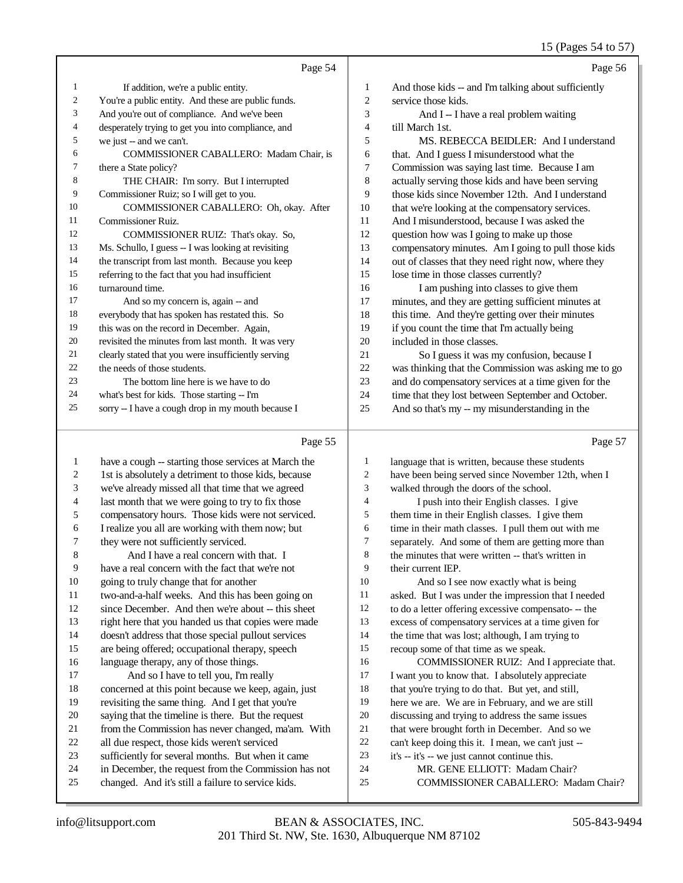#### 15 (Pages 54 to 57)

|    | Page 54                                             |    | Page 56                                              |
|----|-----------------------------------------------------|----|------------------------------------------------------|
| 1  | If addition, we're a public entity.                 | 1  | And those kids -- and I'm talking about sufficiently |
| 2  | You're a public entity. And these are public funds. | 2  | service those kids.                                  |
| 3  | And you're out of compliance. And we've been        | 3  | And I -- I have a real problem waiting               |
| 4  | desperately trying to get you into compliance, and  | 4  | till March 1st.                                      |
| 5  | we just -- and we can't.                            | 5  | MS. REBECCA BEIDLER: And I understand                |
| 6  | <b>COMMISSIONER CABALLERO: Madam Chair, is</b>      | 6  | that. And I guess I misunderstood what the           |
| 7  | there a State policy?                               | 7  | Commission was saying last time. Because I am        |
| 8  | THE CHAIR: I'm sorry. But I interrupted             | 8  | actually serving those kids and have been serving    |
| 9  | Commissioner Ruiz; so I will get to you.            | 9  | those kids since November 12th. And Lunderstand      |
| 10 | COMMISSIONER CABALLERO: Oh, okay. After             | 10 | that we're looking at the compensatory services.     |
| 11 | Commissioner Ruiz.                                  | 11 | And I misunderstood, because I was asked the         |
| 12 | COMMISSIONER RUIZ: That's okay. So,                 | 12 | question how was I going to make up those            |
| 13 | Ms. Schullo, I guess -- I was looking at revisiting | 13 | compensatory minutes. Am I going to pull those kids  |
| 14 | the transcript from last month. Because you keep    | 14 | out of classes that they need right now, where they  |
| 15 | referring to the fact that you had insufficient     | 15 | lose time in those classes currently?                |
| 16 | turnaround time.                                    | 16 | I am pushing into classes to give them               |
| 17 | And so my concern is, again -- and                  | 17 | minutes, and they are getting sufficient minutes at  |
| 18 | everybody that has spoken has restated this. So     | 18 | this time. And they're getting over their minutes    |
| 19 | this was on the record in December. Again,          | 19 | if you count the time that I'm actually being        |
| 20 | revisited the minutes from last month. It was very  | 20 | included in those classes.                           |
| 21 | clearly stated that you were insufficiently serving | 21 | So I guess it was my confusion, because I            |
| 22 | the needs of those students.                        | 22 | was thinking that the Commission was asking me to go |
| 23 | The bottom line here is we have to do               | 23 | and do compensatory services at a time given for the |
| 24 | what's best for kids. Those starting -- I'm         | 24 | time that they lost between September and October.   |
| 25 | sorry -- I have a cough drop in my mouth because I  | 25 | And so that's my -- my misunderstanding in the       |
|    |                                                     |    |                                                      |

#### Page 55

 have a cough -- starting those services at March the 1st is absolutely a detriment to those kids, because we've already missed all that time that we agreed last month that we were going to try to fix those compensatory hours. Those kids were not serviced. I realize you all are working with them now; but they were not sufficiently serviced. And I have a real concern with that. I have a real concern with the fact that we're not going to truly change that for another two-and-a-half weeks. And this has been going on since December. And then we're about -- this sheet right here that you handed us that copies were made doesn't address that those special pullout services are being offered; occupational therapy, speech language therapy, any of those things. 17 And so I have to tell you, I'm really concerned at this point because we keep, again, just revisiting the same thing. And I get that you're saying that the timeline is there. But the request from the Commission has never changed, ma'am. With all due respect, those kids weren't serviced sufficiently for several months. But when it came in December, the request from the Commission has not changed. And it's still a failure to service kids. language that is written, because these students have been being served since November 12th, when I walked through the doors of the school. 4 I push into their English classes. I give<br>5 them time in their English classes. I give then them time in their English classes. I give them 6 time in their math classes. I pull them out with me<br>
<sup>7</sup> separately. And some of them are getting more than 7 separately. And some of them are getting more than<br>8 the minutes that were written -- that's written in the minutes that were written -- that's written in their current IEP. And so I see now exactly what is being asked. But I was under the impression that I needed to do a letter offering excessive compensato- -- the excess of compensatory services at a time given for 14 the time that was lost; although, I am trying to recoup some of that time as we speak. COMMISSIONER RUIZ: And I appreciate that. I want you to know that. I absolutely appreciate 18 that you're trying to do that. But yet, and still, here we are. We are in February, and we are still discussing and trying to address the same issues that were brought forth in December. And so we 22 can't keep doing this it. I mean, we can't just  $-$ <br>23 it's  $-$  it's  $-$  we just cannot continue this it's -- it's -- we just cannot continue this. MR. GENE ELLIOTT: Madam Chair? COMMISSIONER CABALLERO: Madam Chair?

Page 57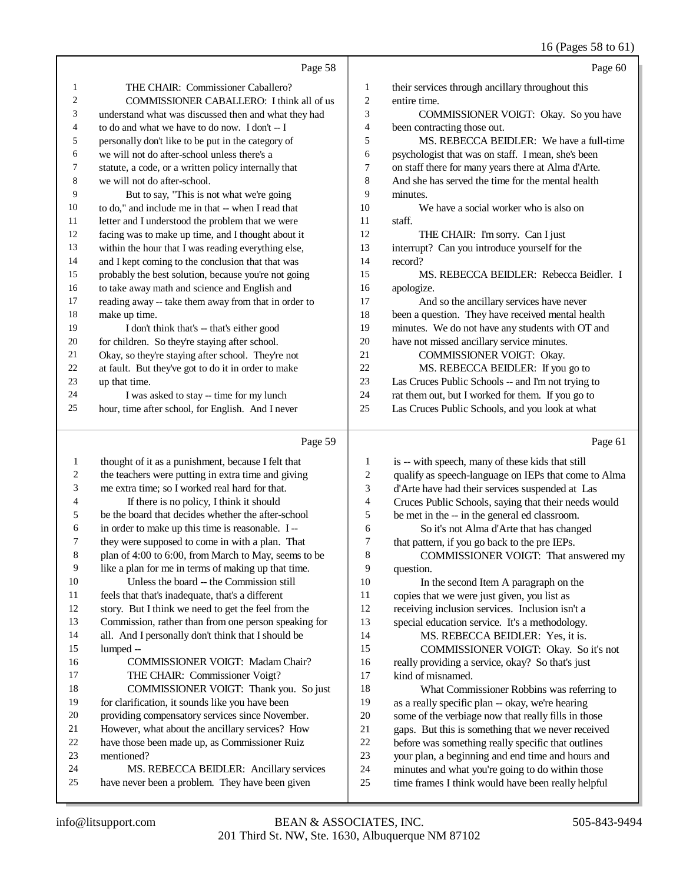## 16 (Pages 58 to 61)

|                | Page 58                                                                                              |                | Page 60                                                                                                |
|----------------|------------------------------------------------------------------------------------------------------|----------------|--------------------------------------------------------------------------------------------------------|
| 1              | THE CHAIR: Commissioner Caballero?                                                                   | 1              | their services through ancillary throughout this                                                       |
| $\overline{2}$ | COMMISSIONER CABALLERO: I think all of us                                                            | 2              | entire time.                                                                                           |
| 3              | understand what was discussed then and what they had                                                 | 3              | COMMISSIONER VOIGT: Okay. So you have                                                                  |
| 4              | to do and what we have to do now. I don't -- I                                                       | 4              | been contracting those out.                                                                            |
| 5              | personally don't like to be put in the category of                                                   | 5              | MS. REBECCA BEIDLER: We have a full-time                                                               |
| 6              | we will not do after-school unless there's a                                                         | 6              | psychologist that was on staff. I mean, she's been                                                     |
| 7              | statute, a code, or a written policy internally that                                                 | 7              | on staff there for many years there at Alma d'Arte.                                                    |
| 8              | we will not do after-school.                                                                         | 8              | And she has served the time for the mental health                                                      |
| 9              | But to say, "This is not what we're going                                                            | 9              | minutes.                                                                                               |
| 10             | to do," and include me in that -- when I read that                                                   | 10             | We have a social worker who is also on                                                                 |
| 11             | letter and I understood the problem that we were                                                     | 11             | staff.                                                                                                 |
| 12             | facing was to make up time, and I thought about it                                                   | 12             | THE CHAIR: I'm sorry. Can I just                                                                       |
| 13             | within the hour that I was reading everything else,                                                  | 13             | interrupt? Can you introduce yourself for the                                                          |
| 14             | and I kept coming to the conclusion that that was                                                    | 14             | record?                                                                                                |
| 15             | probably the best solution, because you're not going                                                 | 15             | MS. REBECCA BEIDLER: Rebecca Beidler. I                                                                |
| 16             | to take away math and science and English and                                                        | 16             | apologize.                                                                                             |
| 17             | reading away -- take them away from that in order to                                                 | 17             | And so the ancillary services have never                                                               |
| 18             | make up time.                                                                                        | 18             | been a question. They have received mental health                                                      |
| 19             | I don't think that's -- that's either good                                                           | 19             | minutes. We do not have any students with OT and                                                       |
| 20             | for children. So they're staying after school.                                                       | 20             | have not missed ancillary service minutes.                                                             |
| 21             | Okay, so they're staying after school. They're not                                                   | 21             | COMMISSIONER VOIGT: Okay.                                                                              |
| 22             | at fault. But they've got to do it in order to make                                                  | 22             | MS. REBECCA BEIDLER: If you go to                                                                      |
| 23             | up that time.                                                                                        | 23<br>24       | Las Cruces Public Schools -- and I'm not trying to                                                     |
| 24<br>25       | I was asked to stay -- time for my lunch                                                             | 25             | rat them out, but I worked for them. If you go to                                                      |
|                | hour, time after school, for English. And I never                                                    |                | Las Cruces Public Schools, and you look at what                                                        |
|                |                                                                                                      |                |                                                                                                        |
|                | Page 59                                                                                              |                | Page 61                                                                                                |
|                |                                                                                                      |                |                                                                                                        |
| 1<br>2         | thought of it as a punishment, because I felt that                                                   | 1              | is -- with speech, many of these kids that still                                                       |
| 3              | the teachers were putting in extra time and giving<br>me extra time; so I worked real hard for that. | 2<br>3         | qualify as speech-language on IEPs that come to Alma                                                   |
| 4              |                                                                                                      | $\overline{4}$ | d'Arte have had their services suspended at Las                                                        |
| 5              | If there is no policy, I think it should<br>be the board that decides whether the after-school       | 5              | Cruces Public Schools, saying that their needs would                                                   |
| 6              | in order to make up this time is reasonable. I --                                                    | 6              | be met in the -- in the general ed classroom.                                                          |
| 7              | they were supposed to come in with a plan. That                                                      | 7              | So it's not Alma d'Arte that has changed<br>that pattern, if you go back to the pre IEPs.              |
| 8              | plan of 4:00 to 6:00, from March to May, seems to be                                                 | 8              | COMMISSIONER VOIGT: That answered my                                                                   |
| 9              | like a plan for me in terms of making up that time.                                                  | 9              | question.                                                                                              |
| 10             | Unless the board -- the Commission still                                                             | 10             | In the second Item A paragraph on the                                                                  |
| 11             | feels that that's inadequate, that's a different                                                     | 11             | copies that we were just given, you list as                                                            |
| 12             | story. But I think we need to get the feel from the                                                  | 12             | receiving inclusion services. Inclusion isn't a                                                        |
| 13             | Commission, rather than from one person speaking for                                                 | 13             | special education service. It's a methodology.                                                         |
| 14             | all. And I personally don't think that I should be                                                   | 14             | MS. REBECCA BEIDLER: Yes, it is.                                                                       |
| 15             | lumped --                                                                                            | 15             | COMMISSIONER VOIGT: Okay. So it's not                                                                  |
| 16             | COMMISSIONER VOIGT: Madam Chair?                                                                     | 16             | really providing a service, okay? So that's just                                                       |
| 17             | THE CHAIR: Commissioner Voigt?                                                                       | 17             | kind of misnamed.                                                                                      |
| 18             | COMMISSIONER VOIGT: Thank you. So just                                                               | 18             | What Commissioner Robbins was referring to                                                             |
| 19             | for clarification, it sounds like you have been                                                      | 19             | as a really specific plan -- okay, we're hearing                                                       |
| 20             | providing compensatory services since November.                                                      | $20\,$         | some of the verbiage now that really fills in those                                                    |
| 21             | However, what about the ancillary services? How                                                      | 21             | gaps. But this is something that we never received                                                     |
| 22             | have those been made up, as Commissioner Ruiz                                                        | $22\,$         | before was something really specific that outlines                                                     |
| 23             | mentioned?                                                                                           | 23             | your plan, a beginning and end time and hours and                                                      |
| 24<br>25       | MS. REBECCA BEIDLER: Ancillary services<br>have never been a problem. They have been given           | 24<br>25       | minutes and what you're going to do within those<br>time frames I think would have been really helpful |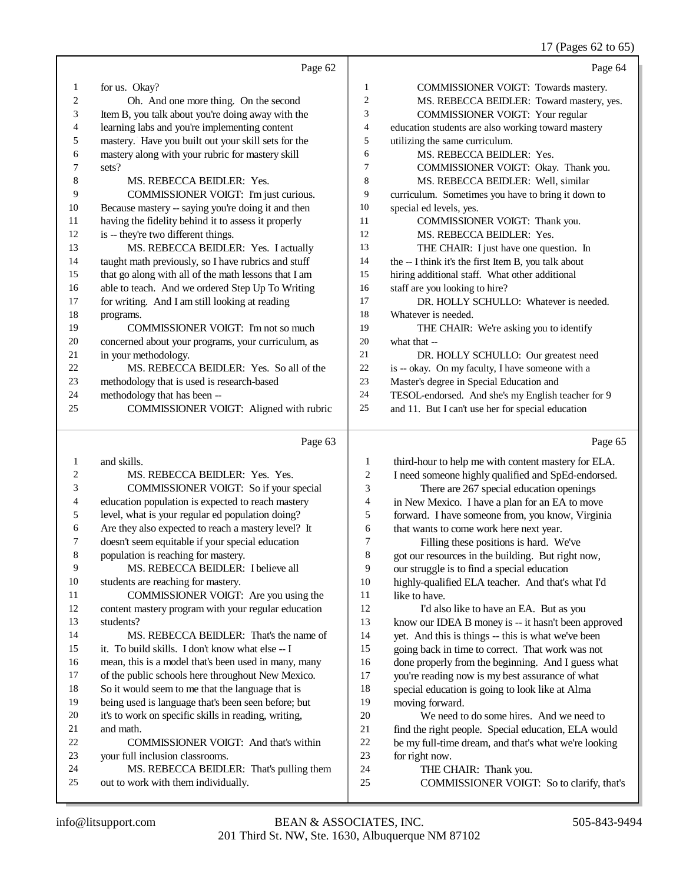## 17 (Pages 62 to 65)

|              | Page 62                                                                         |                          | Page 64                                                                                                 |
|--------------|---------------------------------------------------------------------------------|--------------------------|---------------------------------------------------------------------------------------------------------|
| $\mathbf{1}$ | for us. Okay?                                                                   | 1                        | COMMISSIONER VOIGT: Towards mastery.                                                                    |
| 2            | Oh. And one more thing. On the second                                           | $\overline{c}$           | MS. REBECCA BEIDLER: Toward mastery, yes.                                                               |
| 3            | Item B, you talk about you're doing away with the                               | 3                        | COMMISSIONER VOIGT: Your regular                                                                        |
| 4            | learning labs and you're implementing content                                   | $\overline{\mathcal{L}}$ | education students are also working toward mastery                                                      |
| 5            | mastery. Have you built out your skill sets for the                             | 5                        | utilizing the same curriculum.                                                                          |
| 6            | mastery along with your rubric for mastery skill                                | 6                        | MS. REBECCA BEIDLER: Yes.                                                                               |
| 7            | sets?                                                                           | 7                        | COMMISSIONER VOIGT: Okay. Thank you.                                                                    |
| 8            | MS. REBECCA BEIDLER: Yes.                                                       | 8                        | MS. REBECCA BEIDLER: Well, similar                                                                      |
| 9            | COMMISSIONER VOIGT: I'm just curious.                                           | 9                        | curriculum. Sometimes you have to bring it down to                                                      |
| 10           | Because mastery -- saying you're doing it and then                              | 10                       | special ed levels, yes.                                                                                 |
| 11           | having the fidelity behind it to assess it properly                             | 11                       | COMMISSIONER VOIGT: Thank you.                                                                          |
| 12           | is -- they're two different things.                                             | 12                       | MS. REBECCA BEIDLER: Yes.                                                                               |
| 13           | MS. REBECCA BEIDLER: Yes. I actually                                            | 13                       | THE CHAIR: I just have one question. In                                                                 |
| 14           | taught math previously, so I have rubrics and stuff                             | 14                       | the -- I think it's the first Item B, you talk about                                                    |
| 15           | that go along with all of the math lessons that I am                            | 15                       | hiring additional staff. What other additional                                                          |
| 16           | able to teach. And we ordered Step Up To Writing                                | 16                       | staff are you looking to hire?                                                                          |
| 17           | for writing. And I am still looking at reading                                  | 17                       | DR. HOLLY SCHULLO: Whatever is needed.                                                                  |
| 18           | programs.                                                                       | 18                       | Whatever is needed.                                                                                     |
| 19           | COMMISSIONER VOIGT: I'm not so much                                             | 19                       | THE CHAIR: We're asking you to identify                                                                 |
| 20           | concerned about your programs, your curriculum, as                              | 20                       | what that --                                                                                            |
| 21           | in your methodology.                                                            | 21                       | DR. HOLLY SCHULLO: Our greatest need                                                                    |
| 22<br>23     | MS. REBECCA BEIDLER: Yes. So all of the                                         | 22                       | is -- okay. On my faculty, I have someone with a                                                        |
| 24           | methodology that is used is research-based                                      | 23<br>24                 | Master's degree in Special Education and                                                                |
| 25           | methodology that has been --<br>COMMISSIONER VOIGT: Aligned with rubric         | $25\,$                   | TESOL-endorsed. And she's my English teacher for 9<br>and 11. But I can't use her for special education |
|              |                                                                                 |                          |                                                                                                         |
|              |                                                                                 |                          |                                                                                                         |
|              | Page 63                                                                         |                          | Page 65                                                                                                 |
| $\mathbf{1}$ | and skills.                                                                     | 1                        |                                                                                                         |
| 2            | MS. REBECCA BEIDLER: Yes. Yes.                                                  | $\boldsymbol{2}$         | third-hour to help me with content mastery for ELA.                                                     |
| 3            | COMMISSIONER VOIGT: So if your special                                          | 3                        | I need someone highly qualified and SpEd-endorsed.                                                      |
| 4            | education population is expected to reach mastery                               | 4                        | There are 267 special education openings<br>in New Mexico. I have a plan for an EA to move              |
| 5            | level, what is your regular ed population doing?                                | 5                        | forward. I have someone from, you know, Virginia                                                        |
| 6            | Are they also expected to reach a mastery level? It                             | 6                        | that wants to come work here next year.                                                                 |
| 7            | doesn't seem equitable if your special education                                | 7                        | Filling these positions is hard. We've                                                                  |
| 8            | population is reaching for mastery.                                             | 8                        | got our resources in the building. But right now,                                                       |
| 9            | MS. REBECCA BEIDLER: I believe all                                              | 9                        | our struggle is to find a special education                                                             |
| 10           | students are reaching for mastery.                                              | 10                       | highly-qualified ELA teacher. And that's what I'd                                                       |
| 11           | COMMISSIONER VOIGT: Are you using the                                           | 11                       | like to have.                                                                                           |
| 12           | content mastery program with your regular education                             | 12                       | I'd also like to have an EA. But as you                                                                 |
| 13           | students?                                                                       | 13                       | know our IDEA B money is -- it hasn't been approved                                                     |
| 14           | MS. REBECCA BEIDLER: That's the name of                                         | 14                       | yet. And this is things -- this is what we've been                                                      |
| 15           | it. To build skills. I don't know what else -- I                                | 15                       | going back in time to correct. That work was not                                                        |
| 16           | mean, this is a model that's been used in many, many                            | 16                       | done properly from the beginning. And I guess what                                                      |
| 17           | of the public schools here throughout New Mexico.                               | 17                       | you're reading now is my best assurance of what                                                         |
| 18           | So it would seem to me that the language that is                                | 18                       | special education is going to look like at Alma                                                         |
| 19           | being used is language that's been seen before; but                             | 19                       | moving forward.                                                                                         |
| 20           | it's to work on specific skills in reading, writing,                            | 20                       | We need to do some hires. And we need to                                                                |
| 21           | and math.                                                                       | 21                       | find the right people. Special education, ELA would                                                     |
| 22           | COMMISSIONER VOIGT: And that's within                                           | 22                       | be my full-time dream, and that's what we're looking                                                    |
| 23           | your full inclusion classrooms.                                                 | 23                       | for right now.                                                                                          |
| 24<br>25     | MS. REBECCA BEIDLER: That's pulling them<br>out to work with them individually. | 24<br>25                 | THE CHAIR: Thank you.<br>COMMISSIONER VOIGT: So to clarify, that's                                      |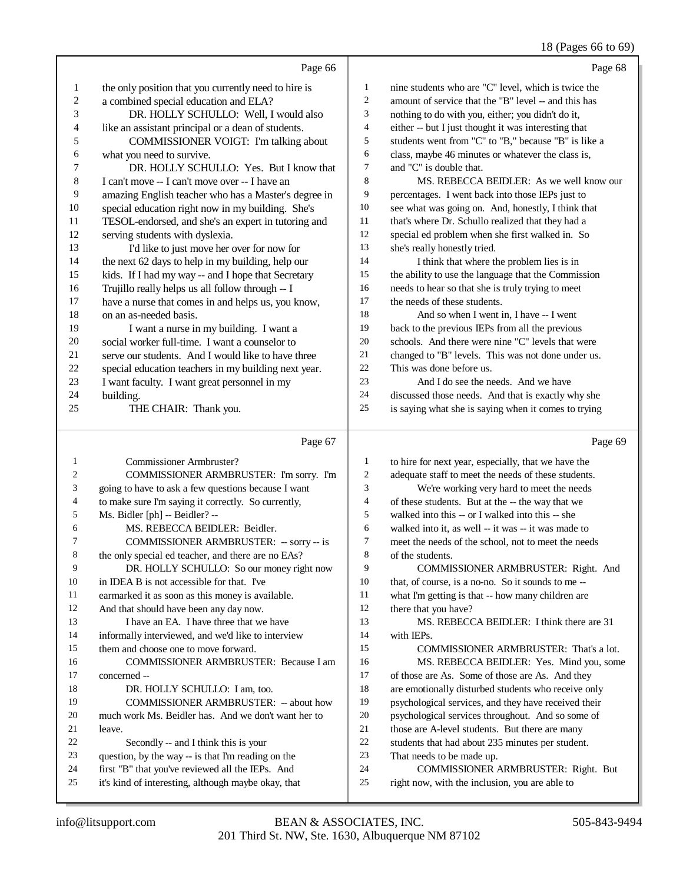#### (Dagge 66)

|                          |                                                      |                         | $10$ (rages 00 to 09                                 |
|--------------------------|------------------------------------------------------|-------------------------|------------------------------------------------------|
|                          | Page 66                                              |                         | Page 68                                              |
| $\mathbf{1}$             | the only position that you currently need to hire is | $\mathbf{1}$            | nine students who are "C" level, which is twice the  |
| $\overline{\mathbf{c}}$  | a combined special education and ELA?                | $\overline{c}$          | amount of service that the "B" level -- and this has |
| 3                        | DR. HOLLY SCHULLO: Well, I would also                | 3                       | nothing to do with you, either; you didn't do it,    |
| $\overline{\mathcal{L}}$ | like an assistant principal or a dean of students.   | $\overline{\mathbf{4}}$ | either -- but I just thought it was interesting that |
| 5                        | COMMISSIONER VOIGT: I'm talking about                | 5                       | students went from "C" to "B," because "B" is like a |
| 6                        | what you need to survive.                            | 6                       | class, maybe 46 minutes or whatever the class is,    |
| $\boldsymbol{7}$         | DR. HOLLY SCHULLO: Yes. But I know that              | $\tau$                  | and "C" is double that.                              |
| $\,8\,$                  | I can't move -- I can't move over -- I have an       | 8                       | MS. REBECCA BEIDLER: As we well know our             |
| 9                        | amazing English teacher who has a Master's degree in | 9                       | percentages. I went back into those IEPs just to     |
| 10                       | special education right now in my building. She's    | 10                      | see what was going on. And, honestly, I think that   |
| $11\,$                   | TESOL-endorsed, and she's an expert in tutoring and  | 11                      | that's where Dr. Schullo realized that they had a    |
| 12                       | serving students with dyslexia.                      | 12                      | special ed problem when she first walked in. So      |
| 13                       | I'd like to just move her over for now for           | 13                      | she's really honestly tried.                         |
| 14                       | the next 62 days to help in my building, help our    | 14                      | I think that where the problem lies is in            |
| 15                       | kids. If I had my way -- and I hope that Secretary   | 15                      | the ability to use the language that the Commission  |
| 16                       | Trujillo really helps us all follow through -- I     | 16                      | needs to hear so that she is truly trying to meet    |
| 17                       | have a nurse that comes in and helps us, you know,   | 17                      | the needs of these students.                         |
| 18                       | on an as-needed basis.                               | 18                      | And so when I went in, I have -- I went              |
| 19                       | I want a nurse in my building. I want a              | 19                      | back to the previous IEPs from all the previous      |
| $20\,$                   | social worker full-time. I want a counselor to       | 20                      | schools. And there were nine "C" levels that were    |
| 21                       | serve our students. And I would like to have three   | 21                      | changed to "B" levels. This was not done under us.   |
| 22                       | special education teachers in my building next year. | 22                      | This was done before us.                             |
| 23                       | I want faculty. I want great personnel in my         | 23                      | And I do see the needs. And we have                  |
| 24                       | building.                                            | 24                      | discussed those needs. And that is exactly why she   |
| 25                       | THE CHAIR: Thank you.                                | 25                      | is saying what she is saying when it comes to trying |
|                          |                                                      |                         |                                                      |
|                          | Page 67                                              |                         | Page 69                                              |
| $\mathbf{1}$             | Commissioner Armbruster?                             | $\mathbf{1}$            | to hire for next year, especially, that we have the  |
| $\overline{c}$           | COMMISSIONER ARMBRUSTER: I'm sorry. I'm              | $\boldsymbol{2}$        | adequate staff to meet the needs of these students.  |
| 3                        | going to have to ask a few questions because I want  | 3                       | We're working very hard to meet the needs            |
| $\overline{4}$           | to make sure I'm saying it correctly. So currently,  | 4                       | of these students. But at the -- the way that we     |
| 5                        | Ms. Bidler [ph] -- Beidler? --                       | 5                       | walked into this -- or I walked into this -- she     |
| 6                        | MS. REBECCA BEIDLER: Beidler.                        | 6                       | walked into it, as well -- it was -- it was made to  |
| $\tau$                   | COMMISSIONER ARMBRUSTER: -- sorry -- is              | 7                       | meet the needs of the school, not to meet the needs  |
| 8                        | the only special ed teacher, and there are no EAs?   | $\,$ 8 $\,$             | of the students.                                     |
| 9                        | DR. HOLLY SCHULLO: So our money right now            | 9                       | COMMISSIONER ARMBRUSTER: Right. And                  |
| 10                       | in IDEA B is not accessible for that. I've           | 10                      | that, of course, is a no-no. So it sounds to me --   |
| 11                       | earmarked it as soon as this money is available.     | 11                      | what I'm getting is that -- how many children are    |
| 12                       | And that should have been any day now.               | 12                      | there that you have?                                 |

13 I have an EA. I have three that we have

 informally interviewed, and we'd like to interview them and choose one to move forward.

 COMMISSIONER ARMBRUSTER: Because I am concerned --

#### 18 DR. HOLLY SCHULLO: I am, too.<br>19 COMMISSIONER ARMBRUSTER COMMISSIONER ARMBRUSTER: -- about how

much work Ms. Beidler has. And we don't want her to

21 leave.<br> $22$ 22 Secondly -- and I think this is your<br>23 outstion, by the way -- is that I'm reading

- question, by the way -- is that I'm reading on the
- 24 first "B" that you've reviewed all the IEPs. And<br>25 it's kind of interesting although maybe okay that it's kind of interesting, although maybe okay, that
- 24 COMMISSIONER ARMBRUSTER: Right. But<br>25 right now with the inclusion you are able to right now, with the inclusion, you are able to

MS. REBECCA BEIDLER: I think there are 31

 COMMISSIONER ARMBRUSTER: That's a lot. MS. REBECCA BEIDLER: Yes. Mind you, some

are emotionally disturbed students who receive only psychological services, and they have received their psychological services throughout. And so some of 21 those are A-level students. But there are many<br>22 students that had about 235 minutes per student 22 students that had about 235 minutes per student.<br>23 That needs to be made up.

17 of those are As. Some of those are As. And they<br>18 are emotionally disturbed students who receive or

That needs to be made up.

with IEPs.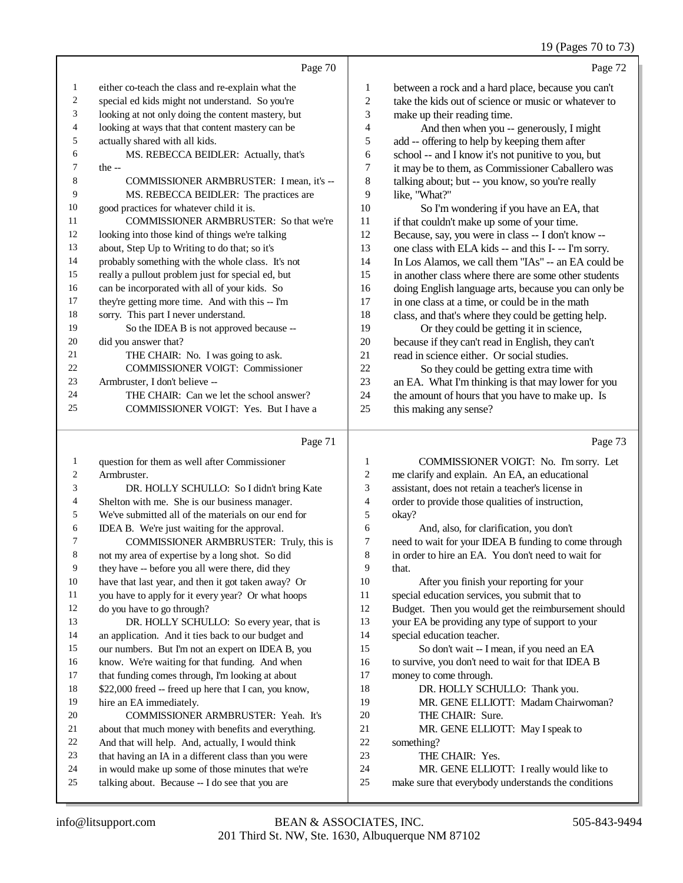## 19 (Pages 70 to 73)

|                | Page 70                                            |                | Page 72                                              |
|----------------|----------------------------------------------------|----------------|------------------------------------------------------|
| 1              | either co-teach the class and re-explain what the  | $\mathbf{1}$   | between a rock and a hard place, because you can't   |
| 2              | special ed kids might not understand. So you're    | $\mathfrak{2}$ | take the kids out of science or music or whatever to |
| 3              | looking at not only doing the content mastery, but | 3              | make up their reading time.                          |
| $\overline{4}$ | looking at ways that that content mastery can be   | 4              | And then when you -- generously, I might             |
| 5              | actually shared with all kids.                     | 5              | add -- offering to help by keeping them after        |
| 6              | MS. REBECCA BEIDLER: Actually, that's              | 6              | school -- and I know it's not punitive to you, but   |
| 7              | $the -$                                            | 7              | it may be to them, as Commissioner Caballero was     |
| 8              | COMMISSIONER ARMBRUSTER: I mean, it's --           | 8              | talking about; but -- you know, so you're really     |
| 9              | MS. REBECCA BEIDLER: The practices are             | 9              | like, "What?"                                        |
| 10             | good practices for whatever child it is.           | 10             | So I'm wondering if you have an EA, that             |
| 11             | COMMISSIONER ARMBRUSTER: So that we're             | 11             | if that couldn't make up some of your time.          |
| 12             | looking into those kind of things we're talking    | 12             | Because, say, you were in class -- I don't know --   |
| 13             | about, Step Up to Writing to do that; so it's      | 13             | one class with ELA kids -- and this I- -- I'm sorry. |
| 14             | probably something with the whole class. It's not  | 14             | In Los Alamos, we call them "IAs" -- an EA could be  |
| 15             | really a pullout problem just for special ed, but  | 15             | in another class where there are some other students |
| 16             | can be incorporated with all of your kids. So      | 16             | doing English language arts, because you can only be |
| 17             | they're getting more time. And with this -- I'm    | 17             | in one class at a time, or could be in the math      |
| 18             | sorry. This part I never understand.               | 18             | class, and that's where they could be getting help.  |
| 19             | So the IDEA B is not approved because --           | 19             | Or they could be getting it in science,              |
| 20             | did you answer that?                               | 20             | because if they can't read in English, they can't    |
| 21             | THE CHAIR: No. I was going to ask.                 | 21             | read in science either. Or social studies.           |
| 22             | <b>COMMISSIONER VOIGT: Commissioner</b>            | 22             | So they could be getting extra time with             |
| 23             | Armbruster, I don't believe --                     | 23             | an EA. What I'm thinking is that may lower for you   |
| 24             | THE CHAIR: Can we let the school answer?           | 24             | the amount of hours that you have to make up. Is     |
| 25             | COMMISSIONER VOIGT: Yes. But I have a              | 25             | this making any sense?                               |
|                | $D_{0.002}$ 71                                     |                | $D_{0.002}$ 72                                       |

|    | Page 71                                               |                | Page 73                                              |
|----|-------------------------------------------------------|----------------|------------------------------------------------------|
| 1  | question for them as well after Commissioner          | 1              | COMMISSIONER VOIGT: No. I'm sorry. Let               |
| 2  | Armbruster.                                           | $\overline{2}$ | me clarify and explain. An EA, an educational        |
| 3  | DR. HOLLY SCHULLO: So I didn't bring Kate             | 3              | assistant, does not retain a teacher's license in    |
| 4  | Shelton with me. She is our business manager.         | 4              | order to provide those qualities of instruction,     |
| 5  | We've submitted all of the materials on our end for   | 5              | okay?                                                |
| 6  | IDEA B. We're just waiting for the approval.          | 6              | And, also, for clarification, you don't              |
| 7  | COMMISSIONER ARMBRUSTER: Truly, this is               | $\tau$         | need to wait for your IDEA B funding to come through |
| 8  | not my area of expertise by a long shot. So did       | 8              | in order to hire an EA. You don't need to wait for   |
| 9  | they have -- before you all were there, did they      | 9              | that.                                                |
| 10 | have that last year, and then it got taken away? Or   | 10             | After you finish your reporting for your             |
| 11 | you have to apply for it every year? Or what hoops    | 11             | special education services, you submit that to       |
| 12 | do you have to go through?                            | 12             | Budget. Then you would get the reimbursement should  |
| 13 | DR. HOLLY SCHULLO: So every year, that is             | 13             | your EA be providing any type of support to your     |
| 14 | an application. And it ties back to our budget and    | 14             | special education teacher.                           |
| 15 | our numbers. But I'm not an expert on IDEA B, you     | 15             | So don't wait -- I mean, if you need an EA           |
| 16 | know. We're waiting for that funding. And when        | 16             | to survive, you don't need to wait for that IDEA B   |
| 17 | that funding comes through, I'm looking at about      | 17             | money to come through.                               |
| 18 | \$22,000 freed -- freed up here that I can, you know, | 18             | DR. HOLLY SCHULLO: Thank you.                        |
| 19 | hire an EA immediately.                               | 19             | MR. GENE ELLIOTT: Madam Chairwoman?                  |
| 20 | <b>COMMISSIONER ARMBRUSTER: Yeah. It's</b>            | 20             | THE CHAIR: Sure.                                     |
| 21 | about that much money with benefits and everything.   | 21             | MR. GENE ELLIOTT: May I speak to                     |
| 22 | And that will help. And, actually, I would think      | 22             | something?                                           |
| 23 | that having an IA in a different class than you were  | 23             | THE CHAIR: Yes.                                      |
| 24 | in would make up some of those minutes that we're     | 24             | MR. GENE ELLIOTT: I really would like to             |
| 25 | talking about. Because -- I do see that you are       | 25             | make sure that everybody understands the conditions  |
|    |                                                       |                |                                                      |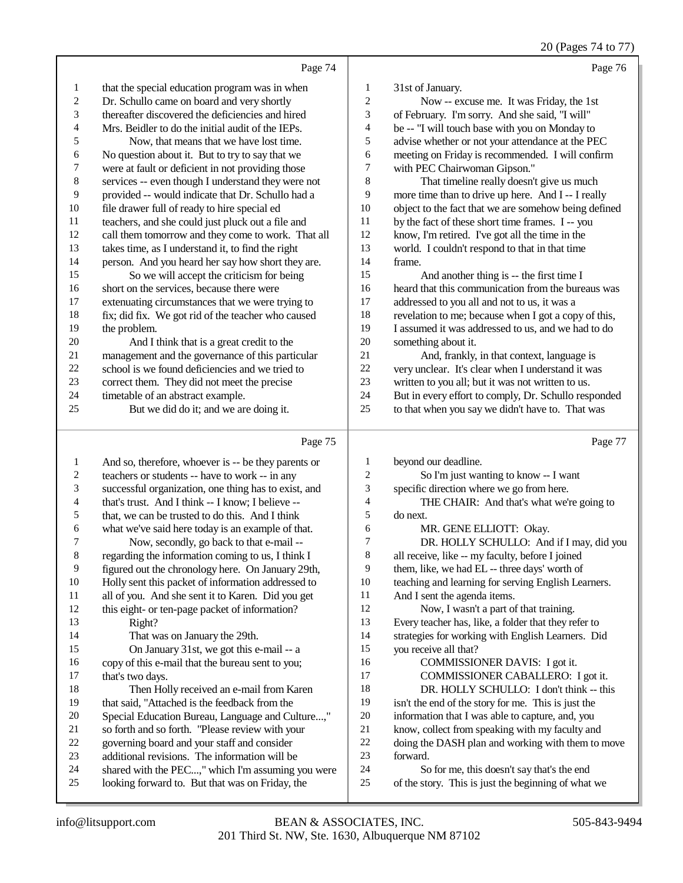20 (Pages 74 to 77)

|    | Page 74                                             |                | Page 76                                              |
|----|-----------------------------------------------------|----------------|------------------------------------------------------|
| 1  | that the special education program was in when      | 1              | 31st of January.                                     |
| 2  | Dr. Schullo came on board and very shortly          | $\overline{2}$ | Now -- excuse me. It was Friday, the 1st             |
| 3  | thereafter discovered the deficiencies and hired    | 3              | of February. I'm sorry. And she said, "I will"       |
| 4  | Mrs. Beidler to do the initial audit of the IEPs.   | $\overline{4}$ | be -- "I will touch base with you on Monday to       |
| 5  | Now, that means that we have lost time.             | 5              | advise whether or not your attendance at the PEC     |
| 6  | No question about it. But to try to say that we     | 6              | meeting on Friday is recommended. I will confirm     |
| 7  | were at fault or deficient in not providing those   | 7              | with PEC Chairwoman Gipson."                         |
| 8  | services -- even though I understand they were not  | 8              | That timeline really doesn't give us much            |
| 9  | provided -- would indicate that Dr. Schullo had a   | 9              | more time than to drive up here. And I -- I really   |
| 10 | file drawer full of ready to hire special ed        | 10             | object to the fact that we are somehow being defined |
| 11 | teachers, and she could just pluck out a file and   | 11             | by the fact of these short time frames. I -- you     |
| 12 | call them tomorrow and they come to work. That all  | 12             | know, I'm retired. I've got all the time in the      |
| 13 | takes time, as I understand it, to find the right   | 13             | world. I couldn't respond to that in that time       |
| 14 | person. And you heard her say how short they are.   | 14             | frame.                                               |
| 15 | So we will accept the criticism for being           | 15             | And another thing is -- the first time I             |
| 16 | short on the services, because there were           | 16             | heard that this communication from the bureaus was   |
| 17 | extenuating circumstances that we were trying to    | 17             | addressed to you all and not to us, it was a         |
| 18 | fix; did fix. We got rid of the teacher who caused  | 18             | revelation to me; because when I got a copy of this, |
| 19 | the problem.                                        | 19             | I assumed it was addressed to us, and we had to do   |
| 20 | And I think that is a great credit to the           | 20             | something about it.                                  |
| 21 | management and the governance of this particular    | 21             | And, frankly, in that context, language is           |
| 22 | school is we found deficiencies and we tried to     | 22             | very unclear. It's clear when I understand it was    |
| 23 | correct them. They did not meet the precise         | 23             | written to you all; but it was not written to us.    |
| 24 | timetable of an abstract example.                   | 24             | But in every effort to comply, Dr. Schullo responded |
| 25 | But we did do it; and we are doing it.              | 25             | to that when you say we didn't have to. That was     |
|    | Page 75                                             |                | Page 77                                              |
|    | And so, therefore, whoever is -- be they parents or | 1              | beyond our deadline.                                 |

|                | rage 15                                              |                | rage //                                              |
|----------------|------------------------------------------------------|----------------|------------------------------------------------------|
| 1              | And so, therefore, whoever is -- be they parents or  | 1              | beyond our deadline.                                 |
| $\mathfrak{2}$ | teachers or students -- have to work -- in any       | $\overline{c}$ | So I'm just wanting to know -- I want                |
| 3              | successful organization, one thing has to exist, and | 3              | specific direction where we go from here.            |
| 4              | that's trust. And I think -- I know; I believe --    | $\overline{4}$ | THE CHAIR: And that's what we're going to            |
| 5              | that, we can be trusted to do this. And I think      | 5              | do next.                                             |
| 6              | what we've said here today is an example of that.    | 6              | MR. GENE ELLIOTT: Okay.                              |
| 7              | Now, secondly, go back to that e-mail --             | 7              | DR. HOLLY SCHULLO: And if I may, did you             |
| 8              | regarding the information coming to us, I think I    | 8              | all receive, like -- my faculty, before I joined     |
| 9              | figured out the chronology here. On January 29th,    | 9              | them, like, we had EL -- three days' worth of        |
| 10             | Holly sent this packet of information addressed to   | 10             | teaching and learning for serving English Learners.  |
| 11             | all of you. And she sent it to Karen. Did you get    | 11             | And I sent the agenda items.                         |
| 12             | this eight- or ten-page packet of information?       | 12             | Now, I wasn't a part of that training.               |
| 13             | Right?                                               | 13             | Every teacher has, like, a folder that they refer to |
| 14             | That was on January the 29th.                        | 14             | strategies for working with English Learners. Did    |
| 15             | On January 31st, we got this e-mail -- a             | 15             | you receive all that?                                |
| 16             | copy of this e-mail that the bureau sent to you;     | 16             | COMMISSIONER DAVIS: I got it.                        |
| 17             | that's two days.                                     | 17             | COMMISSIONER CABALLERO: I got it.                    |
| 18             | Then Holly received an e-mail from Karen             | 18             | DR. HOLLY SCHULLO: I don't think -- this             |
| 19             | that said, "Attached is the feedback from the        | 19             | isn't the end of the story for me. This is just the  |
| 20             | Special Education Bureau, Language and Culture,"     | 20             | information that I was able to capture, and, you     |
| 21             | so forth and so forth. "Please review with your      | 21             | know, collect from speaking with my faculty and      |
| 22             | governing board and your staff and consider          | 22             | doing the DASH plan and working with them to move    |
| 23             | additional revisions. The information will be        | 23             | forward.                                             |
| 24             | shared with the PEC," which I'm assuming you were    | 24             | So for me, this doesn't say that's the end           |
| 25             | looking forward to. But that was on Friday, the      | 25             | of the story. This is just the beginning of what we  |
|                |                                                      |                |                                                      |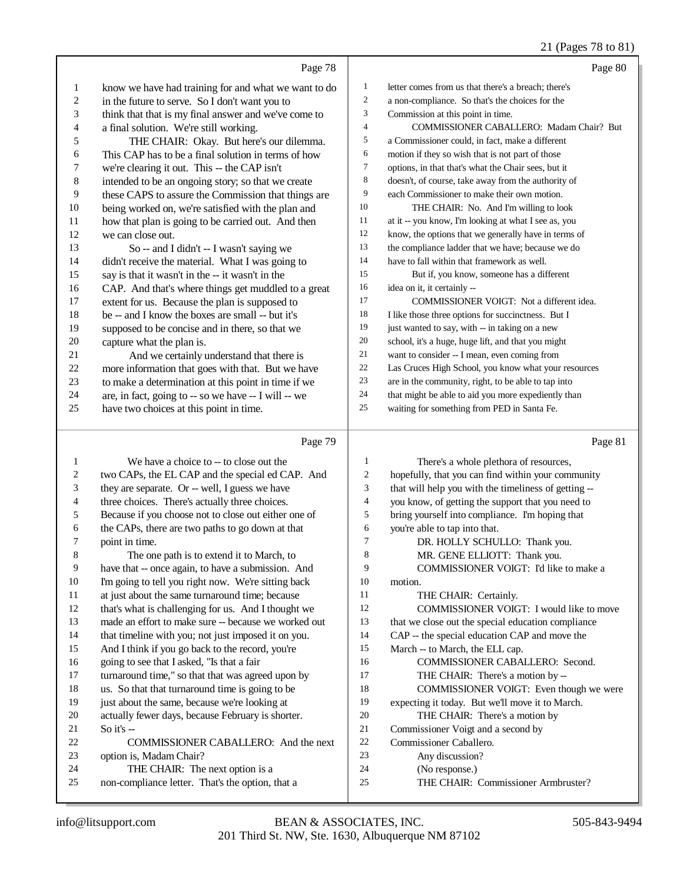## 21 (Pages 78 to 81)

|    |                                                      |                | $21 \times 45$ vs 10 to 01                           |
|----|------------------------------------------------------|----------------|------------------------------------------------------|
|    | Page 78                                              |                | Page 80                                              |
| 1  | know we have had training for and what we want to do | $\mathbf{1}$   | letter comes from us that there's a breach; there's  |
| 2  | in the future to serve. So I don't want you to       | $\overline{2}$ | a non-compliance. So that's the choices for the      |
| 3  | think that that is my final answer and we've come to | 3              | Commission at this point in time.                    |
| 4  | a final solution. We're still working.               | $\overline{4}$ | COMMISSIONER CABALLERO: Madam Chair? But             |
| 5  | THE CHAIR: Okay. But here's our dilemma.             | 5              | a Commissioner could, in fact, make a different      |
| 6  | This CAP has to be a final solution in terms of how  | 6              | motion if they so wish that is not part of those     |
| 7  | we're clearing it out. This -- the CAP isn't         | 7              | options, in that that's what the Chair sees, but it  |
| 8  | intended to be an ongoing story; so that we create   | 8              | doesn't, of course, take away from the authority of  |
| 9  | these CAPS to assure the Commission that things are  | 9              | each Commissioner to make their own motion.          |
| 10 | being worked on, we're satisfied with the plan and   | 10             | THE CHAIR: No. And I'm willing to look               |
| 11 | how that plan is going to be carried out. And then   | 11             | at it -- you know, I'm looking at what I see as, you |
| 12 | we can close out.                                    | 12             | know, the options that we generally have in terms of |
| 13 | So -- and I didn't -- I wasn't saying we             | 13             | the compliance ladder that we have; because we do    |
| 14 | didn't receive the material. What I was going to     | 14             | have to fall within that framework as well.          |
| 15 | say is that it wasn't in the -- it wasn't in the     | 15             | But if, you know, someone has a different            |
| 16 | CAP. And that's where things get muddled to a great  | 16             | idea on it, it certainly --                          |
| 17 | extent for us. Because the plan is supposed to       | 17             | COMMISSIONER VOIGT: Not a different idea.            |
| 18 | be -- and I know the boxes are small -- but it's     | 18             | I like those three options for succinctness. But I   |
| 19 | supposed to be concise and in there, so that we      | 19             | just wanted to say, with -- in taking on a new       |
| 20 | capture what the plan is.                            | 20             | school, it's a huge, huge lift, and that you might   |
| 21 | And we certainly understand that there is            | 21             | want to consider -- I mean, even coming from         |
| 22 | more information that goes with that. But we have    | 22             | Las Cruces High School, you know what your resources |
| 23 | to make a determination at this point in time if we  | 23             | are in the community, right, to be able to tap into  |
| 24 | are, in fact, going to -- so we have -- I will -- we | 24             | that might be able to aid you more expediently than  |
| 25 | have two choices at this point in time.              | 25             | waiting for something from PED in Santa Fe.          |
|    | Page 79                                              |                | Page 81                                              |

|    | $\frac{1}{2}$                                        |                | $\mathbf{u}_{\mathcal{D}}$                           |
|----|------------------------------------------------------|----------------|------------------------------------------------------|
| 1  | We have a choice to -- to close out the              | 1              | There's a whole plethora of resources,               |
| 2  | two CAPs, the EL CAP and the special ed CAP. And     | $\overline{c}$ | hopefully, that you can find within your community   |
| 3  | they are separate. Or -- well, I guess we have       | 3              | that will help you with the timeliness of getting -- |
| 4  | three choices. There's actually three choices.       | $\overline{4}$ | you know, of getting the support that you need to    |
| 5  | Because if you choose not to close out either one of | 5              | bring yourself into compliance. I'm hoping that      |
| 6  | the CAPs, there are two paths to go down at that     | 6              | you're able to tap into that.                        |
| 7  | point in time.                                       | 7              | DR. HOLLY SCHULLO: Thank you.                        |
| 8  | The one path is to extend it to March, to            | 8              | MR. GENE ELLIOTT: Thank you.                         |
| 9  | have that -- once again, to have a submission. And   | 9              | COMMISSIONER VOIGT: I'd like to make a               |
| 10 | I'm going to tell you right now. We're sitting back  | 10             | motion.                                              |
| 11 | at just about the same turnaround time; because      | 11             | THE CHAIR: Certainly.                                |
| 12 | that's what is challenging for us. And I thought we  | 12             | COMMISSIONER VOIGT: I would like to move             |
| 13 | made an effort to make sure -- because we worked out | 13             | that we close out the special education compliance   |
| 14 | that timeline with you; not just imposed it on you.  | 14             | CAP -- the special education CAP and move the        |
| 15 | And I think if you go back to the record, you're     | 15             | March -- to March, the ELL cap.                      |
| 16 | going to see that I asked, "Is that a fair           | 16             | COMMISSIONER CABALLERO: Second.                      |
| 17 | turnaround time," so that that was agreed upon by    | 17             | THE CHAIR: There's a motion by --                    |
| 18 | us. So that that turnaround time is going to be      | 18             | COMMISSIONER VOIGT: Even though we were              |
| 19 | just about the same, because we're looking at        | 19             | expecting it today. But we'll move it to March.      |
| 20 | actually fewer days, because February is shorter.    | 20             | THE CHAIR: There's a motion by                       |
| 21 | So it's $-$                                          | 21             | Commissioner Voigt and a second by                   |
| 22 | COMMISSIONER CABALLERO: And the next                 | 22             | Commissioner Caballero.                              |
| 23 | option is, Madam Chair?                              | 23             | Any discussion?                                      |
| 24 | THE CHAIR: The next option is a                      | 24             | (No response.)                                       |
| 25 | non-compliance letter. That's the option, that a     | 25             | THE CHAIR: Commissioner Armbruster?                  |
|    |                                                      |                |                                                      |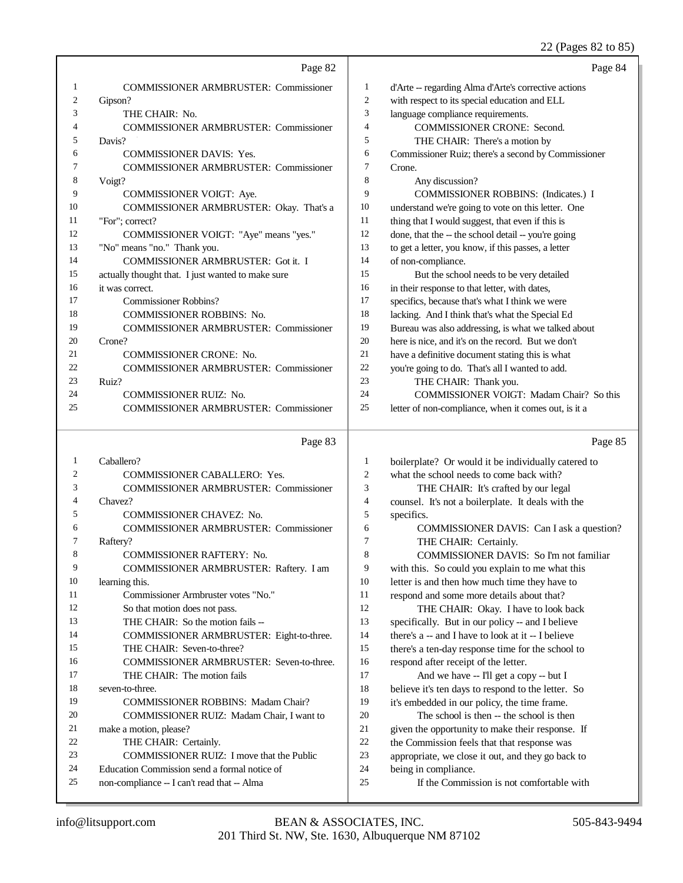## 22 (Pages 82 to 85)

|        | Page 82                                                                |                          | Page 84                                                                                                |
|--------|------------------------------------------------------------------------|--------------------------|--------------------------------------------------------------------------------------------------------|
| 1      | <b>COMMISSIONER ARMBRUSTER: Commissioner</b>                           | $\mathbf{1}$             | d'Arte -- regarding Alma d'Arte's corrective actions                                                   |
| 2      | Gipson?                                                                | $\overline{c}$           | with respect to its special education and ELL                                                          |
| 3      | THE CHAIR: No.                                                         | 3                        | language compliance requirements.                                                                      |
| 4      | <b>COMMISSIONER ARMBRUSTER: Commissioner</b>                           | $\overline{4}$           | COMMISSIONER CRONE: Second.                                                                            |
| 5      | Davis?                                                                 | 5                        | THE CHAIR: There's a motion by                                                                         |
| 6      | <b>COMMISSIONER DAVIS: Yes.</b>                                        | 6                        | Commissioner Ruiz; there's a second by Commissioner                                                    |
| 7      | COMMISSIONER ARMBRUSTER: Commissioner                                  | 7                        | Crone.                                                                                                 |
| 8      | Voigt?                                                                 | 8                        | Any discussion?                                                                                        |
| 9      | COMMISSIONER VOIGT: Aye.                                               | 9                        | COMMISSIONER ROBBINS: (Indicates.) I                                                                   |
| 10     | COMMISSIONER ARMBRUSTER: Okay. That's a                                | 10                       | understand we're going to vote on this letter. One                                                     |
| 11     | "For"; correct?                                                        | 11                       | thing that I would suggest, that even if this is                                                       |
| 12     | COMMISSIONER VOIGT: "Aye" means "yes."                                 | 12                       | done, that the -- the school detail -- you're going                                                    |
| 13     | "No" means "no." Thank you.                                            | 13                       | to get a letter, you know, if this passes, a letter                                                    |
| 14     | COMMISSIONER ARMBRUSTER: Got it. I                                     | 14                       | of non-compliance.                                                                                     |
| 15     | actually thought that. I just wanted to make sure                      | 15                       | But the school needs to be very detailed                                                               |
| 16     | it was correct.                                                        | 16                       | in their response to that letter, with dates,                                                          |
| 17     | <b>Commissioner Robbins?</b>                                           | 17                       | specifics, because that's what I think we were                                                         |
| 18     | COMMISSIONER ROBBINS: No.                                              | 18                       | lacking. And I think that's what the Special Ed                                                        |
| 19     | <b>COMMISSIONER ARMBRUSTER: Commissioner</b>                           | 19                       | Bureau was also addressing, is what we talked about                                                    |
| 20     | Crone?                                                                 | 20                       | here is nice, and it's on the record. But we don't                                                     |
| 21     | COMMISSIONER CRONE: No.                                                | 21                       | have a definitive document stating this is what                                                        |
| 22     | <b>COMMISSIONER ARMBRUSTER: Commissioner</b>                           | 22                       | you're going to do. That's all I wanted to add.                                                        |
| 23     | Ruiz?                                                                  | 23                       | THE CHAIR: Thank you.                                                                                  |
| 24     | COMMISSIONER RUIZ: No.                                                 | 24                       | COMMISSIONER VOIGT: Madam Chair? So this                                                               |
| 25     | <b>COMMISSIONER ARMBRUSTER: Commissioner</b>                           | 25                       | letter of non-compliance, when it comes out, is it a                                                   |
|        |                                                                        |                          |                                                                                                        |
|        |                                                                        |                          |                                                                                                        |
|        | Page 83                                                                |                          | Page 85                                                                                                |
| 1      | Caballero?                                                             | 1                        | boilerplate? Or would it be individually catered to                                                    |
| 2      | <b>COMMISSIONER CABALLERO: Yes.</b>                                    | $\overline{c}$           | what the school needs to come back with?                                                               |
| 3      | <b>COMMISSIONER ARMBRUSTER: Commissioner</b>                           | 3                        | THE CHAIR: It's crafted by our legal                                                                   |
| 4      | Chavez?                                                                | $\overline{\mathcal{L}}$ | counsel. It's not a boilerplate. It deals with the                                                     |
| 5<br>6 | COMMISSIONER CHAVEZ: No.                                               | 5                        | specifics.                                                                                             |
| 7      | COMMISSIONER ARMBRUSTER: Commissioner                                  | 6<br>7                   | COMMISSIONER DAVIS: Can I ask a question?                                                              |
| 8      | Raftery?                                                               | $\mathbf{8}$             | THE CHAIR: Certainly.                                                                                  |
| 9      | COMMISSIONER RAFTERY: No.                                              | 9                        | <b>COMMISSIONER DAVIS:</b> So I'm not familiar                                                         |
| 10     | COMMISSIONER ARMBRUSTER: Raftery. I am                                 | 10                       | with this. So could you explain to me what this                                                        |
| 11     | learning this.<br>Commissioner Armbruster votes "No."                  | 11                       | letter is and then how much time they have to                                                          |
| 12     |                                                                        | 12                       | respond and some more details about that?                                                              |
| 13     | So that motion does not pass.                                          | 13                       | THE CHAIR: Okay. I have to look back                                                                   |
| 14     | THE CHAIR: So the motion fails --                                      | 14                       | specifically. But in our policy -- and I believe<br>there's a -- and I have to look at it -- I believe |
| 15     | COMMISSIONER ARMBRUSTER: Eight-to-three.<br>THE CHAIR: Seven-to-three? | 15                       |                                                                                                        |
| 16     | COMMISSIONER ARMBRUSTER: Seven-to-three.                               | 16                       | there's a ten-day response time for the school to                                                      |
| 17     | THE CHAIR: The motion fails                                            | 17                       | respond after receipt of the letter.<br>And we have -- I'll get a copy -- but I                        |
| 18     | seven-to-three.                                                        | 18                       |                                                                                                        |
| 19     | <b>COMMISSIONER ROBBINS: Madam Chair?</b>                              | 19                       | believe it's ten days to respond to the letter. So<br>it's embedded in our policy, the time frame.     |
| 20     | COMMISSIONER RUIZ: Madam Chair, I want to                              | 20                       | The school is then -- the school is then                                                               |
| 21     | make a motion, please?                                                 | 21                       | given the opportunity to make their response. If                                                       |
| 22     | THE CHAIR: Certainly.                                                  | 22                       | the Commission feels that that response was                                                            |
| 23     | COMMISSIONER RUIZ: I move that the Public                              | 23                       | appropriate, we close it out, and they go back to                                                      |
| 24     | Education Commission send a formal notice of                           | 24                       | being in compliance.                                                                                   |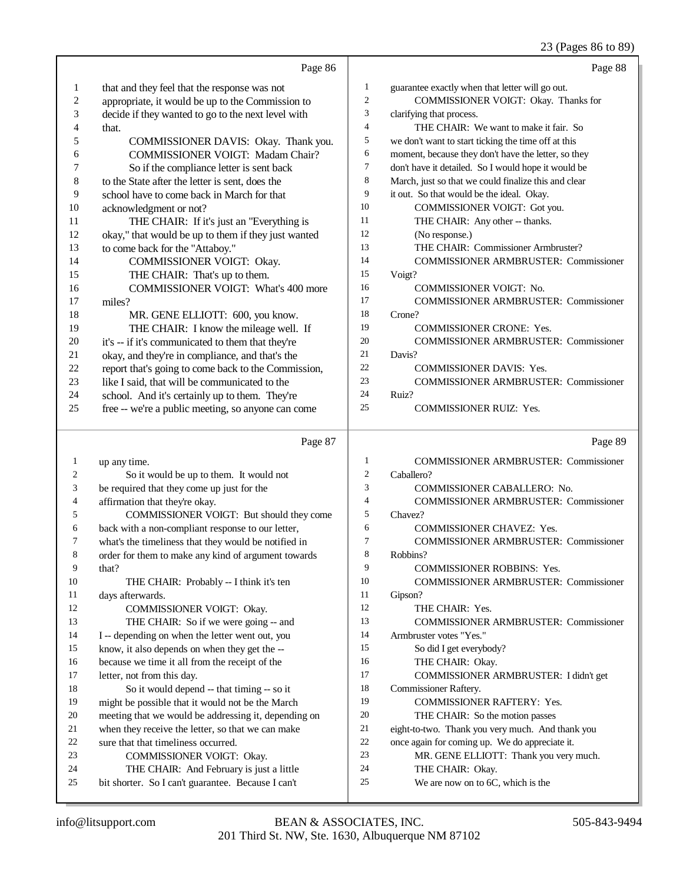## 23 (Pages 86 to 89)

|              |                                                      |                | $23$ (1 ages 60 to 67)                               |
|--------------|------------------------------------------------------|----------------|------------------------------------------------------|
|              | Page 86                                              |                | Page 88                                              |
| 1            | that and they feel that the response was not         | $\mathbf{1}$   | guarantee exactly when that letter will go out.      |
| 2            | appropriate, it would be up to the Commission to     | $\mathfrak{2}$ | COMMISSIONER VOIGT: Okay. Thanks for                 |
| 3            | decide if they wanted to go to the next level with   | 3              | clarifying that process.                             |
| 4            | that.                                                | $\overline{4}$ | THE CHAIR: We want to make it fair. So               |
| 5            | COMMISSIONER DAVIS: Okay. Thank you.                 | 5              | we don't want to start ticking the time off at this  |
| 6            | COMMISSIONER VOIGT: Madam Chair?                     | 6              | moment, because they don't have the letter, so they  |
| 7            | So if the compliance letter is sent back             | $\tau$         | don't have it detailed. So I would hope it would be  |
| 8            | to the State after the letter is sent, does the      | 8              | March, just so that we could finalize this and clear |
| 9            | school have to come back in March for that           | 9              | it out. So that would be the ideal. Okay.            |
| 10           | acknowledgment or not?                               | 10             | COMMISSIONER VOIGT: Got you.                         |
| 11           | THE CHAIR: If it's just an "Everything is            | 11             | THE CHAIR: Any other -- thanks.                      |
| 12           | okay," that would be up to them if they just wanted  | 12             | (No response.)                                       |
| 13           | to come back for the "Attaboy."                      | 13             | THE CHAIR: Commissioner Armbruster?                  |
| 14           | COMMISSIONER VOIGT: Okay.                            | 14             | <b>COMMISSIONER ARMBRUSTER: Commissioner</b>         |
| 15           | THE CHAIR: That's up to them.                        | 15             | Voigt?                                               |
| 16           | <b>COMMISSIONER VOIGT: What's 400 more</b>           | 16             | COMMISSIONER VOIGT: No.                              |
| 17           | miles?                                               | 17             | <b>COMMISSIONER ARMBRUSTER: Commissioner</b>         |
| 18           | MR. GENE ELLIOTT: 600, you know.                     | 18             | Crone?                                               |
| 19           | THE CHAIR: I know the mileage well. If               | 19             | <b>COMMISSIONER CRONE: Yes.</b>                      |
| 20           | it's -- if it's communicated to them that they're    | 20             | <b>COMMISSIONER ARMBRUSTER: Commissioner</b>         |
| 21           | okay, and they're in compliance, and that's the      | 21             | Davis?                                               |
| 22           | report that's going to come back to the Commission,  | 22             | <b>COMMISSIONER DAVIS: Yes.</b>                      |
| 23           | like I said, that will be communicated to the        | 23             | <b>COMMISSIONER ARMBRUSTER: Commissioner</b>         |
| 24           | school. And it's certainly up to them. They're       | 24             | Ruiz?                                                |
| 25           | free -- we're a public meeting, so anyone can come   | 25             | <b>COMMISSIONER RUIZ: Yes.</b>                       |
|              | Page 87                                              |                | Page 89                                              |
| $\mathbf{1}$ | up any time.                                         | $\mathbf{1}$   | <b>COMMISSIONER ARMBRUSTER: Commissioner</b>         |
| 2            | So it would be up to them. It would not              | $\mathfrak{2}$ | Caballero?                                           |
| 3            | be required that they come up just for the           | 3              | COMMISSIONER CABALLERO: No.                          |
| 4            | affirmation that they're okay.                       | $\overline{4}$ | <b>COMMISSIONER ARMBRUSTER: Commissioner</b>         |
| 5            | COMMISSIONER VOIGT: But should they come             | 5              | Chavez?                                              |
| 6            | back with a non-compliant response to our letter,    | 6              | <b>COMMISSIONER CHAVEZ: Yes.</b>                     |
| 7            | what's the timeliness that they would be notified in | $\overline{7}$ | COMMISSIONER ARMBRUSTER: Commissioner                |
| 8            | order for them to make any kind of argument towards  | 8              | Robbins?                                             |
| 9            | that?                                                | 9              | COMMISSIONER ROBBINS: Yes.                           |
| 10           | THE CHAIR: Probably -- I think it's ten              | 10             | <b>COMMISSIONER ARMBRUSTER: Commissioner</b>         |
| 11           | days afterwards.                                     | 11             | Gipson?                                              |
| 12           | COMMISSIONER VOIGT: Okay.                            | 12             | THE CHAIR: Yes.                                      |
| 13           | THE CHAIR: So if we were going -- and                | 13             | <b>COMMISSIONER ARMBRUSTER: Commissioner</b>         |
| 14           | I -- depending on when the letter went out, you      | 14             | Armbruster votes "Yes."                              |
| 15           | know, it also depends on when they get the --        | 15             | So did I get everybody?                              |
| 16           | because we time it all from the receipt of the       | 16             | THE CHAIR: Okay.                                     |
| 17           | letter, not from this day.                           | 17             | COMMISSIONER ARMBRUSTER: I didn't get                |
| 18           | So it would depend -- that timing -- so it           | 18             | Commissioner Raftery.                                |
| 19           | might be possible that it would not be the March     | 19             | <b>COMMISSIONER RAFTERY: Yes.</b>                    |
| 20           | meeting that we would be addressing it, depending on | 20             | THE CHAIR: So the motion passes                      |
| 21           | when they receive the letter, so that we can make    | 21             | eight-to-two. Thank you very much. And thank you     |
| 22           | sure that that timeliness occurred.                  | 22             | once again for coming up. We do appreciate it.       |
| 23           | COMMISSIONER VOIGT: Okay.                            | 23             | MR. GENE ELLIOTT: Thank you very much.               |
| 24           | THE CHAIR: And February is just a little             | 24             | THE CHAIR: Okay.                                     |
| 25           | bit shorter. So I can't guarantee. Because I can't   | 25             | We are now on to 6C, which is the                    |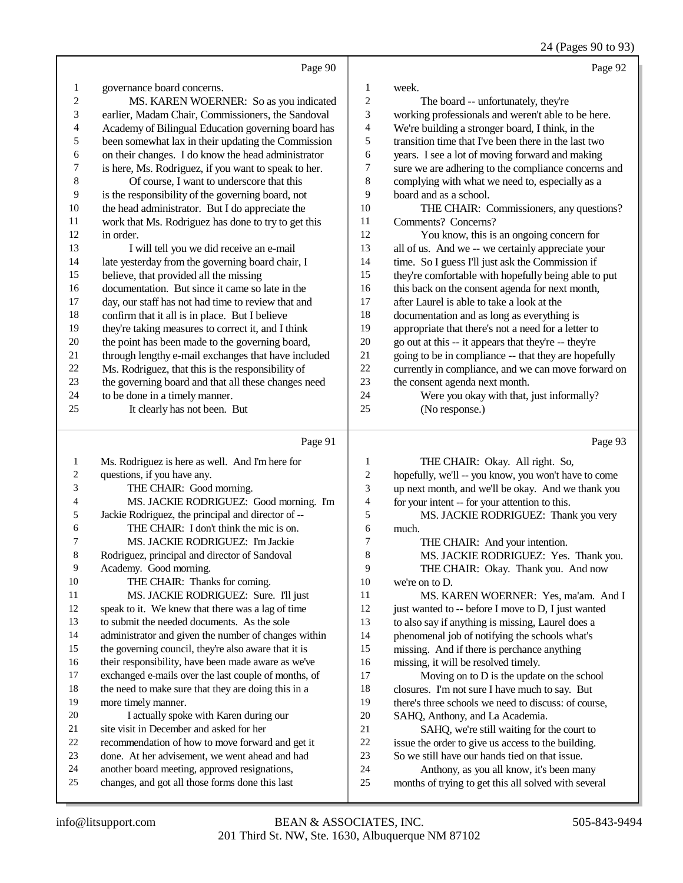24 (Pages 90 to 93)

|                          | Page 90                                              |                         | Page 92                                              |
|--------------------------|------------------------------------------------------|-------------------------|------------------------------------------------------|
| $\mathbf{1}$             | governance board concerns.                           | $\mathbf{1}$            | week.                                                |
| $\overline{c}$           | MS. KAREN WOERNER: So as you indicated               | $\sqrt{2}$              | The board -- unfortunately, they're                  |
| 3                        | earlier, Madam Chair, Commissioners, the Sandoval    | 3                       | working professionals and weren't able to be here.   |
| $\overline{\mathcal{L}}$ | Academy of Bilingual Education governing board has   | $\overline{\mathbf{4}}$ | We're building a stronger board, I think, in the     |
| 5                        | been somewhat lax in their updating the Commission   | 5                       | transition time that I've been there in the last two |
| 6                        | on their changes. I do know the head administrator   | 6                       | years. I see a lot of moving forward and making      |
| 7                        | is here, Ms. Rodriguez, if you want to speak to her. | 7                       | sure we are adhering to the compliance concerns and  |
| 8                        | Of course, I want to underscore that this            | $\,$ 8 $\,$             | complying with what we need to, especially as a      |
| 9                        | is the responsibility of the governing board, not    | 9                       | board and as a school.                               |
| 10                       | the head administrator. But I do appreciate the      | 10                      | THE CHAIR: Commissioners, any questions?             |
| 11                       | work that Ms. Rodriguez has done to try to get this  | 11                      | Comments? Concerns?                                  |
| 12                       | in order.                                            | 12                      | You know, this is an ongoing concern for             |
| 13                       | I will tell you we did receive an e-mail             | 13                      | all of us. And we -- we certainly appreciate your    |
| 14                       | late yesterday from the governing board chair, I     | 14                      | time. So I guess I'll just ask the Commission if     |
| 15                       | believe, that provided all the missing               | 15                      | they're comfortable with hopefully being able to put |
| 16                       | documentation. But since it came so late in the      | 16                      | this back on the consent agenda for next month,      |
| 17                       | day, our staff has not had time to review that and   | 17                      | after Laurel is able to take a look at the           |
| 18                       | confirm that it all is in place. But I believe       | 18                      | documentation and as long as everything is           |
| 19                       | they're taking measures to correct it, and I think   | 19                      | appropriate that there's not a need for a letter to  |
| 20                       | the point has been made to the governing board,      | 20                      | go out at this -- it appears that they're -- they're |
| 21                       | through lengthy e-mail exchanges that have included  | 21                      | going to be in compliance -- that they are hopefully |
| 22                       | Ms. Rodriguez, that this is the responsibility of    | 22                      | currently in compliance, and we can move forward on  |
| 23                       | the governing board and that all these changes need  | 23                      | the consent agenda next month.                       |
| 24                       | to be done in a timely manner.                       | 24                      | Were you okay with that, just informally?            |
| 25                       | It clearly has not been. But                         | 25                      | (No response.)                                       |
|                          |                                                      |                         |                                                      |
|                          | Page 91                                              |                         | Page 93                                              |
| $\mathbf{1}$             | Ms. Rodriguez is here as well. And I'm here for      | $\mathbf{1}$            | THE CHAIR: Okay. All right. So,                      |
| $\overline{c}$           | questions, if you have any.                          | $\overline{c}$          | hopefully, we'll -- you know, you won't have to come |
| 3                        | THE CHAIR: Good morning.                             | 3                       | up next month, and we'll be okay. And we thank you   |
| 4                        | MS. JACKIE RODRIGUEZ: Good morning. I'm              | $\overline{4}$          | for your intent -- for your attention to this.       |
| 5                        | Jackie Rodriguez, the principal and director of --   | 5                       | MS. JACKIE RODRIGUEZ: Thank you very                 |
| 6                        | THE CHAIR: I don't think the mic is on.              | 6                       | much.                                                |
| 7                        | MS. JACKIE RODRIGUEZ: I'm Jackie                     | $\boldsymbol{7}$        | THE CHAIR: And your intention.                       |
| $\,$ 8 $\,$              | Rodriguez, principal and director of Sandoval        | $\,$ 8 $\,$             | MS. JACKIE RODRIGUEZ: Yes. Thank you.                |
| 9                        | Academy. Good morning.                               | 9                       | THE CHAIR: Okay. Thank you. And now                  |

A THE CHAIR: OKAY. Thank y we're on to D.

 MS. KAREN WOERNER: Yes, ma'am. And I 12 just wanted to -- before I move to D, I just wanted to also say if anything is missing, Laurel does a phenomenal job of notifying the schools what's missing. And if there is perchance anything missing, it will be resolved timely. Moving on to D is the update on the school closures. I'm not sure I have much to say. But there's three schools we need to discuss: of course, SAHQ, Anthony, and La Academia. SAHQ, we're still waiting for the court to issue the order to give us access to the building. So we still have our hands tied on that issue.

Anthony, as you all know, it's been many

more timely manner.

10 THE CHAIR: Thanks for coming.

11 MS. JACKIE RODRIGUEZ: Sure. I'll just speak to it. We knew that there was a lag of time to submit the needed documents. As the sole

20 I actually spoke with Karen during our site visit in December and asked for her

 recommendation of how to move forward and get it done. At her advisement, we went ahead and had another board meeting, approved resignations, changes, and got all those forms done this last

 administrator and given the number of changes within 15 the governing council, they're also aware that it is their responsibility, have been made aware as we've exchanged e-mails over the last couple of months, of the need to make sure that they are doing this in a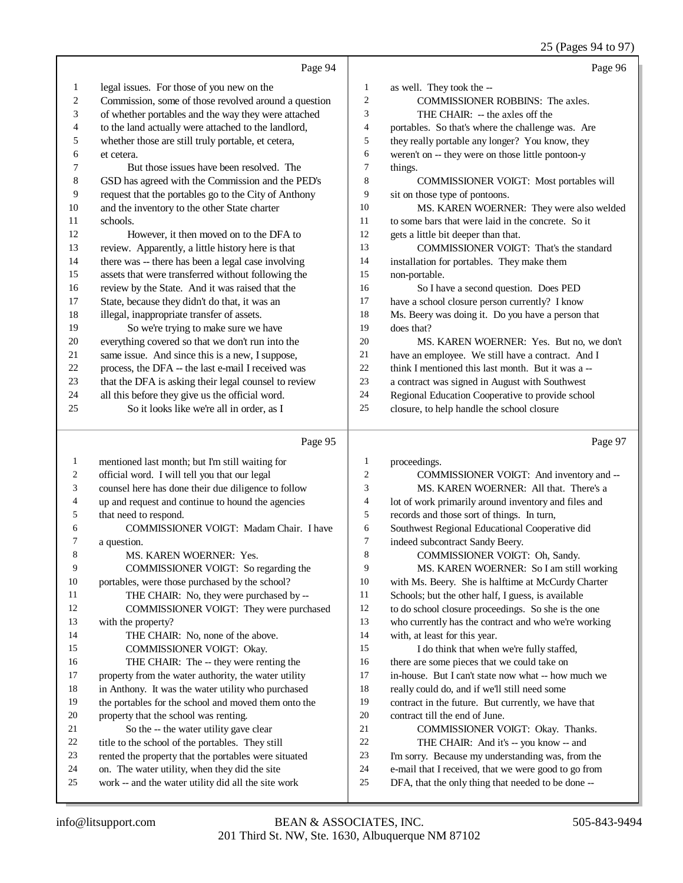#### 25 (Pages 94 to 97)

|                | Page 94                                              |                     | Page 96                                              |
|----------------|------------------------------------------------------|---------------------|------------------------------------------------------|
| 1              | legal issues. For those of you new on the            | 1                   | as well. They took the --                            |
| $\overline{c}$ | Commission, some of those revolved around a question | $\overline{c}$      | COMMISSIONER ROBBINS: The axles.                     |
| 3              | of whether portables and the way they were attached  | 3                   | THE CHAIR: -- the axles off the                      |
| 4              | to the land actually were attached to the landlord,  | 4                   | portables. So that's where the challenge was. Are    |
| 5              | whether those are still truly portable, et cetera,   | 5                   | they really portable any longer? You know, they      |
| 6              | et cetera.                                           | 6                   | weren't on -- they were on those little pontoon-y    |
| 7              | But those issues have been resolved. The             | $\overline{7}$      | things.                                              |
| $\,$ 8 $\,$    | GSD has agreed with the Commission and the PED's     | 8                   | COMMISSIONER VOIGT: Most portables will              |
| 9              | request that the portables go to the City of Anthony | 9                   | sit on those type of pontoons.                       |
| 10             | and the inventory to the other State charter         | 10                  | MS. KAREN WOERNER: They were also welded             |
| 11             | schools.                                             | 11                  | to some bars that were laid in the concrete. So it   |
| 12             | However, it then moved on to the DFA to              | 12                  | gets a little bit deeper than that.                  |
| 13             | review. Apparently, a little history here is that    | 13                  | COMMISSIONER VOIGT: That's the standard              |
| 14             | there was -- there has been a legal case involving   | 14                  | installation for portables. They make them           |
| 15             | assets that were transferred without following the   | 15                  | non-portable.                                        |
| 16             | review by the State. And it was raised that the      | 16                  | So I have a second question. Does PED                |
| 17             | State, because they didn't do that, it was an        | 17                  | have a school closure person currently? I know       |
| 18             | illegal, inappropriate transfer of assets.           | 18                  | Ms. Beery was doing it. Do you have a person that    |
| 19             | So we're trying to make sure we have                 | 19                  | does that?                                           |
| 20             | everything covered so that we don't run into the     | 20                  | MS. KAREN WOERNER: Yes. But no, we don't             |
| 21             | same issue. And since this is a new, I suppose,      | 21                  | have an employee. We still have a contract. And I    |
| 22             | process, the DFA -- the last e-mail I received was   | 22                  | think I mentioned this last month. But it was a --   |
| 23             | that the DFA is asking their legal counsel to review | 23                  | a contract was signed in August with Southwest       |
| 24             | all this before they give us the official word.      | 24                  | Regional Education Cooperative to provide school     |
| 25             | So it looks like we're all in order, as I            | 25                  | closure, to help handle the school closure           |
|                | Page 95                                              |                     | Page 97                                              |
|                |                                                      |                     |                                                      |
| 1              | mentioned last month; but I'm still waiting for      | 1                   | proceedings.                                         |
| 2              | official word. I will tell you that our legal        | $\overline{c}$<br>3 | COMMISSIONER VOIGT: And inventory and --             |
| 3              | counsel here has done their due diligence to follow  |                     | MS. KAREN WOERNER: All that. There's a               |
| 4              | up and request and continue to hound the agencies    | 4                   | lot of work primarily around inventory and files and |
| 5              | that need to respond.                                | 5                   | records and those sort of things. In turn,           |
| 6              | COMMISSIONER VOIGT: Madam Chair. I have              | 6                   | Southwest Regional Educational Cooperative did       |

a question.

8 MS. KAREN WOERNER: Yes.

- COMMISSIONER VOIGT: So regarding the portables, were those purchased by the school? 11 THE CHAIR: No, they were purchased by --<br>12 COMMISSIONER VOIGT: They were purch COMMISSIONER VOIGT: They were purchased with the property?
- 14 THE CHAIR: No, none of the above. COMMISSIONER VOIGT: Okay.
- 16 THE CHAIR: The -- they were renting the property from the water authority, the water utility
- in Anthony. It was the water utility who purchased
- the portables for the school and moved them onto the
- property that the school was renting.
- 21 So the -- the water utility gave clear<br>22 title to the school of the portables. They st
- 22 title to the school of the portables. They still<br>23 rented the property that the portables were sit rented the property that the portables were situated
- 
- 24 on. The water utility, when they did the site work  $-$  and the water utility did all the site v work -- and the water utility did all the site work
- 
- 7 indeed subcontract Sandy Beery.<br>8 COMMISSIONER VOIGT COMMISSIONER VOIGT: Oh, Sandy.
- MS. KAREN WOERNER: So I am still working with Ms. Beery. She is halftime at McCurdy Charter Schools; but the other half, I guess, is available to do school closure proceedings. So she is the one who currently has the contract and who we're working with, at least for this year. 15 I do think that when we're fully staffed, there are some pieces that we could take on 17 in-house. But I can't state now what -- how much we really could do, and if we'll still need some really could do, and if we'll still need some contract in the future. But currently, we have that contract till the end of June. 21 COMMISSIONER VOIGT: Okay. Thanks.<br>22 THE CHAIR: And it's -- you know -- and
- 22 THE CHAIR: And it's -- you know -- and<br>23 I'm sorry. Because my understanding was, from
- I'm sorry. Because my understanding was, from the
- e-mail that I received, that we were good to go from
- DFA, that the only thing that needed to be done --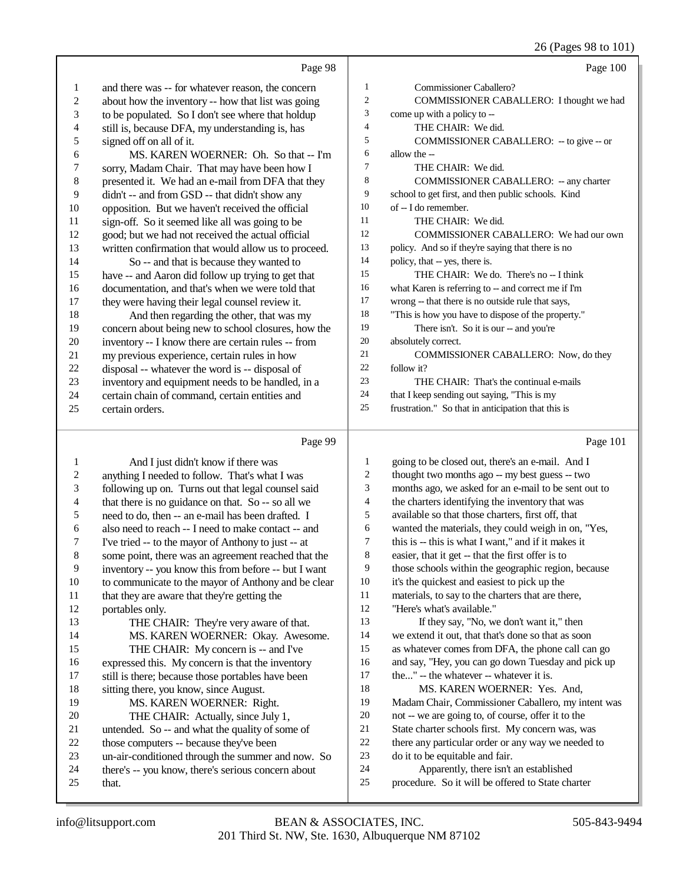#### 26 (Pages 98 to 101)

|                | Page 98                                              |                | Page 100                                             |
|----------------|------------------------------------------------------|----------------|------------------------------------------------------|
| $\mathbf{1}$   | and there was -- for whatever reason, the concern    | $\mathbf{1}$   | Commissioner Caballero?                              |
| 2              | about how the inventory -- how that list was going   | $\overline{2}$ | COMMISSIONER CABALLERO: I thought we had             |
| 3              | to be populated. So I don't see where that holdup    | 3              | come up with a policy to --                          |
| $\overline{4}$ | still is, because DFA, my understanding is, has      | 4              | THE CHAIR: We did.                                   |
| 5              | signed off on all of it.                             | 5              | COMMISSIONER CABALLERO: - to give -- or              |
| 6              | MS. KAREN WOERNER: Oh. So that -- I'm                | 6              | allow the --                                         |
| $\tau$         | sorry, Madam Chair. That may have been how I         | $\tau$         | THE CHAIR: We did.                                   |
| $\,$ 8 $\,$    | presented it. We had an e-mail from DFA that they    | 8              | COMMISSIONER CABALLERO: -- any charter               |
| 9              | didn't -- and from GSD -- that didn't show any       | 9              | school to get first, and then public schools. Kind   |
| 10             | opposition. But we haven't received the official     | 10             | of -- I do remember.                                 |
| 11             | sign-off. So it seemed like all was going to be      | 11             | THE CHAIR: We did.                                   |
| 12             | good; but we had not received the actual official    | 12             | COMMISSIONER CABALLERO: We had our own               |
| 13             | written confirmation that would allow us to proceed. | 13             | policy. And so if they're saying that there is no    |
| 14             | So -- and that is because they wanted to             | 14             | policy, that -- yes, there is.                       |
| 15             | have -- and Aaron did follow up trying to get that   | 15             | THE CHAIR: We do. There's no -- I think              |
| 16             | documentation, and that's when we were told that     | 16             | what Karen is referring to -- and correct me if I'm  |
| 17             | they were having their legal counsel review it.      | 17             | wrong -- that there is no outside rule that says,    |
| 18             | And then regarding the other, that was my            | 18             | "This is how you have to dispose of the property."   |
| 19             | concern about being new to school closures, how the  | 19             | There isn't. So it is our -- and you're              |
| 20             | inventory -- I know there are certain rules -- from  | 20             | absolutely correct.                                  |
| 21             | my previous experience, certain rules in how         | 21             | COMMISSIONER CABALLERO: Now, do they                 |
| $22\,$         | disposal -- whatever the word is -- disposal of      | 22             | follow it?                                           |
| 23             | inventory and equipment needs to be handled, in a    | 23             | THE CHAIR: That's the continual e-mails              |
| 24             | certain chain of command, certain entities and       | 24             | that I keep sending out saying, "This is my          |
| 25             | certain orders.                                      | 25             | frustration." So that in anticipation that this is   |
|                |                                                      |                |                                                      |
|                | Page 99                                              |                | Page 101                                             |
| 1              | And I just didn't know if there was                  | 1              | going to be closed out, there's an e-mail. And I     |
| $\overline{c}$ | anything I needed to follow. That's what I was       | $\overline{2}$ | thought two months ago -- my best guess -- two       |
| 3              | following up on. Turns out that legal counsel said   | 3              | months ago, we asked for an e-mail to be sent out to |
| 4              | that there is no guidance on that. So -- so all we   | $\overline{4}$ | the charters identifying the inventory that was      |

5 need to do, then -- an e-mail has been drafted. I<br>6 also need to reach -- I need to make contact -- an also need to reach -- I need to make contact -- and I've tried -- to the mayor of Anthony to just -- at some point, there was an agreement reached that the inventory -- you know this from before -- but I want

- 10 to communicate to the mayor of Anthony and be clear<br>11 that they are aware that they're getting the 11 that they are aware that they're getting the<br>12 nortables only. portables only. THE CHAIR: They're very aware of that. MS. KAREN WOERNER: Okay. Awesome. THE CHAIR: My concern is -- and I've 16 expressed this. My concern is that the inventory<br>17 still is there: because those portables have been still is there; because those portables have been 18 sitting there, you know, since August.<br>19 MS KAREN WOERNER: Ric MS. KAREN WOERNER: Right. 20 THE CHAIR: Actually, since July 1,<br>21 untended. So -- and what the quality of som 21 untended. So -- and what the quality of some of<br>22 those computers -- because they've been 22 those computers -- because they've been<br>23 un-air-conditioned through the summer a un-air-conditioned through the summer and now. So
- 24 there's -- you know, there's serious concern about 25 that. that.
- available so that those charters, first off, that
- wanted the materials, they could weigh in on, "Yes,
- this is -- this is what I want," and if it makes it
- easier, that it get -- that the first offer is to
- those schools within the geographic region, because it's the quickest and easiest to pick up the
- materials, to say to the charters that are there,
- "Here's what's available."
- If they say, "No, we don't want it," then we extend it out, that that's done so that as soon as whatever comes from DFA, the phone call can go and say, "Hey, you can go down Tuesday and pick up
- 17 the..." -- the whatever -- whatever it is.
- MS. KAREN WOERNER: Yes. And, Madam Chair, Commissioner Caballero, my intent was not -- we are going to, of course, offer it to the State charter schools first. My concern was, was
- there any particular order or any way we needed to
- do it to be equitable and fair.
- Apparently, there isn't an established
- procedure. So it will be offered to State charter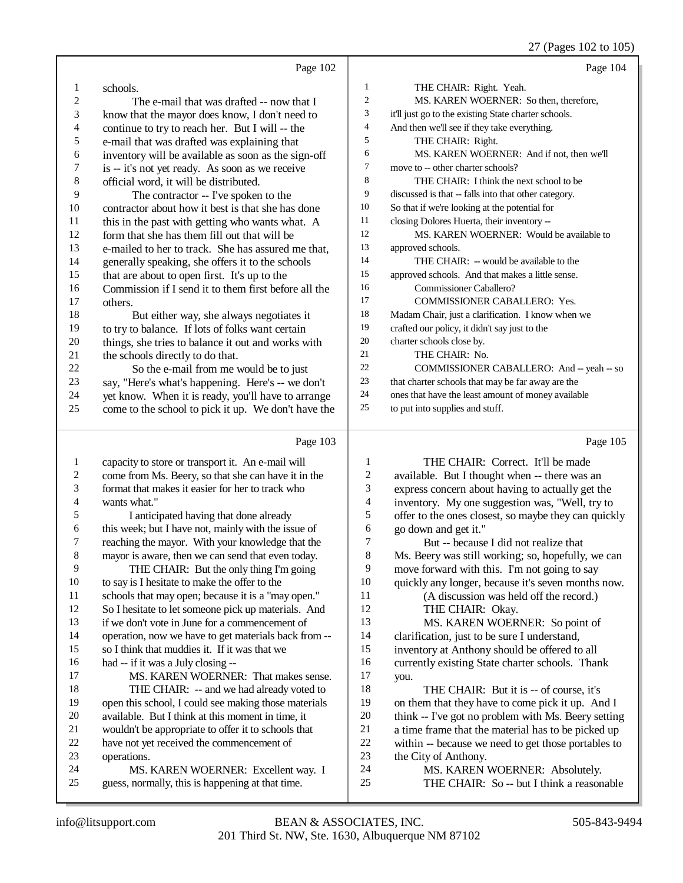27 (Pages 102 to 105)

|          |                                                                                                          |                         | $27$ (1 agos 102 to 100)                                                                            |
|----------|----------------------------------------------------------------------------------------------------------|-------------------------|-----------------------------------------------------------------------------------------------------|
|          | Page 102                                                                                                 |                         | Page 104                                                                                            |
| 1        | schools.                                                                                                 | 1                       | THE CHAIR: Right. Yeah.                                                                             |
| 2        | The e-mail that was drafted -- now that I                                                                | 2                       | MS. KAREN WOERNER: So then, therefore,                                                              |
| 3        | know that the mayor does know, I don't need to                                                           | 3                       | it'll just go to the existing State charter schools.                                                |
| 4        | continue to try to reach her. But I will -- the                                                          | 4                       | And then we'll see if they take everything.                                                         |
| 5        | e-mail that was drafted was explaining that                                                              | 5                       | THE CHAIR: Right.                                                                                   |
| 6        | inventory will be available as soon as the sign-off                                                      | 6                       | MS. KAREN WOERNER: And if not, then we'll                                                           |
| 7        | is -- it's not yet ready. As soon as we receive                                                          | 7                       | move to -- other charter schools?                                                                   |
| 8        | official word, it will be distributed.                                                                   | 8                       | THE CHAIR: I think the next school to be                                                            |
| 9        | The contractor -- I've spoken to the                                                                     | 9                       | discussed is that -- falls into that other category.                                                |
| 10       | contractor about how it best is that she has done                                                        | 10                      | So that if we're looking at the potential for                                                       |
| 11       | this in the past with getting who wants what. A                                                          | 11                      | closing Dolores Huerta, their inventory --                                                          |
| 12       | form that she has them fill out that will be                                                             | 12                      | MS. KAREN WOERNER: Would be available to                                                            |
| 13       | e-mailed to her to track. She has assured me that,                                                       | 13                      | approved schools.                                                                                   |
| 14       | generally speaking, she offers it to the schools                                                         | 14                      | THE CHAIR: -- would be available to the                                                             |
| 15       | that are about to open first. It's up to the                                                             | 15                      | approved schools. And that makes a little sense.                                                    |
| 16       | Commission if I send it to them first before all the                                                     | 16                      | Commissioner Caballero?                                                                             |
| 17       | others.                                                                                                  | 17                      | COMMISSIONER CABALLERO: Yes.                                                                        |
| 18       | But either way, she always negotiates it                                                                 | 18                      | Madam Chair, just a clarification. I know when we                                                   |
| 19       | to try to balance. If lots of folks want certain                                                         | 19<br>$20\,$            | crafted our policy, it didn't say just to the                                                       |
| 20       | things, she tries to balance it out and works with                                                       | 21                      | charter schools close by.                                                                           |
| 21       | the schools directly to do that.                                                                         | 22                      | THE CHAIR: No.<br>COMMISSIONER CABALLERO: And -- yeah -- so                                         |
| 22<br>23 | So the e-mail from me would be to just                                                                   | 23                      | that charter schools that may be far away are the                                                   |
| 24       | say, "Here's what's happening. Here's -- we don't<br>yet know. When it is ready, you'll have to arrange  | 24                      | ones that have the least amount of money available                                                  |
| 25       | come to the school to pick it up. We don't have the                                                      | 25                      | to put into supplies and stuff.                                                                     |
|          |                                                                                                          |                         |                                                                                                     |
|          |                                                                                                          |                         |                                                                                                     |
|          | Page 103                                                                                                 |                         | Page 105                                                                                            |
| 1        |                                                                                                          | 1                       | THE CHAIR: Correct. It'll be made                                                                   |
| 2        | capacity to store or transport it. An e-mail will<br>come from Ms. Beery, so that she can have it in the | 2                       |                                                                                                     |
| 3        | format that makes it easier for her to track who                                                         | 3                       | available. But I thought when -- there was an                                                       |
| 4        | wants what."                                                                                             | $\overline{\mathbf{4}}$ | express concern about having to actually get the<br>inventory. My one suggestion was, "Well, try to |
| 5        | I anticipated having that done already                                                                   | 5                       | offer to the ones closest, so maybe they can quickly                                                |
| 6        | this week; but I have not, mainly with the issue of                                                      | 6                       | go down and get it."                                                                                |
| 7        | reaching the mayor. With your knowledge that the                                                         | 7                       | But -- because I did not realize that                                                               |
| $\,8\,$  | mayor is aware, then we can send that even today.                                                        | 8                       | Ms. Beery was still working; so, hopefully, we can                                                  |
| 9        | THE CHAIR: But the only thing I'm going                                                                  | 9                       | move forward with this. I'm not going to say                                                        |
| 10       | to say is I hesitate to make the offer to the                                                            | 10                      | quickly any longer, because it's seven months now.                                                  |
| 11       | schools that may open; because it is a "may open."                                                       | 11                      | (A discussion was held off the record.)                                                             |
| 12       | So I hesitate to let someone pick up materials. And                                                      | 12                      | THE CHAIR: Okay.                                                                                    |
| 13       | if we don't vote in June for a commencement of                                                           | 13                      | MS. KAREN WOERNER: So point of                                                                      |
| 14       | operation, now we have to get materials back from --                                                     | 14                      | clarification, just to be sure I understand,                                                        |
| 15       | so I think that muddies it. If it was that we                                                            | 15                      | inventory at Anthony should be offered to all                                                       |
| 16       | had -- if it was a July closing --                                                                       | 16                      | currently existing State charter schools. Thank                                                     |
| 17       | MS. KAREN WOERNER: That makes sense.                                                                     | 17                      | you.                                                                                                |
| 18       | THE CHAIR: -- and we had already voted to                                                                | 18                      | THE CHAIR: But it is -- of course, it's                                                             |
| 19       | open this school, I could see making those materials                                                     | 19                      | on them that they have to come pick it up. And I                                                    |
| 20       | available. But I think at this moment in time, it                                                        | 20                      | think -- I've got no problem with Ms. Beery setting                                                 |
| 21       | wouldn't be appropriate to offer it to schools that                                                      | 21                      | a time frame that the material has to be picked up                                                  |
| 22       | have not yet received the commencement of                                                                | 22                      | within -- because we need to get those portables to                                                 |
| 23<br>24 | operations.                                                                                              | 23<br>24                | the City of Anthony.                                                                                |
| 25       | MS. KAREN WOERNER: Excellent way. I<br>guess, normally, this is happening at that time.                  | 25                      | MS. KAREN WOERNER: Absolutely.<br>THE CHAIR: So -- but I think a reasonable                         |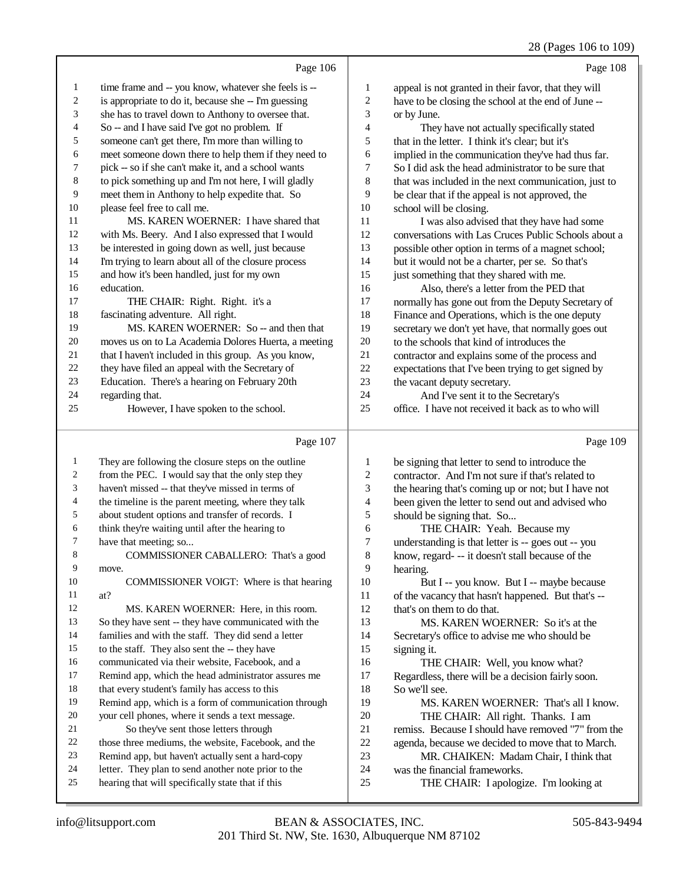|              |                                                                                                          |                          | $20 \text{ (1 qgcs 100 to 10)}$                                         |
|--------------|----------------------------------------------------------------------------------------------------------|--------------------------|-------------------------------------------------------------------------|
|              | Page 106                                                                                                 |                          | Page 108                                                                |
| $\mathbf{1}$ | time frame and -- you know, whatever she feels is --                                                     | $\mathbf{1}$             | appeal is not granted in their favor, that they will                    |
| 2            | is appropriate to do it, because she -- I'm guessing                                                     | $\overline{\mathbf{c}}$  | have to be closing the school at the end of June --                     |
| 3            | she has to travel down to Anthony to oversee that.                                                       | 3                        | or by June.                                                             |
| 4            | So -- and I have said I've got no problem. If                                                            | 4                        | They have not actually specifically stated                              |
| 5            | someone can't get there, I'm more than willing to                                                        | 5                        | that in the letter. I think it's clear; but it's                        |
| 6            | meet someone down there to help them if they need to                                                     | 6                        | implied in the communication they've had thus far.                      |
| 7            | pick -- so if she can't make it, and a school wants                                                      | 7                        | So I did ask the head administrator to be sure that                     |
| $\,$ 8 $\,$  | to pick something up and I'm not here, I will gladly                                                     | 8                        | that was included in the next communication, just to                    |
| 9            | meet them in Anthony to help expedite that. So                                                           | 9                        | be clear that if the appeal is not approved, the                        |
| 10           | please feel free to call me.                                                                             | 10                       | school will be closing.                                                 |
| 11           | MS. KAREN WOERNER: I have shared that                                                                    | 11                       | I was also advised that they have had some                              |
| 12           | with Ms. Beery. And I also expressed that I would                                                        | 12                       | conversations with Las Cruces Public Schools about a                    |
| 13           | be interested in going down as well, just because                                                        | 13                       | possible other option in terms of a magnet school;                      |
| 14           | I'm trying to learn about all of the closure process                                                     | 14                       | but it would not be a charter, per se. So that's                        |
| 15           | and how it's been handled, just for my own                                                               | 15                       | just something that they shared with me.                                |
| 16           | education.                                                                                               | 16                       | Also, there's a letter from the PED that                                |
| 17           | THE CHAIR: Right. Right. it's a                                                                          | 17                       | normally has gone out from the Deputy Secretary of                      |
| 18           | fascinating adventure. All right.                                                                        | 18                       | Finance and Operations, which is the one deputy                         |
| 19           | MS. KAREN WOERNER: So -- and then that                                                                   | 19                       | secretary we don't yet have, that normally goes out                     |
| 20           | moves us on to La Academia Dolores Huerta, a meeting                                                     | $20\,$                   | to the schools that kind of introduces the                              |
| 21           | that I haven't included in this group. As you know,                                                      | 21                       | contractor and explains some of the process and                         |
| 22           | they have filed an appeal with the Secretary of                                                          | $22\,$                   | expectations that I've been trying to get signed by                     |
| 23           | Education. There's a hearing on February 20th                                                            | 23                       | the vacant deputy secretary.                                            |
| 24           | regarding that.                                                                                          | 24                       | And I've sent it to the Secretary's                                     |
| 25           | However, I have spoken to the school.                                                                    | 25                       | office. I have not received it back as to who will                      |
|              | Page 107                                                                                                 |                          | Page 109                                                                |
| $\mathbf{1}$ | They are following the closure steps on the outline                                                      | $\mathbf{1}$             | be signing that letter to send to introduce the                         |
| 2            | from the PEC. I would say that the only step they                                                        | 2                        | contractor. And I'm not sure if that's related to                       |
| 3            | haven't missed -- that they've missed in terms of                                                        | 3                        | the hearing that's coming up or not; but I have not                     |
| 4            | the timeline is the parent meeting, where they talk                                                      | $\overline{\mathcal{L}}$ | been given the letter to send out and advised who                       |
| 5            | about student options and transfer of records. I                                                         | 5                        | should be signing that. So                                              |
| 6            | think they're waiting until after the hearing to                                                         | 6                        | THE CHAIR: Yeah. Because my                                             |
| 7            | have that meeting; so                                                                                    | 7                        | understanding is that letter is -- goes out -- you                      |
| 8            | COMMISSIONER CABALLERO: That's a good                                                                    | 8                        | know, regard- -- it doesn't stall because of the                        |
| 9            | move.                                                                                                    | 9                        | hearing.                                                                |
| 10           | COMMISSIONER VOIGT: Where is that hearing                                                                | 10                       | But I -- you know. But I -- maybe because                               |
| 11           | at?                                                                                                      | 11                       | of the vacancy that hasn't happened. But that's --                      |
| 12           | MS. KAREN WOERNER: Here, in this room.                                                                   | 12                       | that's on them to do that.                                              |
| 13           | So they have sent -- they have communicated with the                                                     | 13                       | MS. KAREN WOERNER: So it's at the                                       |
| 14           | families and with the staff. They did send a letter                                                      | 14                       | Secretary's office to advise me who should be                           |
| 15           | to the staff. They also sent the -- they have                                                            | 15                       | signing it.                                                             |
| 16           | communicated via their website, Facebook, and a                                                          | 16                       | THE CHAIR: Well, you know what?                                         |
| 17           | Remind app, which the head administrator assures me                                                      | 17                       | Regardless, there will be a decision fairly soon.                       |
| 18           | that every student's family has access to this                                                           | 18                       | So we'll see.                                                           |
| 19           | Remind app, which is a form of communication through                                                     | 19                       | MS. KAREN WOERNER: That's all I know.                                   |
| 20           | your cell phones, where it sends a text message.                                                         | 20                       | THE CHAIR: All right. Thanks. I am                                      |
| 21           | So they've sent those letters through                                                                    | 21                       | remiss. Because I should have removed "7" from the                      |
|              |                                                                                                          |                          |                                                                         |
| 22           | those three mediums, the website, Facebook, and the                                                      | $22\,$                   | agenda, because we decided to move that to March.                       |
| 23           | Remind app, but haven't actually sent a hard-copy                                                        | 23                       | MR. CHAIKEN: Madam Chair, I think that                                  |
| 24<br>25     | letter. They plan to send another note prior to the<br>hearing that will specifically state that if this | 24<br>25                 | was the financial frameworks.<br>THE CHAIR: I apologize. I'm looking at |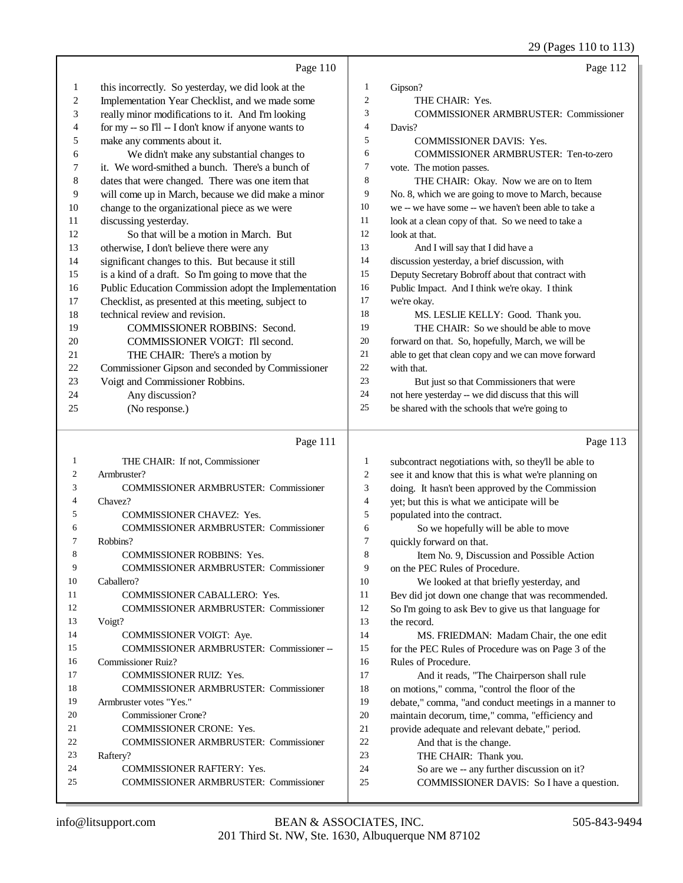|              |                                                      |                          | 29 (Pages 110 to 113)                                |
|--------------|------------------------------------------------------|--------------------------|------------------------------------------------------|
|              | Page 110                                             |                          | Page 112                                             |
| 1            | this incorrectly. So yesterday, we did look at the   | 1                        | Gipson?                                              |
| 2            | Implementation Year Checklist, and we made some      | $\overline{c}$           | THE CHAIR: Yes.                                      |
| 3            | really minor modifications to it. And I'm looking    | 3                        | <b>COMMISSIONER ARMBRUSTER: Commissioner</b>         |
| 4            | for my -- so I'll -- I don't know if anyone wants to | $\overline{\mathcal{L}}$ | Davis?                                               |
| 5            | make any comments about it.                          | 5                        | <b>COMMISSIONER DAVIS: Yes.</b>                      |
| 6            | We didn't make any substantial changes to            | 6                        | <b>COMMISSIONER ARMBRUSTER: Ten-to-zero</b>          |
| 7            | it. We word-smithed a bunch. There's a bunch of      | $\boldsymbol{7}$         | vote. The motion passes.                             |
| 8            | dates that were changed. There was one item that     | 8                        | THE CHAIR: Okay. Now we are on to Item               |
| 9            | will come up in March, because we did make a minor   | 9                        | No. 8, which we are going to move to March, because  |
| 10           | change to the organizational piece as we were        | 10                       | we -- we have some -- we haven't been able to take a |
| 11           | discussing yesterday.                                | 11                       | look at a clean copy of that. So we need to take a   |
| 12           | So that will be a motion in March. But               | 12                       | look at that.                                        |
| 13           | otherwise, I don't believe there were any            | 13                       | And I will say that I did have a                     |
| 14           | significant changes to this. But because it still    | 14                       | discussion yesterday, a brief discussion, with       |
| 15           | is a kind of a draft. So I'm going to move that the  | 15                       | Deputy Secretary Bobroff about that contract with    |
| 16           | Public Education Commission adopt the Implementation | 16                       | Public Impact. And I think we're okay. I think       |
| 17           | Checklist, as presented at this meeting, subject to  | 17                       | we're okay.                                          |
| 18           | technical review and revision.                       | 18                       | MS. LESLIE KELLY: Good. Thank you.                   |
| 19           | COMMISSIONER ROBBINS: Second.                        | 19                       | THE CHAIR: So we should be able to move              |
| 20           | COMMISSIONER VOIGT: I'll second.                     | 20                       | forward on that. So, hopefully, March, we will be    |
| 21           | THE CHAIR: There's a motion by                       | 21                       | able to get that clean copy and we can move forward  |
| 22           | Commissioner Gipson and seconded by Commissioner     | 22                       | with that.                                           |
| 23           | Voigt and Commissioner Robbins.                      | 23                       | But just so that Commissioners that were             |
| 24           | Any discussion?                                      | 24                       | not here yesterday -- we did discuss that this will  |
| 25           | (No response.)                                       | 25                       | be shared with the schools that we're going to       |
|              | Page 111                                             |                          | Page 113                                             |
| $\mathbf{1}$ | THE CHAIR: If not, Commissioner                      | $\mathbf{1}$             | subcontract negotiations with, so they'll be able to |
| 2            | Armbruster?                                          | $\overline{c}$           | see it and know that this is what we're planning on  |
| 3            | <b>COMMISSIONER ARMBRUSTER: Commissioner</b>         | 3                        | doing. It hasn't been approved by the Commission     |
| 4            | Chavez?                                              | $\overline{\mathcal{L}}$ | yet; but this is what we anticipate will be          |
| 5            | <b>COMMISSIONER CHAVEZ: Yes.</b>                     | 5                        | populated into the contract.                         |
| 6            | <b>COMMISSIONER ARMBRUSTER: Commissioner</b>         | 6                        | So we hopefully will be able to move                 |
| 7            | Robbins?                                             | $\overline{7}$           | quickly forward on that.                             |
| 8            | COMMISSIONER ROBBINS: Yes.                           | 8                        | Item No. 9, Discussion and Possible Action           |
| 9            | <b>COMMISSIONER ARMBRUSTER: Commissioner</b>         | 9                        | on the PEC Rules of Procedure.                       |
| 10           | Caballero?                                           | 10                       | We looked at that briefly yesterday, and             |
| 11           | <b>COMMISSIONER CABALLERO: Yes.</b>                  | 11                       | Bev did jot down one change that was recommended.    |
| 12           | <b>COMMISSIONER ARMBRUSTER: Commissioner</b>         | 12                       | So I'm going to ask Bev to give us that language for |

 Commissioner Ruiz? COMMISSIONER RUIZ: Yes. COMMISSIONER ARMBRUSTER: Commissioner

COMMISSIONER VOIGT: Aye.

 Armbruster votes "Yes." Commissioner Crone?

- COMMISSIONER CRONE: Yes.
- COMMISSIONER ARMBRUSTER: Commissioner Raftery?
- COMMISSIONER RAFTERY: Yes.
- COMMISSIONER ARMBRUSTER: Commissioner

COMMISSIONER ARMBRUSTER: Commissioner --

 the record. MS. FRIEDMAN: Madam Chair, the one edit for the PEC Rules of Procedure was on Page 3 of the

16 Rules of Procedure.<br>17 And it reads. 17 And it reads, "The Chairperson shall rule<br>18 on motions." comma. "control the floor of the 18 on motions," comma, "control the floor of the<br>19 debate." comma, "and conduct meetings in a r debate," comma, "and conduct meetings in a manner to maintain decorum, time," comma, "efficiency and 21 provide adequate and relevant debate," period.<br>22 And that is the change. 22 And that is the change.<br>23 THE CHAIR: Thank we THE CHAIR: Thank you.

- So are we -- any further discussion on it?
- COMMISSIONER DAVIS: So I have a question.

Voigt?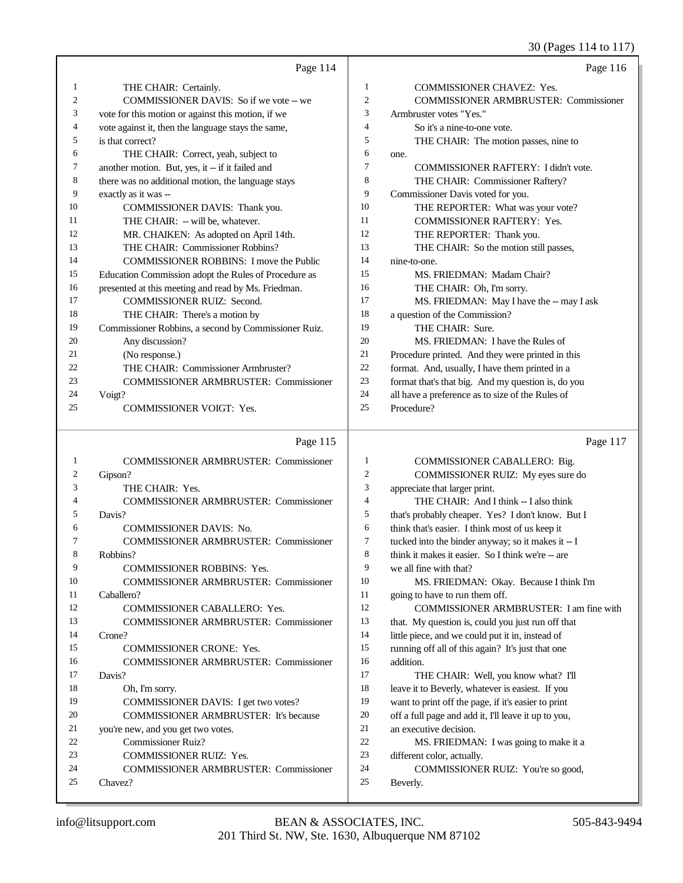30 (Pages 114 to 117)

|    | Page 114                                             |                | Page 116                                           |
|----|------------------------------------------------------|----------------|----------------------------------------------------|
| 1  | THE CHAIR: Certainly.                                | 1              | <b>COMMISSIONER CHAVEZ: Yes.</b>                   |
| 2  | COMMISSIONER DAVIS: So if we vote -- we              | $\mathbf{2}$   | COMMISSIONER ARMBRUSTER: Commissioner              |
| 3  | vote for this motion or against this motion, if we   | 3              | Armbruster votes "Yes."                            |
| 4  | vote against it, then the language stays the same,   | 4              | So it's a nine-to-one vote.                        |
| 5  | is that correct?                                     | 5              | THE CHAIR: The motion passes, nine to              |
| 6  | THE CHAIR: Correct, yeah, subject to                 | 6              | one.                                               |
| 7  | another motion. But, yes, it -- if it failed and     | $\overline{7}$ | COMMISSIONER RAFTERY: I didn't vote.               |
| 8  | there was no additional motion, the language stays   | 8              | THE CHAIR: Commissioner Raftery?                   |
| 9  | exactly as it was --                                 | 9              | Commissioner Davis voted for you.                  |
| 10 | COMMISSIONER DAVIS: Thank you.                       | 10             | THE REPORTER: What was your vote?                  |
| 11 | THE CHAIR: - will be, whatever.                      | 11             | <b>COMMISSIONER RAFTERY: Yes.</b>                  |
| 12 | MR. CHAIKEN: As adopted on April 14th.               | 12             | THE REPORTER: Thank you.                           |
| 13 | THE CHAIR: Commissioner Robbins?                     | 13             | THE CHAIR: So the motion still passes,             |
| 14 | <b>COMMISSIONER ROBBINS: I move the Public</b>       | 14             | nine-to-one.                                       |
| 15 | Education Commission adopt the Rules of Procedure as | 15             | MS. FRIEDMAN: Madam Chair?                         |
| 16 | presented at this meeting and read by Ms. Friedman.  | 16             | THE CHAIR: Oh, I'm sorry.                          |
| 17 | <b>COMMISSIONER RUIZ: Second.</b>                    | 17             | MS. FRIEDMAN: May I have the -- may I ask          |
| 18 | THE CHAIR: There's a motion by                       | 18             | a question of the Commission?                      |
| 19 | Commissioner Robbins, a second by Commissioner Ruiz. | 19             | THE CHAIR: Sure.                                   |
| 20 | Any discussion?                                      | 20             | MS. FRIEDMAN: I have the Rules of                  |
| 21 | (No response.)                                       | 21             | Procedure printed. And they were printed in this   |
| 22 | THE CHAIR: Commissioner Armbruster?                  | 22             | format. And, usually, I have them printed in a     |
| 23 | <b>COMMISSIONER ARMBRUSTER: Commissioner</b>         | 23             | format that's that big. And my question is, do you |
| 24 | Voigt?                                               | 24             | all have a preference as to size of the Rules of   |
| 25 | <b>COMMISSIONER VOIGT: Yes.</b>                      | 25             | Procedure?                                         |
|    |                                                      |                |                                                    |
|    | Page 115                                             |                | Page 117                                           |
| 1  | <b>COMMISSIONER ARMBRUSTER: Commissioner</b>         | 1              | COMMISSIONER CABALLERO: Big.                       |
| 2  | Gipson?                                              | 2              | COMMISSIONER RUIZ: My eyes sure do                 |
| 3  | THE CHAIR: Yes.                                      | 3              | appreciate that larger print.                      |
| 4  | <b>COMMISSIONER ARMBRUSTER: Commissioner</b>         | 4              | THE CHAIR: And I think -- I also think             |

| <b>COMMISSIONER DAVIS: No.</b>               |
|----------------------------------------------|
| <b>COMMISSIONER ARMBRUSTER: Commissioner</b> |
| Robbins?                                     |
| $CQ$ a Hestovina poppais $V$                 |

Davis?

|     | <b>COMMISSIONER ROBBINS: Yes.</b>            |
|-----|----------------------------------------------|
| -10 | <b>COMMISSIONER ARMBRUSTER: Commissioner</b> |

 Caballero? COMMISSIONER CABALLERO: Yes.

 COMMISSIONER ARMBRUSTER: Commissioner Crone? COMMISSIONER CRONE: Yes. COMMISSIONER ARMBRUSTER: Commissioner Davis? 18 Oh, I'm sorry.

- COMMISSIONER DAVIS: I get two votes?
- COMMISSIONER ARMBRUSTER: It's because
- you're new, and you get two votes.
- Commissioner Ruiz?
- COMMISSIONER RUIZ: Yes.
- COMMISSIONER ARMBRUSTER: Commissioner Chavez?
- THE CHAIR: And I think -- I also think that's probably cheaper. Yes? I don't know. But I
- think that's easier. I think most of us keep it
- tucked into the binder anyway; so it makes it -- I
- 8 think it makes it easier. So I think we're -- are
- we all fine with that? MS. FRIEDMAN: Okay. Because I think I'm 11 going to have to run them off.
- COMMISSIONER ARMBRUSTER: I am fine with that. My question is, could you just run off that
- little piece, and we could put it in, instead of running off all of this again? It's just that one
- addition. THE CHAIR: Well, you know what? I'll
- leave it to Beverly, whatever is easiest. If you want to print off the page, if it's easier to print
- off a full page and add it, I'll leave it up to you,
- an executive decision.
- MS. FRIEDMAN: I was going to make it a
- different color, actually.
- COMMISSIONER RUIZ: You're so good,
- Beverly.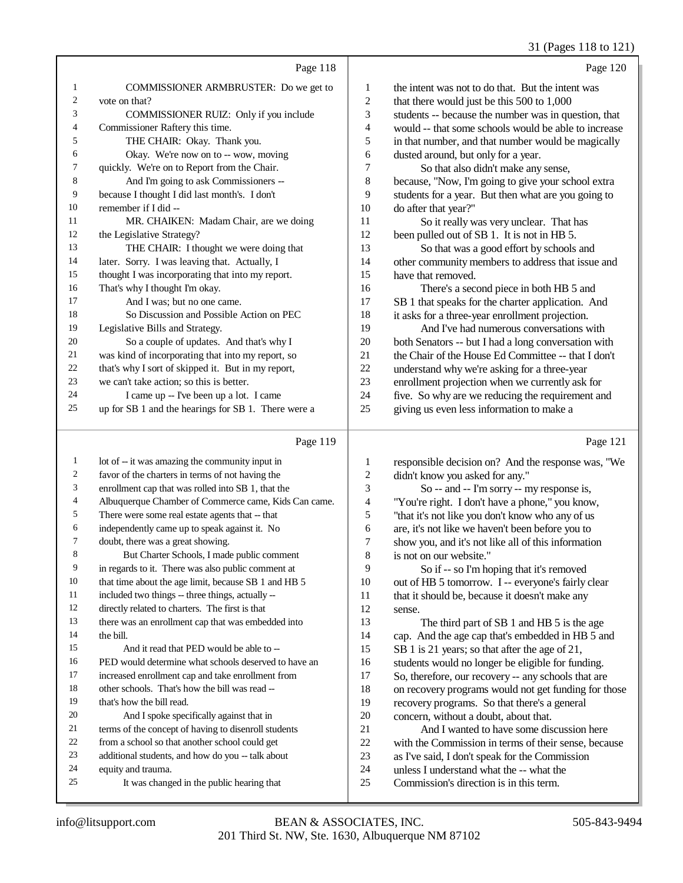#### 31 (Pages 118 to 121)

|    | Page 118                                            |                | Page 120                                             |
|----|-----------------------------------------------------|----------------|------------------------------------------------------|
| 1  | <b>COMMISSIONER ARMBRUSTER:</b> Do we get to        | 1              | the intent was not to do that. But the intent was    |
| 2  | vote on that?                                       | 2              | that there would just be this 500 to 1,000           |
| 3  | COMMISSIONER RUIZ: Only if you include              | 3              | students -- because the number was in question, that |
| 4  | Commissioner Raftery this time.                     | $\overline{4}$ | would -- that some schools would be able to increase |
| 5  | THE CHAIR: Okay. Thank you.                         | 5              | in that number, and that number would be magically   |
| 6  | Okay. We're now on to -- wow, moving                | 6              | dusted around, but only for a year.                  |
| 7  | quickly. We're on to Report from the Chair.         | 7              | So that also didn't make any sense,                  |
| 8  | And I'm going to ask Commissioners --               | 8              | because, "Now, I'm going to give your school extra   |
| 9  | because I thought I did last month's. I don't       | 9              | students for a year. But then what are you going to  |
| 10 | remember if I did --                                | 10             | do after that year?"                                 |
| 11 | MR. CHAIKEN: Madam Chair, are we doing              | 11             | So it really was very unclear. That has              |
| 12 | the Legislative Strategy?                           | 12             | been pulled out of SB 1. It is not in HB 5.          |
| 13 | THE CHAIR: I thought we were doing that             | 13             | So that was a good effort by schools and             |
| 14 | later. Sorry. I was leaving that. Actually, I       | 14             | other community members to address that issue and    |
| 15 | thought I was incorporating that into my report.    | 15             | have that removed.                                   |
| 16 | That's why I thought I'm okay.                      | 16             | There's a second piece in both HB 5 and              |
| 17 | And I was: but no one came.                         | 17             | SB 1 that speaks for the charter application. And    |
| 18 | So Discussion and Possible Action on PEC            | 18             | it asks for a three-year enrollment projection.      |
| 19 | Legislative Bills and Strategy.                     | 19             | And I've had numerous conversations with             |
| 20 | So a couple of updates. And that's why I            | 20             | both Senators -- but I had a long conversation with  |
| 21 | was kind of incorporating that into my report, so   | 21             | the Chair of the House Ed Committee -- that I don't  |
| 22 | that's why I sort of skipped it. But in my report,  | 22             | understand why we're asking for a three-year         |
| 23 | we can't take action; so this is better.            | 23             | enrollment projection when we currently ask for      |
| 24 | I came up -- I've been up a lot. I came             | 24             | five. So why are we reducing the requirement and     |
| 25 | up for SB 1 and the hearings for SB 1. There were a | 25             | giving us even less information to make a            |
|    |                                                     |                |                                                      |

## $P_2 = 110$

|    | Page 119                                             |                | Page 121                                             |
|----|------------------------------------------------------|----------------|------------------------------------------------------|
| 1  | lot of -- it was amazing the community input in      | 1              | responsible decision on? And the response was, "We   |
| 2  | favor of the charters in terms of not having the     | 2              | didn't know you asked for any."                      |
| 3  | enrollment cap that was rolled into SB 1, that the   | 3              | So -- and -- I'm sorry -- my response is,            |
| 4  | Albuquerque Chamber of Commerce came, Kids Can came. | $\overline{4}$ | "You're right. I don't have a phone," you know,      |
| 5  | There were some real estate agents that -- that      | 5              | "that it's not like you don't know who any of us     |
| 6  | independently came up to speak against it. No        | 6              | are, it's not like we haven't been before you to     |
| 7  | doubt, there was a great showing.                    | 7              | show you, and it's not like all of this information  |
| 8  | But Charter Schools, I made public comment           | 8              | is not on our website."                              |
| 9  | in regards to it. There was also public comment at   | 9              | So if -- so I'm hoping that it's removed             |
| 10 | that time about the age limit, because SB 1 and HB 5 | 10             | out of HB 5 tomorrow. I -- everyone's fairly clear   |
| 11 | included two things -- three things, actually --     | 11             | that it should be, because it doesn't make any       |
| 12 | directly related to charters. The first is that      | 12             | sense.                                               |
| 13 | there was an enrollment cap that was embedded into   | 13             | The third part of SB 1 and HB 5 is the age           |
| 14 | the bill.                                            | 14             | cap. And the age cap that's embedded in HB 5 and     |
| 15 | And it read that PED would be able to --             | 15             | SB 1 is 21 years; so that after the age of 21,       |
| 16 | PED would determine what schools deserved to have an | 16             | students would no longer be eligible for funding.    |
| 17 | increased enrollment cap and take enrollment from    | 17             | So, therefore, our recovery -- any schools that are  |
| 18 | other schools. That's how the bill was read --       | 18             | on recovery programs would not get funding for those |
| 19 | that's how the bill read.                            | 19             | recovery programs. So that there's a general         |
| 20 | And I spoke specifically against that in             | 20             | concern, without a doubt, about that.                |
| 21 | terms of the concept of having to disenroll students | 21             | And I wanted to have some discussion here            |
| 22 | from a school so that another school could get       | 22             | with the Commission in terms of their sense, because |
| 23 | additional students, and how do you -- talk about    | 23             | as I've said, I don't speak for the Commission       |
| 24 | equity and trauma.                                   | 24             | unless I understand what the -- what the             |
| 25 | It was changed in the public hearing that            | 25             | Commission's direction is in this term.              |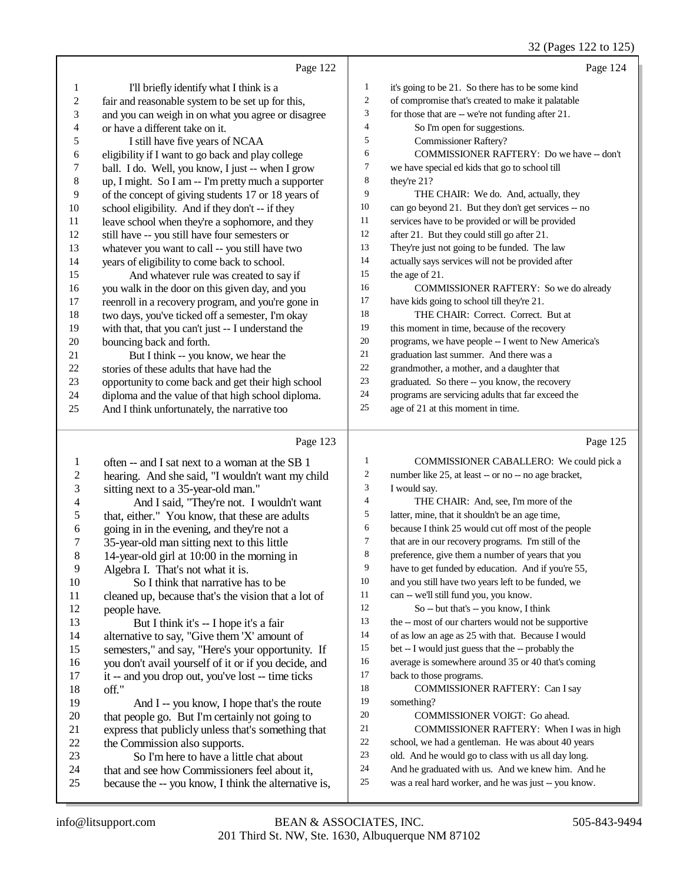## 32 (Pages 122 to 125)

|                          |                                                      |                         | 32 (Fages 122 to 123)                                                                                     |
|--------------------------|------------------------------------------------------|-------------------------|-----------------------------------------------------------------------------------------------------------|
|                          | Page 122                                             |                         | Page 124                                                                                                  |
| $\mathbf{1}$             | I'll briefly identify what I think is a              | $\mathbf{1}$            | it's going to be 21. So there has to be some kind                                                         |
| $\sqrt{2}$               | fair and reasonable system to be set up for this,    | 2                       | of compromise that's created to make it palatable                                                         |
| $\mathfrak{Z}$           | and you can weigh in on what you agree or disagree   | 3                       | for those that are -- we're not funding after 21.                                                         |
| $\overline{\mathcal{L}}$ | or have a different take on it.                      | 4                       | So I'm open for suggestions.                                                                              |
| 5                        | I still have five years of NCAA                      | 5                       | <b>Commissioner Raftery?</b>                                                                              |
| 6                        | eligibility if I want to go back and play college    | 6                       | COMMISSIONER RAFTERY: Do we have -- don't                                                                 |
| 7                        | ball. I do. Well, you know, I just -- when I grow    | 7                       | we have special ed kids that go to school till                                                            |
| $\,$ $\,$                | up, I might. So I am -- I'm pretty much a supporter  | 8                       | they're 21?                                                                                               |
| 9                        | of the concept of giving students 17 or 18 years of  | 9                       | THE CHAIR: We do. And, actually, they                                                                     |
| 10                       | school eligibility. And if they don't -- if they     | 10                      | can go beyond 21. But they don't get services -- no                                                       |
| 11                       | leave school when they're a sophomore, and they      | 11                      | services have to be provided or will be provided                                                          |
| 12                       | still have -- you still have four semesters or       | 12                      | after 21. But they could still go after 21.                                                               |
| 13                       | whatever you want to call -- you still have two      | 13                      | They're just not going to be funded. The law                                                              |
| 14                       | years of eligibility to come back to school.         | 14                      | actually says services will not be provided after                                                         |
| 15                       | And whatever rule was created to say if              | 15                      | the age of 21.                                                                                            |
| 16                       | you walk in the door on this given day, and you      | 16                      | COMMISSIONER RAFTERY: So we do already                                                                    |
| 17                       | reenroll in a recovery program, and you're gone in   | 17                      | have kids going to school till they're 21.                                                                |
| 18                       | two days, you've ticked off a semester, I'm okay     | 18                      | THE CHAIR: Correct. Correct. But at                                                                       |
| 19                       | with that, that you can't just -- I understand the   | 19                      | this moment in time, because of the recovery                                                              |
| 20                       | bouncing back and forth.                             | 20                      | programs, we have people -- I went to New America's                                                       |
| 21                       | But I think -- you know, we hear the                 | 21                      | graduation last summer. And there was a                                                                   |
| $22\,$                   | stories of these adults that have had the            | $22\,$                  | grandmother, a mother, and a daughter that                                                                |
| 23                       | opportunity to come back and get their high school   | 23                      | graduated. So there -- you know, the recovery                                                             |
| 24                       | diploma and the value of that high school diploma.   | 24                      | programs are servicing adults that far exceed the                                                         |
| 25                       | And I think unfortunately, the narrative too         | 25                      | age of 21 at this moment in time.                                                                         |
|                          | Page 123                                             |                         | Page 125                                                                                                  |
| $\mathbf{1}$             | often -- and I sat next to a woman at the SB 1       | $\mathbf{1}$            | COMMISSIONER CABALLERO: We could pick a                                                                   |
| $\sqrt{2}$               | hearing. And she said, "I wouldn't want my child     | $\overline{\mathbf{c}}$ | number like 25, at least -- or no -- no age bracket,                                                      |
| 3                        | sitting next to a 35-year-old man."                  | 3                       | I would say.                                                                                              |
| $\overline{4}$           | And I said, "They're not. I wouldn't want            | 4                       | THE CHAIR: And, see, I'm more of the                                                                      |
| 5                        | that, either." You know, that these are adults       | 5                       | latter, mine, that it shouldn't be an age time,                                                           |
| 6                        | going in in the evening, and they're not a           | 6                       | because I think 25 would cut off most of the people                                                       |
| 7                        | 35-year-old man sitting next to this little          | $\tau$                  | that are in our recovery programs. I'm still of the                                                       |
| 8                        | 14-year-old girl at 10:00 in the morning in          | 8                       | preference, give them a number of years that you                                                          |
| 9                        | Algebra I. That's not what it is.                    | 9                       | have to get funded by education. And if you're 55,                                                        |
| 10                       | So I think that narrative has to be                  | 10                      | and you still have two years left to be funded, we                                                        |
| 11                       | cleaned up, because that's the vision that a lot of  | 11                      | can -- we'll still fund you, you know.                                                                    |
| 12                       | people have.                                         | 12                      | So -- but that's -- you know, I think                                                                     |
| 13                       | But I think it's -- I hope it's a fair               | 13                      | the -- most of our charters would not be supportive                                                       |
| 14                       | alternative to say, "Give them 'X' amount of         | 14                      | of as low an age as 25 with that. Because I would                                                         |
| 15                       | semesters," and say, "Here's your opportunity. If    | 15                      | bet -- I would just guess that the -- probably the                                                        |
| 16                       | you don't avail yourself of it or if you decide, and | 16                      | average is somewhere around 35 or 40 that's coming                                                        |
| 17                       | it -- and you drop out, you've lost -- time ticks    | 17                      | back to those programs.                                                                                   |
| 18                       | off."                                                | 18                      | COMMISSIONER RAFTERY: Can I say                                                                           |
| 19                       | And I -- you know, I hope that's the route           | 19                      | something?                                                                                                |
| $20\,$                   | that people go. But I'm certainly not going to       | 20                      | COMMISSIONER VOIGT: Go ahead.                                                                             |
| 21                       | express that publicly unless that's something that   | 21                      | COMMISSIONER RAFTERY: When I was in high                                                                  |
| $22\,$                   | the Commission also supports.                        | $22\,$                  | school, we had a gentleman. He was about 40 years                                                         |
|                          |                                                      |                         |                                                                                                           |
| 23                       | So I'm here to have a little chat about              | 23                      | old. And he would go to class with us all day long.                                                       |
| 24                       | that and see how Commissioners feel about it,        | 24<br>25                | And he graduated with us. And we knew him. And he<br>was a real hard worker, and he was just -- you know. |

was a real hard worker, and he was just -- you know.

because the -- you know, I think the alternative is,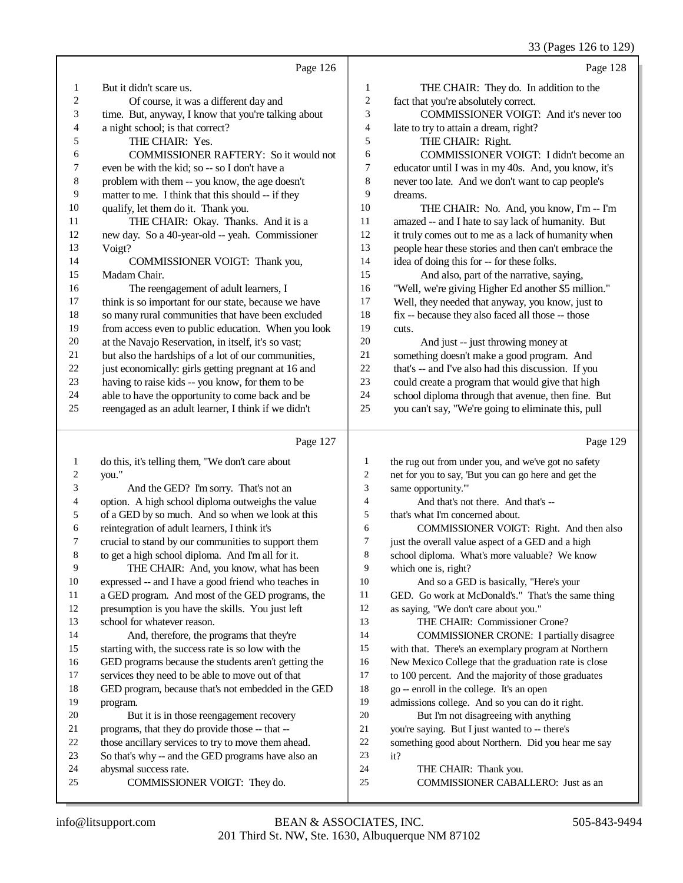#### 33 (Pages 126 to 129)

|                | Page 126                                                                                                                                                                                                                                                                                                     |                  | Page 128                                             |
|----------------|--------------------------------------------------------------------------------------------------------------------------------------------------------------------------------------------------------------------------------------------------------------------------------------------------------------|------------------|------------------------------------------------------|
| 1              | But it didn't scare us.                                                                                                                                                                                                                                                                                      | 1                | THE CHAIR: They do. In addition to the               |
| $\mathfrak{2}$ | Of course, it was a different day and                                                                                                                                                                                                                                                                        | $\overline{c}$   | fact that you're absolutely correct.                 |
| 3              | time. But, anyway, I know that you're talking about                                                                                                                                                                                                                                                          | 3                | COMMISSIONER VOIGT: And it's never too               |
| 4              | a night school; is that correct?                                                                                                                                                                                                                                                                             | $\overline{4}$   | late to try to attain a dream, right?                |
| 5              | THE CHAIR: Yes.                                                                                                                                                                                                                                                                                              | 5                | THE CHAIR: Right.                                    |
| 6              | COMMISSIONER RAFTERY: So it would not                                                                                                                                                                                                                                                                        | 6                | COMMISSIONER VOIGT: I didn't become an               |
| 7              | even be with the kid; so -- so I don't have a                                                                                                                                                                                                                                                                | $\boldsymbol{7}$ | educator until I was in my 40s. And, you know, it's  |
| 8              | problem with them -- you know, the age doesn't                                                                                                                                                                                                                                                               | $\,$ 8 $\,$      | never too late. And we don't want to cap people's    |
| 9              | matter to me. I think that this should -- if they                                                                                                                                                                                                                                                            | 9                | dreams.                                              |
| 10             | qualify, let them do it. Thank you.                                                                                                                                                                                                                                                                          | 10               | THE CHAIR: No. And, you know, I'm -- I'm             |
| 11             | THE CHAIR: Okay. Thanks. And it is a                                                                                                                                                                                                                                                                         | 11               | amazed -- and I hate to say lack of humanity. But    |
| 12             | new day. So a 40-year-old -- yeah. Commissioner                                                                                                                                                                                                                                                              | 12               | it truly comes out to me as a lack of humanity when  |
| 13             | Voigt?                                                                                                                                                                                                                                                                                                       | 13               | people hear these stories and then can't embrace the |
| 14             | COMMISSIONER VOIGT: Thank you,                                                                                                                                                                                                                                                                               | 14               | idea of doing this for -- for these folks.           |
| 15             | Madam Chair.                                                                                                                                                                                                                                                                                                 | 15               | And also, part of the narrative, saying,             |
| 16             | The reengagement of adult learners, I                                                                                                                                                                                                                                                                        | 16               | "Well, we're giving Higher Ed another \$5 million."  |
| $17\,$         | think is so important for our state, because we have                                                                                                                                                                                                                                                         | 17               | Well, they needed that anyway, you know, just to     |
| 18             | so many rural communities that have been excluded                                                                                                                                                                                                                                                            | 18               | fix -- because they also faced all those -- those    |
| 19             | from access even to public education. When you look                                                                                                                                                                                                                                                          | 19               | cuts.                                                |
| $20\,$         | at the Navajo Reservation, in itself, it's so vast;                                                                                                                                                                                                                                                          | $20\,$           | And just -- just throwing money at                   |
| $21\,$         | but also the hardships of a lot of our communities,                                                                                                                                                                                                                                                          | 21               | something doesn't make a good program. And           |
| $22\,$         | just economically: girls getting pregnant at 16 and                                                                                                                                                                                                                                                          | $22\,$           | that's -- and I've also had this discussion. If you  |
| 23             | having to raise kids -- you know, for them to be                                                                                                                                                                                                                                                             | 23               | could create a program that would give that high     |
| $24\,$         | able to have the opportunity to come back and be                                                                                                                                                                                                                                                             | 24               | school diploma through that avenue, then fine. But   |
| $25\,$         | reengaged as an adult learner, I think if we didn't                                                                                                                                                                                                                                                          | 25               | you can't say, "We're going to eliminate this, pull  |
|                | Page 127                                                                                                                                                                                                                                                                                                     |                  | Page 129                                             |
|                |                                                                                                                                                                                                                                                                                                              |                  |                                                      |
| 1              | do this, it's telling them, "We don't care about                                                                                                                                                                                                                                                             | 1                | the rug out from under you, and we've got no safety  |
| 2              | you."                                                                                                                                                                                                                                                                                                        | $\overline{c}$   | net for you to say, 'But you can go here and get the |
| 3              | And the GED? I'm sorry. That's not an                                                                                                                                                                                                                                                                        | 3                | same opportunity.""                                  |
| 4              | option. A high school diploma outweighs the value                                                                                                                                                                                                                                                            | 4                | And that's not there. And that's --                  |
| 5              | of a GED by so much. And so when we look at this                                                                                                                                                                                                                                                             | 5                | that's what I'm concerned about.                     |
| 6              | reintegration of adult learners, I think it's                                                                                                                                                                                                                                                                | 6                | COMMISSIONER VOIGT: Right. And then also             |
| 7              | crucial to stand by our communities to support them                                                                                                                                                                                                                                                          | $\overline{7}$   | just the overall value aspect of a GED and a high    |
|                | $\mathcal{L}$ and the state of $\mathcal{L}$ and $\mathcal{L}$ and $\mathcal{L}$ and $\mathcal{L}$ and $\mathcal{L}$ and $\mathcal{L}$ and $\mathcal{L}$ and $\mathcal{L}$ and $\mathcal{L}$ and $\mathcal{L}$ and $\mathcal{L}$ and $\mathcal{L}$ and $\mathcal{L}$ and $\mathcal{L}$ and $\mathcal{L}$ and | $\Omega$         | $1 \quad 1 \quad 1 \quad 1$                          |

 to get a high school diploma. And I'm all for it. THE CHAIR: And, you know, what has been expressed -- and I have a good friend who teaches in a GED program. And most of the GED programs, the

- presumption is you have the skills. You just left school for whatever reason. And, therefore, the programs that they're
- starting with, the success rate is so low with the
- GED programs because the students aren't getting the
- services they need to be able to move out of that
- GED program, because that's not embedded in the GED program.
- But it is in those reengagement recovery programs, that they do provide those -- that --
- 
- those ancillary services to try to move them ahead.
- So that's why -- and the GED programs have also an abysmal success rate.
- COMMISSIONER VOIGT: They do.
- school diploma. What's more valuable? We know which one is, right?
- And so a GED is basically, "Here's your
- GED. Go work at McDonald's." That's the same thing
- as saying, "We don't care about you."
- THE CHAIR: Commissioner Crone?
- COMMISSIONER CRONE: I partially disagree
- with that. There's an exemplary program at Northern
- New Mexico College that the graduation rate is close
- to 100 percent. And the majority of those graduates
- go -- enroll in the college. It's an open
- admissions college. And so you can do it right.
- But I'm not disagreeing with anything
- 21 you're saying. But I just wanted to -- there's<br>22 something good about Northern. Did you he
- 22 something good about Northern. Did you hear me say<br>
23 it?
- $it?$
- THE CHAIR: Thank you.
- COMMISSIONER CABALLERO: Just as an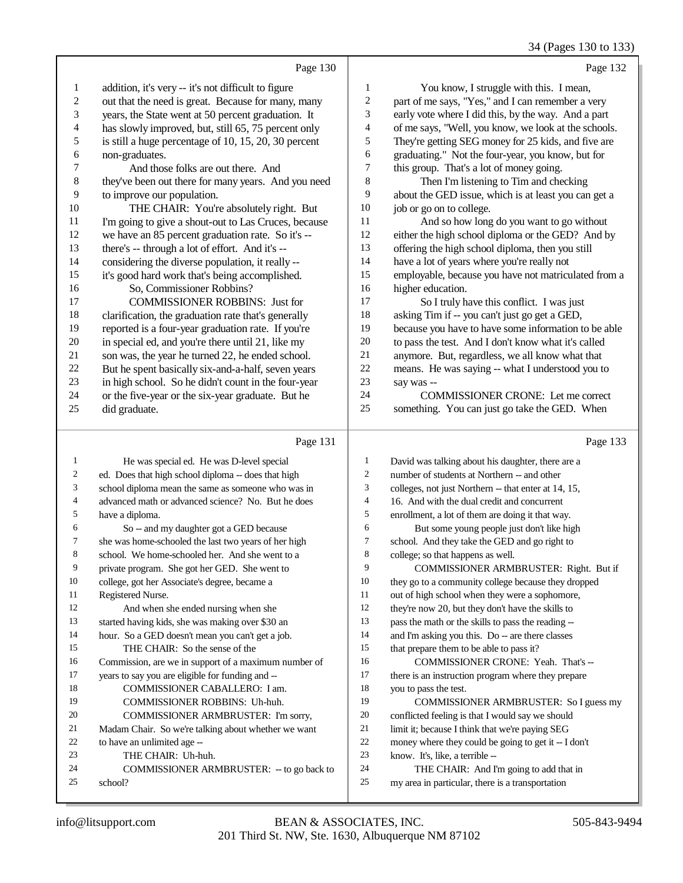34 (Pages 130 to 133)

|                         |                                                      |                  | $3 +$ (1 ages 1.30 to 1.3.                                                              |
|-------------------------|------------------------------------------------------|------------------|-----------------------------------------------------------------------------------------|
|                         | Page 130                                             |                  | Page 132                                                                                |
| 1                       | addition, it's very -- it's not difficult to figure  | 1                | You know, I struggle with this. I mean,                                                 |
| $\overline{\mathbf{c}}$ | out that the need is great. Because for many, many   | $\boldsymbol{2}$ | part of me says, "Yes," and I can remember a very                                       |
| 3                       | years, the State went at 50 percent graduation. It   | 3                | early vote where I did this, by the way. And a part                                     |
| 4                       | has slowly improved, but, still 65, 75 percent only  | 4                | of me says, "Well, you know, we look at the schools.                                    |
| 5                       | is still a huge percentage of 10, 15, 20, 30 percent | 5                | They're getting SEG money for 25 kids, and five are                                     |
| 6                       | non-graduates.                                       | 6                | graduating." Not the four-year, you know, but for                                       |
| 7                       | And those folks are out there. And                   | 7                | this group. That's a lot of money going.                                                |
| 8                       | they've been out there for many years. And you need  | 8                | Then I'm listening to Tim and checking                                                  |
| 9                       | to improve our population.                           | 9                | about the GED issue, which is at least you can get a                                    |
| 10                      | THE CHAIR: You're absolutely right. But              | 10               | job or go on to college.                                                                |
| 11                      | I'm going to give a shout-out to Las Cruces, because | 11               | And so how long do you want to go without                                               |
| 12                      | we have an 85 percent graduation rate. So it's --    | 12               | either the high school diploma or the GED? And by                                       |
| 13                      | there's -- through a lot of effort. And it's --      | 13               | offering the high school diploma, then you still                                        |
| 14                      | considering the diverse population, it really --     | 14               | have a lot of years where you're really not                                             |
| 15                      | it's good hard work that's being accomplished.       | 15               | employable, because you have not matriculated from a                                    |
| 16                      | So, Commissioner Robbins?                            | 16               | higher education.                                                                       |
| 17                      | <b>COMMISSIONER ROBBINS: Just for</b>                | 17               | So I truly have this conflict. I was just                                               |
| 18                      | clarification, the graduation rate that's generally  | 18               | asking Tim if -- you can't just go get a GED,                                           |
| 19                      | reported is a four-year graduation rate. If you're   | 19               | because you have to have some information to be able                                    |
| 20                      | in special ed, and you're there until 21, like my    | 20               | to pass the test. And I don't know what it's called                                     |
| 21                      | son was, the year he turned 22, he ended school.     | 21               | anymore. But, regardless, we all know what that                                         |
| 22                      | But he spent basically six-and-a-half, seven years   | $22\,$           | means. He was saying -- what I understood you to                                        |
| 23                      | in high school. So he didn't count in the four-year  | 23               | say was --                                                                              |
| 24                      | or the five-year or the six-year graduate. But he    | 24               | COMMISSIONER CRONE: Let me correct                                                      |
| 25                      | did graduate.                                        | 25               | something. You can just go take the GED. When                                           |
|                         | Page 131                                             |                  | Page 133                                                                                |
| 1                       | He was special ed. He was D-level special            | $\mathbf{1}$     | David was talking about his daughter, there are a                                       |
| $\overline{c}$          | ed. Does that high school diploma -- does that high  | $\overline{c}$   | number of students at Northern -- and other                                             |
| 3                       | school diploma mean the same as someone who was in   | 3                | colleges, not just Northern -- that enter at 14, 15,                                    |
| 4                       | advanced math or advanced science? No. But he does   | 4                | 16. And with the dual credit and concurrent                                             |
| 5                       | have a diploma.                                      | 5                | enrollment, a lot of them are doing it that way.                                        |
| 6                       | So -- and my daughter got a GED because              | 6                | But some young people just don't like high                                              |
| 7                       | she was home-schooled the last two years of her high | 7                | school. And they take the GED and go right to                                           |
| 8                       | school. We home-schooled her. And she went to a      | 8                | college; so that happens as well.                                                       |
| 9                       | private program. She got her GED. She went to        | 9                | COMMISSIONER ARMBRUSTER: Right. But if                                                  |
| 10                      | college, got her Associate's degree, became a        | 10               | they go to a community college because they dropped                                     |
| 11                      | Registered Nurse.                                    | 11               | out of high school when they were a sophomore,                                          |
| 12                      | And when she ended nursing when she                  | 12               | they're now 20, but they don't have the skills to                                       |
| 13                      | started having kids, she was making over \$30 an     | 13               | pass the math or the skills to pass the reading --                                      |
| 14                      | hour. So a GED doesn't mean you can't get a job.     | 14               | and I'm asking you this. Do -- are there classes                                        |
| 15                      | THE CHAIR: So the sense of the                       | 15               | that prepare them to be able to pass it?                                                |
| 16                      | Commission, are we in support of a maximum number of | 16               | COMMISSIONER CRONE: Yeah. That's --                                                     |
| 17                      | years to say you are eligible for funding and --     | 17               | there is an instruction program where they prepare                                      |
| 18                      | COMMISSIONER CABALLERO: I am.                        | 18               | you to pass the test.                                                                   |
| 19                      | COMMISSIONER ROBBINS: Uh-huh.                        | 19               | COMMISSIONER ARMBRUSTER: So I guess my                                                  |
| 20                      | COMMISSIONER ARMBRUSTER: I'm sorry,                  | $20\,$           | conflicted feeling is that I would say we should                                        |
| 21<br>22                | Madam Chair. So we're talking about whether we want  | 21<br>22         | limit it; because I think that we're paying SEG                                         |
| 23                      | to have an unlimited age --<br>THE CHAIR: Uh-huh.    | 23               | money where they could be going to get it -- I don't<br>know. It's, like, a terrible -- |
| 24                      | COMMISSIONER ARMBRUSTER: - to go back to             | 24               | THE CHAIR: And I'm going to add that in                                                 |
|                         |                                                      |                  |                                                                                         |
| 25                      | school?                                              | 25               | my area in particular, there is a transportation                                        |

my area in particular, there is a transportation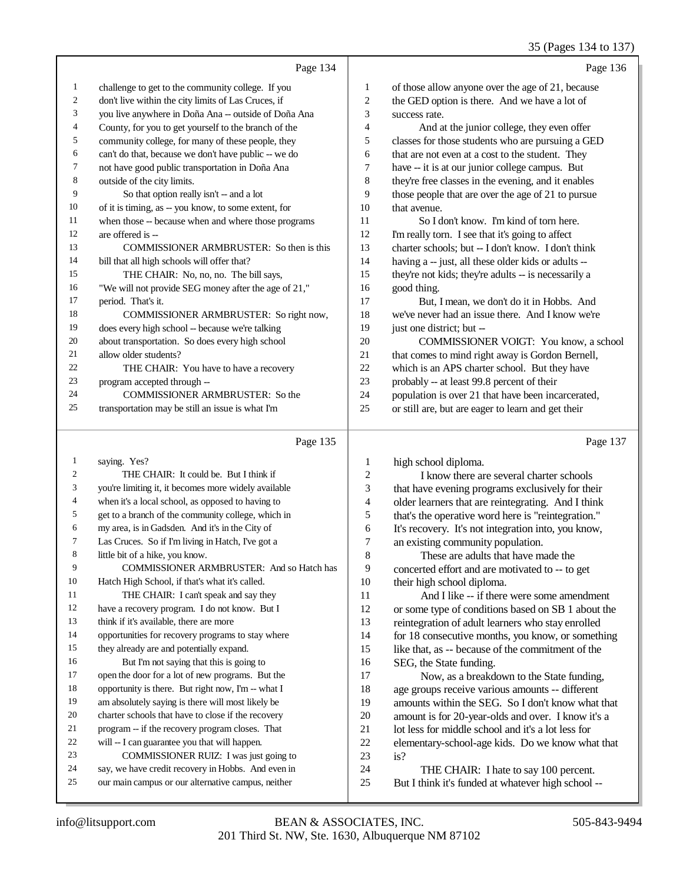|              |                                                      |                | $33$ (1 ages 134 to 13)                              |
|--------------|------------------------------------------------------|----------------|------------------------------------------------------|
|              | Page 134                                             |                | Page 136                                             |
| $\mathbf{1}$ | challenge to get to the community college. If you    | 1              | of those allow anyone over the age of 21, because    |
| 2            | don't live within the city limits of Las Cruces, if  | $\overline{2}$ | the GED option is there. And we have a lot of        |
| 3            | you live anywhere in Doña Ana -- outside of Doña Ana | 3              | success rate.                                        |
| 4            | County, for you to get yourself to the branch of the | $\overline{4}$ | And at the junior college, they even offer           |
| 5            | community college, for many of these people, they    | 5              | classes for those students who are pursuing a GED    |
| 6            | can't do that, because we don't have public -- we do | 6              | that are not even at a cost to the student. They     |
| 7            | not have good public transportation in Doña Ana      | 7              | have -- it is at our junior college campus. But      |
| 8            | outside of the city limits.                          | 8              | they're free classes in the evening, and it enables  |
| 9            | So that option really isn't -- and a lot             | 9              | those people that are over the age of 21 to pursue   |
| 10           | of it is timing, as -- you know, to some extent, for | 10             | that avenue.                                         |
| 11           | when those -- because when and where those programs  | 11             | So I don't know. I'm kind of torn here.              |
| 12           | are offered is --                                    | 12             | I'm really torn. I see that it's going to affect     |
| 13           | COMMISSIONER ARMBRUSTER: So then is this             | 13             | charter schools; but -- I don't know. I don't think  |
| 14           | bill that all high schools will offer that?          | 14             | having a -- just, all these older kids or adults --  |
| 15           | THE CHAIR: No, no, no. The bill says,                | 15             | they're not kids; they're adults -- is necessarily a |
| 16           | "We will not provide SEG money after the age of 21," | 16             | good thing.                                          |
| 17           | period. That's it.                                   | 17             | But, I mean, we don't do it in Hobbs. And            |
| 18           | COMMISSIONER ARMBRUSTER: So right now,               | 18             | we've never had an issue there. And I know we're     |
| 19           | does every high school -- because we're talking      | 19             | just one district; but --                            |
| 20           | about transportation. So does every high school      | 20             | COMMISSIONER VOIGT: You know, a school               |
| 21           | allow older students?                                | 21             | that comes to mind right away is Gordon Bernell,     |
| 22           | THE CHAIR: You have to have a recovery               | 22             | which is an APS charter school. But they have        |
| 23           | program accepted through --                          | 23             | probably -- at least 99.8 percent of their           |
| 24           | <b>COMMISSIONER ARMBRUSTER: So the</b>               | 24             | population is over 21 that have been incarcerated,   |
| 25           | transportation may be still an issue is what I'm     | 25             | or still are, but are eager to learn and get their   |
|              | Page 135                                             |                | Page 137                                             |

 saying. Yes? THE CHAIR: It could be. But I think if you're limiting it, it becomes more widely available when it's a local school, as opposed to having to get to a branch of the community college, which in my area, is in Gadsden. And it's in the City of Las Cruces. So if I'm living in Hatch, I've got a little bit of a hike, you know. COMMISSIONER ARMBRUSTER: And so Hatch has Hatch High School, if that's what it's called. 11 THE CHAIR: I can't speak and say they have a recovery program. I do not know. But I 13 think if it's available, there are more opportunities for recovery programs to stay where they already are and potentially expand. But I'm not saying that this is going to open the door for a lot of new programs. But the opportunity is there. But right now, I'm -- what I am absolutely saying is there will most likely be charter schools that have to close if the recovery program -- if the recovery program closes. That will -- I can guarantee you that will happen. COMMISSIONER RUIZ: I was just going to say, we have credit recovery in Hobbs. And even in our main campus or our alternative campus, neither 1 high school diploma.<br>2 I know there are I know there are several charter schools that have evening programs exclusively for their older learners that are reintegrating. And I think 5 that's the operative word here is "reintegration."<br>6 It's recovery. It's not integration into, you know. It's recovery. It's not integration into, you know, 7 an existing community population.<br>8 These are adults that have m These are adults that have made the concerted effort and are motivated to -- to get 10 their high school diploma.<br>11 And I like -- if there And I like -- if there were some amendment or some type of conditions based on SB 1 about the reintegration of adult learners who stay enrolled for 18 consecutive months, you know, or something like that, as -- because of the commitment of the 16 SEG, the State funding.<br>17 Now, as a breakd Now, as a breakdown to the State funding, 18 age groups receive various amounts -- different<br>19 amounts within the SEG So I don't know what amounts within the SEG. So I don't know what that 20 amount is for 20-year-olds and over. I know it's a<br>21 lot less for middle school and it's a lot less for 21 lot less for middle school and it's a lot less for<br>22 elementary-school-age kids. Do we know wh elementary-school-age kids. Do we know what that is? THE CHAIR: I hate to say 100 percent. But I think it's funded at whatever high school --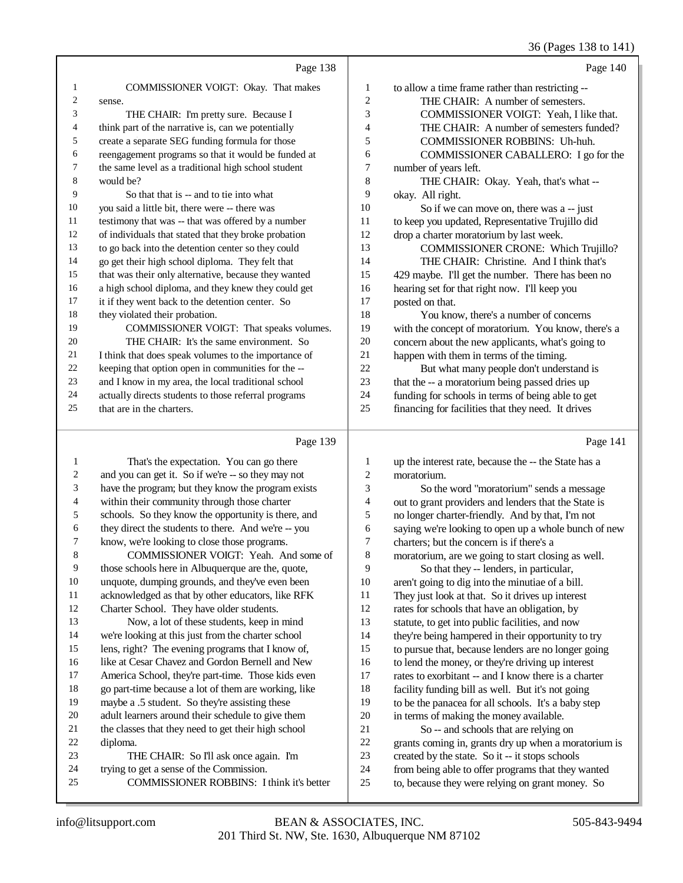## 36 (Pages 138 to 141)

|                | Page 138                                             |                | Page 140                                            |
|----------------|------------------------------------------------------|----------------|-----------------------------------------------------|
| 1              | COMMISSIONER VOIGT: Okay. That makes                 | 1              | to allow a time frame rather than restricting --    |
| $\overline{c}$ | sense.                                               | $\overline{2}$ | THE CHAIR: A number of semesters.                   |
| 3              | THE CHAIR: I'm pretty sure. Because I                | 3              | COMMISSIONER VOIGT: Yeah, I like that.              |
| 4              | think part of the narrative is, can we potentially   | 4              | THE CHAIR: A number of semesters funded?            |
| 5              | create a separate SEG funding formula for those      | 5              | <b>COMMISSIONER ROBBINS: Uh-huh.</b>                |
| 6              | reengagement programs so that it would be funded at  | 6              | COMMISSIONER CABALLERO: I go for the                |
| 7              | the same level as a traditional high school student  | 7              | number of years left.                               |
| 8              | would be?                                            | 8              | THE CHAIR: Okay. Yeah, that's what --               |
| 9              | So that that is -- and to tie into what              | 9              | okay. All right.                                    |
| 10             | you said a little bit, there were -- there was       | 10             | So if we can move on, there was a -- just           |
| 11             | testimony that was -- that was offered by a number   | 11             | to keep you updated, Representative Trujillo did    |
| 12             | of individuals that stated that they broke probation | 12             | drop a charter moratorium by last week.             |
| 13             | to go back into the detention center so they could   | 13             | COMMISSIONER CRONE: Which Trujillo?                 |
| 14             | go get their high school diploma. They felt that     | 14             | THE CHAIR: Christine. And I think that's            |
| 15             | that was their only alternative, because they wanted | 15             | 429 maybe. I'll get the number. There has been no   |
| 16             | a high school diploma, and they knew they could get  | 16             | hearing set for that right now. I'll keep you       |
| 17             | it if they went back to the detention center. So     | 17             | posted on that.                                     |
| 18             | they violated their probation.                       | 18             | You know, there's a number of concerns              |
| 19             | COMMISSIONER VOIGT: That speaks volumes.             | 19             | with the concept of moratorium. You know, there's a |
| 20             | THE CHAIR: It's the same environment. So             | 20             | concern about the new applicants, what's going to   |
| 21             | I think that does speak volumes to the importance of | 21             | happen with them in terms of the timing.            |
| 22             | keeping that option open in communities for the --   | 22             | But what many people don't understand is            |
| 23             | and I know in my area, the local traditional school  | 23             | that the -- a moratorium being passed dries up      |
| 24             | actually directs students to those referral programs | 24             | funding for schools in terms of being able to get   |
| 25             | that are in the charters.                            | 25             | financing for facilities that they need. It drives  |
|                | Page 139                                             |                | Page 141                                            |

## Page 139 |

| 1              | That's the expectation. You can go there             | 1              | up the interest rate, because the -- the State has a |
|----------------|------------------------------------------------------|----------------|------------------------------------------------------|
| 2              | and you can get it. So if we're -- so they may not   | $\overline{c}$ | moratorium.                                          |
| 3              | have the program; but they know the program exists   | 3              | So the word "moratorium" sends a message             |
| $\overline{4}$ | within their community through those charter         | 4              | out to grant providers and lenders that the State is |
| 5              | schools. So they know the opportunity is there, and  | 5              | no longer charter-friendly. And by that, I'm not     |
| 6              | they direct the students to there. And we're -- you  | 6              | saying we're looking to open up a whole bunch of new |
| 7              | know, we're looking to close those programs.         | 7              | charters; but the concern is if there's a            |
| 8              | COMMISSIONER VOIGT: Yeah. And some of                | 8              | moratorium, are we going to start closing as well.   |
| 9              | those schools here in Albuquerque are the, quote,    | 9              | So that they -- lenders, in particular,              |
| 10             | unquote, dumping grounds, and they've even been      | 10             | aren't going to dig into the minutiae of a bill.     |
| 11             | acknowledged as that by other educators, like RFK    | 11             | They just look at that. So it drives up interest     |
| 12             | Charter School. They have older students.            | 12             | rates for schools that have an obligation, by        |
| 13             | Now, a lot of these students, keep in mind           | 13             | statute, to get into public facilities, and now      |
| 14             | we're looking at this just from the charter school   | 14             | they're being hampered in their opportunity to try   |
| 15             | lens, right? The evening programs that I know of,    | 15             | to pursue that, because lenders are no longer going  |
| 16             | like at Cesar Chavez and Gordon Bernell and New      | 16             | to lend the money, or they're driving up interest    |
| 17             | America School, they're part-time. Those kids even   | 17             | rates to exorbitant -- and I know there is a charter |
| 18             | go part-time because a lot of them are working, like | 18             | facility funding bill as well. But it's not going    |
| 19             | maybe a .5 student. So they're assisting these       | 19             | to be the panacea for all schools. It's a baby step  |
| 20             | adult learners around their schedule to give them    | 20             | in terms of making the money available.              |
| 21             | the classes that they need to get their high school  | 21             | So -- and schools that are relying on                |
| 22             | diploma.                                             | 22             | grants coming in, grants dry up when a moratorium is |
| 23             | THE CHAIR: So I'll ask once again. I'm               | 23             | created by the state. So it -- it stops schools      |
| 24             | trying to get a sense of the Commission.             | 24             | from being able to offer programs that they wanted   |
| 25             | <b>COMMISSIONER ROBBINS: I think it's better</b>     | 25             | to, because they were relying on grant money. So     |
|                |                                                      |                |                                                      |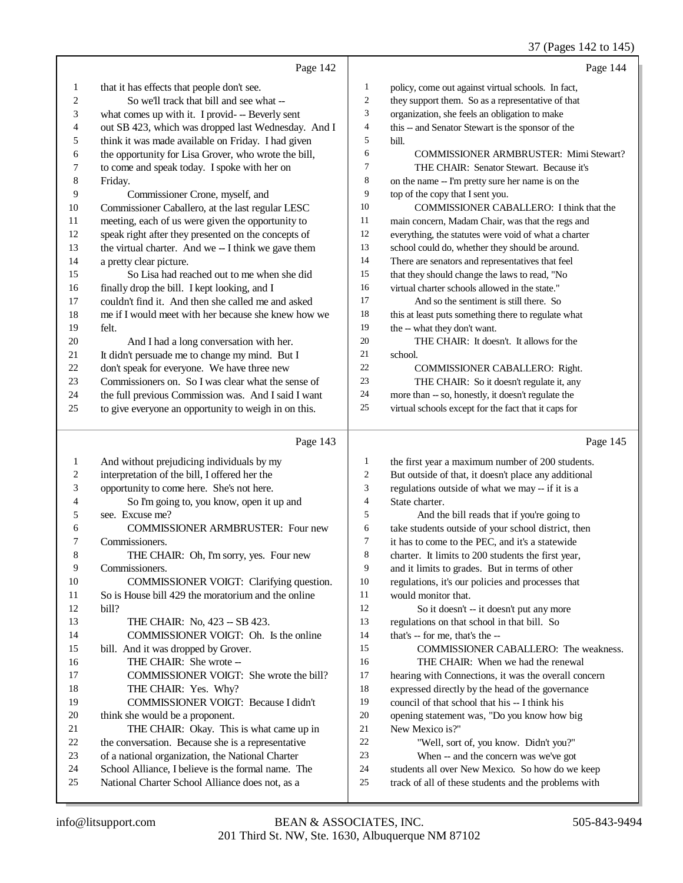# 37 (Pages 142 to 145)

|                | Page 142                                                                                   |                | Page 144                                                                                                 |
|----------------|--------------------------------------------------------------------------------------------|----------------|----------------------------------------------------------------------------------------------------------|
| $\mathbf{1}$   | that it has effects that people don't see.                                                 | 1              | policy, come out against virtual schools. In fact,                                                       |
| $\overline{c}$ | So we'll track that bill and see what --                                                   | 2              | they support them. So as a representative of that                                                        |
| 3              | what comes up with it. I provid- -- Beverly sent                                           | 3              | organization, she feels an obligation to make                                                            |
| 4              | out SB 423, which was dropped last Wednesday. And I                                        | 4              | this -- and Senator Stewart is the sponsor of the                                                        |
| 5              | think it was made available on Friday. I had given                                         | 5              | bill.                                                                                                    |
| 6              | the opportunity for Lisa Grover, who wrote the bill,                                       | 6              | <b>COMMISSIONER ARMBRUSTER: Mimi Stewart?</b>                                                            |
| 7              | to come and speak today. I spoke with her on                                               | 7              | THE CHAIR: Senator Stewart. Because it's                                                                 |
| $\,8$          | Friday.                                                                                    | $\,8\,$        | on the name -- I'm pretty sure her name is on the                                                        |
| 9              | Commissioner Crone, myself, and                                                            | 9              | top of the copy that I sent you.                                                                         |
| $10\,$         | Commissioner Caballero, at the last regular LESC                                           | 10             | COMMISSIONER CABALLERO: I think that the                                                                 |
| 11             | meeting, each of us were given the opportunity to                                          | 11             | main concern, Madam Chair, was that the regs and                                                         |
| 12             | speak right after they presented on the concepts of                                        | 12             | everything, the statutes were void of what a charter                                                     |
| 13             | the virtual charter. And we -- I think we gave them                                        | 13             | school could do, whether they should be around.                                                          |
| 14             | a pretty clear picture.                                                                    | 14             | There are senators and representatives that feel                                                         |
| 15             | So Lisa had reached out to me when she did                                                 | 15             | that they should change the laws to read, "No                                                            |
| 16             | finally drop the bill. I kept looking, and I                                               | 16             | virtual charter schools allowed in the state."                                                           |
| 17             | couldn't find it. And then she called me and asked                                         | 17             | And so the sentiment is still there. So                                                                  |
| 18             | me if I would meet with her because she knew how we                                        | $18\,$         | this at least puts something there to regulate what                                                      |
| 19             | felt.                                                                                      | 19             | the -- what they don't want.                                                                             |
| $20\,$         | And I had a long conversation with her.                                                    | 20             | THE CHAIR: It doesn't. It allows for the                                                                 |
| $21\,$         | It didn't persuade me to change my mind. But I                                             | 21             | school.                                                                                                  |
| $22\,$         | don't speak for everyone. We have three new                                                | 22             | COMMISSIONER CABALLERO: Right.                                                                           |
| 23             | Commissioners on. So I was clear what the sense of                                         | 23             | THE CHAIR: So it doesn't regulate it, any                                                                |
| 24             | the full previous Commission was. And I said I want                                        | $24\,$         | more than -- so, honestly, it doesn't regulate the                                                       |
| 25             | to give everyone an opportunity to weigh in on this.                                       | 25             | virtual schools except for the fact that it caps for                                                     |
|                |                                                                                            |                |                                                                                                          |
|                |                                                                                            |                |                                                                                                          |
|                | Page 143                                                                                   |                | Page 145                                                                                                 |
| $\mathbf{1}$   |                                                                                            | 1              |                                                                                                          |
| $\overline{c}$ | And without prejudicing individuals by my                                                  | $\overline{c}$ | the first year a maximum number of 200 students.                                                         |
| 3              | interpretation of the bill, I offered her the<br>opportunity to come here. She's not here. | 3              | But outside of that, it doesn't place any additional<br>regulations outside of what we may -- if it is a |
| 4              | So I'm going to, you know, open it up and                                                  | $\overline{4}$ | State charter.                                                                                           |
| 5              | see. Excuse me?                                                                            | 5              |                                                                                                          |
| 6              | <b>COMMISSIONER ARMBRUSTER: Four new</b>                                                   | 6              | And the bill reads that if you're going to<br>take students outside of your school district, then        |
| 7              | Commissioners.                                                                             | $\tau$         | it has to come to the PEC, and it's a statewide                                                          |
| 8              | THE CHAIR: Oh, I'm sorry, yes. Four new                                                    | 8              | charter. It limits to 200 students the first year,                                                       |
| 9              | Commissioners.                                                                             | 9              | and it limits to grades. But in terms of other                                                           |
| 10             | COMMISSIONER VOIGT: Clarifying question.                                                   | 10             | regulations, it's our policies and processes that                                                        |
| 11             | So is House bill 429 the moratorium and the online                                         | 11             | would monitor that.                                                                                      |
| 12             | bill?                                                                                      | 12             | So it doesn't -- it doesn't put any more                                                                 |
| 13             | THE CHAIR: No, 423 - SB 423.                                                               | 13             | regulations on that school in that bill. So                                                              |
| 14             | COMMISSIONER VOIGT: Oh. Is the online                                                      | 14             | that's -- for me, that's the --                                                                          |
| 15             | bill. And it was dropped by Grover.                                                        | 15             | COMMISSIONER CABALLERO: The weakness.                                                                    |
| 16             | THE CHAIR: She wrote --                                                                    | 16             | THE CHAIR: When we had the renewal                                                                       |
| 17             | COMMISSIONER VOIGT: She wrote the bill?                                                    | 17             | hearing with Connections, it was the overall concern                                                     |
| 18             | THE CHAIR: Yes. Why?                                                                       | 18             | expressed directly by the head of the governance                                                         |
| 19             | COMMISSIONER VOIGT: Because I didn't                                                       | 19             | council of that school that his -- I think his                                                           |
| 20             | think she would be a proponent.                                                            | $20\,$         | opening statement was, "Do you know how big                                                              |
| 21             | THE CHAIR: Okay. This is what came up in                                                   | 21             | New Mexico is?"                                                                                          |
| 22             | the conversation. Because she is a representative                                          | 22             | "Well, sort of, you know. Didn't you?"                                                                   |
| 23             | of a national organization, the National Charter                                           | 23             | When -- and the concern was we've got                                                                    |
| 24             | School Alliance, I believe is the formal name. The                                         | $24\,$         | students all over New Mexico. So how do we keep                                                          |
| 25             | National Charter School Alliance does not, as a                                            | 25             | track of all of these students and the problems with                                                     |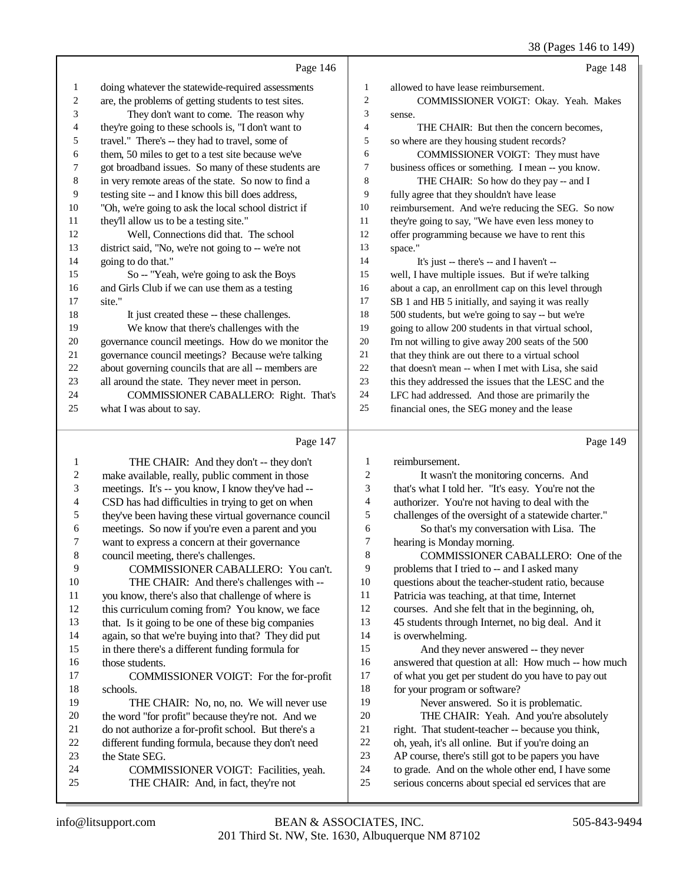### 38 (Pages 146 to 149)

|                  |                                                      |                  | 38 (Pages 146 to 149)                                |
|------------------|------------------------------------------------------|------------------|------------------------------------------------------|
|                  | Page 146                                             |                  | Page 148                                             |
| $\mathbf{1}$     | doing whatever the statewide-required assessments    | $\mathbf{1}$     | allowed to have lease reimbursement.                 |
| 2                | are, the problems of getting students to test sites. | $\boldsymbol{2}$ | COMMISSIONER VOIGT: Okay. Yeah. Makes                |
| 3                | They don't want to come. The reason why              | $\mathfrak{Z}$   | sense.                                               |
| 4                | they're going to these schools is, "I don't want to  | $\overline{4}$   | THE CHAIR: But then the concern becomes,             |
| 5                | travel." There's -- they had to travel, some of      | 5                | so where are they housing student records?           |
| 6                | them, 50 miles to get to a test site because we've   | 6                | COMMISSIONER VOIGT: They must have                   |
| 7                | got broadband issues. So many of these students are  | 7                | business offices or something. I mean -- you know.   |
| 8                | in very remote areas of the state. So now to find a  | 8                | THE CHAIR: So how do they pay -- and I               |
| 9                | testing site -- and I know this bill does address,   | 9                | fully agree that they shouldn't have lease           |
| 10               | "Oh, we're going to ask the local school district if | 10               | reimbursement. And we're reducing the SEG. So now    |
| 11               | they'll allow us to be a testing site."              | 11               | they're going to say, "We have even less money to    |
| 12               | Well, Connections did that. The school               | 12               | offer programming because we have to rent this       |
| 13               | district said, "No, we're not going to -- we're not  | 13               | space."                                              |
| 14               | going to do that."                                   | 14               | It's just -- there's -- and I haven't --             |
| 15               | So -- "Yeah, we're going to ask the Boys             | 15               | well, I have multiple issues. But if we're talking   |
| 16               | and Girls Club if we can use them as a testing       | 16               | about a cap, an enrollment cap on this level through |
| 17               | site."                                               | 17               | SB 1 and HB 5 initially, and saying it was really    |
| 18               | It just created these -- these challenges.           | 18               | 500 students, but we're going to say -- but we're    |
| 19               | We know that there's challenges with the             | 19               | going to allow 200 students in that virtual school,  |
| 20               | governance council meetings. How do we monitor the   | 20               | I'm not willing to give away 200 seats of the 500    |
| 21               | governance council meetings? Because we're talking   | 21               | that they think are out there to a virtual school    |
| 22               | about governing councils that are all -- members are | $22\,$           | that doesn't mean -- when I met with Lisa, she said  |
| 23               | all around the state. They never meet in person.     | 23               | this they addressed the issues that the LESC and the |
| 24               | COMMISSIONER CABALLERO: Right. That's                | 24               | LFC had addressed. And those are primarily the       |
| 25               | what I was about to say.                             | 25               | financial ones, the SEG money and the lease          |
|                  | Page 147                                             |                  | Page 149                                             |
| 1                | THE CHAIR: And they don't -- they don't              | 1                | reimbursement.                                       |
| $\boldsymbol{2}$ | make available, really, public comment in those      | $\boldsymbol{2}$ | It wasn't the monitoring concerns. And               |
| 3                | meetings. It's -- you know, I know they've had --    | 3                | that's what I told her. "It's easy. You're not the   |
| 4                | CSD has had difficulties in trying to get on when    | 4                | authorizer. You're not having to deal with the       |
| 5                | they've been having these virtual governance council | 5                | challenges of the oversight of a statewide charter." |
| 6                | meetings. So now if you're even a parent and you     | 6                | So that's my conversation with Lisa. The             |
| 7                | want to express a concern at their governance        | 7                | hearing is Monday morning.                           |
| 8                | council meeting, there's challenges.                 | 8                | COMMISSIONER CABALLERO: One of the                   |
| 9                | COMMISSIONER CABALLERO: You can't.                   | 9                | problems that I tried to -- and I asked many         |
| 10               | THE CHAIR: And there's challenges with --            | 10               | questions about the teacher-student ratio, because   |
| 11               | you know, there's also that challenge of where is    | 11               | Patricia was teaching, at that time, Internet        |
| 12               | this curriculum coming from? You know, we face       | 12               | courses. And she felt that in the beginning, oh,     |
| 13               | that. Is it going to be one of these big companies   | 13               | 45 students through Internet, no big deal. And it    |
| 14               | again, so that we're buying into that? They did put  | 14               | is overwhelming.                                     |
| 15               | in there there's a different funding formula for     | 15               | And they never answered -- they never                |
| 16               | those students.                                      | 16               | answered that question at all: How much -- how much  |
| 17               | COMMISSIONER VOIGT: For the for-profit               | 17               | of what you get per student do you have to pay out   |
| 18               | schools.                                             | 18               | for your program or software?                        |

 THE CHAIR: No, no, no. We will never use 20 the word "for profit" because they're not. And we<br>21 do not authorize a for-profit school. But there's a 21 do not authorize a for-profit school. But there's a<br>22 different funding formula, because they don't need 22 different funding formula, because they don't need<br>23 the State SEG. 23 the State SEG.<br>24 COMMI

24 COMMISSIONER VOIGT: Facilities, yeah.<br>25 THE CHAIR: And. in fact. they're not THE CHAIR: And, in fact, they're not

Never answered. So it is problematic.

THE CHAIR: Yeah. And you're absolutely

 right. That student-teacher -- because you think, oh, yeah, it's all online. But if you're doing an

AP course, there's still got to be papers you have

to grade. And on the whole other end, I have some

serious concerns about special ed services that are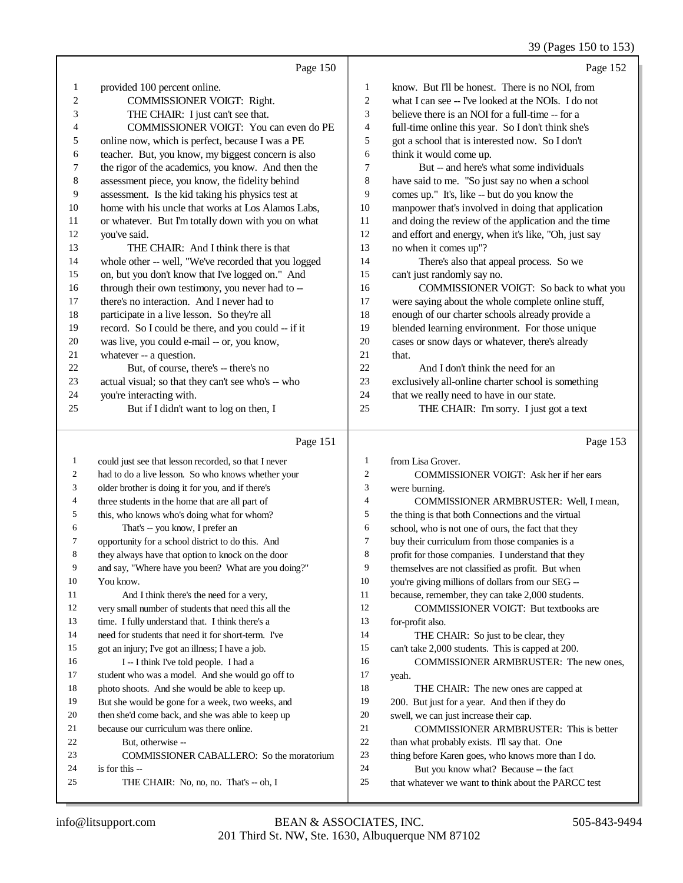## 39 (Pages 150 to 153)

|    |                                                      |                | $52 \times 10^{10}$ is to the $155$                  |
|----|------------------------------------------------------|----------------|------------------------------------------------------|
|    | Page 150                                             |                | Page 152                                             |
| 1  | provided 100 percent online.                         | 1              | know. But I'll be honest. There is no NOI, from      |
| 2  | COMMISSIONER VOIGT: Right.                           | $\overline{2}$ | what I can see -- I've looked at the NOIs. I do not  |
| 3  | THE CHAIR: I just can't see that.                    | 3              | believe there is an NOI for a full-time -- for a     |
| 4  | COMMISSIONER VOIGT: You can even do PE               | $\overline{4}$ | full-time online this year. So I don't think she's   |
| 5  | online now, which is perfect, because I was a PE     | 5              | got a school that is interested now. So I don't      |
| 6  | teacher. But, you know, my biggest concern is also   | 6              | think it would come up.                              |
| 7  | the rigor of the academics, you know. And then the   | 7              | But -- and here's what some individuals              |
| 8  | assessment piece, you know, the fidelity behind      | 8              | have said to me. "So just say no when a school       |
| 9  | assessment. Is the kid taking his physics test at    | 9              | comes up." It's, like -- but do you know the         |
| 10 | home with his uncle that works at Los Alamos Labs,   | 10             | manpower that's involved in doing that application   |
| 11 | or whatever. But I'm totally down with you on what   | 11             | and doing the review of the application and the time |
| 12 | you've said.                                         | 12             | and effort and energy, when it's like, "Oh, just say |
| 13 | THE CHAIR: And I think there is that                 | 13             | no when it comes up"?                                |
| 14 | whole other -- well, "We've recorded that you logged | 14             | There's also that appeal process. So we              |
| 15 | on, but you don't know that I've logged on." And     | 15             | can't just randomly say no.                          |
| 16 | through their own testimony, you never had to --     | 16             | COMMISSIONER VOIGT: So back to what you              |
| 17 | there's no interaction. And I never had to           | 17             | were saying about the whole complete online stuff,   |
| 18 | participate in a live lesson. So they're all         | 18             | enough of our charter schools already provide a      |
| 19 | record. So I could be there, and you could -- if it  | 19             | blended learning environment. For those unique       |
| 20 | was live, you could e-mail -- or, you know,          | 20             | cases or snow days or whatever, there's already      |
| 21 | whatever -- a question.                              | 21             | that.                                                |
| 22 | But, of course, there's -- there's no                | 22             | And I don't think the need for an                    |
| 23 | actual visual; so that they can't see who's -- who   | 23             | exclusively all-online charter school is something   |
| 24 | you're interacting with.                             | 24             | that we really need to have in our state.            |
| 25 | But if I didn't want to log on then, I               | 25             | THE CHAIR: I'm sorry. I just got a text              |
|    | Page 151                                             |                | Page 153                                             |
| 1  | could just see that lesson recorded, so that I never | 1              | from Lisa Grover.                                    |

| 1              | could just see that lesson recorded, so that I never | 1              | from Lisa Grover.                                   |
|----------------|------------------------------------------------------|----------------|-----------------------------------------------------|
| $\overline{c}$ | had to do a live lesson. So who knows whether your   | $\overline{c}$ | COMMISSIONER VOIGT: Ask her if her ears             |
| 3              | older brother is doing it for you, and if there's    | 3              | were burning.                                       |
| 4              | three students in the home that are all part of      | 4              | COMMISSIONER ARMBRUSTER: Well, I mean,              |
| 5              | this, who knows who's doing what for whom?           | 5              | the thing is that both Connections and the virtual  |
| 6              | That's -- you know, I prefer an                      | 6              | school, who is not one of ours, the fact that they  |
| 7              | opportunity for a school district to do this. And    | 7              | buy their curriculum from those companies is a      |
| 8              | they always have that option to knock on the door    | 8              | profit for those companies. I understand that they  |
| 9              | and say, "Where have you been? What are you doing?"  | 9              | themselves are not classified as profit. But when   |
| 10             | You know.                                            | 10             | you're giving millions of dollars from our SEG --   |
| 11             | And I think there's the need for a very,             | 11             | because, remember, they can take 2,000 students.    |
| 12             | very small number of students that need this all the | 12             | <b>COMMISSIONER VOIGT: But textbooks are</b>        |
| 13             | time. I fully understand that. I think there's a     | 13             | for-profit also.                                    |
| 14             | need for students that need it for short-term. I've  | 14             | THE CHAIR: So just to be clear, they                |
| 15             | got an injury; I've got an illness; I have a job.    | 15             | can't take 2,000 students. This is capped at 200.   |
| 16             | I -- I think I've told people. I had a               | 16             | COMMISSIONER ARMBRUSTER: The new ones,              |
| 17             | student who was a model. And she would go off to     | 17             | yeah.                                               |
| 18             | photo shoots. And she would be able to keep up.      | 18             | THE CHAIR: The new ones are capped at               |
| 19             | But she would be gone for a week, two weeks, and     | 19             | 200. But just for a year. And then if they do       |
| 20             | then she'd come back, and she was able to keep up    | 20             | swell, we can just increase their cap.              |
| 21             | because our curriculum was there online.             | 21             | <b>COMMISSIONER ARMBRUSTER: This is better</b>      |
| 22             | But, otherwise --                                    | 22             | than what probably exists. I'll say that. One       |
| 23             | <b>COMMISSIONER CABALLERO:</b> So the moratorium     | 23             | thing before Karen goes, who knows more than I do.  |
| 24             | is for this $-$                                      | 24             | But you know what? Because -- the fact              |
| 25             | THE CHAIR: No, no, no. That's -- oh, I               | 25             | that whatever we want to think about the PARCC test |
|                |                                                      |                |                                                     |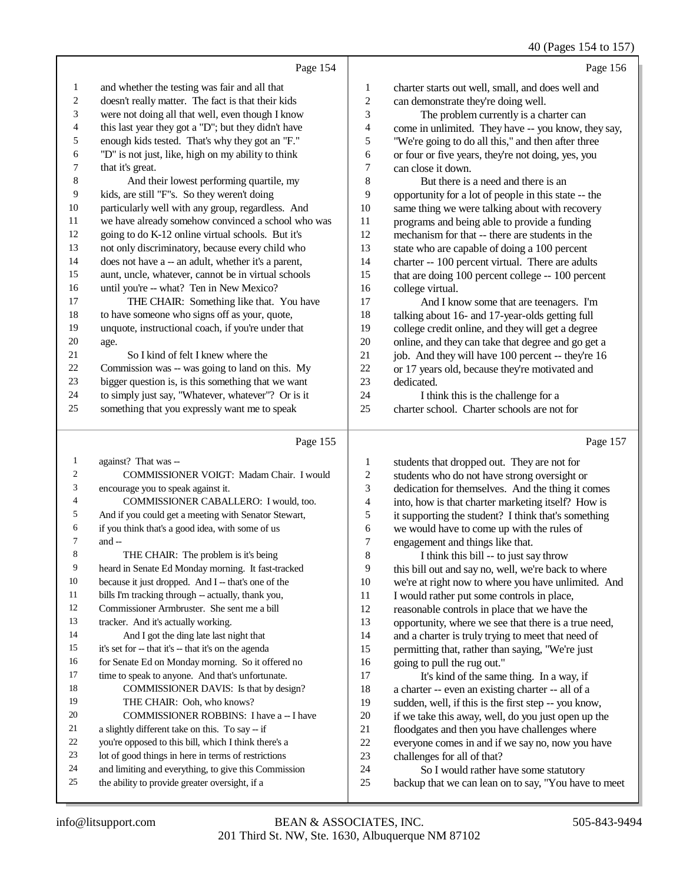40 (Pages 154 to 157)

| 40 (Fages 154 to 157) |                |               |  |
|-----------------------|----------------|---------------|--|
|                       | $\blacksquare$ | $\sim$ $\sim$ |  |

|                | Page 154                                             |                | Page 156                                                                                                  |
|----------------|------------------------------------------------------|----------------|-----------------------------------------------------------------------------------------------------------|
| $\mathbf{1}$   | and whether the testing was fair and all that        | 1              | charter starts out well, small, and does well and                                                         |
| 2              | doesn't really matter. The fact is that their kids   | $\overline{c}$ | can demonstrate they're doing well.                                                                       |
| 3              | were not doing all that well, even though I know     | 3              | The problem currently is a charter can                                                                    |
| 4              | this last year they got a "D"; but they didn't have  | 4              | come in unlimited. They have -- you know, they say,                                                       |
| 5              | enough kids tested. That's why they got an "F."      | 5              | "We're going to do all this," and then after three                                                        |
| 6              | "D" is not just, like, high on my ability to think   | 6              | or four or five years, they're not doing, yes, you                                                        |
| 7              | that it's great.                                     | 7              | can close it down.                                                                                        |
| $\,8\,$        | And their lowest performing quartile, my             | $\,$ 8 $\,$    | But there is a need and there is an                                                                       |
| 9              | kids, are still "F"s. So they weren't doing          | 9              | opportunity for a lot of people in this state -- the                                                      |
| 10             | particularly well with any group, regardless. And    | $10\,$         | same thing we were talking about with recovery                                                            |
| 11             | we have already somehow convinced a school who was   | 11             | programs and being able to provide a funding                                                              |
| 12             | going to do K-12 online virtual schools. But it's    | 12             | mechanism for that -- there are students in the                                                           |
| 13             | not only discriminatory, because every child who     | 13             | state who are capable of doing a 100 percent                                                              |
| 14             | does not have a -- an adult, whether it's a parent,  | 14             | charter -- 100 percent virtual. There are adults                                                          |
| 15             | aunt, uncle, whatever, cannot be in virtual schools  | 15             | that are doing 100 percent college -- 100 percent                                                         |
| 16             | until you're -- what? Ten in New Mexico?             | 16             | college virtual.                                                                                          |
| 17             | THE CHAIR: Something like that. You have             | 17             | And I know some that are teenagers. I'm                                                                   |
| 18             | to have someone who signs off as your, quote,        | 18             | talking about 16- and 17-year-olds getting full                                                           |
| 19             | unquote, instructional coach, if you're under that   | 19             | college credit online, and they will get a degree                                                         |
| 20             | age.                                                 | $20\,$         | online, and they can take that degree and go get a                                                        |
| 21             | So I kind of felt I knew where the                   | 21             | job. And they will have 100 percent -- they're 16                                                         |
| 22             | Commission was -- was going to land on this. My      | $22\,$         | or 17 years old, because they're motivated and                                                            |
| 23             | bigger question is, is this something that we want   | 23             | dedicated.                                                                                                |
| 24             | to simply just say, "Whatever, whatever"? Or is it   | 24             | I think this is the challenge for a                                                                       |
| 25             | something that you expressly want me to speak        | 25             | charter school. Charter schools are not for                                                               |
|                |                                                      |                |                                                                                                           |
|                |                                                      |                |                                                                                                           |
|                | Page 155                                             |                | Page 157                                                                                                  |
| $\mathbf{1}$   | against? That was --                                 | 1              | students that dropped out. They are not for                                                               |
| $\overline{2}$ | COMMISSIONER VOIGT: Madam Chair. I would             | $\overline{c}$ | students who do not have strong oversight or                                                              |
| 3              | encourage you to speak against it.                   | 3              | dedication for themselves. And the thing it comes                                                         |
| $\overline{4}$ | COMMISSIONER CABALLERO: I would, too.                | 4              | into, how is that charter marketing itself? How is                                                        |
| 5              | And if you could get a meeting with Senator Stewart, | $\mathfrak s$  | it supporting the student? I think that's something                                                       |
| 6              | if you think that's a good idea, with some of us     | 6              | we would have to come up with the rules of                                                                |
| 7              | and --                                               | 7              | engagement and things like that.                                                                          |
| 8              | THE CHAIR: The problem is it's being                 | 8              | I think this bill -- to just say throw                                                                    |
| 9              | heard in Senate Ed Monday morning. It fast-tracked   | 9              | this bill out and say no, well, we're back to where                                                       |
| 10             | because it just dropped. And I -- that's one of the  | 10             | we're at right now to where you have unlimited. And                                                       |
| 11             | bills I'm tracking through -- actually, thank you,   | 11             | I would rather put some controls in place,                                                                |
| 12             | Commissioner Armbruster. She sent me a bill          | 12             | reasonable controls in place that we have the                                                             |
| 13             | tracker. And it's actually working.                  | 13             | opportunity, where we see that there is a true need,                                                      |
| 14             | And I got the ding late last night that              | 14             | and a charter is truly trying to meet that need of                                                        |
| 15             | it's set for -- that it's -- that it's on the agenda | 15             | permitting that, rather than saying, "We're just                                                          |
| 16             | for Senate Ed on Monday morning. So it offered no    | 16             | going to pull the rug out."                                                                               |
| 17             | time to speak to anyone. And that's unfortunate.     | 17             | It's kind of the same thing. In a way, if                                                                 |
| 18             | COMMISSIONER DAVIS: Is that by design?               | 18             |                                                                                                           |
| 19             | THE CHAIR: Ooh, who knows?                           | 19             | a charter -- even an existing charter -- all of a<br>sudden, well, if this is the first step -- you know, |
| 20             | COMMISSIONER ROBBINS: I have a -- I have             | $20\,$         | if we take this away, well, do you just open up the                                                       |
| 21             | a slightly different take on this. To say -- if      | 21             | floodgates and then you have challenges where                                                             |
| 22             | you're opposed to this bill, which I think there's a | $22\,$         | everyone comes in and if we say no, now you have                                                          |
| 23             | lot of good things in here in terms of restrictions  | 23             | challenges for all of that?                                                                               |
| 24             | and limiting and everything, to give this Commission | 24             | So I would rather have some statutory                                                                     |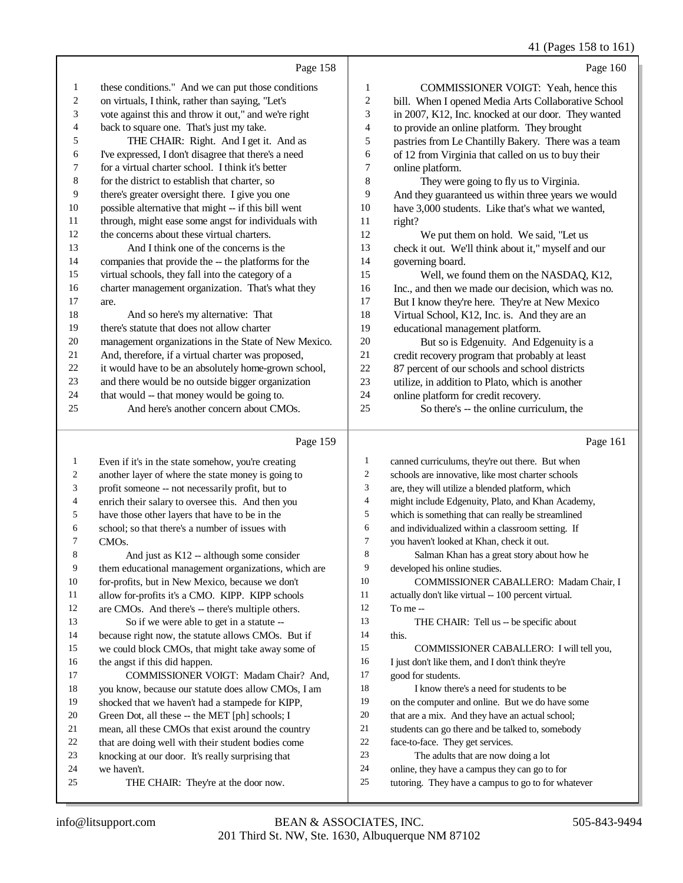41 (Pages 158 to 161)

|                | Page 158                                             |                         | Page 160                                            |
|----------------|------------------------------------------------------|-------------------------|-----------------------------------------------------|
| 1              | these conditions." And we can put those conditions   | $\mathbf{1}$            | COMMISSIONER VOIGT: Yeah, hence this                |
| $\overline{c}$ | on virtuals, I think, rather than saying, "Let's     | $\overline{\mathbf{c}}$ | bill. When I opened Media Arts Collaborative School |
| 3              | vote against this and throw it out," and we're right | 3                       | in 2007, K12, Inc. knocked at our door. They wanted |
| $\overline{4}$ | back to square one. That's just my take.             | 4                       | to provide an online platform. They brought         |
| 5              | THE CHAIR: Right. And I get it. And as               | 5                       | pastries from Le Chantilly Bakery. There was a team |
| 6              | I've expressed, I don't disagree that there's a need | 6                       | of 12 from Virginia that called on us to buy their  |
| $\tau$         | for a virtual charter school. I think it's better    | 7                       | online platform.                                    |
| 8              | for the district to establish that charter, so       | 8                       | They were going to fly us to Virginia.              |
| 9              | there's greater oversight there. I give you one      | 9                       | And they guaranteed us within three years we would  |
| 10             | possible alternative that might -- if this bill went | 10                      | have 3,000 students. Like that's what we wanted,    |
| 11             | through, might ease some angst for individuals with  | 11                      | right?                                              |
| 12             | the concerns about these virtual charters.           | 12                      | We put them on hold. We said, "Let us               |
| 13             | And I think one of the concerns is the               | 13                      | check it out. We'll think about it," myself and our |
| 14             | companies that provide the -- the platforms for the  | 14                      | governing board.                                    |
| 15             | virtual schools, they fall into the category of a    | 15                      | Well, we found them on the NASDAQ, K12,             |
| 16             | charter management organization. That's what they    | 16                      | Inc., and then we made our decision, which was no.  |
| 17             | are.                                                 | 17                      | But I know they're here. They're at New Mexico      |
| 18             | And so here's my alternative: That                   | 18                      | Virtual School, K12, Inc. is. And they are an       |
| 19             | there's statute that does not allow charter          | 19                      | educational management platform.                    |
| 20             | management organizations in the State of New Mexico. | 20                      | But so is Edgenuity. And Edgenuity is a             |
| 21             | And, therefore, if a virtual charter was proposed,   | 21                      | credit recovery program that probably at least      |
| 22             | it would have to be an absolutely home-grown school, | 22                      | 87 percent of our schools and school districts      |
| 23             | and there would be no outside bigger organization    | 23                      | utilize, in addition to Plato, which is another     |
| 24             | that would -- that money would be going to.          | 24                      | online platform for credit recovery.                |
| 25             | And here's another concern about CMOs.               | 25                      | So there's -- the online curriculum, the            |
|                | Page 159                                             |                         | Page 161                                            |
| 1              | Even if it's in the state somehow, you're creating   | 1                       | canned curriculums, they're out there. But when     |
| 2              | another layer of where the state money is going to   | 2                       | schools are innovative, like most charter schools   |
|                |                                                      |                         |                                                     |

| 3              | profit someone -- not necessarily profit, but to     | 3  | are, they will utilize a blended platform, which    |
|----------------|------------------------------------------------------|----|-----------------------------------------------------|
| $\overline{4}$ | enrich their salary to oversee this. And then you    | 4  | might include Edgenuity, Plato, and Khan Academy,   |
| 5              | have those other layers that have to be in the       | 5  | which is something that can really be streamlined   |
| 6              | school; so that there's a number of issues with      | 6  | and individualized within a classroom setting. If   |
| 7              | CMO <sub>s</sub> .                                   | 7  | you haven't looked at Khan, check it out.           |
| 8              | And just as $K12$ -- although some consider          | 8  | Salman Khan has a great story about how he          |
| 9              | them educational management organizations, which are | 9  | developed his online studies.                       |
| 10             | for-profits, but in New Mexico, because we don't     | 10 | COMMISSIONER CABALLERO: Madam Chair, I              |
| 11             | allow for-profits it's a CMO. KIPP. KIPP schools     | 11 | actually don't like virtual -- 100 percent virtual. |
| 12             | are CMOs. And there's -- there's multiple others.    | 12 | To me --                                            |
| 13             | So if we were able to get in a statute --            | 13 | THE CHAIR: Tell us -- be specific about             |
| 14             | because right now, the statute allows CMOs. But if   | 14 | this.                                               |
| 15             | we could block CMOs, that might take away some of    | 15 | COMMISSIONER CABALLERO: I will tell you,            |
| 16             | the angst if this did happen.                        | 16 | I just don't like them, and I don't think they're   |
| 17             | COMMISSIONER VOIGT: Madam Chair? And,                | 17 | good for students.                                  |
| 18             | you know, because our statute does allow CMOs, I am  | 18 | I know there's a need for students to be.           |
| 19             | shocked that we haven't had a stampede for KIPP,     | 19 | on the computer and online. But we do have some     |
| 20             | Green Dot, all these -- the MET [ph] schools; I      | 20 | that are a mix. And they have an actual school;     |
| 21             | mean, all these CMOs that exist around the country   | 21 | students can go there and be talked to, somebody    |
| 22             | that are doing well with their student bodies come   | 22 | face-to-face. They get services.                    |
| 23             | knocking at our door. It's really surprising that    | 23 | The adults that are now doing a lot                 |

- 22 face-to-face. They get services.<br>23 The adults that are now do
	- The adults that are now doing a lot
	- online, they have a campus they can go to for
	- tutoring. They have a campus to go to for whatever

24 we haven't.<br>25 THE

knocking at our door. It's really surprising that

THE CHAIR: They're at the door now.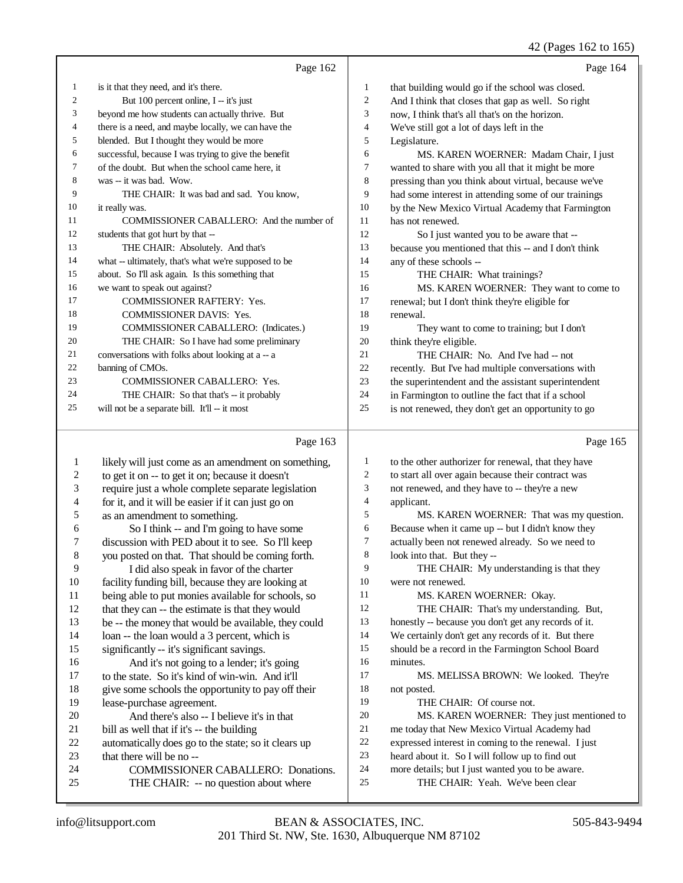# 42 (Pages 162 to 165)

|                | Page 162                                             |                | Page 164                                             |
|----------------|------------------------------------------------------|----------------|------------------------------------------------------|
| 1              | is it that they need, and it's there.                | 1              | that building would go if the school was closed.     |
| $\overline{2}$ | But 100 percent online, I -- it's just               | $\overline{2}$ | And I think that closes that gap as well. So right   |
| 3              | beyond me how students can actually thrive. But      | 3              | now, I think that's all that's on the horizon.       |
| 4              | there is a need, and maybe locally, we can have the  | 4              | We've still got a lot of days left in the            |
| 5              | blended. But I thought they would be more            | 5              | Legislature.                                         |
| 6              | successful, because I was trying to give the benefit | 6              | MS. KAREN WOERNER: Madam Chair, I just               |
| 7              | of the doubt. But when the school came here, it      | $\tau$         | wanted to share with you all that it might be more   |
| 8              | was -- it was bad. Wow.                              | 8              | pressing than you think about virtual, because we've |
| 9              | THE CHAIR: It was bad and sad. You know,             | 9              | had some interest in attending some of our trainings |
| 10             | it really was.                                       | 10             | by the New Mexico Virtual Academy that Farmington    |
| 11             | COMMISSIONER CABALLERO: And the number of            | 11             | has not renewed.                                     |
| 12             | students that got hurt by that --                    | 12             | So I just wanted you to be aware that --             |
| 13             | THE CHAIR: Absolutely. And that's                    | 13             | because you mentioned that this -- and I don't think |
| 14             | what -- ultimately, that's what we're supposed to be | 14             | any of these schools --                              |
| 15             | about. So I'll ask again. Is this something that     | 15             | THE CHAIR: What trainings?                           |
| 16             | we want to speak out against?                        | 16             | MS. KAREN WOERNER: They want to come to              |
| 17             | <b>COMMISSIONER RAFTERY: Yes.</b>                    | 17             | renewal; but I don't think they're eligible for      |
| 18             | <b>COMMISSIONER DAVIS: Yes.</b>                      | 18             | renewal.                                             |
| 19             | COMMISSIONER CABALLERO: (Indicates.)                 | 19             | They want to come to training; but I don't           |
| 20             | THE CHAIR: So I have had some preliminary            | 20             | think they're eligible.                              |
| 21             | conversations with folks about looking at a -- a     | 21             | THE CHAIR: No. And I've had -- not                   |
| 22             | banning of CMOs.                                     | 22             | recently. But I've had multiple conversations with   |
| 23             | <b>COMMISSIONER CABALLERO: Yes.</b>                  | 23             | the superintendent and the assistant superintendent  |
| 24             | THE CHAIR: So that that's -- it probably             | 24             | in Farmington to outline the fact that if a school   |
| 25             | will not be a separate bill. It'll -- it most        | 25             | is not renewed, they don't get an opportunity to go  |
|                | Page 163                                             |                | Page 165                                             |

# Page 163 |

| 1  | likely will just come as an amendment on something, | 1  | to the other authorizer for renewal, that they have  |
|----|-----------------------------------------------------|----|------------------------------------------------------|
| 2  | to get it on -- to get it on; because it doesn't    | 2  | to start all over again because their contract was   |
| 3  | require just a whole complete separate legislation  | 3  | not renewed, and they have to -- they're a new       |
| 4  | for it, and it will be easier if it can just go on  | 4  | applicant.                                           |
| 5  | as an amendment to something.                       | 5  | MS. KAREN WOERNER: That was my question.             |
| 6  | So I think -- and I'm going to have some            | 6  | Because when it came up -- but I didn't know they    |
| 7  | discussion with PED about it to see. So I'll keep   | 7  | actually been not renewed already. So we need to     |
| 8  | you posted on that. That should be coming forth.    | 8  | look into that. But they --                          |
| 9  | I did also speak in favor of the charter            | 9  | THE CHAIR: My understanding is that they             |
| 10 | facility funding bill, because they are looking at  | 10 | were not renewed.                                    |
| 11 | being able to put monies available for schools, so  | 11 | MS. KAREN WOERNER: Okay.                             |
| 12 | that they can -- the estimate is that they would    | 12 | THE CHAIR: That's my understanding. But,             |
| 13 | be -- the money that would be available, they could | 13 | honestly -- because you don't get any records of it. |
| 14 | loan -- the loan would a 3 percent, which is        | 14 | We certainly don't get any records of it. But there  |
| 15 | significantly -- it's significant savings.          | 15 | should be a record in the Farmington School Board    |
| 16 | And it's not going to a lender; it's going          | 16 | minutes.                                             |
| 17 | to the state. So it's kind of win-win. And it'll    | 17 | MS. MELISSA BROWN: We looked. They're                |
| 18 | give some schools the opportunity to pay off their  | 18 | not posted.                                          |
| 19 | lease-purchase agreement.                           | 19 | THE CHAIR: Of course not.                            |
| 20 | And there's also -- I believe it's in that          | 20 | MS. KAREN WOERNER: They just mentioned to            |
| 21 | bill as well that if it's -- the building           | 21 | me today that New Mexico Virtual Academy had         |
| 22 | automatically does go to the state; so it clears up | 22 | expressed interest in coming to the renewal. I just  |
| 23 | that there will be no --                            | 23 | heard about it. So I will follow up to find out      |
| 24 | <b>COMMISSIONER CABALLERO: Donations.</b>           | 24 | more details; but I just wanted you to be aware.     |
| 25 | THE CHAIR: -- no question about where               | 25 | THE CHAIR: Yeah. We've been clear                    |
|    |                                                     |    |                                                      |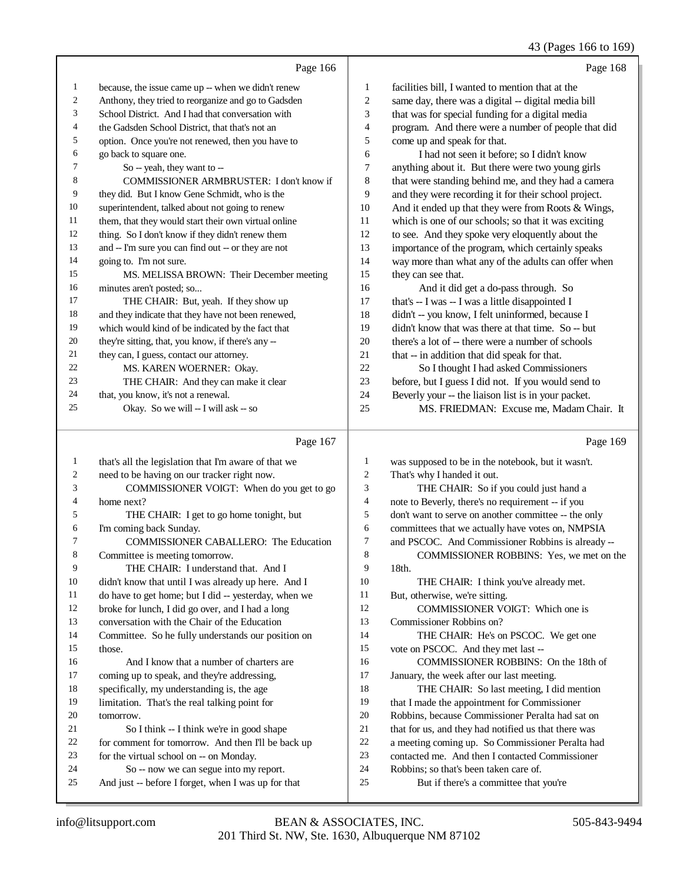#### 43 (Pages 166 to 169)

|                         |                                                      |                         | $\tau$ , $\mu$ ages 100 to 10)                       |
|-------------------------|------------------------------------------------------|-------------------------|------------------------------------------------------|
|                         | Page 166                                             |                         | Page 168                                             |
| $\,1$                   | because, the issue came up -- when we didn't renew   | $\mathbf{1}$            | facilities bill, I wanted to mention that at the     |
| $\boldsymbol{2}$        | Anthony, they tried to reorganize and go to Gadsden  | $\overline{c}$          | same day, there was a digital -- digital media bill  |
| 3                       | School District. And I had that conversation with    | 3                       | that was for special funding for a digital media     |
| 4                       | the Gadsden School District, that that's not an      | 4                       | program. And there were a number of people that did  |
| 5                       | option. Once you're not renewed, then you have to    | 5                       | come up and speak for that.                          |
| 6                       | go back to square one.                               | 6                       | I had not seen it before; so I didn't know           |
| 7                       | So -- yeah, they want to --                          | 7                       | anything about it. But there were two young girls    |
| $\,8\,$                 | COMMISSIONER ARMBRUSTER: I don't know if             | 8                       | that were standing behind me, and they had a camera  |
| 9                       | they did. But I know Gene Schmidt, who is the        | 9                       | and they were recording it for their school project. |
| $10\,$                  | superintendent, talked about not going to renew      | $10\,$                  | And it ended up that they were from Roots & Wings,   |
| 11                      | them, that they would start their own virtual online | 11                      | which is one of our schools; so that it was exciting |
| 12                      | thing. So I don't know if they didn't renew them     | 12                      | to see. And they spoke very eloquently about the     |
| 13                      | and -- I'm sure you can find out -- or they are not  | 13                      | importance of the program, which certainly speaks    |
| $14\,$                  | going to. I'm not sure.                              | 14                      | way more than what any of the adults can offer when  |
| 15                      | MS. MELISSA BROWN: Their December meeting            | 15                      | they can see that.                                   |
| 16                      | minutes aren't posted; so                            | 16                      | And it did get a do-pass through. So                 |
| 17                      | THE CHAIR: But, yeah. If they show up                | $17\,$                  | that's -- I was -- I was a little disappointed I     |
| $18\,$                  | and they indicate that they have not been renewed,   | 18                      | didn't -- you know, I felt uninformed, because I     |
| 19                      | which would kind of be indicated by the fact that    | 19                      | didn't know that was there at that time. So -- but   |
| $20\,$                  | they're sitting, that, you know, if there's any --   | $20\,$                  | there's a lot of -- there were a number of schools   |
| 21                      | they can, I guess, contact our attorney.             | 21                      | that -- in addition that did speak for that.         |
| 22                      | MS. KAREN WOERNER: Okay.                             | 22                      | So I thought I had asked Commissioners               |
| 23                      | THE CHAIR: And they can make it clear                | $23\,$                  | before, but I guess I did not. If you would send to  |
| $24\,$                  | that, you know, it's not a renewal.                  | 24                      | Beverly your -- the liaison list is in your packet.  |
| 25                      | Okay. So we will -- I will ask -- so                 | 25                      | MS. FRIEDMAN: Excuse me, Madam Chair. It             |
|                         | Page 167                                             |                         | Page 169                                             |
| $\mathbf{1}$            | that's all the legislation that I'm aware of that we | $\mathbf{1}$            | was supposed to be in the notebook, but it wasn't.   |
| $\boldsymbol{2}$        | need to be having on our tracker right now.          | $\sqrt{2}$              | That's why I handed it out.                          |
| 3                       | COMMISSIONER VOIGT: When do you get to go            | $\sqrt{3}$              | THE CHAIR: So if you could just hand a               |
| $\overline{\mathbf{4}}$ | home next?                                           | $\overline{\mathbf{4}}$ | note to Beverly, there's no requirement -- if you    |
| 5                       | THE CHAIR: I get to go home tonight, but             | 5                       | don't want to serve on another committee -- the only |
| 6                       | I'm coming back Sunday.                              | 6                       | committees that we actually have votes on, NMPSIA    |
| $\boldsymbol{7}$        | COMMISSIONER CABALLERO: The Education                | $\boldsymbol{7}$        | and PSCOC. And Commissioner Robbins is already --    |
| 8                       | Committee is meeting tomorrow.                       | $\,8\,$                 | COMMISSIONER ROBBINS: Yes, we met on the             |
| 9                       | THE CHAIR: I understand that. And I                  | 9                       | 18th.                                                |
| 10                      | didn't know that until I was already up here. And I  | 10                      | THE CHAIR: I think you've already met.               |
| 11                      | do have to get home; but I did -- yesterday, when we | 11                      | But, otherwise, we're sitting.                       |
| 12                      | broke for lunch. I did go over, and I had a long     | 12                      | COMMISSIONER VOIGT: Which one is                     |

broke for lunch, I did go over, and I had a long

conversation with the Chair of the Education

 Committee. So he fully understands our position on those.

## 16 And I know that a number of charters are 17 coming up to speak, and they're addressing, specifically, my understanding is, the age limitation. That's the real talking point for

- tomorrow.
- 21 So I think -- I think we're in good shape<br>22 for comment for tomorrow. And then I'll be ba
- 22 for comment for tomorrow. And then I'll be back up<br>
23 for the virtual school on  $-$  on Monday. for the virtual school on -- on Monday.
- 
- 24 So -- now we can segue into my report.<br>25 And just -- before I forget when I was up for t And just -- before I forget, when I was up for that
- 14 THE CHAIR: He's on PSCOC. We get one
- vote on PSCOC. And they met last --

Commissioner Robbins on?

- **COMMISSIONER ROBBINS:** On the 18th of 17 January, the week after our last meeting.
- 17 January, the week after our last meeting.<br>18 THE CHAIR: So last meeting. I di
- 18 THE CHAIR: So last meeting, I did mention<br>19 that I made the appointment for Commissioner that I made the appointment for Commissioner
- Robbins, because Commissioner Peralta had sat on
	-
- 21 that for us, and they had notified us that there was<br>22 a meeting coming up. So Commissioner Peralta has 22 a meeting coming up. So Commissioner Peralta had<br>23 contacted me. And then I contacted Commissioner
- contacted me. And then I contacted Commissioner
- 24 Robbins; so that's been taken care of.<br>25 But if there's a committee that
	- But if there's a committee that you're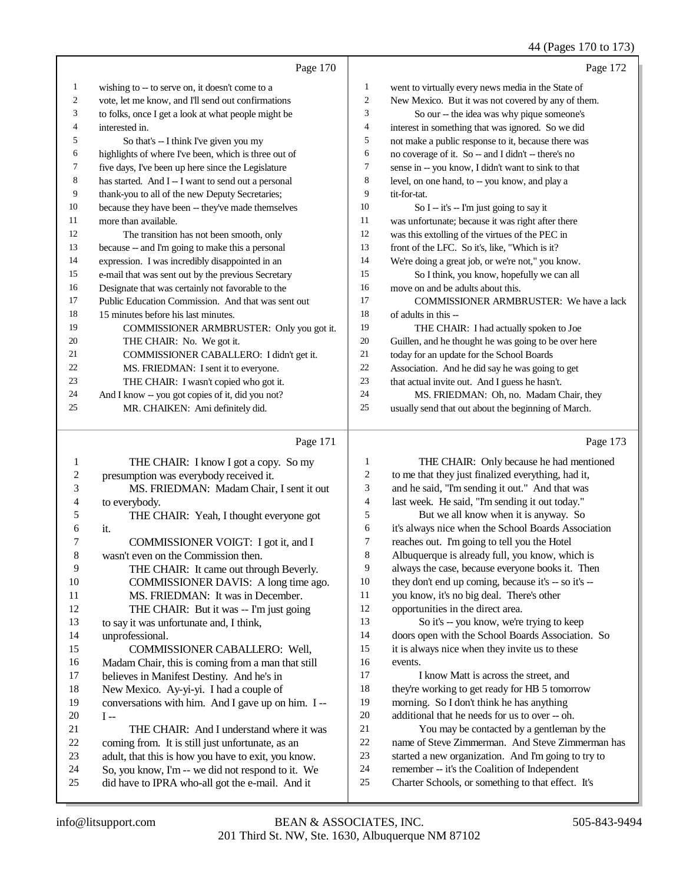# 44 (Pages 170 to 173)

|    | Page 170                                             |                | Page 172                                             |
|----|------------------------------------------------------|----------------|------------------------------------------------------|
| 1  | wishing to -- to serve on, it doesn't come to a      | 1              | went to virtually every news media in the State of   |
| 2  | vote, let me know, and I'll send out confirmations   | 2              | New Mexico. But it was not covered by any of them.   |
| 3  | to folks, once I get a look at what people might be  | 3              | So our -- the idea was why pique someone's           |
| 4  | interested in.                                       | $\overline{4}$ | interest in something that was ignored. So we did    |
| 5  | So that's -- I think I've given you my               | 5              | not make a public response to it, because there was  |
| 6  | highlights of where I've been, which is three out of | 6              | no coverage of it. So -- and I didn't -- there's no  |
| 7  | five days, I've been up here since the Legislature   | $\overline{7}$ | sense in -- you know, I didn't want to sink to that  |
| 8  | has started. And I -- I want to send out a personal  | 8              | level, on one hand, to -- you know, and play a       |
| 9  | thank-you to all of the new Deputy Secretaries;      | 9              | tit-for-tat.                                         |
| 10 | because they have been -- they've made themselves    | 10             | So I -- it's -- I'm just going to say it             |
| 11 | more than available.                                 | 11             | was unfortunate; because it was right after there    |
| 12 | The transition has not been smooth, only             | 12             | was this extolling of the virtues of the PEC in      |
| 13 | because -- and I'm going to make this a personal     | 13             | front of the LFC. So it's, like, "Which is it?       |
| 14 | expression. I was incredibly disappointed in an      | 14             | We're doing a great job, or we're not," you know.    |
| 15 | e-mail that was sent out by the previous Secretary   | 15             | So I think, you know, hopefully we can all           |
| 16 | Designate that was certainly not favorable to the    | 16             | move on and be adults about this.                    |
| 17 | Public Education Commission. And that was sent out   | 17             | <b>COMMISSIONER ARMBRUSTER: We have a lack</b>       |
| 18 | 15 minutes before his last minutes.                  | 18             | of adults in this --                                 |
| 19 | COMMISSIONER ARMBRUSTER: Only you got it.            | 19             | THE CHAIR: I had actually spoken to Joe              |
| 20 | THE CHAIR: No. We got it.                            | 20             | Guillen, and he thought he was going to be over here |
| 21 | COMMISSIONER CABALLERO: I didn't get it.             | 21             | today for an update for the School Boards            |
| 22 | MS. FRIEDMAN: I sent it to everyone.                 | 22             | Association. And he did say he was going to get      |
| 23 | THE CHAIR: I wasn't copied who got it.               | 23             | that actual invite out. And I guess he hasn't.       |
| 24 | And I know -- you got copies of it, did you not?     | 24             | MS. FRIEDMAN: Oh, no. Madam Chair, they              |
| 25 | MR. CHAIKEN: Ami definitely did.                     | 25             | usually send that out about the beginning of March.  |
|    |                                                      |                |                                                      |

# Page 171

|    | Page 171                                            |                | Page 173                                             |
|----|-----------------------------------------------------|----------------|------------------------------------------------------|
| 1  | THE CHAIR: I know I got a copy. So my               | 1              | THE CHAIR: Only because he had mentioned             |
| 2  | presumption was everybody received it.              | $\overline{c}$ | to me that they just finalized everything, had it,   |
| 3  | MS. FRIEDMAN: Madam Chair, I sent it out            | 3              | and he said, "I'm sending it out." And that was      |
| 4  | to everybody.                                       | $\overline{4}$ | last week. He said, "I'm sending it out today."      |
| 5  | THE CHAIR: Yeah, I thought everyone got             | 5              | But we all know when it is anyway. So                |
| 6  | it.                                                 | 6              | it's always nice when the School Boards Association  |
| 7  | COMMISSIONER VOIGT: I got it, and I                 | 7              | reaches out. I'm going to tell you the Hotel         |
| 8  | wasn't even on the Commission then.                 | 8              | Albuquerque is already full, you know, which is      |
| 9  | THE CHAIR: It came out through Beverly.             | 9              | always the case, because everyone books it. Then     |
| 10 | COMMISSIONER DAVIS: A long time ago.                | 10             | they don't end up coming, because it's -- so it's -- |
| 11 | MS. FRIEDMAN: It was in December.                   | 11             | you know, it's no big deal. There's other            |
| 12 | THE CHAIR: But it was -- I'm just going             | 12             | opportunities in the direct area.                    |
| 13 | to say it was unfortunate and, I think,             | 13             | So it's -- you know, we're trying to keep            |
| 14 | unprofessional.                                     | 14             | doors open with the School Boards Association. So    |
| 15 | <b>COMMISSIONER CABALLERO: Well.</b>                | 15             | it is always nice when they invite us to these       |
| 16 | Madam Chair, this is coming from a man that still   | 16             | events.                                              |
| 17 | believes in Manifest Destiny. And he's in           | 17             | I know Matt is across the street, and                |
| 18 | New Mexico. Ay-yi-yi. I had a couple of             | 18             | they're working to get ready for HB 5 tomorrow       |
| 19 | conversations with him. And I gave up on him. I --  | 19             | morning. So I don't think he has anything            |
| 20 | $I -$                                               | 20             | additional that he needs for us to over -- oh.       |
| 21 | THE CHAIR: And I understand where it was            | 21             | You may be contacted by a gentleman by the           |
| 22 | coming from. It is still just unfortunate, as an    | 22             | name of Steve Zimmerman. And Steve Zimmerman has     |
| 23 | adult, that this is how you have to exit, you know. | 23             | started a new organization. And I'm going to try to  |
| 24 | So, you know, I'm -- we did not respond to it. We   | 24             | remember -- it's the Coalition of Independent        |
| 25 | did have to IPRA who-all got the e-mail. And it     | 25             | Charter Schools, or something to that effect. It's   |
|    |                                                     |                |                                                      |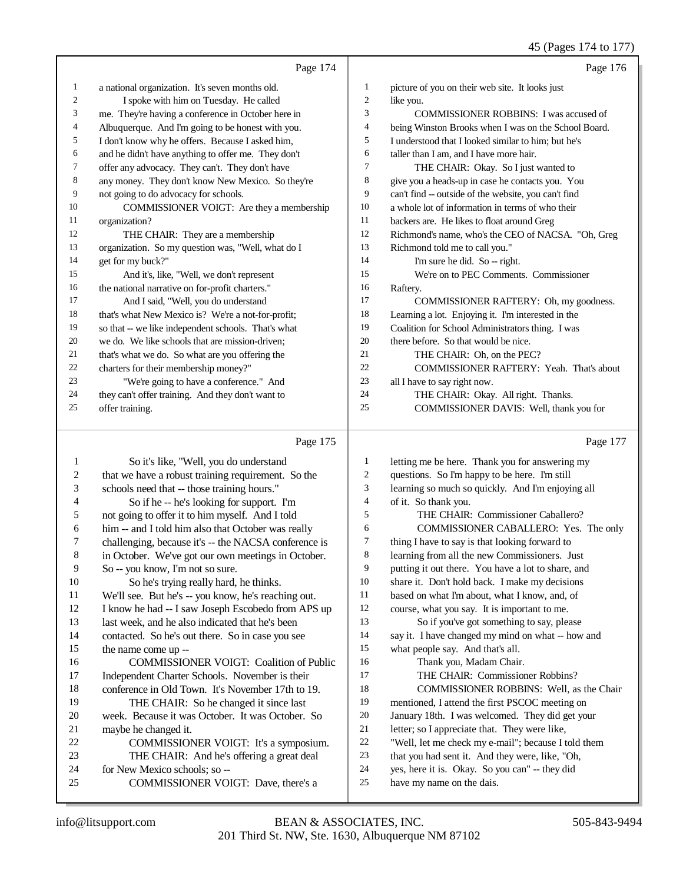|    | Page 174                                            |                | Page 176                                             |
|----|-----------------------------------------------------|----------------|------------------------------------------------------|
| 1  | a national organization. It's seven months old.     | 1              | picture of you on their web site. It looks just      |
| 2  | I spoke with him on Tuesday. He called              | $\overline{c}$ | like you.                                            |
| 3  | me. They're having a conference in October here in  | 3              | COMMISSIONER ROBBINS: I was accused of               |
| 4  | Albuquerque. And I'm going to be honest with you.   | 4              | being Winston Brooks when I was on the School Board. |
| 5  | I don't know why he offers. Because I asked him,    | 5              | I understood that I looked similar to him: but he's  |
| 6  | and he didn't have anything to offer me. They don't | 6              | taller than I am, and I have more hair.              |
| 7  | offer any advocacy. They can't. They don't have     | $\overline{7}$ | THE CHAIR: Okay. So I just wanted to                 |
| 8  | any money. They don't know New Mexico. So they're   | 8              | give you a heads-up in case he contacts you. You     |
| 9  | not going to do advocacy for schools.               | 9              | can't find -- outside of the website, you can't find |
| 10 | COMMISSIONER VOIGT: Are they a membership           | 10             | a whole lot of information in terms of who their     |
| 11 | organization?                                       | 11             | backers are. He likes to float around Greg           |
| 12 | THE CHAIR: They are a membership                    | 12             | Richmond's name, who's the CEO of NACSA. "Oh, Greg   |
| 13 | organization. So my question was, "Well, what do I  | 13             | Richmond told me to call you."                       |
| 14 | get for my buck?"                                   | 14             | I'm sure he did. So -- right.                        |
| 15 | And it's, like, "Well, we don't represent           | 15             | We're on to PEC Comments. Commissioner               |
| 16 | the national narrative on for-profit charters."     | 16             | Raftery.                                             |
| 17 | And I said, "Well, you do understand                | 17             | COMMISSIONER RAFTERY: Oh, my goodness.               |
| 18 | that's what New Mexico is? We're a not-for-profit;  | 18             | Learning a lot. Enjoying it. I'm interested in the   |
| 19 | so that -- we like independent schools. That's what | 19             | Coalition for School Administrators thing. I was     |
| 20 | we do. We like schools that are mission-driven:     | 20             | there before. So that would be nice.                 |
| 21 | that's what we do. So what are you offering the     | 21             | THE CHAIR: Oh, on the PEC?                           |
| 22 | charters for their membership money?"               | 22             | COMMISSIONER RAFTERY: Yeah. That's about             |
| 23 | "We're going to have a conference." And             | 23             | all I have to say right now.                         |
| 24 | they can't offer training. And they don't want to   | 24             | THE CHAIR: Okay. All right. Thanks.                  |
| 25 | offer training.                                     | 25             | COMMISSIONER DAVIS: Well, thank you for              |
|    |                                                     |                |                                                      |
|    | Page 175                                            |                | Page 177                                             |

# Page 175 |

| 1  | So it's like, "Well, you do understand               | 1  | letting me be here. Thank you for answering my      |
|----|------------------------------------------------------|----|-----------------------------------------------------|
| 2  | that we have a robust training requirement. So the   | 2  | questions. So I'm happy to be here. I'm still       |
| 3  | schools need that -- those training hours."          | 3  | learning so much so quickly. And I'm enjoying all   |
| 4  | So if he -- he's looking for support. I'm            | 4  | of it. So thank you.                                |
| 5  | not going to offer it to him myself. And I told      | 5  | THE CHAIR: Commissioner Caballero?                  |
| 6  | him -- and I told him also that October was really   | 6  | COMMISSIONER CABALLERO: Yes. The only               |
| 7  | challenging, because it's -- the NACSA conference is | 7  | thing I have to say is that looking forward to      |
| 8  | in October. We've got our own meetings in October.   | 8  | learning from all the new Commissioners. Just       |
| 9  | So -- you know, I'm not so sure.                     | 9  | putting it out there. You have a lot to share, and  |
| 10 | So he's trying really hard, he thinks.               | 10 | share it. Don't hold back. I make my decisions      |
| 11 | We'll see. But he's -- you know, he's reaching out.  | 11 | based on what I'm about, what I know, and, of       |
| 12 | I know he had -- I saw Joseph Escobedo from APS up   | 12 | course, what you say. It is important to me.        |
| 13 | last week, and he also indicated that he's been      | 13 | So if you've got something to say, please           |
| 14 | contacted. So he's out there. So in case you see     | 14 | say it. I have changed my mind on what -- how and   |
| 15 | the name come up --                                  | 15 | what people say. And that's all.                    |
| 16 | <b>COMMISSIONER VOIGT: Coalition of Public</b>       | 16 | Thank you, Madam Chair.                             |
| 17 | Independent Charter Schools. November is their       | 17 | THE CHAIR: Commissioner Robbins?                    |
| 18 | conference in Old Town. It's November 17th to 19.    | 18 | COMMISSIONER ROBBINS: Well, as the Chair            |
| 19 | THE CHAIR: So he changed it since last               | 19 | mentioned, I attend the first PSCOC meeting on      |
| 20 | week. Because it was October. It was October. So     | 20 | January 18th. I was welcomed. They did get your     |
| 21 | maybe he changed it.                                 | 21 | letter; so I appreciate that. They were like,       |
| 22 | COMMISSIONER VOIGT: It's a symposium.                | 22 | "Well, let me check my e-mail"; because I told them |
| 23 | THE CHAIR: And he's offering a great deal            | 23 | that you had sent it. And they were, like, "Oh,     |
| 24 | for New Mexico schools; so --                        | 24 | yes, here it is. Okay. So you can" -- they did      |
| 25 | COMMISSIONER VOIGT: Dave, there's a                  | 25 | have my name on the dais.                           |
|    |                                                      |    |                                                     |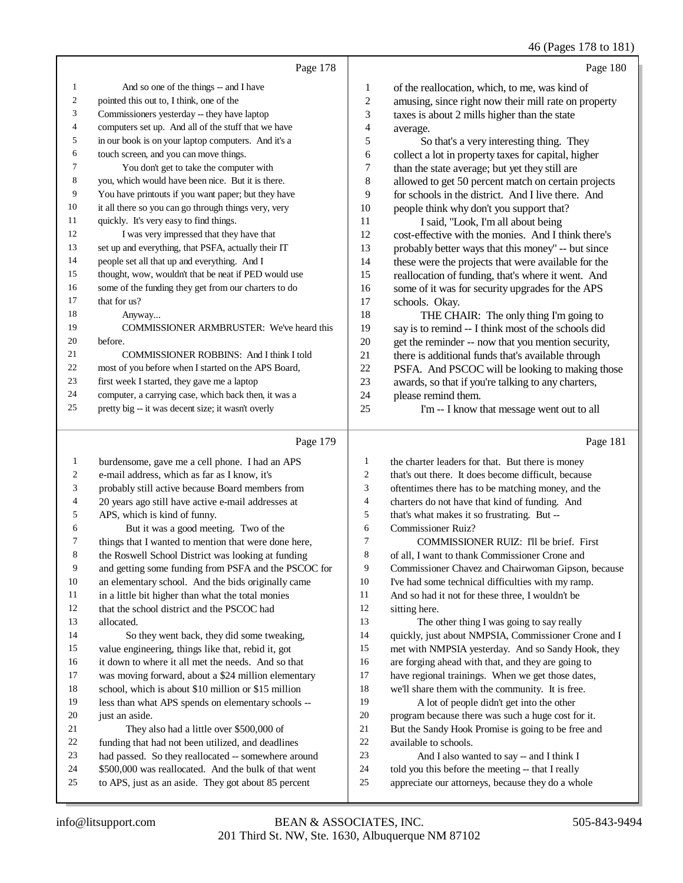|                |                                                      |                | $\sim$ $\sim$                                        |
|----------------|------------------------------------------------------|----------------|------------------------------------------------------|
|                | Page 178                                             |                | Page 180                                             |
| 1              | And so one of the things -- and I have               | $\mathbf{1}$   | of the reallocation, which, to me, was kind of       |
| 2              | pointed this out to, I think, one of the             | $\overline{c}$ | amusing, since right now their mill rate on property |
| 3              | Commissioners yesterday -- they have laptop          | 3              | taxes is about 2 mills higher than the state         |
| $\overline{4}$ | computers set up. And all of the stuff that we have  | 4              | average.                                             |
| 5              | in our book is on your laptop computers. And it's a  | 5              | So that's a very interesting thing. They             |
| 6              | touch screen, and you can move things.               | 6              | collect a lot in property taxes for capital, higher  |
| 7              | You don't get to take the computer with              | 7              | than the state average; but yet they still are       |
| 8              | you, which would have been nice. But it is there.    | 8              | allowed to get 50 percent match on certain projects  |
| 9              | You have printouts if you want paper; but they have  | 9              | for schools in the district. And I live there. And   |
| 10             | it all there so you can go through things very, very | 10             | people think why don't you support that?             |
| 11             | quickly. It's very easy to find things.              | 11             | I said, "Look, I'm all about being                   |
| 12             | I was very impressed that they have that             | 12             | cost-effective with the monies. And I think there's  |
| 13             | set up and everything, that PSFA, actually their IT  | 13             | probably better ways that this money" -- but since   |
| 14             | people set all that up and everything. And I         | 14             | these were the projects that were available for the  |
| 15             | thought, wow, wouldn't that be neat if PED would use | 15             | reallocation of funding, that's where it went. And   |
| 16             | some of the funding they get from our charters to do | 16             | some of it was for security upgrades for the APS     |
| 17             | that for us?                                         | 17             | schools. Okay.                                       |
| 18             | Anyway                                               | 18             | THE CHAIR: The only thing I'm going to               |
| 19             | COMMISSIONER ARMBRUSTER: We've heard this            | 19             | say is to remind -- I think most of the schools did  |
| 20             | before.                                              | 20             | get the reminder -- now that you mention security,   |
| 21             | COMMISSIONER ROBBINS: And I think I told             | 21             | there is additional funds that's available through   |
| 22             | most of you before when I started on the APS Board,  | 22             | PSFA. And PSCOC will be looking to making those      |
| 23             | first week I started, they gave me a laptop          | 23             | awards, so that if you're talking to any charters,   |
| 24             | computer, a carrying case, which back then, it was a | 24             | please remind them.                                  |
| 25             | pretty big -- it was decent size; it wasn't overly   | 25             | I'm -- I know that message went out to all           |
|                | Page 179                                             |                | Page 181                                             |
| 1              | burdensome, gave me a cell phone. I had an APS       | 1              | the charter leaders for that. But there is money     |
| 2              | e-mail address, which as far as I know, it's         | $\overline{c}$ | that's out there. It does become difficult, because  |
| 3              | probably still active because Board members from     | 3              | oftentimes there has to be matching money, and the   |
| 4              | 20 years ago still have active e-mail addresses at   | 4              | charters do not have that kind of funding. And       |

- 4 20 years ago still have active e-mail addresses at<br>5 APS, which is kind of funny. APS, which is kind of funny.
- 
- 6 But it was a good meeting. Two of the<br>
7 things that I wanted to mention that were done
- 7 things that I wanted to mention that were done here,<br>8 the Roswell School District was looking at funding the Roswell School District was looking at funding
- and getting some funding from PSFA and the PSCOC for
- an elementary school. And the bids originally came
- 11 in a little bit higher than what the total monies<br>12 that the school district and the PSCOC had
- that the school district and the PSCOC had
- allocated.
- So they went back, they did some tweaking, value engineering, things like that, rebid it, got
- it down to where it all met the needs. And so that
- was moving forward, about a \$24 million elementary
- school, which is about \$10 million or \$15 million
- less than what APS spends on elementary schools -- 20 iust an aside.
	-
- 21 They also had a little over \$500,000 of<br>22 funding that had not been utilized, and deadling 22 funding that had not been utilized, and deadlines<br>23 had passed. So they reallocated -- somewhere are
- had passed. So they reallocated -- somewhere around
- \$500,000 was reallocated. And the bulk of that went
- to APS, just as an aside. They got about 85 percent
- that's what makes it so frustrating. But --
- Commissioner Ruiz? COMMISSIONER RUIZ: I'll be brief. First of all, I want to thank Commissioner Crone and Commissioner Chavez and Chairwoman Gipson, because I've had some technical difficulties with my ramp. 11 And so had it not for these three, I wouldn't be sitting here sitting here. 13 The other thing I was going to say really
- quickly, just about NMPSIA, Commissioner Crone and I met with NMPSIA yesterday. And so Sandy Hook, they are forging ahead with that, and they are going to
- have regional trainings. When we get those dates,
- we'll share them with the community. It is free. A lot of people didn't get into the other
- program because there was such a huge cost for it. 21 But the Sandy Hook Promise is going to be free and<br>22 available to schools.
- 22 available to schools.<br>23 And Lalso was And I also wanted to say -- and I think I
- told you this before the meeting -- that I really
- appreciate our attorneys, because they do a whole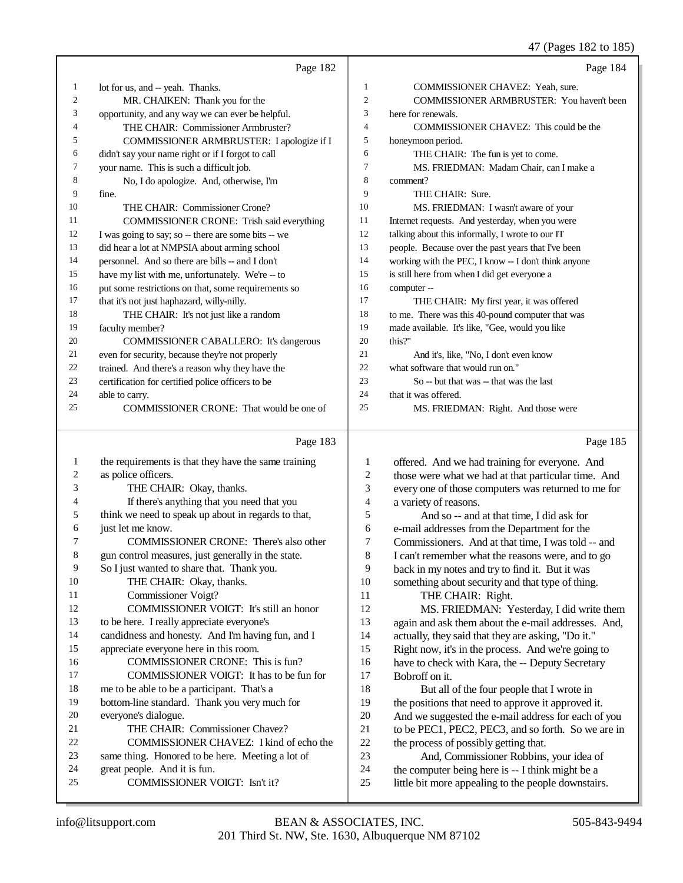47 (Pages 182 to 185)

|          |                                                                                                   |                     | 47 (Pages 182 to 185)                                                                       |
|----------|---------------------------------------------------------------------------------------------------|---------------------|---------------------------------------------------------------------------------------------|
|          | Page 182                                                                                          |                     | Page 184                                                                                    |
| 1        | lot for us, and -- yeah. Thanks.                                                                  | 1                   | COMMISSIONER CHAVEZ: Yeah, sure.                                                            |
| 2        | MR. CHAIKEN: Thank you for the                                                                    | $\mathfrak{2}$      | COMMISSIONER ARMBRUSTER: You haven't been                                                   |
| 3        | opportunity, and any way we can ever be helpful.                                                  | 3                   | here for renewals.                                                                          |
| 4        | THE CHAIR: Commissioner Armbruster?                                                               | 4                   | COMMISSIONER CHAVEZ: This could be the                                                      |
| 5        | COMMISSIONER ARMBRUSTER: I apologize if I                                                         | 5                   | honeymoon period.                                                                           |
| 6        | didn't say your name right or if I forgot to call                                                 | 6                   | THE CHAIR: The fun is yet to come.                                                          |
| 7        | your name. This is such a difficult job.                                                          | 7                   | MS. FRIEDMAN: Madam Chair, can I make a                                                     |
| 8        | No, I do apologize. And, otherwise, I'm                                                           | 8                   | comment?                                                                                    |
| 9        | fine.                                                                                             | 9                   | THE CHAIR: Sure.                                                                            |
| 10       | THE CHAIR: Commissioner Crone?                                                                    | 10                  | MS. FRIEDMAN: I wasn't aware of your                                                        |
| 11       | COMMISSIONER CRONE: Trish said everything                                                         | 11                  | Internet requests. And yesterday, when you were                                             |
| 12       | I was going to say; so -- there are some bits -- we                                               | 12                  | talking about this informally, I wrote to our IT                                            |
| 13       | did hear a lot at NMPSIA about arming school                                                      | 13                  | people. Because over the past years that I've been                                          |
| 14       | personnel. And so there are bills -- and I don't                                                  | 14                  | working with the PEC, I know -- I don't think anyone                                        |
| 15       | have my list with me, unfortunately. We're -- to                                                  | 15                  | is still here from when I did get everyone a                                                |
| 16       | put some restrictions on that, some requirements so                                               | 16                  | computer --                                                                                 |
| 17       | that it's not just haphazard, willy-nilly.                                                        | 17                  | THE CHAIR: My first year, it was offered                                                    |
| 18       | THE CHAIR: It's not just like a random                                                            | 18                  | to me. There was this 40-pound computer that was                                            |
| 19       | faculty member?                                                                                   | 19                  | made available. It's like, "Gee, would you like                                             |
| 20       | COMMISSIONER CABALLERO: It's dangerous                                                            | 20                  | this?"                                                                                      |
| 21       | even for security, because they're not properly                                                   | 21                  | And it's, like, "No, I don't even know                                                      |
| 22       | trained. And there's a reason why they have the                                                   | 22                  | what software that would run on."                                                           |
| 23       | certification for certified police officers to be                                                 | 23                  | So -- but that was -- that was the last                                                     |
| 24       | able to carry.                                                                                    | 24                  | that it was offered.                                                                        |
| 25       | COMMISSIONER CRONE: That would be one of                                                          | 25                  | MS. FRIEDMAN: Right. And those were                                                         |
|          | Page 183                                                                                          |                     | Page 185                                                                                    |
|          |                                                                                                   |                     |                                                                                             |
| 1        | the requirements is that they have the same training                                              | 1                   | offered. And we had training for everyone. And                                              |
| 2        | as police officers.                                                                               | $\overline{c}$      | those were what we had at that particular time. And                                         |
| 3        | THE CHAIR: Okay, thanks.                                                                          | 3                   | every one of those computers was returned to me for                                         |
| 4<br>5   | If there's anything that you need that you<br>think we need to speak up about in regards to that, | $\overline{4}$<br>5 | a variety of reasons.                                                                       |
| 6        | just let me know.                                                                                 | 6                   | And so -- and at that time, I did ask for                                                   |
| 7        | COMMISSIONER CRONE: There's also other                                                            | 7                   | e-mail addresses from the Department for the                                                |
| 8        | gun control measures, just generally in the state.                                                | 8                   | Commissioners. And at that time, I was told -- and                                          |
| 9        | So I just wanted to share that. Thank you.                                                        | 9                   | I can't remember what the reasons were, and to go                                           |
| 10       |                                                                                                   |                     |                                                                                             |
|          |                                                                                                   |                     | back in my notes and try to find it. But it was                                             |
|          | THE CHAIR: Okay, thanks.                                                                          | 10                  | something about security and that type of thing.                                            |
| 11       | Commissioner Voigt?                                                                               | 11                  | THE CHAIR: Right.                                                                           |
| 12       | COMMISSIONER VOIGT: It's still an honor                                                           | 12                  | MS. FRIEDMAN: Yesterday, I did write them                                                   |
| 13       | to be here. I really appreciate everyone's                                                        | 13                  | again and ask them about the e-mail addresses. And,                                         |
| 14       | candidness and honesty. And I'm having fun, and I                                                 | 14                  | actually, they said that they are asking, "Do it."                                          |
| 15       | appreciate everyone here in this room.                                                            | 15                  | Right now, it's in the process. And we're going to                                          |
| 16       | COMMISSIONER CRONE: This is fun?                                                                  | 16                  | have to check with Kara, the -- Deputy Secretary                                            |
| 17       | COMMISSIONER VOIGT: It has to be fun for                                                          | 17                  | Bobroff on it.                                                                              |
| 18       | me to be able to be a participant. That's a                                                       | 18                  | But all of the four people that I wrote in                                                  |
| 19       | bottom-line standard. Thank you very much for                                                     | 19                  | the positions that need to approve it approved it.                                          |
| 20<br>21 | everyone's dialogue.                                                                              | $20\,$              | And we suggested the e-mail address for each of you                                         |
| 22       | THE CHAIR: Commissioner Chavez?                                                                   | 21                  | to be PEC1, PEC2, PEC3, and so forth. So we are in                                          |
| 23       | COMMISSIONER CHAVEZ: I kind of echo the                                                           | 22<br>23            | the process of possibly getting that.                                                       |
| 24       | same thing. Honored to be here. Meeting a lot of<br>great people. And it is fun.                  | 24                  | And, Commissioner Robbins, your idea of<br>the computer being here is -- I think might be a |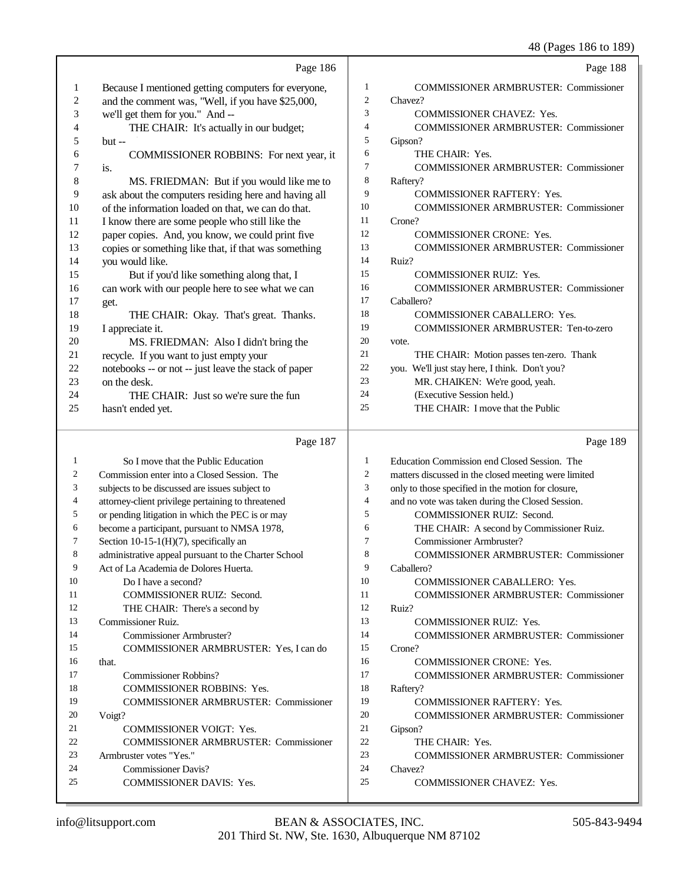48 (Pages 186 to 189)

|                  | Page 186                                                                                        |                | Page 188                                                                                   |
|------------------|-------------------------------------------------------------------------------------------------|----------------|--------------------------------------------------------------------------------------------|
| $\mathbf{1}$     | Because I mentioned getting computers for everyone,                                             | $\mathbf{1}$   | <b>COMMISSIONER ARMBRUSTER: Commissioner</b>                                               |
| $\boldsymbol{2}$ | and the comment was, "Well, if you have \$25,000,                                               | $\overline{c}$ | Chavez?                                                                                    |
| 3                | we'll get them for you." And --                                                                 | 3              | <b>COMMISSIONER CHAVEZ: Yes.</b>                                                           |
| 4                | THE CHAIR: It's actually in our budget;                                                         | $\overline{4}$ | COMMISSIONER ARMBRUSTER: Commissioner                                                      |
| 5                | $but -$                                                                                         | 5              | Gipson?                                                                                    |
| 6                | COMMISSIONER ROBBINS: For next year, it                                                         | 6              | THE CHAIR: Yes.                                                                            |
| 7                | is.                                                                                             | 7              | COMMISSIONER ARMBRUSTER: Commissioner                                                      |
| 8                | MS. FRIEDMAN: But if you would like me to                                                       | 8              | Raftery?                                                                                   |
| 9                | ask about the computers residing here and having all                                            | 9              | COMMISSIONER RAFTERY: Yes.                                                                 |
| 10               | of the information loaded on that, we can do that.                                              | 10             | <b>COMMISSIONER ARMBRUSTER: Commissioner</b>                                               |
| 11               | I know there are some people who still like the                                                 | 11             | Crone?                                                                                     |
| 12               | paper copies. And, you know, we could print five                                                | 12             | <b>COMMISSIONER CRONE: Yes.</b>                                                            |
| 13               | copies or something like that, if that was something                                            | 13             | <b>COMMISSIONER ARMBRUSTER: Commissioner</b>                                               |
| 14               | you would like.                                                                                 | 14             | Ruiz?                                                                                      |
| 15               | But if you'd like something along that, I                                                       | 15             | <b>COMMISSIONER RUIZ: Yes.</b>                                                             |
| 16               | can work with our people here to see what we can                                                | 16             | <b>COMMISSIONER ARMBRUSTER: Commissioner</b>                                               |
| 17               | get.                                                                                            | 17             | Caballero?                                                                                 |
| 18               | THE CHAIR: Okay. That's great. Thanks.                                                          | 18             | <b>COMMISSIONER CABALLERO: Yes.</b>                                                        |
| 19               | I appreciate it.                                                                                | 19<br>20       | COMMISSIONER ARMBRUSTER: Ten-to-zero                                                       |
| 20<br>21         | MS. FRIEDMAN: Also I didn't bring the                                                           | 21             | vote.                                                                                      |
| 22               | recycle. If you want to just empty your<br>notebooks -- or not -- just leave the stack of paper | 22             | THE CHAIR: Motion passes ten-zero. Thank<br>you. We'll just stay here, I think. Don't you? |
| 23               | on the desk.                                                                                    | 23             | MR. CHAIKEN: We're good, yeah.                                                             |
| 24               | THE CHAIR: Just so we're sure the fun                                                           | 24             | (Executive Session held.)                                                                  |
| 25               | hasn't ended yet.                                                                               | 25             | THE CHAIR: I move that the Public                                                          |
|                  |                                                                                                 |                |                                                                                            |
|                  |                                                                                                 |                |                                                                                            |
|                  | Page 187                                                                                        |                | Page 189                                                                                   |
| 1                | So I move that the Public Education                                                             | $\mathbf{1}$   | Education Commission end Closed Session. The                                               |
| 2                | Commission enter into a Closed Session. The                                                     | $\overline{c}$ | matters discussed in the closed meeting were limited                                       |
| 3                | subjects to be discussed are issues subject to                                                  | 3              | only to those specified in the motion for closure,                                         |
| 4                | attorney-client privilege pertaining to threatened                                              | $\overline{4}$ | and no vote was taken during the Closed Session.                                           |
| 5                | or pending litigation in which the PEC is or may                                                | 5              | COMMISSIONER RUIZ: Second.                                                                 |
| 6                | become a participant, pursuant to NMSA 1978,                                                    | 6              | THE CHAIR: A second by Commissioner Ruiz.                                                  |
| 7                | Section 10-15-1(H)(7), specifically an                                                          | 7              | Commissioner Armbruster?                                                                   |
| 8                | administrative appeal pursuant to the Charter School                                            | $\circ$        | <b>COMMISSIONER ARMBRUSTER: Commissioner</b>                                               |
| 9                | Act of La Academia de Dolores Huerta.                                                           | 9              | Caballero?                                                                                 |
| 10               | Do I have a second?                                                                             | 10             | <b>COMMISSIONER CABALLERO: Yes.</b>                                                        |
| 11<br>12         | COMMISSIONER RUIZ: Second.                                                                      | 11<br>12       | <b>COMMISSIONER ARMBRUSTER: Commissioner</b>                                               |
| 13               | THE CHAIR: There's a second by                                                                  | 13             | Ruiz?<br><b>COMMISSIONER RUIZ: Yes.</b>                                                    |
| 14               | Commissioner Ruiz.<br>Commissioner Armbruster?                                                  | 14             | <b>COMMISSIONER ARMBRUSTER: Commissioner</b>                                               |
| 15               | COMMISSIONER ARMBRUSTER: Yes, I can do                                                          | 15             | Crone?                                                                                     |
| 16               | that.                                                                                           | 16             | <b>COMMISSIONER CRONE: Yes.</b>                                                            |
| 17               | <b>Commissioner Robbins?</b>                                                                    | 17             | <b>COMMISSIONER ARMBRUSTER: Commissioner</b>                                               |
| 18               | <b>COMMISSIONER ROBBINS: Yes.</b>                                                               | 18             | Raftery?                                                                                   |
| 19               | <b>COMMISSIONER ARMBRUSTER: Commissioner</b>                                                    | 19             | <b>COMMISSIONER RAFTERY: Yes.</b>                                                          |
| 20               | Voigt?                                                                                          | 20             | <b>COMMISSIONER ARMBRUSTER: Commissioner</b>                                               |
| 21               | <b>COMMISSIONER VOIGT: Yes.</b>                                                                 | 21             | Gipson?                                                                                    |
| 22               | <b>COMMISSIONER ARMBRUSTER: Commissioner</b>                                                    | 22             | THE CHAIR: Yes.                                                                            |
| 23               | Armbruster votes "Yes."                                                                         | 23             | <b>COMMISSIONER ARMBRUSTER: Commissioner</b>                                               |
| 24<br>25         | <b>Commissioner Davis?</b><br>COMMISSIONER DAVIS: Yes.                                          | 24<br>25       | Chavez?<br><b>COMMISSIONER CHAVEZ: Yes.</b>                                                |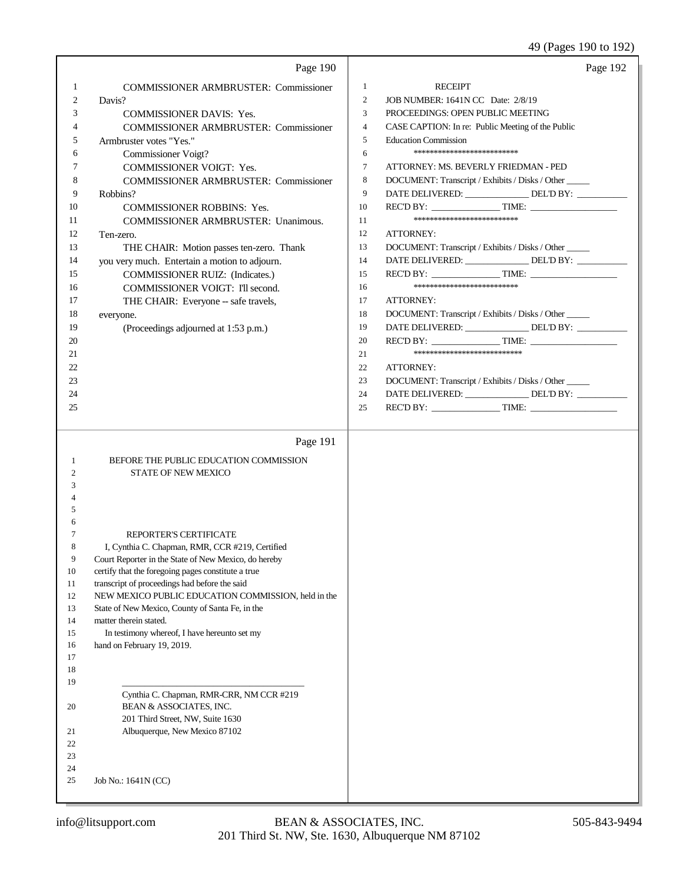49 (Pages 190 to 192)

|         | Page 190                                                                                            |                |                                                      | Page 192 |
|---------|-----------------------------------------------------------------------------------------------------|----------------|------------------------------------------------------|----------|
| 1       | <b>COMMISSIONER ARMBRUSTER: Commissioner</b>                                                        | 1              | <b>RECEIPT</b>                                       |          |
| 2       | Davis?                                                                                              | 2              | JOB NUMBER: 1641N CC Date: 2/8/19                    |          |
| 3       | <b>COMMISSIONER DAVIS: Yes.</b>                                                                     | 3              | PROCEEDINGS: OPEN PUBLIC MEETING                     |          |
| 4       | <b>COMMISSIONER ARMBRUSTER: Commissioner</b>                                                        | $\overline{4}$ | CASE CAPTION: In re: Public Meeting of the Public    |          |
| 5       | Armbruster votes "Yes."                                                                             | 5              | <b>Education Commission</b>                          |          |
| 6       | Commissioner Voigt?                                                                                 | 6              | *************************                            |          |
| 7       | COMMISSIONER VOIGT: Yes.                                                                            | 7              | ATTORNEY: MS. BEVERLY FRIEDMAN - PED                 |          |
| 8       | <b>COMMISSIONER ARMBRUSTER: Commissioner</b>                                                        | 8              | DOCUMENT: Transcript / Exhibits / Disks / Other      |          |
| 9       | Robbins?                                                                                            | 9              | DATE DELIVERED: _______________ DEL'D BY: _________  |          |
| 10      | COMMISSIONER ROBBINS: Yes.                                                                          | 10             | REC'D BY: TIME:                                      |          |
| 11      | <b>COMMISSIONER ARMBRUSTER: Unanimous.</b>                                                          | 11             | *************************                            |          |
| 12      | Ten-zero.                                                                                           | 12             | <b>ATTORNEY:</b>                                     |          |
| 13      | THE CHAIR: Motion passes ten-zero. Thank                                                            | 13             | DOCUMENT: Transcript / Exhibits / Disks / Other      |          |
| 14      | you very much. Entertain a motion to adjourn.                                                       | 14             | DATE DELIVERED: _______________ DEL'D BY: _________  |          |
| 15      | COMMISSIONER RUIZ: (Indicates.)                                                                     | 15             | REC'D BY: TIME:                                      |          |
| 16      | COMMISSIONER VOIGT: I'll second.                                                                    | 16             | *************************                            |          |
| 17      | THE CHAIR: Everyone -- safe travels,                                                                | 17             | <b>ATTORNEY:</b>                                     |          |
| 18      | everyone.                                                                                           | 18             | DOCUMENT: Transcript / Exhibits / Disks / Other      |          |
| 19      | (Proceedings adjourned at 1:53 p.m.)                                                                | 19             | DATE DELIVERED: _______________ DEL'D BY: __________ |          |
| 20      |                                                                                                     | 20             | REC'D BY: TIME:                                      |          |
| 21      |                                                                                                     | 21             | **************************                           |          |
| 22      |                                                                                                     | 22             | <b>ATTORNEY:</b>                                     |          |
| 23      |                                                                                                     | 23             | DOCUMENT: Transcript / Exhibits / Disks / Other      |          |
| 24      |                                                                                                     | 24             | DATE DELIVERED: _______________ DEL'D BY: _________  |          |
| 25      |                                                                                                     | 25             | REC'D BY: $\qquad \qquad$ TIME:                      |          |
|         |                                                                                                     |                |                                                      |          |
|         | Page 191                                                                                            |                |                                                      |          |
| 1       | BEFORE THE PUBLIC EDUCATION COMMISSION                                                              |                |                                                      |          |
| 2       | <b>STATE OF NEW MEXICO</b>                                                                          |                |                                                      |          |
| 3       |                                                                                                     |                |                                                      |          |
|         |                                                                                                     |                |                                                      |          |
| 5       |                                                                                                     |                |                                                      |          |
| 6       |                                                                                                     |                |                                                      |          |
| 7       | <b>REPORTER'S CERTIFICATE</b>                                                                       |                |                                                      |          |
| 8       | I, Cynthia C. Chapman, RMR, CCR #219, Certified                                                     |                |                                                      |          |
| 9<br>10 | Court Reporter in the State of New Mexico, do hereby                                                |                |                                                      |          |
| 11      | certify that the foregoing pages constitute a true<br>transcript of proceedings had before the said |                |                                                      |          |
| 12      | NEW MEXICO PUBLIC EDUCATION COMMISSION, held in the                                                 |                |                                                      |          |
| 13      | State of New Mexico, County of Santa Fe, in the                                                     |                |                                                      |          |
| 14      | matter therein stated.                                                                              |                |                                                      |          |
| 15      | In testimony whereof, I have hereunto set my                                                        |                |                                                      |          |
| 16      | hand on February 19, 2019.                                                                          |                |                                                      |          |
| 17      |                                                                                                     |                |                                                      |          |
| 18      |                                                                                                     |                |                                                      |          |
| 19      |                                                                                                     |                |                                                      |          |
|         | Cynthia C. Chapman, RMR-CRR, NM CCR #219                                                            |                |                                                      |          |
| 20      | BEAN & ASSOCIATES, INC.                                                                             |                |                                                      |          |
| 21      | 201 Third Street, NW, Suite 1630<br>Albuquerque, New Mexico 87102                                   |                |                                                      |          |
| 22      |                                                                                                     |                |                                                      |          |
| 23      |                                                                                                     |                |                                                      |          |
| 24      |                                                                                                     |                |                                                      |          |
| 25      | Job No.: 1641N (CC)                                                                                 |                |                                                      |          |
|         |                                                                                                     |                |                                                      |          |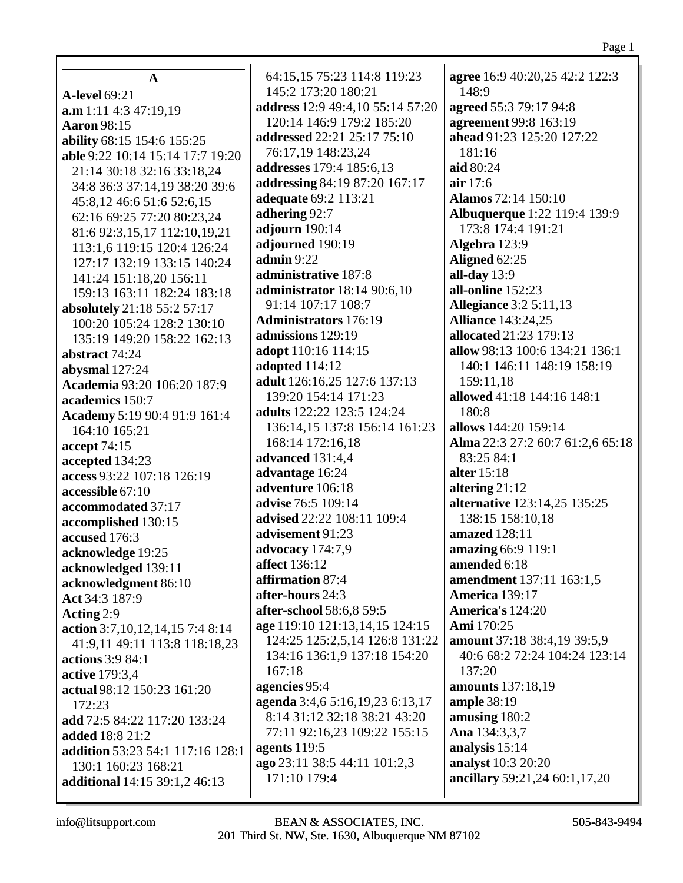| $\mathbf A$                                     | 64:15,15 75:23 114:8 119:23                                      | agree 16:9 40:20,25 42:2 122:3            |
|-------------------------------------------------|------------------------------------------------------------------|-------------------------------------------|
| <b>A-level 69:21</b>                            | 145:2 173:20 180:21                                              | 148:9                                     |
| a.m 1:11 4:3 47:19.19                           | address 12:9 49:4,10 55:14 57:20                                 | agreed 55:3 79:17 94:8                    |
| <b>Aaron</b> 98:15                              | 120:14 146:9 179:2 185:20                                        | agreement 99:8 163:19                     |
| ability 68:15 154:6 155:25                      | addressed 22:21 25:17 75:10                                      | ahead 91:23 125:20 127:22                 |
| able 9:22 10:14 15:14 17:7 19:20                | 76:17,19 148:23,24                                               | 181:16                                    |
| 21:14 30:18 32:16 33:18,24                      | addresses 179:4 185:6,13                                         | aid 80:24                                 |
| 34:8 36:3 37:14,19 38:20 39:6                   | addressing 84:19 87:20 167:17                                    | air 17:6                                  |
| 45:8,12 46:6 51:6 52:6,15                       | adequate 69:2 113:21                                             | <b>Alamos</b> 72:14 150:10                |
| 62:16 69:25 77:20 80:23,24                      | adhering 92:7                                                    | <b>Albuquerque</b> 1:22 119:4 139:9       |
| 81:6 92:3,15,17 112:10,19,21                    | adjourn 190:14                                                   | 173:8 174:4 191:21                        |
| 113:1,6 119:15 120:4 126:24                     | adjourned 190:19                                                 | Algebra 123:9                             |
| 127:17 132:19 133:15 140:24                     | $\mathbf{admin} 9:22$                                            | Aligned 62:25                             |
| 141:24 151:18,20 156:11                         | administrative 187:8                                             | all-day $13:9$                            |
| 159:13 163:11 182:24 183:18                     | administrator 18:14 90:6,10                                      | all-online 152:23                         |
| absolutely 21:18 55:2 57:17                     | 91:14 107:17 108:7                                               | <b>Allegiance</b> 3:2 5:11,13             |
| 100:20 105:24 128:2 130:10                      | <b>Administrators</b> 176:19                                     | <b>Alliance</b> 143:24,25                 |
| 135:19 149:20 158:22 162:13                     | admissions 129:19                                                | allocated 21:23 179:13                    |
| abstract 74:24                                  | adopt 110:16 114:15                                              | allow 98:13 100:6 134:21 136:1            |
| abysmal 127:24                                  | adopted 114:12                                                   | 140:1 146:11 148:19 158:19                |
| Academia 93:20 106:20 187:9                     | adult 126:16,25 127:6 137:13                                     | 159:11,18                                 |
| academics 150:7                                 | 139:20 154:14 171:23                                             | allowed 41:18 144:16 148:1                |
| Academy 5:19 90:4 91:9 161:4                    | adults 122:22 123:5 124:24                                       | 180:8                                     |
| 164:10 165:21                                   | 136:14,15 137:8 156:14 161:23                                    | allows 144:20 159:14                      |
| accept 74:15                                    | 168:14 172:16,18                                                 | Alma 22:3 27:2 60:7 61:2,6 65:18          |
| accepted 134:23                                 | advanced 131:4,4                                                 | 83:25 84:1                                |
| access 93:22 107:18 126:19                      | advantage 16:24                                                  | alter 15:18                               |
| accessible 67:10                                | adventure 106:18                                                 | altering $21:12$                          |
| accommodated 37:17                              | advise 76:5 109:14                                               | alternative 123:14,25 135:25              |
| accomplished 130:15                             | advised 22:22 108:11 109:4                                       | 138:15 158:10,18                          |
| accused 176:3                                   | advisement 91:23                                                 | amazed 128:11                             |
| acknowledge 19:25                               | advocacy $174:7,9$                                               | amazing 66:9 119:1                        |
| acknowledged 139:11                             | <b>affect</b> 136:12<br>affirmation 87:4                         | amended 6:18                              |
| acknowledgment 86:10                            |                                                                  | amendment 137:11 163:1,5                  |
| Act 34:3 187:9                                  | after-hours 24:3<br>after-school 58:6,8 59:5                     | <b>America</b> 139:17<br>America's 124:20 |
| Acting $2:9$                                    |                                                                  | <b>Ami</b> 170:25                         |
| action 3:7, 10, 12, 14, 15 7:4 8:14             | age 119:10 121:13,14,15 124:15<br>124:25 125:2,5,14 126:8 131:22 | amount 37:18 38:4,19 39:5,9               |
| 41:9,11 49:11 113:8 118:18,23                   | 134:16 136:1,9 137:18 154:20                                     | 40:6 68:2 72:24 104:24 123:14             |
| actions 3:9 84:1                                | 167:18                                                           | 137:20                                    |
| active 179:3,4                                  | agencies 95:4                                                    | <b>amounts</b> 137:18,19                  |
| actual 98:12 150:23 161:20                      | agenda 3:4,6 5:16,19,23 6:13,17                                  | ample 38:19                               |
| 172:23                                          | 8:14 31:12 32:18 38:21 43:20                                     | amusing 180:2                             |
| add 72:5 84:22 117:20 133:24<br>added 18:8 21:2 | 77:11 92:16,23 109:22 155:15                                     | Ana 134:3,3,7                             |
| addition 53:23 54:1 117:16 128:1                | agents $119:5$                                                   | analysis 15:14                            |
| 130:1 160:23 168:21                             | ago 23:11 38:5 44:11 101:2,3                                     | analyst 10:3 20:20                        |
| additional 14:15 39:1,2 46:13                   | 171:10 179:4                                                     | ancillary 59:21,24 60:1,17,20             |
|                                                 |                                                                  |                                           |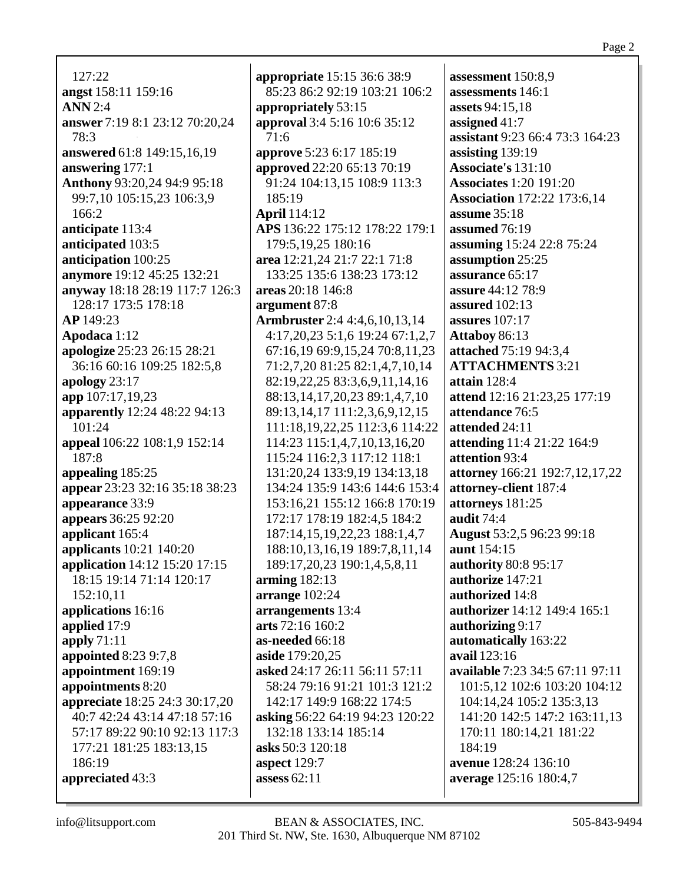127:22 **angst** 158:11 159:16 **ANN** 2:4 **answer** 7:19 8:1 23:12 70:20,24 78:3 **answered** 61:8 149:15,16,19 **answering** 177:1 **Anthony** 93:20,24 94:9 95:18 99:7,10 105:15,23 106:3,9 166:2 **anticipate** 113:4 **anticipated** 103:5 **anticipation** 100:25 **anymore** 19:12 45:25 132:21 **anyway** 18:18 28:19 117:7 126:3 128:17 173:5 178:18 **AP** 149:23 **Apodaca** 1:12 **apologize** 25:23 26:15 28:21 36:16 60:16 109:25 182:5,8 **apology** 23:17 **app** 107:17,19,23 **apparently** 12:24 48:22 94:13 101:24 **appeal** 106:22 108:1,9 152:14 187:8 **appealing** 185:25 **appear** 23:23 32:16 35:18 38:23 **appearance** 33:9 **appears** 36:25 92:20 **applicant** 165:4 **applicants** 10:21 140:20 **application** 14:12 15:20 17:15 18:15 19:14 71:14 120:17 152:10,11 **applications** 16:16 **applied** 17:9 **apply** 71:11 **appointed** 8:23 9:7,8 **appointment** 169:19 **appointments** 8:20 **appreciate** 18:25 24:3 30:17,20 40:7 42:24 43:14 47:18 57:16 57:17 89:22 90:10 92:13 117:3 177:21 181:25 183:13,15 186:19 **appreciated** 43:3

**appropriate** 15:15 36:6 38:9 85:23 86:2 92:19 103:21 106:2 **appropriately** 53:15 **approval** 3:4 5:16 10:6 35:12 71:6 **approve** 5:23 6:17 185:19 **approved** 22:20 65:13 70:19 91:24 104:13,15 108:9 113:3 185:19 **April** 114:12 **APS** 136:22 175:12 178:22 179:1 179:5,19,25 180:16 **area** 12:21,24 21:7 22:1 71:8 133:25 135:6 138:23 173:12 **areas** 20:18 146:8 **argument** 87:8 **Armbruster** 2:4 4:4,6,10,13,14 4:17,20,23 5:1,6 19:24 67:1,2,7 67:16,19 69:9,15,24 70:8,11,23 71:2,7,20 81:25 82:1,4,7,10,14 82:19,22,25 83:3,6,9,11,14,16 88:13,14,17,20,23 89:1,4,7,10 89:13,14,17 111:2,3,6,9,12,15 111:18,19,22,25 112:3,6 114:22 114:23 115:1,4,7,10,13,16,20 115:24 116:2,3 117:12 118:1 131:20,24 133:9,19 134:13,18 134:24 135:9 143:6 144:6 153:4 153:16,21 155:12 166:8 170:19 172:17 178:19 182:4,5 184:2 187:14,15,19,22,23 188:1,4,7 188:10,13,16,19 189:7,8,11,14 189:17,20,23 190:1,4,5,8,11 **arming** 182:13 **arrange** 102:24 **arrangements** 13:4 **arts** 72:16 160:2 **as-needed** 66:18 **aside** 179:20,25 **asked** 24:17 26:11 56:11 57:11 58:24 79:16 91:21 101:3 121:2 142:17 149:9 168:22 174:5 **asking** 56:22 64:19 94:23 120:22 132:18 133:14 185:14 **asks** 50:3 120:18 **aspect** 129:7 **assess** 62:11

**assessment** 150:8,9 **assessments** 146:1 **assets** 94:15,18 **assigned** 41:7 **assistant** 9:23 66:4 73:3 164:23 **assisting** 139:19 **Associate's** 131:10 **Associates** 1:20 191:20 **Association** 172:22 173:6,14 **assume** 35:18 **assumed** 76:19 **assuming** 15:24 22:8 75:24 **assumption** 25:25 **assurance** 65:17 **assure** 44:12 78:9 **assured** 102:13 **assures** 107:17 **Attaboy** 86:13 **attached** 75:19 94:3,4 **ATTACHMENTS** 3:21 **attain** 128:4 **attend** 12:16 21:23,25 177:19 **attendance** 76:5 **attended** 24:11 **attending** 11:4 21:22 164:9 **attention** 93:4 **attorney** 166:21 192:7,12,17,22 **attorney-client** 187:4 **attorneys** 181:25 **audit** 74:4 **August** 53:2,5 96:23 99:18 **aunt** 154:15 **authority** 80:8 95:17 **authorize** 147:21 **authorized** 14:8 **authorizer** 14:12 149:4 165:1 **authorizing** 9:17 **automatically** 163:22 **avail** 123:16 **available** 7:23 34:5 67:11 97:11 101:5,12 102:6 103:20 104:12 104:14,24 105:2 135:3,13 141:20 142:5 147:2 163:11,13 170:11 180:14,21 181:22 184:19 **avenue** 128:24 136:10 **average** 125:16 180:4,7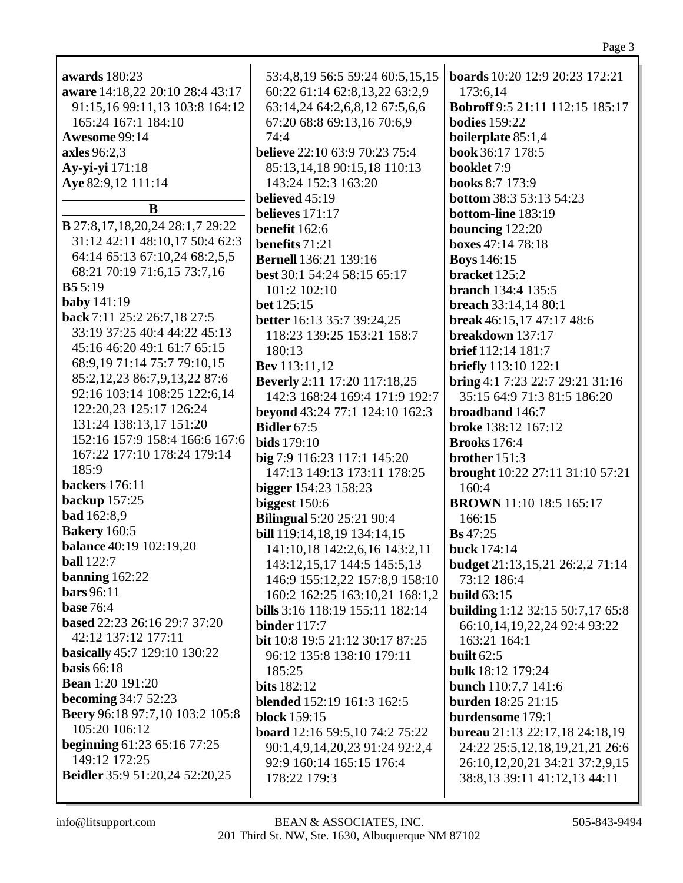| <b>awards</b> 180:23                     | 53:4,8,19 56:5 59:24 60:5,15,15        | <b>boards</b> 10:20 12:9 20:23 172:21   |
|------------------------------------------|----------------------------------------|-----------------------------------------|
| aware 14:18,22 20:10 28:4 43:17          | 60:22 61:14 62:8,13,22 63:2,9          | 173:6,14                                |
| 91:15,16 99:11,13 103:8 164:12           | 63:14,24 64:2,6,8,12 67:5,6,6          | Bobroff 9:5 21:11 112:15 185:17         |
| 165:24 167:1 184:10                      | 67:20 68:8 69:13,16 70:6,9             | <b>bodies</b> 159:22                    |
| Awesome 99:14                            | 74:4                                   | boilerplate 85:1,4                      |
| axles 96:2,3                             | <b>believe</b> 22:10 63:9 70:23 75:4   | book 36:17 178:5                        |
| Ay-yi-yi 171:18                          | 85:13,14,18 90:15,18 110:13            | booklet 7:9                             |
| Aye 82:9,12 111:14                       | 143:24 152:3 163:20                    | <b>books 8:7 173:9</b>                  |
|                                          | believed 45:19                         | <b>bottom</b> 38:3 53:13 54:23          |
| B                                        |                                        |                                         |
| <b>B</b> 27:8,17,18,20,24 28:1,7 29:22   | believes $171:17$                      | bottom-line 183:19                      |
| 31:12 42:11 48:10,17 50:4 62:3           | benefit 162:6                          | bouncing $122:20$                       |
| 64:14 65:13 67:10,24 68:2,5,5            | benefits 71:21                         | boxes 47:14 78:18                       |
|                                          | <b>Bernell</b> 136:21 139:16           | <b>Boys</b> 146:15                      |
| 68:21 70:19 71:6,15 73:7,16              | best 30:1 54:24 58:15 65:17            | bracket 125:2                           |
| B55:19                                   | 101:2 102:10                           | <b>branch</b> 134:4 135:5               |
| baby $141:19$                            | <b>bet</b> 125:15                      | breach 33:14,14 80:1                    |
| back 7:11 25:2 26:7,18 27:5              | better 16:13 35:7 39:24,25             | break 46:15,17 47:17 48:6               |
| 33:19 37:25 40:4 44:22 45:13             | 118:23 139:25 153:21 158:7             | breakdown 137:17                        |
| 45:16 46:20 49:1 61:7 65:15              | 180:13                                 | <b>brief</b> 112:14 181:7               |
| 68:9, 19 71:14 75:7 79:10, 15            | <b>Bev</b> 113:11,12                   | <b>briefly</b> 113:10 122:1             |
| 85:2,12,23 86:7,9,13,22 87:6             | <b>Beverly</b> 2:11 17:20 117:18,25    | bring 4:1 7:23 22:7 29:21 31:16         |
| 92:16 103:14 108:25 122:6,14             | 142:3 168:24 169:4 171:9 192:7         | 35:15 64:9 71:3 81:5 186:20             |
| 122:20,23 125:17 126:24                  | beyond 43:24 77:1 124:10 162:3         | broadband 146:7                         |
| 131:24 138:13,17 151:20                  | <b>Bidler</b> 67:5                     | broke 138:12 167:12                     |
| 152:16 157:9 158:4 166:6 167:6           | <b>bids</b> 179:10                     | <b>Brooks</b> 176:4                     |
| 167:22 177:10 178:24 179:14              | big 7:9 116:23 117:1 145:20            | brother 151:3                           |
| 185:9                                    | 147:13 149:13 173:11 178:25            | brought 10:22 27:11 31:10 57:21         |
| backers 176:11                           | bigger 154:23 158:23                   | 160:4                                   |
| backup 157:25                            |                                        | <b>BROWN</b> 11:10 18:5 165:17          |
| <b>bad</b> 162:8,9                       | biggest 150:6                          |                                         |
| <b>Bakery</b> 160:5                      | <b>Bilingual 5:20 25:21 90:4</b>       | 166:15                                  |
| <b>balance</b> 40:19 102:19,20           | bill 119:14,18,19 134:14,15            | <b>Bs</b> 47:25                         |
| <b>ball</b> 122:7                        | 141:10,18 142:2,6,16 143:2,11          | buck 174:14                             |
|                                          | 143:12,15,17 144:5 145:5,13            | <b>budget</b> 21:13,15,21 26:2,2 71:14  |
| banning $162:22$                         | 146:9 155:12,22 157:8,9 158:10         | 73:12 186:4                             |
| <b>bars</b> 96:11                        | 160:2 162:25 163:10,21 168:1,2         | build $63:15$                           |
| <b>base 76:4</b>                         | bills 3:16 118:19 155:11 182:14        | <b>building</b> 1:12 32:15 50:7,17 65:8 |
| based 22:23 26:16 29:7 37:20             | binder $117:7$                         | 66:10,14,19,22,24 92:4 93:22            |
| 42:12 137:12 177:11                      | <b>bit</b> 10:8 19:5 21:12 30:17 87:25 | 163:21 164:1                            |
| basically 45:7 129:10 130:22             | 96:12 135:8 138:10 179:11              | built $62:5$                            |
| basis $66:18$                            | 185:25                                 | <b>bulk</b> 18:12 179:24                |
| <b>Bean</b> 1:20 191:20                  | <b>bits</b> 182:12                     | bunch 110:7,7 141:6                     |
| <b>becoming 34:7 52:23</b>               | blended 152:19 161:3 162:5             | <b>burden</b> 18:25 21:15               |
| Beery 96:18 97:7,10 103:2 105:8          | <b>block</b> 159:15                    | burdensome 179:1                        |
| 105:20 106:12                            | board 12:16 59:5,10 74:2 75:22         | <b>bureau</b> 21:13 22:17,18 24:18,19   |
| <b>beginning</b> $61:23$ $65:16$ $77:25$ | 90:1,4,9,14,20,23 91:24 92:2,4         | 24:22 25:5,12,18,19,21,21 26:6          |
| 149:12 172:25                            | 92:9 160:14 165:15 176:4               | 26:10,12,20,21 34:21 37:2,9,15          |
| Beidler 35:9 51:20,24 52:20,25           | 178:22 179:3                           | 38:8,13 39:11 41:12,13 44:11            |
|                                          |                                        |                                         |
|                                          |                                        |                                         |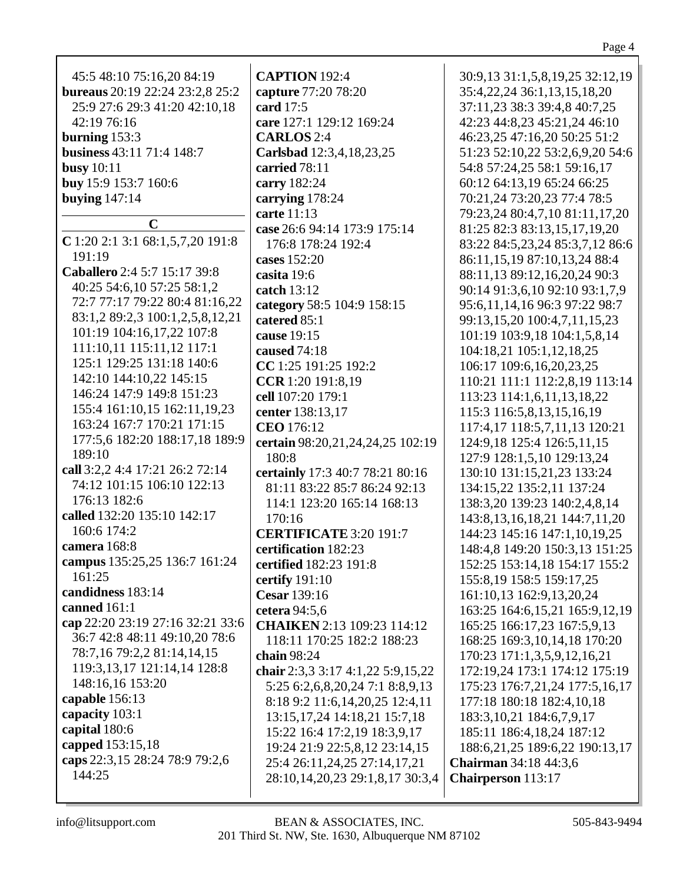| 45:5 48:10 75:16,20 84:19        | <b>CAPTION</b> 192:4              | 30:9,13 31:1,5,8,19,25 32:12,19                             |
|----------------------------------|-----------------------------------|-------------------------------------------------------------|
| bureaus 20:19 22:24 23:2,8 25:2  | capture 77:20 78:20               | 35:4, 22, 24 36:1, 13, 15, 18, 20                           |
| 25:9 27:6 29:3 41:20 42:10,18    | card 17:5                         | 37:11,23 38:3 39:4,8 40:7,25                                |
| 42:19 76:16                      | care 127:1 129:12 169:24          | 42:23 44:8,23 45:21,24 46:10                                |
| burning $153:3$                  | <b>CARLOS</b> 2:4                 | 46:23,25 47:16,20 50:25 51:2                                |
| business 43:11 71:4 148:7        | Carlsbad 12:3,4,18,23,25          | 51:23 52:10,22 53:2,6,9,20 54:6                             |
| busy $10:11$                     | carried 78:11                     | 54:8 57:24,25 58:1 59:16,17                                 |
| buy 15:9 153:7 160:6             | carry 182:24                      | 60:12 64:13,19 65:24 66:25                                  |
| <b>buying</b> 147:14             | carrying 178:24                   | 70:21,24 73:20,23 77:4 78:5                                 |
|                                  | carte 11:13                       | 79:23,24 80:4,7,10 81:11,17,20                              |
| $\mathbf C$                      | case 26:6 94:14 173:9 175:14      | 81:25 82:3 83:13,15,17,19,20                                |
| C 1:20 2:1 3:1 68:1,5,7,20 191:8 | 176:8 178:24 192:4                | 83:22 84:5,23,24 85:3,7,12 86:6                             |
| 191:19                           | cases 152:20                      | 86:11,15,19 87:10,13,24 88:4                                |
| Caballero 2:4 5:7 15:17 39:8     | casita 19:6                       | 88:11,13 89:12,16,20,24 90:3                                |
| 40:25 54:6,10 57:25 58:1,2       | catch 13:12                       | 90:14 91:3,6,10 92:10 93:1,7,9                              |
| 72:7 77:17 79:22 80:4 81:16,22   | category 58:5 104:9 158:15        | 95:6, 11, 14, 16 96: 3 97: 22 98: 7                         |
| 83:1,2 89:2,3 100:1,2,5,8,12,21  | catered 85:1                      | 99:13,15,20 100:4,7,11,15,23                                |
| 101:19 104:16,17,22 107:8        | cause 19:15                       | 101:19 103:9,18 104:1,5,8,14                                |
| 111:10,11 115:11,12 117:1        | caused 74:18                      | 104:18,21 105:1,12,18,25                                    |
| 125:1 129:25 131:18 140:6        | CC 1:25 191:25 192:2              | 106:17 109:6,16,20,23,25                                    |
| 142:10 144:10,22 145:15          | CCR 1:20 191:8,19                 | 110:21 111:1 112:2,8,19 113:14                              |
| 146:24 147:9 149:8 151:23        | cell 107:20 179:1                 | 113:23 114:1,6,11,13,18,22                                  |
| 155:4 161:10,15 162:11,19,23     | center 138:13,17                  | 115:3 116:5,8,13,15,16,19                                   |
| 163:24 167:7 170:21 171:15       | <b>CEO</b> 176:12                 | 117:4,17 118:5,7,11,13 120:21                               |
| 177:5,6 182:20 188:17,18 189:9   | certain 98:20,21,24,24,25 102:19  | 124:9,18 125:4 126:5,11,15                                  |
| 189:10                           | 180:8                             | 127:9 128:1,5,10 129:13,24                                  |
| call 3:2,2 4:4 17:21 26:2 72:14  | certainly 17:3 40:7 78:21 80:16   | 130:10 131:15,21,23 133:24                                  |
| 74:12 101:15 106:10 122:13       | 81:11 83:22 85:7 86:24 92:13      | 134:15,22 135:2,11 137:24                                   |
| 176:13 182:6                     | 114:1 123:20 165:14 168:13        | 138:3,20 139:23 140:2,4,8,14                                |
| called 132:20 135:10 142:17      | 170:16                            | 143:8, 13, 16, 18, 21 144: 7, 11, 20                        |
| 160:6 174:2                      | <b>CERTIFICATE 3:20 191:7</b>     | 144:23 145:16 147:1,10,19,25                                |
| camera 168:8                     | certification 182:23              | 148:4,8 149:20 150:3,13 151:25                              |
| campus 135:25,25 136:7 161:24    | certified 182:23 191:8            | 152:25 153:14,18 154:17 155:2                               |
| 161:25                           | certify 191:10                    | 155:8,19 158:5 159:17,25                                    |
| candidness 183:14                | Cesar 139:16                      | 161:10,13 162:9,13,20,24                                    |
| canned 161:1                     | cetera 94:5,6                     | 163:25 164:6,15,21 165:9,12,19                              |
| cap 22:20 23:19 27:16 32:21 33:6 | CHAIKEN 2:13 109:23 114:12        |                                                             |
| 36:7 42:8 48:11 49:10,20 78:6    | 118:11 170:25 182:2 188:23        | 165:25 166:17,23 167:5,9,13<br>168:25 169:3,10,14,18 170:20 |
| 78:7,16 79:2,2 81:14,14,15       |                                   |                                                             |
| 119:3, 13, 17 121:14, 14 128:8   | chain 98:24                       | 170:23 171:1,3,5,9,12,16,21                                 |
| 148:16,16 153:20                 | chair 2:3,3 3:17 4:1,22 5:9,15,22 | 172:19,24 173:1 174:12 175:19                               |
| capable 156:13                   | 5:25 6:2,6,8,20,24 7:1 8:8,9,13   | 175:23 176:7,21,24 177:5,16,17                              |
| capacity 103:1                   | 8:18 9:2 11:6,14,20,25 12:4,11    | 177:18 180:18 182:4,10,18                                   |
| capital 180:6                    | 13:15, 17, 24 14:18, 21 15:7, 18  | 183:3, 10, 21 184: 6, 7, 9, 17                              |
| capped 153:15,18                 | 15:22 16:4 17:2,19 18:3,9,17      | 185:11 186:4,18,24 187:12                                   |
| caps 22:3,15 28:24 78:9 79:2,6   | 19:24 21:9 22:5,8,12 23:14,15     | 188:6,21,25 189:6,22 190:13,17                              |
| 144:25                           | 25:4 26:11,24,25 27:14,17,21      | <b>Chairman</b> 34:18 44:3,6                                |
|                                  | 28:10,14,20,23 29:1,8,17 30:3,4   | <b>Chairperson</b> 113:17                                   |
|                                  |                                   |                                                             |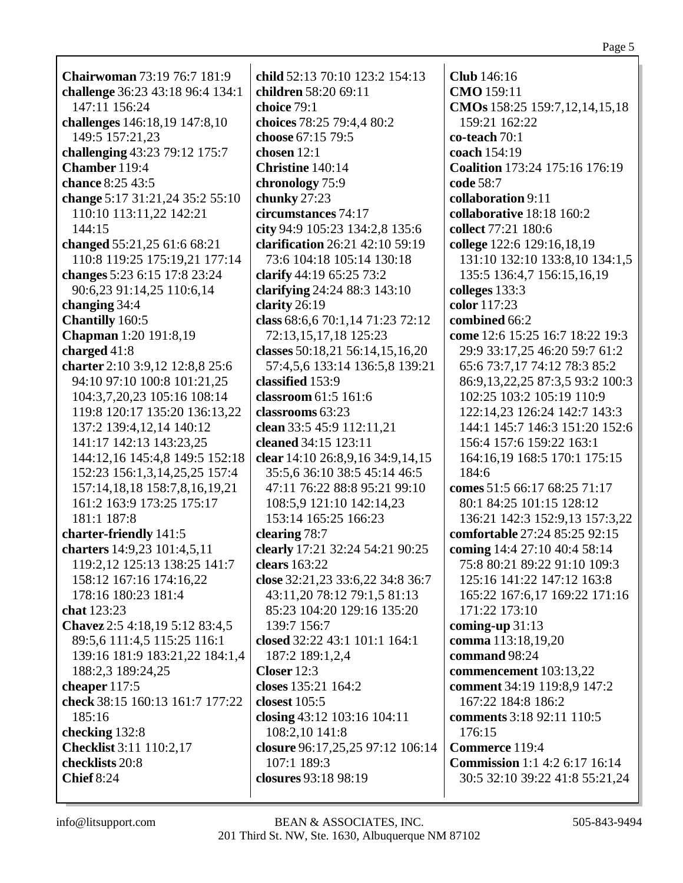**Chairwoman** 73:19 76:7 181:9 **challenge** 36:23 43:18 96:4 134:1 147:11 156:24 **challenges** 146:18,19 147:8,10 149:5 157:21,23 **challenging** 43:23 79:12 175:7 **Chamber** 119:4 **chance** 8:25 43:5 **change** 5:17 31:21,24 35:2 55:10 110:10 113:11,22 142:21 144:15 **changed** 55:21,25 61:6 68:21 110:8 119:25 175:19,21 177:14 **changes** 5:23 6:15 17:8 23:24 90:6,23 91:14,25 110:6,14 **changing** 34:4 **Chantilly** 160:5 **Chapman** 1:20 191:8,19 **charged** 41:8 **charter** 2:10 3:9,12 12:8,8 25:6 94:10 97:10 100:8 101:21,25 104:3,7,20,23 105:16 108:14 119:8 120:17 135:20 136:13,22 137:2 139:4,12,14 140:12 141:17 142:13 143:23,25 144:12,16 145:4,8 149:5 152:18 152:23 156:1,3,14,25,25 157:4 157:14,18,18 158:7,8,16,19,21 161:2 163:9 173:25 175:17 181:1 187:8 **charter-friendly** 141:5 **charters** 14:9,23 101:4,5,11 119:2,12 125:13 138:25 141:7 158:12 167:16 174:16,22 178:16 180:23 181:4 **chat** 123:23 **Chavez** 2:5 4:18,19 5:12 83:4,5 89:5,6 111:4,5 115:25 116:1 139:16 181:9 183:21,22 184:1,4 188:2,3 189:24,25 **cheaper** 117:5 **check** 38:15 160:13 161:7 177:22 185:16 **checking** 132:8 **Checklist** 3:11 110:2,17 **checklists** 20:8 **Chief** 8:24

**child** 52:13 70:10 123:2 154:13 **children** 58:20 69:11 **choice** 79:1 **choices** 78:25 79:4,4 80:2 **choose** 67:15 79:5 **chosen** 12:1 **Christine** 140:14 **chronology** 75:9 **chunky** 27:23 **circumstances** 74:17 **city** 94:9 105:23 134:2,8 135:6 **clarification** 26:21 42:10 59:19 73:6 104:18 105:14 130:18 **clarify** 44:19 65:25 73:2 **clarifying** 24:24 88:3 143:10 **clarity** 26:19 **class** 68:6,6 70:1,14 71:23 72:12 72:13,15,17,18 125:23 **classes** 50:18,21 56:14,15,16,20 57:4,5,6 133:14 136:5,8 139:21 **classified** 153:9 **classroom** 61:5 161:6 **classrooms** 63:23 **clean** 33:5 45:9 112:11,21 **cleaned** 34:15 123:11 **clear** 14:10 26:8,9,16 34:9,14,15 35:5,6 36:10 38:5 45:14 46:5 47:11 76:22 88:8 95:21 99:10 108:5,9 121:10 142:14,23 153:14 165:25 166:23 **clearing** 78:7 **clearly** 17:21 32:24 54:21 90:25 **clears** 163:22 **close** 32:21,23 33:6,22 34:8 36:7 43:11,20 78:12 79:1,5 81:13 85:23 104:20 129:16 135:20 139:7 156:7 **closed** 32:22 43:1 101:1 164:1 187:2 189:1,2,4 **Closer** 12:3 **closes** 135:21 164:2 **closest** 105:5 **closing** 43:12 103:16 104:11 108:2,10 141:8 **closure** 96:17,25,25 97:12 106:14 107:1 189:3 **closures** 93:18 98:19

**Club** 146:16 **CMO** 159:11 **CMOs** 158:25 159:7,12,14,15,18 159:21 162:22 **co-teach** 70:1 **coach** 154:19 **Coalition** 173:24 175:16 176:19 **code** 58:7 **collaboration** 9:11 **collaborative** 18:18 160:2 **collect** 77:21 180:6 **college** 122:6 129:16,18,19 131:10 132:10 133:8,10 134:1,5 135:5 136:4,7 156:15,16,19 **colleges** 133:3 **color** 117:23 **combined** 66:2 **come** 12:6 15:25 16:7 18:22 19:3 29:9 33:17,25 46:20 59:7 61:2 65:6 73:7,17 74:12 78:3 85:2 86:9,13,22,25 87:3,5 93:2 100:3 102:25 103:2 105:19 110:9 122:14,23 126:24 142:7 143:3 144:1 145:7 146:3 151:20 152:6 156:4 157:6 159:22 163:1 164:16,19 168:5 170:1 175:15 184:6 **comes** 51:5 66:17 68:25 71:17 80:1 84:25 101:15 128:12 136:21 142:3 152:9,13 157:3,22 **comfortable** 27:24 85:25 92:15 **coming** 14:4 27:10 40:4 58:14 75:8 80:21 89:22 91:10 109:3 125:16 141:22 147:12 163:8 165:22 167:6,17 169:22 171:16 171:22 173:10 **coming-up** 31:13 **comma** 113:18,19,20 **command** 98:24 **commencement** 103:13,22 **comment** 34:19 119:8,9 147:2 167:22 184:8 186:2 **comments** 3:18 92:11 110:5 176:15 **Commerce** 119:4 **Commission** 1:1 4:2 6:17 16:14 30:5 32:10 39:22 41:8 55:21,24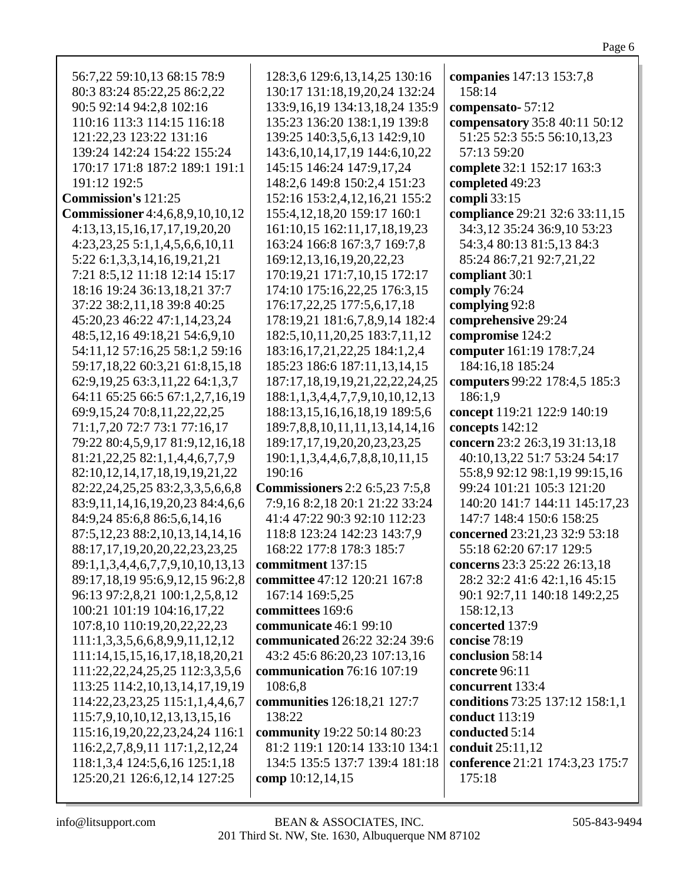| 56:7,22 59:10,13 68:15 78:9             | 128:3,6 129:6,13,14,25 130:16         | companies 147:13 153:7,8            |
|-----------------------------------------|---------------------------------------|-------------------------------------|
| 80:3 83:24 85:22,25 86:2,22             | 130:17 131:18,19,20,24 132:24         | 158:14                              |
| 90:5 92:14 94:2,8 102:16                | 133:9, 16, 19 134: 13, 18, 24 135: 9  | compensato-57:12                    |
| 110:16 113:3 114:15 116:18              | 135:23 136:20 138:1,19 139:8          | compensatory 35:8 40:11 50:12       |
| 121:22,23 123:22 131:16                 | 139:25 140:3,5,6,13 142:9,10          | 51:25 52:3 55:5 56:10,13,23         |
| 139:24 142:24 154:22 155:24             | 143:6, 10, 14, 17, 19 144: 6, 10, 22  | 57:13 59:20                         |
| 170:17 171:8 187:2 189:1 191:1          | 145:15 146:24 147:9,17,24             | complete 32:1 152:17 163:3          |
| 191:12 192:5                            | 148:2,6 149:8 150:2,4 151:23          | completed 49:23                     |
| <b>Commission's 121:25</b>              | 152:16 153:2,4,12,16,21 155:2         | compli 33:15                        |
| <b>Commissioner</b> 4:4,6,8,9,10,10,12  | 155:4, 12, 18, 20 159: 17 160: 1      | compliance 29:21 32:6 33:11,15      |
| 4:13,13,15,16,17,17,19,20,20            | 161:10,15 162:11,17,18,19,23          | 34:3,12 35:24 36:9,10 53:23         |
| $4:23,23,25\ 5:1,1,4,5,6,6,10,11$       | 163:24 166:8 167:3,7 169:7,8          | 54:3,4 80:13 81:5,13 84:3           |
| 5:22 6:1,3,3,14,16,19,21,21             | 169:12,13,16,19,20,22,23              | 85:24 86:7,21 92:7,21,22            |
|                                         |                                       |                                     |
| 7:21 8:5,12 11:18 12:14 15:17           | 170:19,21 171:7,10,15 172:17          | compliant 30:1                      |
| 18:16 19:24 36:13,18,21 37:7            | 174:10 175:16,22,25 176:3,15          | comply 76:24                        |
| 37:22 38:2,11,18 39:8 40:25             | 176:17,22,25 177:5,6,17,18            | complying 92:8                      |
| 45:20,23 46:22 47:1,14,23,24            | 178:19,21 181:6,7,8,9,14 182:4        | comprehensive 29:24                 |
| 48:5, 12, 16 49: 18, 21 54: 6, 9, 10    | 182:5, 10, 11, 20, 25 183:7, 11, 12   | compromise 124:2                    |
| 54:11,12 57:16,25 58:1,2 59:16          | 183:16, 17, 21, 22, 25 184: 1, 2, 4   | computer 161:19 178:7,24            |
| 59:17,18,22 60:3,21 61:8,15,18          | 185:23 186:6 187:11,13,14,15          | 184:16,18 185:24                    |
| 62:9,19,25 63:3,11,22 64:1,3,7          | 187:17,18,19,19,21,22,22,24,25        | computers 99:22 178:4,5 185:3       |
| 64:11 65:25 66:5 67:1,2,7,16,19         | 188:1,1,3,4,4,7,7,9,10,10,12,13       | 186:1,9                             |
| 69:9, 15, 24 70:8, 11, 22, 22, 25       | 188:13,15,16,16,18,19 189:5,6         | concept 119:21 122:9 140:19         |
| 71:1,7,20 72:7 73:1 77:16,17            | 189:7,8,8,10,11,11,13,14,14,16        | concepts 142:12                     |
| 79:22 80:4,5,9,17 81:9,12,16,18         | 189:17, 17, 19, 20, 20, 23, 23, 25    | concern 23:2 26:3,19 31:13,18       |
| 81:21, 22, 25 82:1, 1, 4, 4, 6, 7, 7, 9 | 190:1,1,3,4,4,6,7,8,8,10,11,15        | 40:10,13,22 51:7 53:24 54:17        |
| 82:10,12,14,17,18,19,19,21,22           | 190:16                                | 55:8,9 92:12 98:1,19 99:15,16       |
| 82:22,24,25,25 83:2,3,3,5,6,6,8         | <b>Commissioners</b> 2:2 6:5,23 7:5,8 | 99:24 101:21 105:3 121:20           |
| 83:9,11,14,16,19,20,23 84:4,6,6         | 7:9,16 8:2,18 20:1 21:22 33:24        | 140:20 141:7 144:11 145:17,23       |
| 84:9,24 85:6,8 86:5,6,14,16             | 41:4 47:22 90:3 92:10 112:23          | 147:7 148:4 150:6 158:25            |
| 87:5, 12, 23 88:2, 10, 13, 14, 14, 16   | 118:8 123:24 142:23 143:7,9           | concerned 23:21,23 32:9 53:18       |
| 88:17,17,19,20,20,22,23,23,25           | 168:22 177:8 178:3 185:7              | 55:18 62:20 67:17 129:5             |
| 89:1,1,3,4,4,6,7,7,9,10,10,13,13        | commitment 137:15                     | <b>concerns</b> 23:3 25:22 26:13,18 |
| 89:17,18,19 95:6,9,12,15 96:2,8         | committee 47:12 120:21 167:8          | 28:2 32:2 41:6 42:1,16 45:15        |
| 96:13 97:2,8,21 100:1,2,5,8,12          | 167:14 169:5,25                       | 90:1 92:7,11 140:18 149:2,25        |
| 100:21 101:19 104:16,17,22              | committees 169:6                      | 158:12,13                           |
| 107:8,10 110:19,20,22,22,23             | communicate 46:1 99:10                | concerted 137:9                     |
| 111:1,3,3,5,6,6,8,9,9,11,12,12          | communicated 26:22 32:24 39:6         | concise 78:19                       |
| 111:14, 15, 15, 16, 17, 18, 18, 20, 21  | 43:2 45:6 86:20,23 107:13,16          | conclusion 58:14                    |
| 111:22, 22, 24, 25, 25 112:3, 3, 5, 6   | communication 76:16 107:19            | concrete 96:11                      |
| 113:25 114:2,10,13,14,17,19,19          | 108:6,8                               | concurrent 133:4                    |
| 114:22,23,23,25 115:1,1,4,4,6,7         | communities 126:18,21 127:7           | conditions 73:25 137:12 158:1,1     |
| 115:7,9,10,10,12,13,13,15,16            | 138:22                                | conduct 113:19                      |
| 115:16, 19, 20, 22, 23, 24, 24 116:1    | community 19:22 50:14 80:23           | conducted 5:14                      |
| 116:2,2,7,8,9,11 117:1,2,12,24          | 81:2 119:1 120:14 133:10 134:1        | conduit 25:11,12                    |
|                                         | 134:5 135:5 137:7 139:4 181:18        |                                     |
| 118:1,3,4 124:5,6,16 125:1,18           |                                       | conference 21:21 174:3,23 175:7     |
| 125:20,21 126:6,12,14 127:25            | comp 10:12,14,15                      | 175:18                              |
|                                         |                                       |                                     |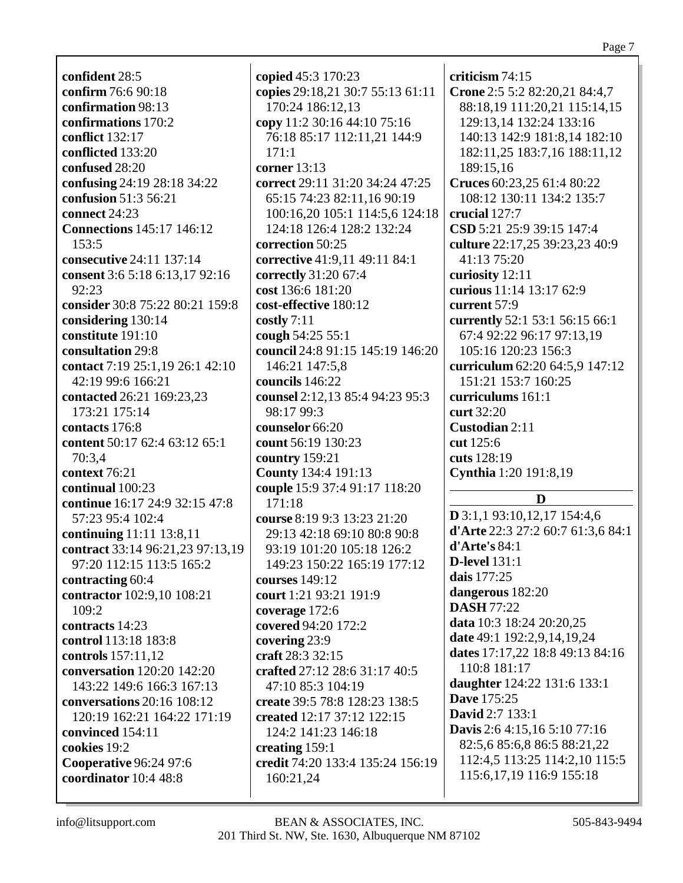**confident** 28:5 **confirm** 76:6 90:18 **confirmation** 98:13 **confirmations** 170:2 **conflict** 132:17 **conflicted** 133:20 **confused** 28:20 **confusing** 24:19 28:18 34:22 **confusion** 51:3 56:21 **connect** 24:23 **Connections** 145:17 146:12  $153:5$ **consecutive** 24:11 137:14 **consent** 3:6 5:18 6:13,17 92:16 92:23 **consider** 30:8 75:22 80:21 159:8 **considering** 130:14 **constitute** 191:10 **consultation** 29:8 **contact** 7:19 25:1,19 26:1 42:10 42:19 99:6 166:21 **contacted** 26:21 169:23,23 173:21 175:14 **contacts** 176:8 **content** 50:17 62:4 63:12 65:1 70:3,4 **context** 76:21 **continual** 100:23 **continue** 16:17 24:9 32:15 47:8 57:23 95:4 102:4 **continuing** 11:11 13:8,11 **contract** 33:14 96:21,23 97:13,19 97:20 112:15 113:5 165:2 **contracting** 60:4 **contractor** 102:9,10 108:21  $109.2$ **contracts** 14:23 **control** 113:18 183:8 **controls** 157:11,12 **conversation** 120:20 142:20 143:22 149:6 166:3 167:13 **conversations** 20:16 108:12 120:19 162:21 164:22 171:19 **convinced** 154:11 **cookies** 19:2 **Cooperative** 96:24 97:6 **coordinator** 10:4 48:8

**copied** 45:3 170:23 **copies** 29:18,21 30:7 55:13 61:11 170:24 186:12,13 **copy** 11:2 30:16 44:10 75:16 76:18 85:17 112:11,21 144:9 171:1 **corner** 13:13 **correct** 29:11 31:20 34:24 47:25 65:15 74:23 82:11,16 90:19 100:16,20 105:1 114:5,6 124:18 124:18 126:4 128:2 132:24 **correction** 50:25 **corrective** 41:9,11 49:11 84:1 **correctly** 31:20 67:4 **cost** 136:6 181:20 **cost-effective** 180:12 **costly** 7:11 **cough** 54:25 55:1 **council** 24:8 91:15 145:19 146:20 146:21 147:5,8 **councils** 146:22 **counsel** 2:12,13 85:4 94:23 95:3 98:17 99:3 **counselor** 66:20 **count** 56:19 130:23 **country** 159:21 **County** 134:4 191:13 **couple** 15:9 37:4 91:17 118:20 171:18 **course** 8:19 9:3 13:23 21:20 29:13 42:18 69:10 80:8 90:8 93:19 101:20 105:18 126:2 149:23 150:22 165:19 177:12 **courses** 149:12 **court** 1:21 93:21 191:9 **coverage** 172:6 **covered** 94:20 172:2 **covering** 23:9 **craft** 28:3 32:15 **crafted** 27:12 28:6 31:17 40:5 47:10 85:3 104:19 **create** 39:5 78:8 128:23 138:5 **created** 12:17 37:12 122:15 124:2 141:23 146:18 **creating** 159:1 **credit** 74:20 133:4 135:24 156:19 160:21,24

**criticism** 74:15 **Crone** 2:5 5:2 82:20,21 84:4,7 88:18,19 111:20,21 115:14,15 129:13,14 132:24 133:16 140:13 142:9 181:8,14 182:10 182:11,25 183:7,16 188:11,12 189:15,16 **Cruces** 60:23,25 61:4 80:22 108:12 130:11 134:2 135:7 **crucial** 127:7 **CSD** 5:21 25:9 39:15 147:4 **culture** 22:17,25 39:23,23 40:9 41:13 75:20 **curiosity** 12:11 **curious** 11:14 13:17 62:9 **current** 57:9 **currently** 52:1 53:1 56:15 66:1 67:4 92:22 96:17 97:13,19 105:16 120:23 156:3 **curriculum** 62:20 64:5,9 147:12 151:21 153:7 160:25 **curriculums** 161:1 **curt** 32:20 **Custodian** 2:11 **cut** 125:6 **cuts** 128:19 **Cynthia** 1:20 191:8,19 **D D** 3:1,1 93:10,12,17 154:4,6

**d'Arte** 22:3 27:2 60:7 61:3,6 84:1 **d'Arte's** 84:1 **D-level** 131:1 **dais** 177:25 **dangerous** 182:20 **DASH** 77:22 **data** 10:3 18:24 20:20,25 **date** 49:1 192:2,9,14,19,24 **dates** 17:17,22 18:8 49:13 84:16 110:8 181:17 **daughter** 124:22 131:6 133:1 **Dave** 175:25 **David** 2:7 133:1 **Davis** 2:6 4:15,16 5:10 77:16 82:5,6 85:6,8 86:5 88:21,22 112:4,5 113:25 114:2,10 115:5 115:6,17,19 116:9 155:18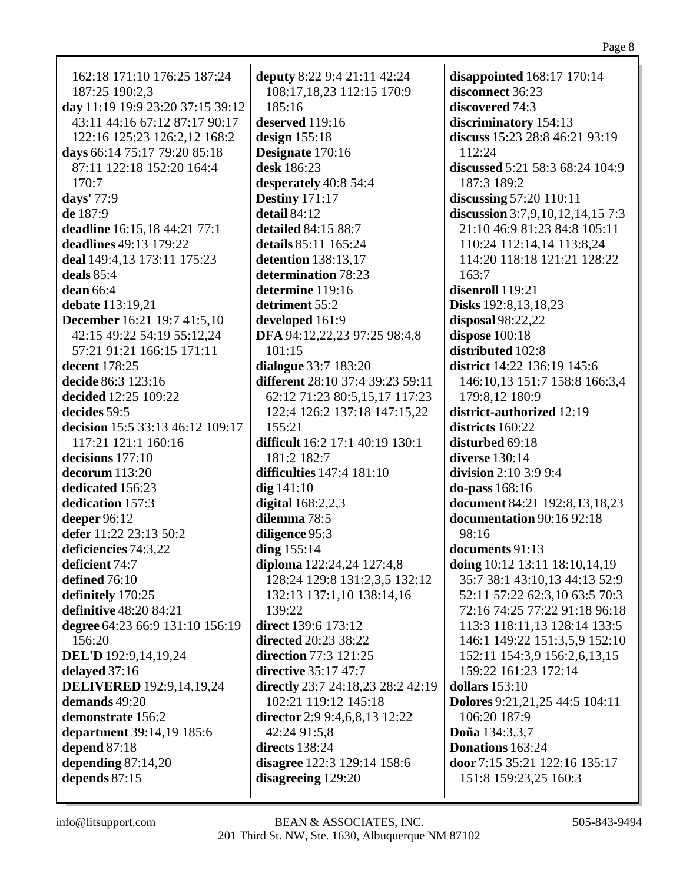| 162:18 171:10 176:25 187:24        | deputy 8:22 9:4 21:11 42:24       | disappointed $168:17$ 170:14     |
|------------------------------------|-----------------------------------|----------------------------------|
| 187:25 190:2,3                     | 108:17,18,23 112:15 170:9         | disconnect 36:23                 |
| day 11:19 19:9 23:20 37:15 39:12   | 185:16                            | discovered 74:3                  |
| 43:11 44:16 67:12 87:17 90:17      | deserved 119:16                   | discriminatory 154:13            |
| 122:16 125:23 126:2,12 168:2       | design $155:18$                   | discuss 15:23 28:8 46:21 93:19   |
| days 66:14 75:17 79:20 85:18       | Designate 170:16                  | 112:24                           |
| 87:11 122:18 152:20 164:4          | desk 186:23                       | discussed 5:21 58:3 68:24 104:9  |
| 170:7                              | desperately 40:8 54:4             | 187:3 189:2                      |
| days' 77:9                         | <b>Destiny</b> 171:17             | discussing 57:20 110:11          |
| de 187:9                           | detail 84:12                      | discussion 3:7,9,10,12,14,15 7:3 |
| deadline 16:15,18 44:21 77:1       | detailed 84:15 88:7               | 21:10 46:9 81:23 84:8 105:11     |
| deadlines 49:13 179:22             | details 85:11 165:24              | 110:24 112:14,14 113:8,24        |
| deal 149:4,13 173:11 175:23        | detention 138:13,17               | 114:20 118:18 121:21 128:22      |
| deals $85:4$                       | determination 78:23               | 163:7                            |
| dean 66:4                          | determine 119:16                  | disenroll 119:21                 |
| debate 113:19,21                   | detriment 55:2                    | Disks 192:8,13,18,23             |
| <b>December</b> 16:21 19:7 41:5,10 | developed 161:9                   | disposal $98:22,22$              |
| 42:15 49:22 54:19 55:12,24         | DFA 94:12,22,23 97:25 98:4,8      | dispose 100:18                   |
| 57:21 91:21 166:15 171:11          | 101:15                            | distributed 102:8                |
| decent 178:25                      | dialogue 33:7 183:20              | district 14:22 136:19 145:6      |
| decide 86:3 123:16                 | different 28:10 37:4 39:23 59:11  | 146:10,13 151:7 158:8 166:3,4    |
|                                    |                                   |                                  |
| decided 12:25 109:22               | 62:12 71:23 80:5,15,17 117:23     | 179:8,12 180:9                   |
| decides 59:5                       | 122:4 126:2 137:18 147:15,22      | district-authorized 12:19        |
| decision 15:5 33:13 46:12 109:17   | 155:21                            | districts 160:22                 |
| 117:21 121:1 160:16                | difficult 16:2 17:1 40:19 130:1   | disturbed 69:18                  |
| decisions 177:10                   | 181:2 182:7                       | diverse 130:14                   |
| decorum 113:20                     | difficulties 147:4 181:10         | <b>division</b> 2:10 3:9 9:4     |
| dedicated 156:23                   | $dig$ 141:10                      | <b>do-pass</b> 168:16            |
| dedication 157:3                   | digital $168:2,2,3$               | document 84:21 192:8,13,18,23    |
| deeper 96:12                       | dilemma 78:5                      | documentation 90:16 92:18        |
| defer 11:22 23:13 50:2             | diligence 95:3                    | 98:16                            |
| deficiencies 74:3,22               | ding $155:14$                     | documents 91:13                  |
| deficient 74:7                     | diploma 122:24,24 127:4,8         | doing 10:12 13:11 18:10,14,19    |
| defined 76:10                      | 128:24 129:8 131:2,3,5 132:12     | 35:7 38:1 43:10,13 44:13 52:9    |
| definitely 170:25                  | 132:13 137:1,10 138:14,16         | 52:11 57:22 62:3,10 63:5 70:3    |
| definitive 48:20 84:21             | 139:22                            | 72:16 74:25 77:22 91:18 96:18    |
| degree 64:23 66:9 131:10 156:19    | direct 139:6 173:12               | 113:3 118:11,13 128:14 133:5     |
| 156:20                             | directed 20:23 38:22              | 146:1 149:22 151:3,5,9 152:10    |
| DEL'D 192:9,14,19,24               | direction 77:3 121:25             | 152:11 154:3,9 156:2,6,13,15     |
| delayed 37:16                      | directive 35:17 47:7              | 159:22 161:23 172:14             |
| <b>DELIVERED</b> 192:9,14,19,24    | directly 23:7 24:18,23 28:2 42:19 | dollars $153:10$                 |
| demands 49:20                      | 102:21 119:12 145:18              | Dolores 9:21,21,25 44:5 104:11   |
| demonstrate 156:2                  | director 2:9 9:4,6,8,13 12:22     | 106:20 187:9                     |
| department 39:14,19 185:6          | 42:24 91:5,8                      | Doña 134:3,3,7                   |
| depend 87:18                       | directs 138:24                    | Donations 163:24                 |
| depending $87:14,20$               |                                   | door 7:15 35:21 122:16 135:17    |
|                                    | disagree 122:3 129:14 158:6       |                                  |
| depends 87:15                      | disagreeing 129:20                | 151:8 159:23,25 160:3            |
|                                    |                                   |                                  |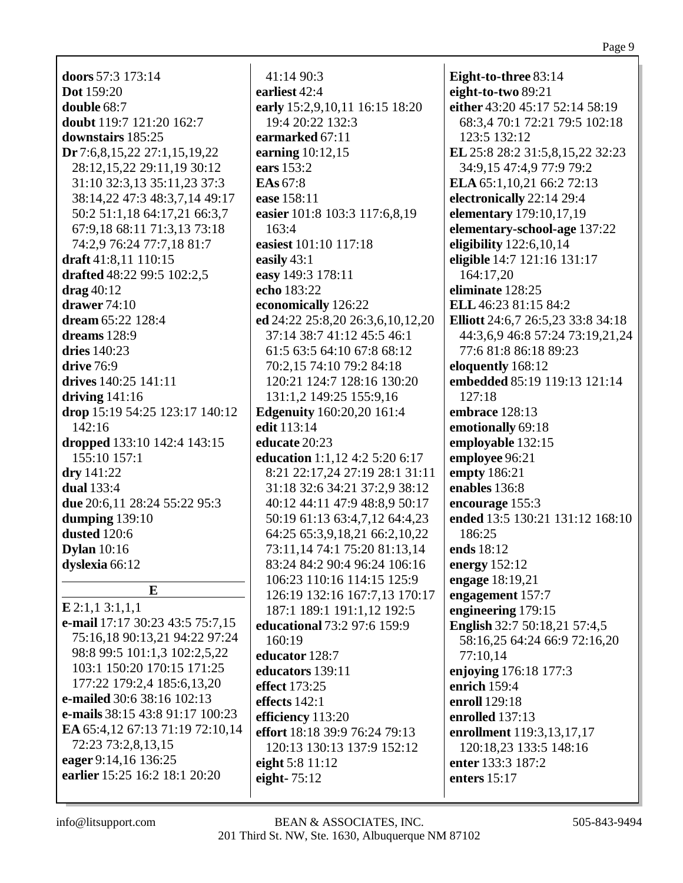### Page 9

**doors** 57:3 173:14 **Dot** 159:20 **double** 68:7 **doubt** 119:7 121:20 162:7 **downstairs** 185:25 **Dr** 7:6,8,15,22 27:1,15,19,22 28:12,15,22 29:11,19 30:12 31:10 32:3,13 35:11,23 37:3 38:14,22 47:3 48:3,7,14 49:17 50:2 51:1,18 64:17,21 66:3,7 67:9,18 68:11 71:3,13 73:18 74:2,9 76:24 77:7,18 81:7 **draft** 41:8,11 110:15 **drafted** 48:22 99:5 102:2,5 **drag** 40:12 **drawer** 74:10 **dream** 65:22 128:4 **dreams** 128:9 **dries** 140:23 **drive** 76:9 **drives** 140:25 141:11 **driving** 141:16 **drop** 15:19 54:25 123:17 140:12 142:16 **dropped** 133:10 142:4 143:15 155:10 157:1 **dry** 141:22 **dual** 133:4 **due** 20:6,11 28:24 55:22 95:3 **dumping** 139:10 **dusted** 120:6 **Dylan** 10:16 **dyslexia** 66:12 **E**

**E** 2:1,1 3:1,1,1 **e-mail** 17:17 30:23 43:5 75:7,15 75:16,18 90:13,21 94:22 97:24 98:8 99:5 101:1,3 102:2,5,22 103:1 150:20 170:15 171:25 177:22 179:2,4 185:6,13,20 **e-mailed** 30:6 38:16 102:13 **e-mails** 38:15 43:8 91:17 100:23 **EA** 65:4,12 67:13 71:19 72:10,14 72:23 73:2,8,13,15 **eager** 9:14,16 136:25 **earlier** 15:25 16:2 18:1 20:20

41:14 90:3 **earliest** 42:4 **early** 15:2,9,10,11 16:15 18:20 19:4 20:22 132:3 **earmarked** 67:11 **earning** 10:12,15 **ears** 153:2 **EAs** 67:8 **ease** 158:11 **easier** 101:8 103:3 117:6,8,19 163:4 **easiest** 101:10 117:18 **easily** 43:1 **easy** 149:3 178:11 **echo** 183:22 **economically** 126:22 **ed** 24:22 25:8,20 26:3,6,10,12,20 37:14 38:7 41:12 45:5 46:1 61:5 63:5 64:10 67:8 68:12 70:2,15 74:10 79:2 84:18 120:21 124:7 128:16 130:20 131:1,2 149:25 155:9,16 **Edgenuity** 160:20,20 161:4 **edit** 113:14 **educate** 20:23 **education** 1:1,12 4:2 5:20 6:17 8:21 22:17,24 27:19 28:1 31:11 31:18 32:6 34:21 37:2,9 38:12 40:12 44:11 47:9 48:8,9 50:17 50:19 61:13 63:4,7,12 64:4,23 64:25 65:3,9,18,21 66:2,10,22 73:11,14 74:1 75:20 81:13,14 83:24 84:2 90:4 96:24 106:16 106:23 110:16 114:15 125:9 126:19 132:16 167:7,13 170:17 187:1 189:1 191:1,12 192:5 **educational** 73:2 97:6 159:9 160:19 **educator** 128:7 **educators** 139:11 **effect** 173:25 **effects** 142:1 **efficiency** 113:20 **effort** 18:18 39:9 76:24 79:13 120:13 130:13 137:9 152:12 **eight** 5:8 11:12 **eight-** 75:12

**Eight-to-three** 83:14 **eight-to-two** 89:21 **either** 43:20 45:17 52:14 58:19 68:3,4 70:1 72:21 79:5 102:18 123:5 132:12 **EL** 25:8 28:2 31:5,8,15,22 32:23 34:9,15 47:4,9 77:9 79:2 **ELA** 65:1,10,21 66:2 72:13 **electronically** 22:14 29:4 **elementary** 179:10,17,19 **elementary-school-age** 137:22 **eligibility** 122:6,10,14 **eligible** 14:7 121:16 131:17 164:17,20 **eliminate** 128:25 **ELL** 46:23 81:15 84:2 **Elliott** 24:6,7 26:5,23 33:8 34:18 44:3,6,9 46:8 57:24 73:19,21,24 77:6 81:8 86:18 89:23 **eloquently** 168:12 **embedded** 85:19 119:13 121:14 127:18 **embrace** 128:13 **emotionally** 69:18 **employable** 132:15 **employee** 96:21 **empty** 186:21 **enables** 136:8 **encourage** 155:3 **ended** 13:5 130:21 131:12 168:10 186:25 **ends** 18:12 **energy** 152:12 **engage** 18:19,21 **engagement** 157:7 **engineering** 179:15 **English** 32:7 50:18,21 57:4,5 58:16,25 64:24 66:9 72:16,20 77:10,14 **enjoying** 176:18 177:3 **enrich** 159:4 **enroll** 129:18 **enrolled** 137:13 **enrollment** 119:3,13,17,17 120:18,23 133:5 148:16 **enter** 133:3 187:2 **enters** 15:17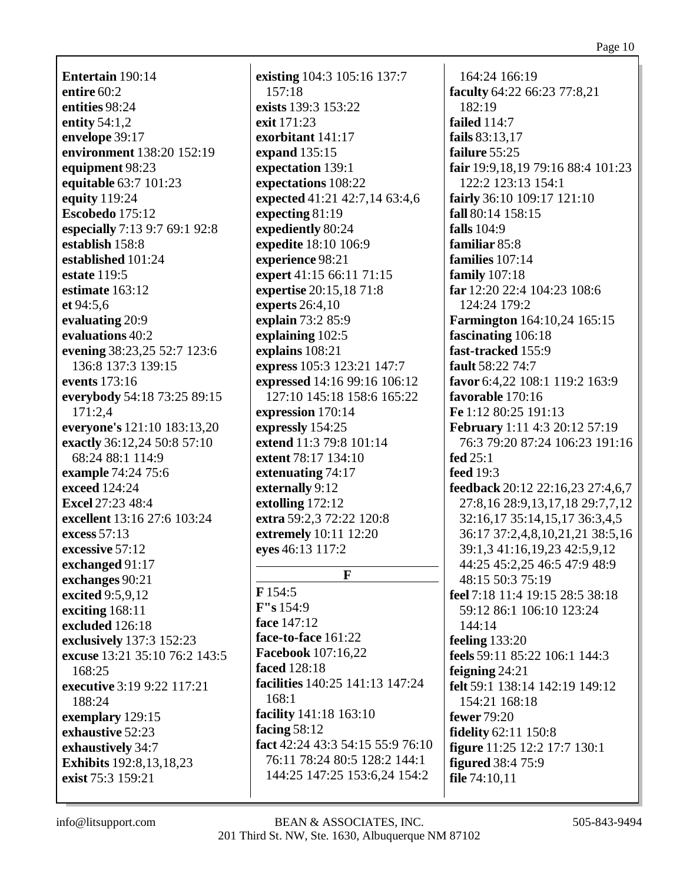Entertain 190:14 entire  $60:2$ entities 98:24 entity  $54:1,2$ envelope 39:17 environment 138:20 152:19 equipment 98:23 equitable 63:7 101:23 equity 119:24 Escobedo  $175:12$ especially 7:13 9:7 69:1 92:8 establish 158:8 established 101:24 estate 119:5 estimate  $163:12$ et 94:5.6 evaluating 20:9 evaluations 40:2 evening 38:23,25 52:7 123:6 136:8 137:3 139:15 events 173:16 everybody 54:18 73:25 89:15  $171:2.4$ everyone's 121:10 183:13,20 exactly 36:12,24 50:8 57:10 68:24 88:1 114:9 example 74:24 75:6 exceed 124:24 **Excel 27:23 48:4** excellent 13:16 27:6 103:24 excess 57:13 excessive 57:12 exchanged 91:17 exchanges 90:21 excited 9:5,9,12 exciting  $168:11$ excluded 126:18 exclusively 137:3 152:23 excuse 13:21 35:10 76:2 143:5 168:25 executive 3:19 9:22 117:21 188:24 exemplary 129:15 exhaustive 52:23 exhaustively 34:7 **Exhibits** 192:8, 13, 18, 23 exist 75:3 159:21

existing 104:3 105:16 137:7  $157:18$ exists 139:3 153:22 exit 171:23 exorbitant 141:17 expand 135:15 expectation 139:1 expectations 108:22 expected 41:21 42:7,14 63:4,6 expecting  $81:19$ expediently 80:24 **expedite** 18:10 106:9 experience 98:21 expert 41:15 66:11 71:15 expertise 20:15,18 71:8 **experts** 26:4,10 explain 73:2 85:9 explaining  $102:5$ explains 108:21 express 105:3 123:21 147:7 expressed 14:16 99:16 106:12 127:10 145:18 158:6 165:22 expression 170:14 expressly 154:25 extend 11:3 79:8 101:14 extent 78:17 134:10 extenuating 74:17 externally 9:12 extolling 172:12 extra 59:2,3 72:22 120:8 extremely 10:11 12:20 eyes 46:13 117:2  $\mathbf{F}$  $F154:5$  $F''s 154:9$ face 147:12

# 164:24 166:19 faculty 64:22 66:23 77:8,21  $182:19$ failed  $114:7$ fails 83:13,17 failure 55:25 fair 19:9.18.19 79:16 88:4 101:23 122:2 123:13 154:1 fairly  $36:10$   $109:17$   $121:10$ fall 80:14 158:15 falls  $104:9$ familiar 85:8 families 107:14 family  $107:18$ far 12:20 22:4 104:23 108:6 124:24 179:2 **Farmington** 164:10,24 165:15 fascinating 106:18 fast-tracked 155:9 fault 58:22 74:7 favor 6:4,22 108:1 119:2 163:9 favorable 170:16 Fe 1:12 80:25 191:13 **February** 1:11 4:3 20:12 57:19 76:3 79:20 87:24 106:23 191:16 fed  $25:1$ **feed** 19:3 feedback 20:12 22:16,23 27:4,6,7 27:8,16 28:9,13,17,18 29:7,7,12 32:16,17 35:14,15,17 36:3,4,5 36:17 37:2,4,8,10,21,21 38:5,16 39:1,3 41:16,19,23 42:5,9,12 44:25 45:2,25 46:5 47:9 48:9 48:15 50:3 75:19 feel 7:18 11:4 19:15 28:5 38:18 59:12 86:1 106:10 123:24  $144:14$ feeling  $133:20$ feels 59:11 85:22 106:1 144:3 feigning  $24:21$ felt 59:1 138:14 142:19 149:12  $154:21$   $168:18$ **fewer** 79:20 **fidelity** 62:11 150:8 **figure** 11:25 12:2 17:7 130:1 **figured** 38:4 75:9 file  $74:10,11$

face-to-face 161:22

**Facebook** 107:16.22

facility 141:18 163:10

**facilities** 140:25 141:13 147:24

fact 42:24 43:3 54:15 55:9 76:10

76:11 78:24 80:5 128:2 144:1

144:25 147:25 153:6,24 154:2

**faced** 128:18

facing  $58:12$ 

168:1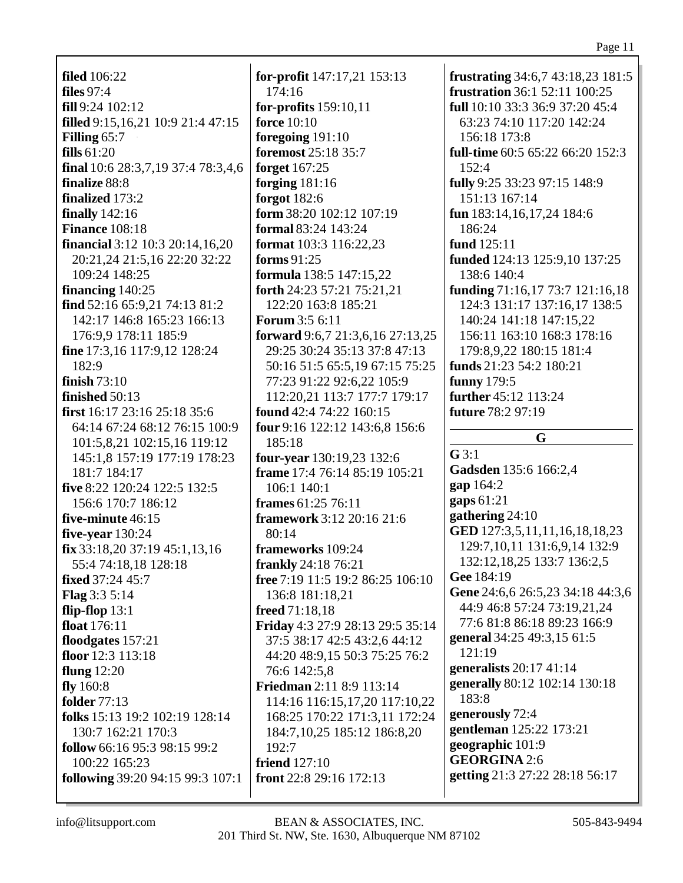**filed** 106:22 **files** 97:4 **fill** 9:24 102:12 **filled** 9:15,16,21 10:9 21:4 47:15 **Filling** 65:7 **fills** 61:20 **final** 10:6 28:3,7,19 37:4 78:3,4,6 **finalize** 88:8 **finalized** 173:2 **finally** 142:16 **Finance** 108:18 **financial** 3:12 10:3 20:14,16,20 20:21,24 21:5,16 22:20 32:22 109:24 148:25 **financing** 140:25 **find** 52:16 65:9,21 74:13 81:2 142:17 146:8 165:23 166:13 176:9,9 178:11 185:9 **fine** 17:3,16 117:9,12 128:24 182:9 **finish** 73:10 **finished** 50:13 **first** 16:17 23:16 25:18 35:6 64:14 67:24 68:12 76:15 100:9 101:5,8,21 102:15,16 119:12 145:1,8 157:19 177:19 178:23 181:7 184:17 **five** 8:22 120:24 122:5 132:5 156:6 170:7 186:12 **five-minute** 46:15 **five-year** 130:24 **fix** 33:18,20 37:19 45:1,13,16 55:4 74:18,18 128:18 **fixed** 37:24 45:7 **Flag** 3:3 5:14 **flip-flop** 13:1 **float** 176:11 **floodgates** 157:21 **floor** 12:3 113:18 **flung** 12:20 **fly** 160:8 **folder** 77:13 **folks** 15:13 19:2 102:19 128:14 130:7 162:21 170:3 **follow** 66:16 95:3 98:15 99:2 100:22 165:23 **following** 39:20 94:15 99:3 107:1

**for-profit** 147:17,21 153:13 174:16 **for-profits** 159:10,11 **force** 10:10 **foregoing** 191:10 **foremost** 25:18 35:7 **forget** 167:25 **forging** 181:16 **forgot** 182:6 **form** 38:20 102:12 107:19 **formal** 83:24 143:24 **format** 103:3 116:22,23 **forms** 91:25 **formula** 138:5 147:15,22 **forth** 24:23 57:21 75:21,21 122:20 163:8 185:21 **Forum** 3:5 6:11 **forward** 9:6,7 21:3,6,16 27:13,25 29:25 30:24 35:13 37:8 47:13 50:16 51:5 65:5,19 67:15 75:25 77:23 91:22 92:6,22 105:9 112:20,21 113:7 177:7 179:17 **found** 42:4 74:22 160:15 **four** 9:16 122:12 143:6,8 156:6 185:18 **four-year** 130:19,23 132:6 **frame** 17:4 76:14 85:19 105:21 106:1 140:1 **frames** 61:25 76:11 **framework** 3:12 20:16 21:6 80:14 **frameworks** 109:24 **frankly** 24:18 76:21 **free** 7:19 11:5 19:2 86:25 106:10 136:8 181:18,21 **freed** 71:18,18 **Friday** 4:3 27:9 28:13 29:5 35:14 37:5 38:17 42:5 43:2,6 44:12 44:20 48:9,15 50:3 75:25 76:2 76:6 142:5,8 **Friedman** 2:11 8:9 113:14 114:16 116:15,17,20 117:10,22 168:25 170:22 171:3,11 172:24 184:7,10,25 185:12 186:8,20 192:7 **friend** 127:10 **front** 22:8 29:16 172:13

**frustrating** 34:6,7 43:18,23 181:5 **frustration** 36:1 52:11 100:25 **full** 10:10 33:3 36:9 37:20 45:4 63:23 74:10 117:20 142:24 156:18 173:8 **full-time** 60:5 65:22 66:20 152:3 152:4 **fully** 9:25 33:23 97:15 148:9 151:13 167:14 **fun** 183:14,16,17,24 184:6 186:24 **fund** 125:11 **funded** 124:13 125:9,10 137:25 138:6 140:4 **funding** 71:16,17 73:7 121:16,18 124:3 131:17 137:16,17 138:5 140:24 141:18 147:15,22 156:11 163:10 168:3 178:16 179:8,9,22 180:15 181:4 **funds** 21:23 54:2 180:21 **funny** 179:5 **further** 45:12 113:24 **future** 78:2 97:19 **G G** 3:1 **Gadsden** 135:6 166:2,4 **gap** 164:2 **gaps** 61:21 **gathering** 24:10 **GED** 127:3,5,11,11,16,18,18,23 129:7,10,11 131:6,9,14 132:9 132:12,18,25 133:7 136:2,5 **Gee** 184:19 **Gene** 24:6,6 26:5,23 34:18 44:3,6 44:9 46:8 57:24 73:19,21,24 77:6 81:8 86:18 89:23 166:9 **general** 34:25 49:3,15 61:5 121:19 **generalists** 20:17 41:14 **generally** 80:12 102:14 130:18 183:8 **generously** 72:4 **gentleman** 125:22 173:21 **geographic** 101:9 **GEORGINA** 2:6

**getting** 21:3 27:22 28:18 56:17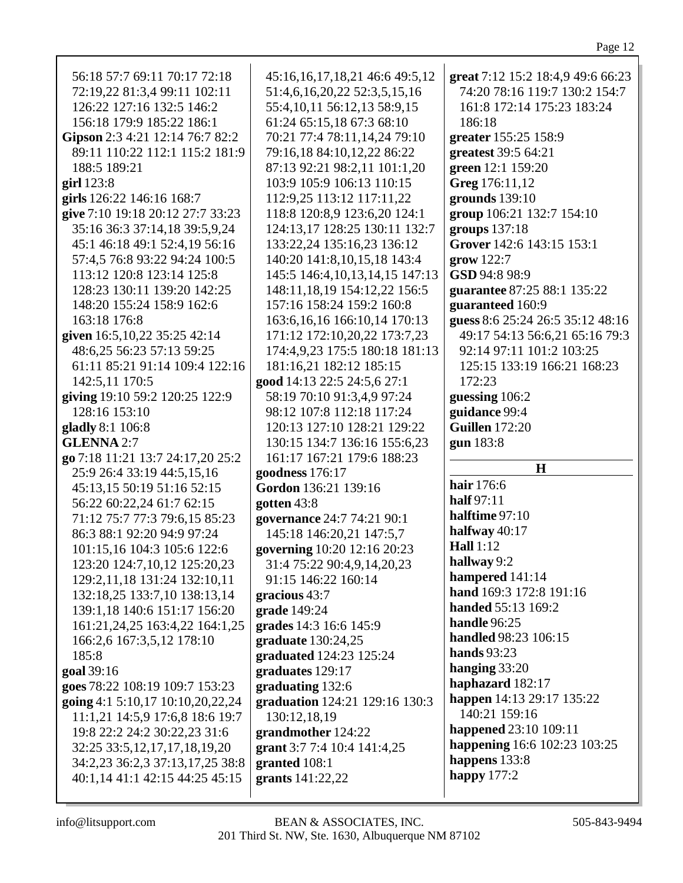| 56:18 57:7 69:11 70:17 72:18                                      | 45:16,16,17,18,21 46:6 49:5,12      | great 7:12 15:2 18:4,9 49:6 66:23 |
|-------------------------------------------------------------------|-------------------------------------|-----------------------------------|
| 72:19,22 81:3,4 99:11 102:11                                      | 51:4,6,16,20,22 52:3,5,15,16        | 74:20 78:16 119:7 130:2 154:7     |
| 126:22 127:16 132:5 146:2                                         | 55:4, 10, 11 56: 12, 13 58: 9, 15   | 161:8 172:14 175:23 183:24        |
| 156:18 179:9 185:22 186:1                                         | 61:24 65:15,18 67:3 68:10           | 186:18                            |
| Gipson 2:3 4:21 12:14 76:7 82:2                                   | 70:21 77:4 78:11,14,24 79:10        | greater 155:25 158:9              |
| 89:11 110:22 112:1 115:2 181:9                                    | 79:16,18 84:10,12,22 86:22          | greatest 39:5 64:21               |
| 188:5 189:21                                                      | 87:13 92:21 98:2,11 101:1,20        | green 12:1 159:20                 |
| girl $123:8$                                                      | 103:9 105:9 106:13 110:15           | Greg 176:11,12                    |
| girls 126:22 146:16 168:7                                         | 112:9,25 113:12 117:11,22           | grounds $139:10$                  |
| give 7:10 19:18 20:12 27:7 33:23                                  | 118:8 120:8,9 123:6,20 124:1        | group 106:21 132:7 154:10         |
| 35:16 36:3 37:14,18 39:5,9,24                                     | 124:13,17 128:25 130:11 132:7       | groups 137:18                     |
| 45:1 46:18 49:1 52:4,19 56:16                                     | 133:22,24 135:16,23 136:12          | Grover 142:6 143:15 153:1         |
|                                                                   |                                     |                                   |
| 57:4,5 76:8 93:22 94:24 100:5                                     | 140:20 141:8,10,15,18 143:4         | grow 122:7                        |
| 113:12 120:8 123:14 125:8                                         | 145:5 146:4, 10, 13, 14, 15 147: 13 | GSD 94:8 98:9                     |
| 128:23 130:11 139:20 142:25                                       | 148:11, 18, 19 154: 12, 22 156: 5   | guarantee 87:25 88:1 135:22       |
| 148:20 155:24 158:9 162:6                                         | 157:16 158:24 159:2 160:8           | guaranteed 160:9                  |
| 163:18 176:8                                                      | 163:6, 16, 16 166: 10, 14 170: 13   | guess 8:6 25:24 26:5 35:12 48:16  |
| given 16:5, 10, 22 35: 25 42:14                                   | 171:12 172:10,20,22 173:7,23        | 49:17 54:13 56:6,21 65:16 79:3    |
| 48:6,25 56:23 57:13 59:25                                         | 174:4,9,23 175:5 180:18 181:13      | 92:14 97:11 101:2 103:25          |
| 61:11 85:21 91:14 109:4 122:16                                    | 181:16,21 182:12 185:15             | 125:15 133:19 166:21 168:23       |
| 142:5,11 170:5                                                    | good 14:13 22:5 24:5,6 27:1         | 172:23                            |
| giving 19:10 59:2 120:25 122:9                                    | 58:19 70:10 91:3,4,9 97:24          | guessing 106:2                    |
| 128:16 153:10                                                     | 98:12 107:8 112:18 117:24           | guidance 99:4                     |
| gladly 8:1 106:8                                                  | 120:13 127:10 128:21 129:22         | <b>Guillen</b> 172:20             |
|                                                                   |                                     |                                   |
| <b>GLENNA 2:7</b>                                                 | 130:15 134:7 136:16 155:6,23        | gun 183:8                         |
| go 7:18 11:21 13:7 24:17,20 25:2                                  | 161:17 167:21 179:6 188:23          |                                   |
| 25:9 26:4 33:19 44:5,15,16                                        | goodness 176:17                     | $\mathbf H$                       |
| 45:13,15 50:19 51:16 52:15                                        | Gordon 136:21 139:16                | hair 176:6                        |
| 56:22 60:22,24 61:7 62:15                                         | gotten $43:8$                       | half 97:11                        |
| 71:12 75:7 77:3 79:6,15 85:23                                     | governance 24:7 74:21 90:1          | halftime 97:10                    |
| 86:3 88:1 92:20 94:9 97:24                                        | 145:18 146:20,21 147:5,7            | halfway $40:17$                   |
| 101:15,16 104:3 105:6 122:6                                       | governing 10:20 12:16 20:23         | <b>Hall</b> 1:12                  |
|                                                                   | 31:4 75:22 90:4,9,14,20,23          | hallway 9:2                       |
| 123:20 124:7,10,12 125:20,23<br>129:2,11,18 131:24 132:10,11      | 91:15 146:22 160:14                 | hampered 141:14                   |
| 132:18,25 133:7,10 138:13,14                                      | gracious 43:7                       | hand 169:3 172:8 191:16           |
|                                                                   |                                     | handed 55:13 169:2                |
| 139:1,18 140:6 151:17 156:20                                      | grade 149:24                        | handle 96:25                      |
| 161:21,24,25 163:4,22 164:1,25                                    | grades 14:3 16:6 145:9              | handled 98:23 106:15              |
| 166:2,6 167:3,5,12 178:10                                         | graduate $130:24,25$                | <b>hands</b> 93:23                |
| 185:8                                                             | graduated 124:23 125:24             | hanging 33:20                     |
| goal 39:16                                                        | graduates 129:17                    | haphazard 182:17                  |
| goes 78:22 108:19 109:7 153:23                                    | graduating 132:6                    | happen 14:13 29:17 135:22         |
| going 4:1 5:10,17 10:10,20,22,24                                  | graduation 124:21 129:16 130:3      | 140:21 159:16                     |
| 11:1,21 14:5,9 17:6,8 18:6 19:7                                   | 130:12,18,19                        |                                   |
| 19:8 22:2 24:2 30:22,23 31:6                                      | grandmother 124:22                  | happened 23:10 109:11             |
| 32:25 33:5, 12, 17, 17, 18, 19, 20                                | grant 3:7 7:4 10:4 141:4,25         | happening 16:6 102:23 103:25      |
| 34:2,23 36:2,3 37:13,17,25 38:8<br>40:1,14 41:1 42:15 44:25 45:15 | granted 108:1<br>grants 141:22,22   | happens 133:8<br>happy $177:2$    |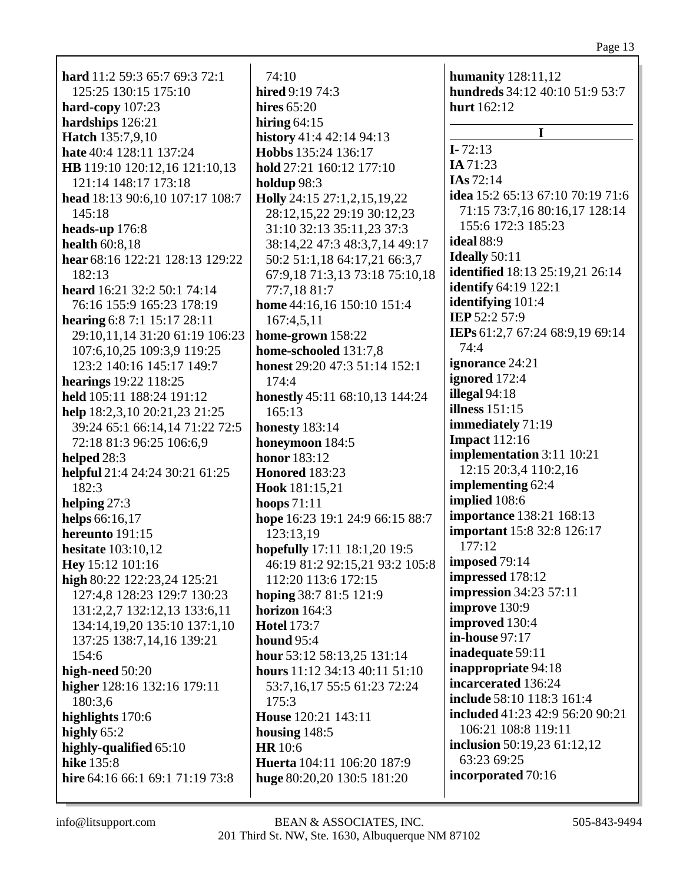**hard** 11:2 59:3 65:7 69:3 72:1 125:25 130:15 175:10 hard-copy  $107:23$ hardships 126:21 **Hatch 135:7,9,10** hate 40:4 128:11 137:24 **HB** 119:10 120:12.16 121:10.13 121:14 148:17 173:18 head 18:13 90:6,10 107:17 108:7 145:18 heads-up  $176:8$ health  $60:8,18$ hear 68:16 122:21 128:13 129:22  $182:13$ heard 16:21 32:2 50:1 74:14 76:16 155:9 165:23 178:19 hearing 6:8 7:1 15:17 28:11 29:10,11,14 31:20 61:19 106:23 107:6, 10, 25 109:3, 9 119:25 123:2 140:16 145:17 149:7 **hearings** 19:22 118:25 held 105:11 188:24 191:12 help 18:2.3.10 20:21.23 21:25 39:24 65:1 66:14,14 71:22 72:5 72:18 81:3 96:25 106:6,9 helped  $28:3$ helpful 21:4 24:24 30:21 61:25 182:3 helping  $27:3$ helps 66:16,17 hereunto 191:15 hesitate  $103:10.12$ Hey 15:12 101:16 high 80:22 122:23,24 125:21 127:4,8 128:23 129:7 130:23 131:2,2,7 132:12,13 133:6,11 134:14,19,20 135:10 137:1,10 137:25 138:7,14,16 139:21  $154:6$ high-need  $50:20$ higher 128:16 132:16 179:11 180:3.6 highlights 170:6 highly  $65:2$ highly-qualified 65:10 hike  $135:8$ hire 64:16 66:1 69:1 71:19 73:8

74:10 **hired** 9:19 74:3 hires  $65:20$ hiring  $64:15$ history 41:4 42:14 94:13 Hobbs 135:24 136:17 hold 27:21 160:12 177:10 holdup 98:3 **Holly** 24:15 27:1,2,15,19,22 28:12,15,22 29:19 30:12,23 31:10 32:13 35:11.23 37:3 38:14,22 47:3 48:3,7,14 49:17 50:2 51:1,18 64:17,21 66:3,7 67:9,18 71:3,13 73:18 75:10,18 77:7.18 81:7 home 44:16,16 150:10 151:4  $167:4.5.11$ home-grown  $158:22$ home-schooled 131:7.8 honest 29:20 47:3 51:14 152:1  $174:4$ honestly 45:11 68:10,13 144:24  $165:13$ **honesty** 183:14 honeymoon 184:5 **honor** 183:12 **Honored** 183:23 Hook 181:15.21 hoops  $71:11$ hope 16:23 19:1 24:9 66:15 88:7 123:13,19 hopefully 17:11 18:1,20 19:5 46:19 81:2 92:15,21 93:2 105:8 112:20 113:6 172:15 hoping 38:7 81:5 121:9 horizon  $164:3$ **Hotel 173:7** hound  $95:4$ hour 53:12 58:13.25 131:14 hours  $11:12$  34:13 40:11 51:10 53:7,16,17 55:5 61:23 72:24  $175:3$ House 120:21 143:11 housing  $148:5$ **HR** 10:6 Huerta 104:11 106:20 187:9 huge 80:20,20 130:5 181:20

humanity  $128:11,12$ hundreds 34:12 40:10 51:9 53:7 hurt  $162:12$ I  $I - 72:13$ **IA** 71:23  $IAs 72:14$ idea 15:2 65:13 67:10 70:19 71:6 71:15 73:7,16 80:16,17 128:14 155:6 172:3 185:23 ideal  $88:9$ **Ideally** 50:11 **identified** 18:13 25:19,21 26:14 **identify** 64:19 122:1 identifying  $101:4$ **IEP** 52:2 57:9 IEPs 61:2,7 67:24 68:9,19 69:14  $74:4$ **ignorance** 24:21 ignored  $172:4$ illegal  $94:18$ illness  $151:15$ **immediately** 71:19 **Impact** 112:16 implementation 3:11 10:21 12:15 20:3,4 110:2,16 implementing 62:4 implied 108:6 **importance** 138:21 168:13 **important** 15:8 32:8 126:17 177:12 imposed 79:14 impressed 178:12 **impression** 34:23 57:11 **improve** 130:9 improved 130:4 in-house  $97:17$ inadequate 59:11 inappropriate 94:18 incarcerated 136:24 include 58:10 118:3 161:4 **included** 41:23 42:9 56:20 90:21 106:21 108:8 119:11 inclusion 50:19,23 61:12,12 63:23 69:25 incorporated 70:16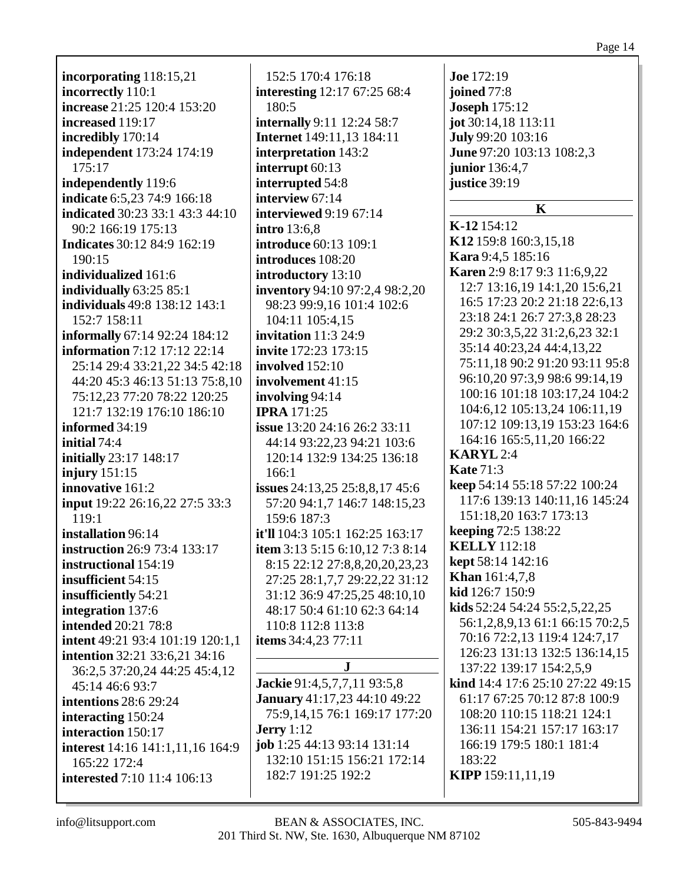# **incorporating** 118:15,21 **incorrectly** 110:1 **increase** 21:25 120:4 153:20 **increased** 119:17 **incredibly** 170:14 **independent** 173:24 174:19 175:17 **independently** 119:6 **indicate** 6:5,23 74:9 166:18 **indicated** 30:23 33:1 43:3 44:10 90:2 166:19 175:13 **Indicates** 30:12 84:9 162:19 190:15 **individualized** 161:6 **individually** 63:25 85:1 **individuals** 49:8 138:12 143:1 152:7 158:11 **informally** 67:14 92:24 184:12 **information** 7:12 17:12 22:14 25:14 29:4 33:21,22 34:5 42:18 44:20 45:3 46:13 51:13 75:8,10 75:12,23 77:20 78:22 120:25 121:7 132:19 176:10 186:10 **informed** 34:19 **initial** 74:4 **initially** 23:17 148:17 **injury** 151:15 **innovative** 161:2 **input** 19:22 26:16,22 27:5 33:3 119:1 **installation** 96:14 **instruction** 26:9 73:4 133:17 **instructional** 154:19 **insufficient** 54:15 **insufficiently** 54:21 **integration** 137:6 **intended** 20:21 78:8 **intent** 49:21 93:4 101:19 120:1,1 **intention** 32:21 33:6,21 34:16 36:2,5 37:20,24 44:25 45:4,12 45:14 46:6 93:7 **intentions** 28:6 29:24 **interacting** 150:24 **interaction** 150:17 **interest** 14:16 141:1,11,16 164:9 165:22 172:4

152:5 170:4 176:18 **interesting** 12:17 67:25 68:4 180:5 **internally** 9:11 12:24 58:7 **Internet** 149:11,13 184:11 **interpretation** 143:2 **interrupt** 60:13 **interrupted** 54:8 **interview** 67:14 **interviewed** 9:19 67:14 **intro** 13:6,8 **introduce** 60:13 109:1 **introduces** 108:20 **introductory** 13:10 **inventory** 94:10 97:2,4 98:2,20 98:23 99:9,16 101:4 102:6 104:11 105:4,15 **invitation** 11:3 24:9 **invite** 172:23 173:15 **involved** 152:10 **involvement** 41:15 **involving** 94:14 **IPRA** 171:25 **issue** 13:20 24:16 26:2 33:11 44:14 93:22,23 94:21 103:6 120:14 132:9 134:25 136:18 166:1 **issues** 24:13,25 25:8,8,17 45:6 57:20 94:1,7 146:7 148:15,23 159:6 187:3 **it'll** 104:3 105:1 162:25 163:17 **item** 3:13 5:15 6:10,12 7:3 8:14 8:15 22:12 27:8,8,20,20,23,23 27:25 28:1,7,7 29:22,22 31:12 31:12 36:9 47:25,25 48:10,10 48:17 50:4 61:10 62:3 64:14 110:8 112:8 113:8 **items** 34:4,23 77:11 **J Jackie** 91:4,5,7,7,11 93:5,8 **January** 41:17,23 44:10 49:22 75:9,14,15 76:1 169:17 177:20 **Jerry** 1:12 **job** 1:25 44:13 93:14 131:14 132:10 151:15 156:21 172:14

**Joe** 172:19 **joined** 77:8 **Joseph** 175:12 **jot** 30:14,18 113:11 **July** 99:20 103:16 **June** 97:20 103:13 108:2,3 **junior** 136:4,7 **justice** 39:19 **K K-12** 154:12 **K12** 159:8 160:3,15,18 **Kara** 9:4,5 185:16 **Karen** 2:9 8:17 9:3 11:6,9,22 12:7 13:16,19 14:1,20 15:6,21 16:5 17:23 20:2 21:18 22:6,13 23:18 24:1 26:7 27:3,8 28:23 29:2 30:3,5,22 31:2,6,23 32:1 35:14 40:23,24 44:4,13,22 75:11,18 90:2 91:20 93:11 95:8 96:10,20 97:3,9 98:6 99:14,19 100:16 101:18 103:17,24 104:2 104:6,12 105:13,24 106:11,19 107:12 109:13,19 153:23 164:6 164:16 165:5,11,20 166:22 **KARYL** 2:4 **Kate** 71:3 **keep** 54:14 55:18 57:22 100:24 117:6 139:13 140:11,16 145:24 151:18,20 163:7 173:13 **keeping** 72:5 138:22 **KELLY** 112:18 **kept** 58:14 142:16 **Khan** 161:4,7,8 **kid** 126:7 150:9 **kids** 52:24 54:24 55:2,5,22,25 56:1,2,8,9,13 61:1 66:15 70:2,5 70:16 72:2,13 119:4 124:7,17 126:23 131:13 132:5 136:14,15 137:22 139:17 154:2,5,9 **kind** 14:4 17:6 25:10 27:22 49:15 61:17 67:25 70:12 87:8 100:9 108:20 110:15 118:21 124:1 136:11 154:21 157:17 163:17 166:19 179:5 180:1 181:4 183:22

**KIPP** 159:11,11,19

**interested** 7:10 11:4 106:13

182:7 191:25 192:2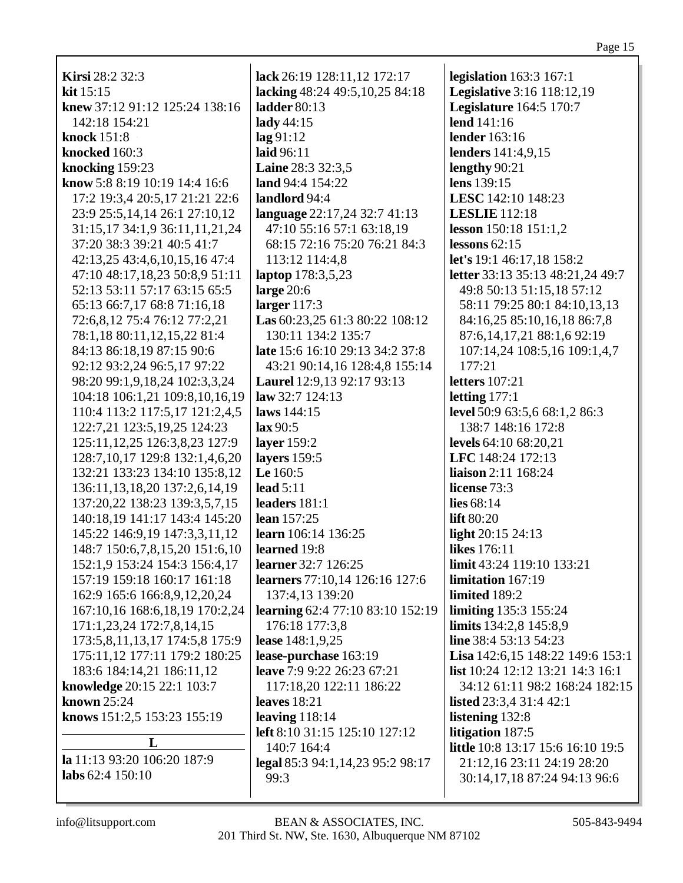| <b>Kirsi</b> 28:2 32:3                          | lack 26:19 128:11,12 172:17                      | legislation $163:3 167:1$                                  |  |
|-------------------------------------------------|--------------------------------------------------|------------------------------------------------------------|--|
| kit $15:15$                                     | lacking 48:24 49:5, 10, 25 84:18<br>ladder 80:13 | <b>Legislative 3:16 118:12,19</b>                          |  |
| knew 37:12 91:12 125:24 138:16<br>142:18 154:21 |                                                  | <b>Legislature</b> 164:5 170:7<br>lend 141:16              |  |
| knock 151:8                                     | lady 44:15<br>$\log 91:12$                       | <b>lender</b> 163:16                                       |  |
| knocked 160:3                                   | laid 96:11                                       |                                                            |  |
| knocking 159:23                                 | Laine 28:3 32:3,5                                | lenders 141:4,9,15<br>lengthy 90:21                        |  |
| know 5:8 8:19 10:19 14:4 16:6                   | land 94:4 154:22                                 | lens 139:15                                                |  |
| 17:2 19:3,4 20:5,17 21:21 22:6                  | landlord 94:4                                    | LESC 142:10 148:23                                         |  |
| 23:9 25:5, 14, 14 26:1 27:10, 12                | language 22:17,24 32:7 41:13                     | <b>LESLIE</b> 112:18                                       |  |
| 31:15,17 34:1,9 36:11,11,21,24                  | 47:10 55:16 57:1 63:18,19                        | lesson 150:18 151:1,2                                      |  |
| 37:20 38:3 39:21 40:5 41:7                      | 68:15 72:16 75:20 76:21 84:3                     | lessons $62:15$                                            |  |
| 42:13,25 43:4,6,10,15,16 47:4                   | 113:12 114:4,8                                   | let's 19:1 46:17,18 158:2                                  |  |
| 47:10 48:17,18,23 50:8,9 51:11                  | laptop 178:3,5,23                                | letter 33:13 35:13 48:21,24 49:7                           |  |
| 52:13 53:11 57:17 63:15 65:5                    | large $20:6$                                     | 49:8 50:13 51:15,18 57:12                                  |  |
| 65:13 66:7,17 68:8 71:16,18                     | larger 117:3                                     | 58:11 79:25 80:1 84:10,13,13                               |  |
| 72:6,8,12 75:4 76:12 77:2,21                    | Las 60:23,25 61:3 80:22 108:12                   | 84:16,25 85:10,16,18 86:7,8                                |  |
| 78:1,18 80:11,12,15,22 81:4                     | 130:11 134:2 135:7                               | 87:6, 14, 17, 21 88:1, 6 92:19                             |  |
| 84:13 86:18,19 87:15 90:6                       | <b>late</b> 15:6 16:10 29:13 34:2 37:8           | 107:14,24 108:5,16 109:1,4,7                               |  |
| 92:12 93:2,24 96:5,17 97:22                     | 43:21 90:14,16 128:4,8 155:14                    | 177:21                                                     |  |
| 98:20 99:1, 9, 18, 24 102: 3, 3, 24             | Laurel 12:9,13 92:17 93:13                       | <b>letters</b> 107:21                                      |  |
| 104:18 106:1,21 109:8,10,16,19                  | law 32:7 124:13                                  | letting $177:1$                                            |  |
| 110:4 113:2 117:5,17 121:2,4,5                  | laws 144:15                                      | level 50:9 63:5,6 68:1,2 86:3                              |  |
| 122:7,21 123:5,19,25 124:23                     | lax 90:5                                         | 138:7 148:16 172:8                                         |  |
| 125:11, 12, 25 126: 3, 8, 23 127: 9             | layer 159:2                                      | levels 64:10 68:20,21                                      |  |
| 128:7, 10, 17 129:8 132:1, 4, 6, 20             | layers 159:5                                     | LFC 148:24 172:13                                          |  |
| 132:21 133:23 134:10 135:8,12                   | Le 160:5                                         | liaison 2:11 168:24                                        |  |
| 136:11, 13, 18, 20 137: 2, 6, 14, 19            | lead $5:11$                                      | license 73:3                                               |  |
| 137:20,22 138:23 139:3,5,7,15                   | leaders 181:1                                    | lies $68:14$                                               |  |
| 140:18,19 141:17 143:4 145:20                   | lean 157:25                                      | <b>lift</b> 80:20                                          |  |
| 145:22 146:9,19 147:3,3,11,12                   | learn 106:14 136:25                              | light 20:15 24:13                                          |  |
| 148:7 150:6,7,8,15,20 151:6,10                  | learned 19:8                                     | <b>likes</b> 176:11                                        |  |
| 152:1,9 153:24 154:3 156:4,17                   | <b>learner</b> 32:7 126:25                       | limit 43:24 119:10 133:21                                  |  |
| 157:19 159:18 160:17 161:18                     | learners 77:10,14 126:16 127:6                   | limitation 167:19                                          |  |
| 162:9 165:6 166:8,9,12,20,24                    | 137:4,13 139:20                                  | limited 189:2                                              |  |
| 167:10,16 168:6,18,19 170:2,24                  | learning 62:4 77:10 83:10 152:19                 | <b>limiting</b> 135:3 155:24                               |  |
| 171:1,23,24 172:7,8,14,15                       | 176:18 177:3,8                                   | limits 134:2,8 145:8,9                                     |  |
| 173:5,8,11,13,17 174:5,8 175:9                  | lease 148:1,9,25                                 | line 38:4 53:13 54:23                                      |  |
| 175:11,12 177:11 179:2 180:25                   | lease-purchase 163:19                            | Lisa 142:6,15 148:22 149:6 153:1                           |  |
| 183:6 184:14,21 186:11,12                       | leave 7:9 9:22 26:23 67:21                       | <b>list</b> 10:24 12:12 13:21 14:3 16:1                    |  |
| knowledge 20:15 22:1 103:7                      | 117:18,20 122:11 186:22                          | 34:12 61:11 98:2 168:24 182:15                             |  |
| known $25:24$                                   | leaves $18:21$                                   | <b>listed</b> 23:3,4 31:4 42:1                             |  |
| knows 151:2,5 153:23 155:19                     | leaving $118:14$                                 | listening 132:8                                            |  |
| L                                               | left 8:10 31:15 125:10 127:12                    | litigation 187:5                                           |  |
| la 11:13 93:20 106:20 187:9                     | 140:7 164:4                                      | little 10:8 13:17 15:6 16:10 19:5                          |  |
| labs $62:4$ 150:10                              | legal 85:3 94:1,14,23 95:2 98:17<br>99:3         | 21:12,16 23:11 24:19 28:20<br>30:14,17,18 87:24 94:13 96:6 |  |
|                                                 |                                                  |                                                            |  |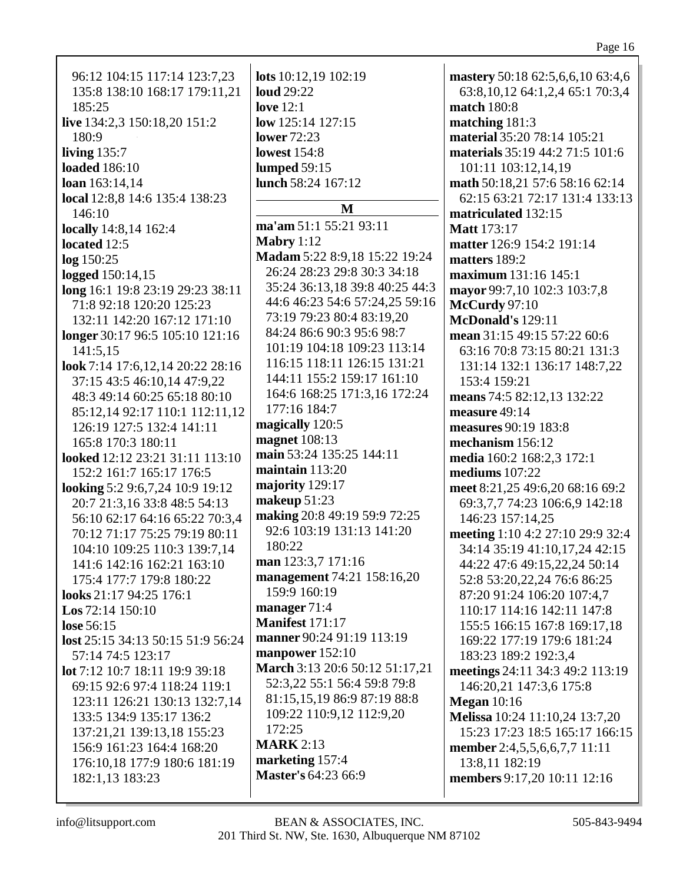| - 07 - |   |
|--------|---|
|        | 1 |

| 96:12 104:15 117:14 123:7,23      | lots 10:12,19 102:19                       | mastery 50:18 62:5,6,6,10 63:4,6     |
|-----------------------------------|--------------------------------------------|--------------------------------------|
| 135:8 138:10 168:17 179:11,21     | <b>loud</b> 29:22                          | 63:8, 10, 12 64:1, 2, 4 65:1 70:3, 4 |
| 185:25                            | <b>love</b> 12:1                           | match 180:8                          |
| live 134:2,3 150:18,20 151:2      | low $125:14$ $127:15$                      | matching 181:3                       |
| 180:9                             | <b>lower</b> 72:23                         | material 35:20 78:14 105:21          |
| living $135:7$                    | <b>lowest</b> 154:8                        | materials 35:19 44:2 71:5 101:6      |
| <b>loaded</b> 186:10              | lumped $59:15$                             | 101:11 103:12,14,19                  |
| loan 163:14,14                    | lunch 58:24 167:12                         | math 50:18,21 57:6 58:16 62:14       |
| local 12:8,8 14:6 135:4 138:23    |                                            | 62:15 63:21 72:17 131:4 133:13       |
| 146:10                            | M                                          | matriculated 132:15                  |
| locally 14:8,14 162:4             | ma'am 51:1 55:21 93:11                     | <b>Matt</b> 173:17                   |
| located 12:5                      | Mabry $1:12$                               | matter 126:9 154:2 191:14            |
| log 150:25                        | Madam 5:22 8:9,18 15:22 19:24              | matters 189:2                        |
| logged 150:14,15                  | 26:24 28:23 29:8 30:3 34:18                | maximum 131:16 145:1                 |
| long 16:1 19:8 23:19 29:23 38:11  | 35:24 36:13,18 39:8 40:25 44:3             | mayor 99:7,10 102:3 103:7,8          |
| 71:8 92:18 120:20 125:23          | 44:6 46:23 54:6 57:24,25 59:16             | <b>McCurdy</b> 97:10                 |
|                                   | 73:19 79:23 80:4 83:19,20                  | <b>McDonald's 129:11</b>             |
| 132:11 142:20 167:12 171:10       | 84:24 86:6 90:3 95:6 98:7                  |                                      |
| longer 30:17 96:5 105:10 121:16   | 101:19 104:18 109:23 113:14                | mean 31:15 49:15 57:22 60:6          |
| 141:5,15                          | 116:15 118:11 126:15 131:21                | 63:16 70:8 73:15 80:21 131:3         |
| look 7:14 17:6,12,14 20:22 28:16  | 144:11 155:2 159:17 161:10                 | 131:14 132:1 136:17 148:7,22         |
| 37:15 43:5 46:10,14 47:9,22       | 164:6 168:25 171:3,16 172:24               | 153:4 159:21                         |
| 48:3 49:14 60:25 65:18 80:10      | 177:16 184:7                               | means 74:5 82:12,13 132:22           |
| 85:12,14 92:17 110:1 112:11,12    | magically 120:5                            | measure 49:14                        |
| 126:19 127:5 132:4 141:11         | magnet 108:13                              | measures 90:19 183:8                 |
| 165:8 170:3 180:11                | main 53:24 135:25 144:11                   | mechanism 156:12                     |
| looked 12:12 23:21 31:11 113:10   | maintain $113:20$                          | media 160:2 168:2,3 172:1            |
| 152:2 161:7 165:17 176:5          | majority 129:17                            | mediums $107:22$                     |
| looking 5:2 9:6,7,24 10:9 19:12   | makeup 51:23                               | meet 8:21,25 49:6,20 68:16 69:2      |
| 20:7 21:3,16 33:8 48:5 54:13      | making 20:8 49:19 59:9 72:25               | 69:3,7,7 74:23 106:6,9 142:18        |
| 56:10 62:17 64:16 65:22 70:3,4    | 92:6 103:19 131:13 141:20                  | 146:23 157:14,25                     |
| 70:12 71:17 75:25 79:19 80:11     | 180:22                                     | meeting 1:10 4:2 27:10 29:9 32:4     |
| 104:10 109:25 110:3 139:7,14      |                                            | 34:14 35:19 41:10,17,24 42:15        |
| 141:6 142:16 162:21 163:10        | man 123:3,7 171:16                         | 44:22 47:6 49:15,22,24 50:14         |
| 175:4 177:7 179:8 180:22          | management 74:21 158:16,20<br>159:9 160:19 | 52:8 53:20, 22, 24 76:6 86: 25       |
| looks 21:17 94:25 176:1           |                                            | 87:20 91:24 106:20 107:4,7           |
| <b>Los</b> 72:14 150:10           | manager $71:4$                             | 110:17 114:16 142:11 147:8           |
| lose 56:15                        | <b>Manifest 171:17</b>                     | 155:5 166:15 167:8 169:17,18         |
| lost 25:15 34:13 50:15 51:9 56:24 | manner 90:24 91:19 113:19                  | 169:22 177:19 179:6 181:24           |
| 57:14 74:5 123:17                 | manpower 152:10                            | 183:23 189:2 192:3,4                 |
| lot 7:12 10:7 18:11 19:9 39:18    | March 3:13 20:6 50:12 51:17,21             | meetings 24:11 34:3 49:2 113:19      |
| 69:15 92:6 97:4 118:24 119:1      | 52:3,22 55:1 56:4 59:8 79:8                | 146:20,21 147:3,6 175:8              |
| 123:11 126:21 130:13 132:7,14     | 81:15,15,19 86:9 87:19 88:8                | <b>Megan</b> 10:16                   |
| 133:5 134:9 135:17 136:2          | 109:22 110:9,12 112:9,20                   | Melissa 10:24 11:10,24 13:7,20       |
| 137:21,21 139:13,18 155:23        | 172:25                                     | 15:23 17:23 18:5 165:17 166:15       |
| 156:9 161:23 164:4 168:20         | <b>MARK</b> 2:13                           | member 2:4,5,5,6,6,7,7 11:11         |
| 176:10,18 177:9 180:6 181:19      | marketing 157:4                            | 13:8,11 182:19                       |
| 182:1,13 183:23                   | <b>Master's 64:23 66:9</b>                 | members 9:17,20 10:11 12:16          |
|                                   |                                            |                                      |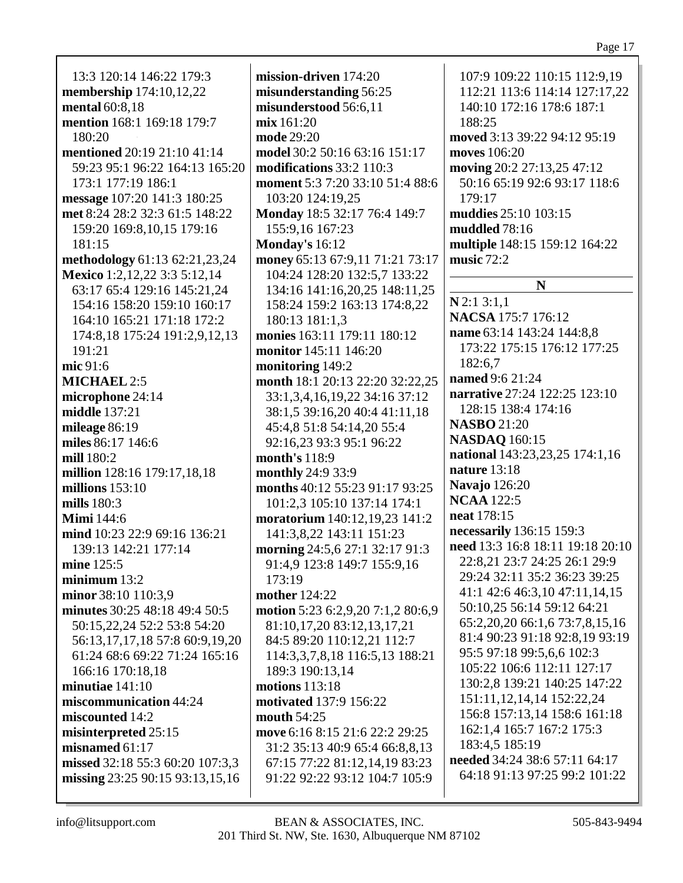13:3 120:14 146:22 179:3 **membership** 174:10,12,22 **mental** 60:8,18 **mention** 168:1 169:18 179:7 180:20 **mentioned** 20:19 21:10 41:14 59:23 95:1 96:22 164:13 165:20 173:1 177:19 186:1 **message** 107:20 141:3 180:25 **met** 8:24 28:2 32:3 61:5 148:22 159:20 169:8,10,15 179:16 181:15 **methodology** 61:13 62:21,23,24 **Mexico** 1:2,12,22 3:3 5:12,14 63:17 65:4 129:16 145:21,24 154:16 158:20 159:10 160:17 164:10 165:21 171:18 172:2 174:8,18 175:24 191:2,9,12,13 191:21 **mic** 91:6 **MICHAEL** 2:5 **microphone** 24:14 **middle** 137:21 **mileage** 86:19 **miles** 86:17 146:6 **mill** 180:2 **million** 128:16 179:17,18,18 **millions** 153:10 **mills** 180:3 **Mimi** 144:6 **mind** 10:23 22:9 69:16 136:21 139:13 142:21 177:14 **mine** 125:5 **minimum** 13:2 **minor** 38:10 110:3,9 **minutes** 30:25 48:18 49:4 50:5 50:15,22,24 52:2 53:8 54:20 56:13,17,17,18 57:8 60:9,19,20 61:24 68:6 69:22 71:24 165:16 166:16 170:18,18 **minutiae** 141:10 **miscommunication** 44:24 **miscounted** 14:2 **misinterpreted** 25:15 **misnamed** 61:17 **missed** 32:18 55:3 60:20 107:3.3 **missing** 23:25 90:15 93:13,15,16

**mission-driven** 174:20 **misunderstanding** 56:25 **misunderstood** 56:6,11 **mix** 161:20 **mode** 29:20 **model** 30:2 50:16 63:16 151:17 **modifications** 33:2 110:3 **moment** 5:3 7:20 33:10 51:4 88:6 103:20 124:19,25 **Monday** 18:5 32:17 76:4 149:7 155:9,16 167:23 **Monday's** 16:12 **money** 65:13 67:9,11 71:21 73:17 104:24 128:20 132:5,7 133:22 134:16 141:16,20,25 148:11,25 158:24 159:2 163:13 174:8,22 180:13 181:1,3 **monies** 163:11 179:11 180:12 **monitor** 145:11 146:20 **monitoring** 149:2 **month** 18:1 20:13 22:20 32:22,25 33:1,3,4,16,19,22 34:16 37:12 38:1,5 39:16,20 40:4 41:11,18 45:4,8 51:8 54:14,20 55:4 92:16,23 93:3 95:1 96:22 **month's** 118:9 **monthly** 24:9 33:9 **months** 40:12 55:23 91:17 93:25 101:2,3 105:10 137:14 174:1 **moratorium** 140:12,19,23 141:2 141:3,8,22 143:11 151:23 **morning** 24:5,6 27:1 32:17 91:3 91:4,9 123:8 149:7 155:9,16 173:19 **mother** 124:22 **motion** 5:23 6:2,9,20 7:1,2 80:6,9 81:10,17,20 83:12,13,17,21 84:5 89:20 110:12,21 112:7 114:3,3,7,8,18 116:5,13 188:21 189:3 190:13,14 **motions** 113:18 **motivated** 137:9 156:22 **mouth** 54:25 **move** 6:16 8:15 21:6 22:2 29:25 31:2 35:13 40:9 65:4 66:8,8,13 67:15 77:22 81:12,14,19 83:23 91:22 92:22 93:12 104:7 105:9

107:9 109:22 110:15 112:9,19 112:21 113:6 114:14 127:17,22 140:10 172:16 178:6 187:1 188:25 **moved** 3:13 39:22 94:12 95:19 **moves** 106:20 **moving** 20:2 27:13,25 47:12 50:16 65:19 92:6 93:17 118:6  $179:17$ **muddies** 25:10 103:15 **muddled** 78:16 **multiple** 148:15 159:12 164:22 **music** 72:2 **N N** 2:1 3:1,1 **NACSA** 175:7 176:12 **name** 63:14 143:24 144:8,8 173:22 175:15 176:12 177:25 182:6,7 **named** 9:6 21:24 **narrative** 27:24 122:25 123:10 128:15 138:4 174:16 **NASBO** 21:20 **NASDAQ** 160:15 **national** 143:23,23,25 174:1,16 **nature** 13:18 **Navajo** 126:20 **NCAA** 122:5 **neat** 178:15 **necessarily** 136:15 159:3 **need** 13:3 16:8 18:11 19:18 20:10 22:8,21 23:7 24:25 26:1 29:9 29:24 32:11 35:2 36:23 39:25 41:1 42:6 46:3,10 47:11,14,15 50:10,25 56:14 59:12 64:21 65:2,20,20 66:1,6 73:7,8,15,16 81:4 90:23 91:18 92:8,19 93:19 95:5 97:18 99:5,6,6 102:3 105:22 106:6 112:11 127:17 130:2,8 139:21 140:25 147:22 151:11,12,14,14 152:22,24 156:8 157:13,14 158:6 161:18 162:1,4 165:7 167:2 175:3 183:4,5 185:19 **needed** 34:24 38:6 57:11 64:17 64:18 91:13 97:25 99:2 101:22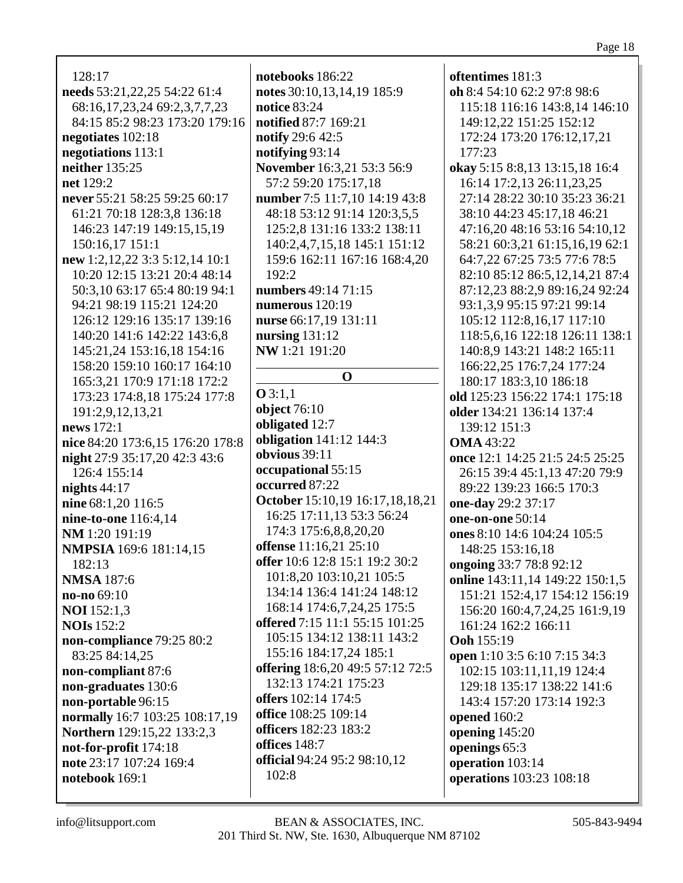128:17 needs 53:21,22,25 54:22 61:4 68:16,17,23,24 69:2,3,7,7,23 84:15 85:2 98:23 173:20 179:16 negotiates  $102:18$ negotiations 113:1 neither  $135:25$ net 129:2 never 55:21 58:25 59:25 60:17 61:21 70:18 128:3,8 136:18 146:23 147:19 149:15.15.19 150:16,17 151:1 new 1:2,12,22 3:3 5:12,14 10:1 10:20 12:15 13:21 20:4 48:14 50:3.10 63:17 65:4 80:19 94:1 94:21 98:19 115:21 124:20 126:12 129:16 135:17 139:16 140:20 141:6 142:22 143:6.8 145:21,24 153:16,18 154:16 158:20 159:10 160:17 164:10 165:3,21 170:9 171:18 172:2 173:23 174:8,18 175:24 177:8 191:2.9.12.13.21 news  $172:1$ nice 84:20 173:6,15 176:20 178:8 night 27:9 35:17,20 42:3 43:6 126:4 155:14 nights  $44:17$ nine 68:1,20 116:5 nine-to-one 116:4,14 NM 1:20 191:19 **NMPSIA** 169:6 181:14,15  $182:13$ **NMSA** 187:6  $no-no 69:10$ **NOI** 152:1,3 **NOIs** 152:2 non-compliance 79:25 80:2 83:25 84:14,25 non-compliant 87:6 non-graduates 130:6 non-portable 96:15 normally 16:7 103:25 108:17,19 **Northern** 129:15.22 133:2.3 not-for-profit 174:18 note 23:17 107:24 169:4 notebook  $169:1$ 

notebooks 186:22 notes 30:10,13,14,19 185:9 notice  $83:24$ notified 87:7 169:21 **notify** 29:6 42:5 notifying 93:14 November 16:3.21 53:3 56:9 57:2 59:20 175:17,18 number 7:5 11:7,10 14:19 43:8 48:18 53:12 91:14 120:3,5,5 125:2.8 131:16 133:2 138:11 140:2,4,7,15,18 145:1 151:12 159:6 162:11 167:16 168:4,20  $192:2$ numbers 49:14 71:15 numerous  $120:19$ nurse 66:17.19 131:11 nursing  $131:12$ NW 1:21 191:20  $\Omega$  $Q3:1.1$ **object** 76:10 obligated 12:7 **obligation** 141:12 144:3 obvious 39:11 occupational 55:15 occurred 87:22 October 15:10,19 16:17,18,18,21 16:25 17:11,13 53:3 56:24 174:3 175:6,8,8,20,20 offense 11:16,21 25:10 offer 10:6 12:8 15:1 19:2 30:2 101:8,20 103:10,21 105:5 134:14 136:4 141:24 148:12 168:14 174:6,7,24,25 175:5 offered 7:15 11:1 55:15 101:25 105:15 134:12 138:11 143:2 155:16 184:17,24 185:1 offering 18:6,20 49:5 57:12 72:5 132:13 174:21 175:23 offers 102:14 174:5 office 108:25 109:14 officers 182:23 183:2 offices  $148:7$ official 94:24 95:2 98:10,12  $102:8$ 

oftentimes  $181:3$ oh 8:4 54:10 62:2 97:8 98:6 115:18 116:16 143:8.14 146:10 149:12,22 151:25 152:12 172:24 173:20 176:12,17,21  $177:23$ okay 5:15 8:8,13 13:15,18 16:4 16:14 17:2,13 26:11,23,25 27:14 28:22 30:10 35:23 36:21 38:10 44:23 45:17,18 46:21 47:16.20 48:16 53:16 54:10.12 58:21 60:3,21 61:15,16,19 62:1 64:7,22 67:25 73:5 77:6 78:5 82:10 85:12 86:5,12,14,21 87:4 87:12,23 88:2,9 89:16,24 92:24 93:1,3,9 95:15 97:21 99:14 105:12 112:8.16.17 117:10 118:5,6,16 122:18 126:11 138:1 140:8,9 143:21 148:2 165:11 166:22,25 176:7,24 177:24 180:17 183:3,10 186:18 old 125:23 156:22 174:1 175:18 older 134:21 136:14 137:4 139:12 151:3 **OMA** 43:22 once 12:1 14:25 21:5 24:5 25:25 26:15 39:4 45:1,13 47:20 79:9 89:22 139:23 166:5 170:3 one-day 29:2 37:17 one-on-one 50:14 ones 8:10 14:6 104:24 105:5 148:25 153:16,18 ongoing 33:7 78:8 92:12 **online** 143:11,14 149:22 150:1,5 151:21 152:4,17 154:12 156:19 156:20 160:4,7,24,25 161:9,19 161:24 162:2 166:11 **Ooh** 155:19 open 1:10 3:5 6:10 7:15 34:3 102:15 103:11,11,19 124:4 129:18 135:17 138:22 141:6 143:4 157:20 173:14 192:3 opened 160:2 opening  $145:20$ openings 65:3 operation  $103:14$ operations 103:23 108:18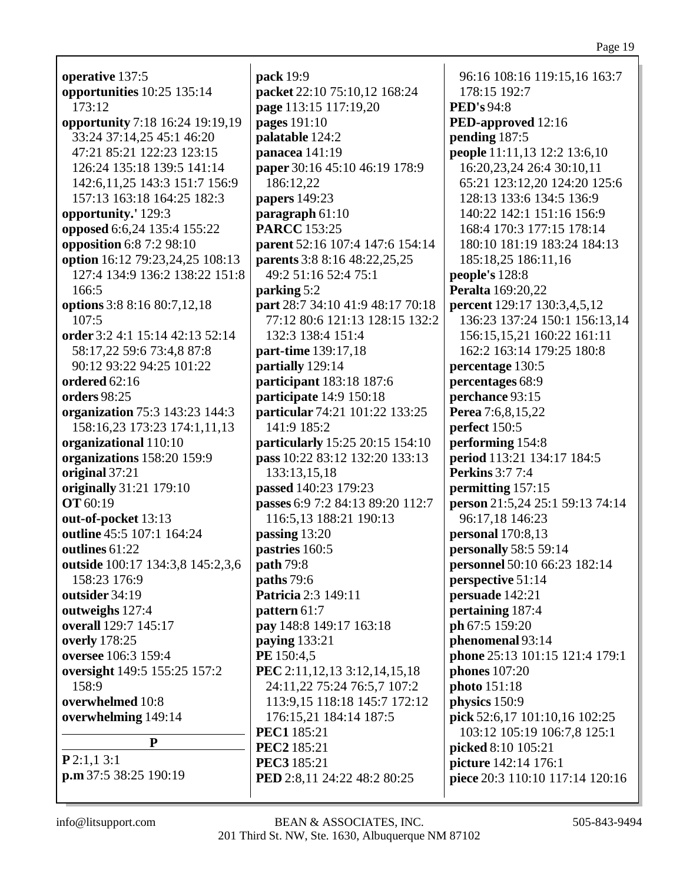| operative 137:5                                  |
|--------------------------------------------------|
| opportunities 10:25 135:14                       |
| 173:12                                           |
| opportunity 7:18 16:24 19:19,19                  |
| 33:24 37:14,25 45:1 46:20                        |
| 47:21 85:21 122:23 123:15                        |
| 126:24 135:18 139:5 141:14                       |
| 142:6, 11, 25 143: 3 151: 7 156: 9               |
| 157:13 163:18 164:25 182:3                       |
| opportunity.' 129:3                              |
| opposed 6:6,24 135:4 155:22                      |
| opposition 6:8 7:2 98:10                         |
| option 16:12 79:23,24,25 108:13                  |
| 127:4 134:9 136:2 138:22 151:8                   |
| 166:5                                            |
| options 3:8 8:16 80:7,12,18                      |
| 107:5                                            |
| order 3:2 4:1 15:14 42:13 52:14                  |
| 58:17,22 59:6 73:4,8 87:8                        |
| 90:12 93:22 94:25 101:22                         |
| ordered $62:16$                                  |
| orders 98:25                                     |
| organization 75:3 143:23 144:3                   |
| 158:16,23 173:23 174:1,11,13                     |
| organizational 110:10                            |
| organizations 158:20 159:9                       |
| original 37:21                                   |
| originally 31:21 179:10                          |
| <b>OT</b> 60:19                                  |
| out-of-pocket 13:13                              |
| outline 45:5 107:1 164:24<br>outlines $61:22$    |
|                                                  |
| outside 100:17 134:3,8 145:2,3,6<br>158:23 176:9 |
| outsider 34:19                                   |
| outweighs 127:4                                  |
| overall 129:7 145:17                             |
| overly 178:25                                    |
| <b>oversee</b> 106:3 159:4                       |
| oversight 149:5 155:25 157:2                     |
| 158:9                                            |
| overwhelmed 10:8                                 |
| overwhelming 149:14                              |
| P                                                |
| P2:1,13:1                                        |
| p.m 37:5 38:25 190:19                            |
|                                                  |

**pack** 19:9 **packet** 22:10 75:10,12 168:24 **page** 113:15 117:19,20 **pages** 191:10 **palatable** 124:2 **panacea** 141:19 **paper** 30:16 45:10 46:19 178:9 186:12,22 **papers** 149:23 **paragraph** 61:10 **PARCC** 153:25 **parent** 52:16 107:4 147:6 154:14 **parents** 3:8 8:16 48:22,25,25 49:2 51:16 52:4 75:1 **parking** 5:2 **part** 28:7 34:10 41:9 48:17 70:18 77:12 80:6 121:13 128:15 132:2 132:3 138:4 151:4 **part-time** 139:17,18 **partially** 129:14 **participant** 183:18 187:6 **participate** 14:9 150:18 **particular** 74:21 101:22 133:25 141:9 185:2 **particularly** 15:25 20:15 154:10 **pass** 10:22 83:12 132:20 133:13 133:13,15,18 **passed** 140:23 179:23 **passes** 6:9 7:2 84:13 89:20 112:7 116:5,13 188:21 190:13 **passing** 13:20 **pastries** 160:5 **path** 79:8 **paths** 79:6 **Patricia** 2:3 149:11 **pattern** 61:7 **pay** 148:8 149:17 163:18 **paying** 133:21 **PE** 150:4,5 **PEC** 2:11,12,13 3:12,14,15,18 24:11,22 75:24 76:5,7 107:2 113:9,15 118:18 145:7 172:12 176:15,21 184:14 187:5 **PEC1** 185:21 **PEC2** 185:21 **PEC3** 185:21 **PED** 2:8,11 24:22 48:2 80:25

96:16 108:16 119:15,16 163:7 178:15 192:7 **PED's** 94:8 **PED-approved** 12:16 **pending** 187:5 **people** 11:11,13 12:2 13:6,10 16:20,23,24 26:4 30:10,11 65:21 123:12,20 124:20 125:6 128:13 133:6 134:5 136:9 140:22 142:1 151:16 156:9 168:4 170:3 177:15 178:14 180:10 181:19 183:24 184:13 185:18,25 186:11,16 **people's** 128:8 **Peralta** 169:20,22 **percent** 129:17 130:3,4,5,12 136:23 137:24 150:1 156:13,14 156:15,15,21 160:22 161:11 162:2 163:14 179:25 180:8 **percentage** 130:5 **percentages** 68:9 **perchance** 93:15 **Perea** 7:6,8,15,22 **perfect** 150:5 **performing** 154:8 **period** 113:21 134:17 184:5 **Perkins** 3:7 7:4 **permitting** 157:15 **person** 21:5,24 25:1 59:13 74:14 96:17,18 146:23 **personal** 170:8,13 **personally** 58:5 59:14 **personnel** 50:10 66:23 182:14 **perspective** 51:14 **persuade** 142:21 **pertaining** 187:4 **ph** 67:5 159:20 **phenomenal** 93:14 **phone** 25:13 101:15 121:4 179:1 **phones** 107:20 **photo** 151:18 **physics** 150:9 **pick** 52:6,17 101:10,16 102:25 103:12 105:19 106:7,8 125:1 **picked** 8:10 105:21 **picture** 142:14 176:1 **piece** 20:3 110:10 117:14 120:16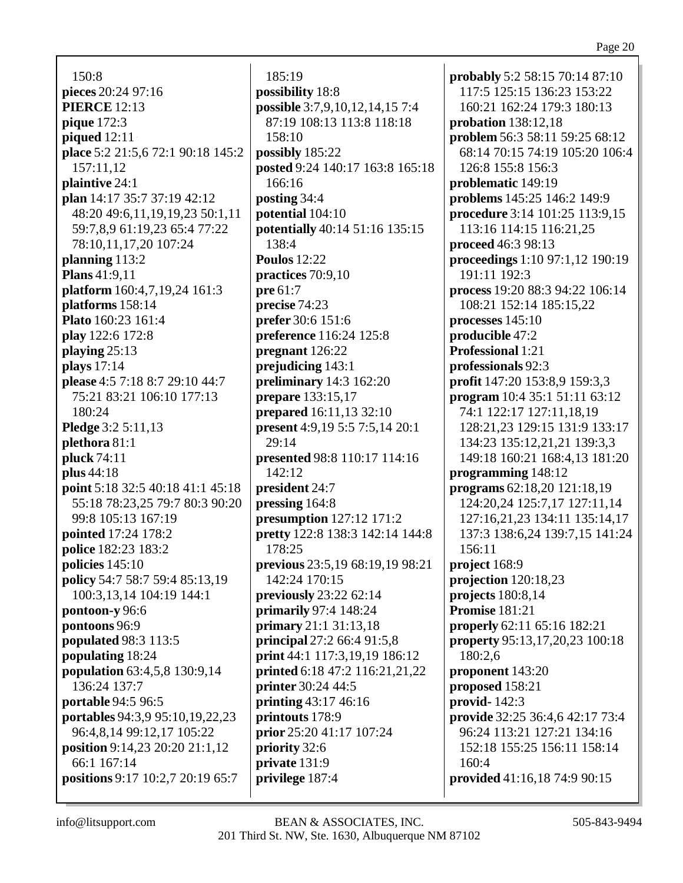150:8 **pieces** 20:24 97:16 **PIERCE** 12:13 **pique** 172:3 **piqued** 12:11 **place** 5:2 21:5,6 72:1 90:18 145:2 157:11,12 **plaintive** 24:1 **plan** 14:17 35:7 37:19 42:12 48:20 49:6,11,19,19,23 50:1,11 59:7,8,9 61:19,23 65:4 77:22 78:10,11,17,20 107:24 **planning** 113:2 **Plans** 41:9,11 **platform** 160:4,7,19,24 161:3 **platforms** 158:14 **Plato** 160:23 161:4 **play** 122:6 172:8 **playing** 25:13 **plays** 17:14 **please** 4:5 7:18 8:7 29:10 44:7 75:21 83:21 106:10 177:13 180:24 **Pledge** 3:2 5:11,13 **plethora** 81:1 **pluck** 74:11 **plus** 44:18 **point** 5:18 32:5 40:18 41:1 45:18 55:18 78:23,25 79:7 80:3 90:20 99:8 105:13 167:19 **pointed** 17:24 178:2 **police** 182:23 183:2 **policies** 145:10 **policy** 54:7 58:7 59:4 85:13,19 100:3,13,14 104:19 144:1 **pontoon-y** 96:6 **pontoons** 96:9 **populated** 98:3 113:5 **populating** 18:24 **population** 63:4,5,8 130:9,14 136:24 137:7 **portable** 94:5 96:5 **portables** 94:3,9 95:10,19,22,23 96:4,8,14 99:12,17 105:22 **position** 9:14,23 20:20 21:1,12 66:1 167:14 **positions** 9:17 10:2,7 20:19 65:7

185:19 **possibility** 18:8 **possible** 3:7,9,10,12,14,15 7:4 87:19 108:13 113:8 118:18 158:10 **possibly** 185:22 **posted** 9:24 140:17 163:8 165:18 166:16 **posting** 34:4 **potential** 104:10 **potentially** 40:14 51:16 135:15 138:4 **Poulos** 12:22 **practices** 70:9,10 **pre** 61:7 **precise** 74:23 **prefer** 30:6 151:6 **preference** 116:24 125:8 **pregnant** 126:22 **prejudicing** 143:1 **preliminary** 14:3 162:20 **prepare** 133:15,17 **prepared** 16:11,13 32:10 **present** 4:9,19 5:5 7:5,14 20:1 29:14 **presented** 98:8 110:17 114:16 142:12 **president** 24:7 **pressing** 164:8 **presumption** 127:12 171:2 **pretty** 122:8 138:3 142:14 144:8 178:25 **previous** 23:5,19 68:19,19 98:21 142:24 170:15 **previously** 23:22 62:14 **primarily** 97:4 148:24 **primary** 21:1 31:13,18 **principal** 27:2 66:4 91:5,8 **print** 44:1 117:3,19,19 186:12 **printed** 6:18 47:2 116:21,21,22 **printer** 30:24 44:5 **printing** 43:17 46:16 **printouts** 178:9 **prior** 25:20 41:17 107:24 **priority** 32:6 **private** 131:9 **privilege** 187:4

**probably** 5:2 58:15 70:14 87:10 117:5 125:15 136:23 153:22 160:21 162:24 179:3 180:13 **probation** 138:12,18 **problem** 56:3 58:11 59:25 68:12 68:14 70:15 74:19 105:20 106:4 126:8 155:8 156:3 **problematic** 149:19 **problems** 145:25 146:2 149:9 **procedure** 3:14 101:25 113:9,15 113:16 114:15 116:21,25 **proceed** 46:3 98:13 **proceedings** 1:10 97:1,12 190:19 191:11 192:3 **process** 19:20 88:3 94:22 106:14 108:21 152:14 185:15,22 **processes** 145:10 **producible** 47:2 **Professional** 1:21 **professionals** 92:3 **profit** 147:20 153:8,9 159:3,3 **program** 10:4 35:1 51:11 63:12 74:1 122:17 127:11,18,19 128:21,23 129:15 131:9 133:17 134:23 135:12,21,21 139:3,3 149:18 160:21 168:4,13 181:20 **programming** 148:12 **programs** 62:18,20 121:18,19 124:20,24 125:7,17 127:11,14 127:16,21,23 134:11 135:14,17 137:3 138:6,24 139:7,15 141:24 156:11 **project** 168:9 **projection** 120:18,23 **projects** 180:8,14 **Promise** 181:21 **properly** 62:11 65:16 182:21 **property** 95:13,17,20,23 100:18 180:2,6 **proponent** 143:20 **proposed** 158:21 **provid-** 142:3 **provide** 32:25 36:4,6 42:17 73:4 96:24 113:21 127:21 134:16 152:18 155:25 156:11 158:14 160:4 **provided** 41:16,18 74:9 90:15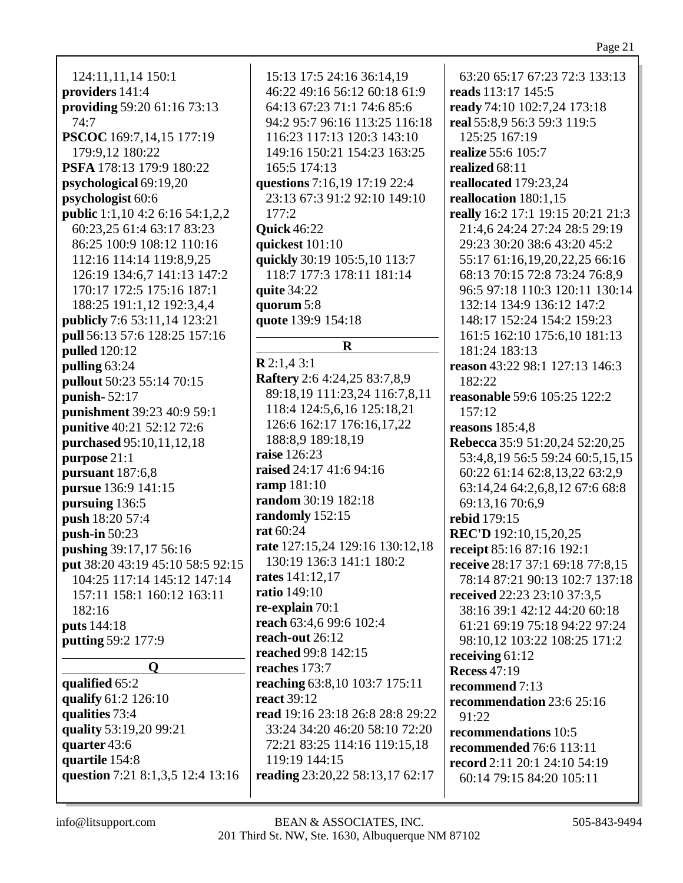Page 21

124:11,11,14 150:1 **providers** 141:4 **providing** 59:20 61:16 73:13 74:7 **PSCOC** 169:7,14,15 177:19 179:9,12 180:22 **PSFA** 178:13 179:9 180:22 **psychological** 69:19,20 **psychologist** 60:6 **public** 1:1,10 4:2 6:16 54:1,2,2 60:23,25 61:4 63:17 83:23 86:25 100:9 108:12 110:16 112:16 114:14 119:8,9,25 126:19 134:6,7 141:13 147:2 170:17 172:5 175:16 187:1 188:25 191:1,12 192:3,4,4 **publicly** 7:6 53:11,14 123:21 **pull** 56:13 57:6 128:25 157:16 **pulled** 120:12 **pulling** 63:24 **pullout** 50:23 55:14 70:15 **punish-** 52:17 **punishment** 39:23 40:9 59:1 **punitive** 40:21 52:12 72:6 **purchased** 95:10,11,12,18 **purpose** 21:1 **pursuant** 187:6,8 **pursue** 136:9 141:15 **pursuing** 136:5 **push** 18:20 57:4 **push-in** 50:23 **pushing** 39:17,17 56:16 **put** 38:20 43:19 45:10 58:5 92:15 104:25 117:14 145:12 147:14 157:11 158:1 160:12 163:11 182:16 **puts** 144:18 **putting** 59:2 177:9 **Q qualified** 65:2 **qualify** 61:2 126:10 **qualities** 73:4 **quality** 53:19,20 99:21

15:13 17:5 24:16 36:14,19 46:22 49:16 56:12 60:18 61:9 64:13 67:23 71:1 74:6 85:6 94:2 95:7 96:16 113:25 116:18 116:23 117:13 120:3 143:10 149:16 150:21 154:23 163:25 165:5 174:13 **questions** 7:16,19 17:19 22:4 23:13 67:3 91:2 92:10 149:10 177:2 **Quick** 46:22 **quickest** 101:10 **quickly** 30:19 105:5,10 113:7 118:7 177:3 178:11 181:14 **quite** 34:22 **quorum** 5:8 **quote** 139:9 154:18 **R R** 2:1,4 3:1 **Raftery** 2:6 4:24,25 83:7,8,9 89:18,19 111:23,24 116:7,8,11 118:4 124:5,6,16 125:18,21 126:6 162:17 176:16,17,22 188:8,9 189:18,19 **raise** 126:23 **raised** 24:17 41:6 94:16 **ramp** 181:10 **random** 30:19 182:18 **randomly** 152:15 **rat** 60:24 **rate** 127:15,24 129:16 130:12,18 130:19 136:3 141:1 180:2 **rates** 141:12,17 **ratio** 149:10 **re-explain** 70:1 **reach** 63:4,6 99:6 102:4 **reach-out** 26:12 **reached** 99:8 142:15 **reaches** 173:7 **reaching** 63:8,10 103:7 175:11 **react** 39:12 **read** 19:16 23:18 26:8 28:8 29:22 33:24 34:20 46:20 58:10 72:20 72:21 83:25 114:16 119:15,18 119:19 144:15 **reading** 23:20,22 58:13,17 62:17

63:20 65:17 67:23 72:3 133:13 **reads** 113:17 145:5 **ready** 74:10 102:7,24 173:18 **real** 55:8,9 56:3 59:3 119:5 125:25 167:19 **realize** 55:6 105:7 **realized** 68:11 **reallocated** 179:23,24 **reallocation** 180:1,15 **really** 16:2 17:1 19:15 20:21 21:3 21:4,6 24:24 27:24 28:5 29:19 29:23 30:20 38:6 43:20 45:2 55:17 61:16,19,20,22,25 66:16 68:13 70:15 72:8 73:24 76:8,9 96:5 97:18 110:3 120:11 130:14 132:14 134:9 136:12 147:2 148:17 152:24 154:2 159:23 161:5 162:10 175:6,10 181:13 181:24 183:13 **reason** 43:22 98:1 127:13 146:3 182:22 **reasonable** 59:6 105:25 122:2 157:12 **reasons** 185:4,8 **Rebecca** 35:9 51:20,24 52:20,25 53:4,8,19 56:5 59:24 60:5,15,15 60:22 61:14 62:8,13,22 63:2,9 63:14,24 64:2,6,8,12 67:6 68:8 69:13,16 70:6,9 **rebid** 179:15 **REC'D** 192:10,15,20,25 **receipt** 85:16 87:16 192:1 **receive** 28:17 37:1 69:18 77:8,15 78:14 87:21 90:13 102:7 137:18 **received** 22:23 23:10 37:3,5 38:16 39:1 42:12 44:20 60:18 61:21 69:19 75:18 94:22 97:24 98:10,12 103:22 108:25 171:2 **receiving** 61:12 **Recess** 47:19 **recommend** 7:13 **recommendation** 23:6 25:16 91:22 **recommendations** 10:5 **recommended** 76:6 113:11 **record** 2:11 20:1 24:10 54:19 60:14 79:15 84:20 105:11

**question** 7:21 8:1,3,5 12:4 13:16

**quarter** 43:6 **quartile** 154:8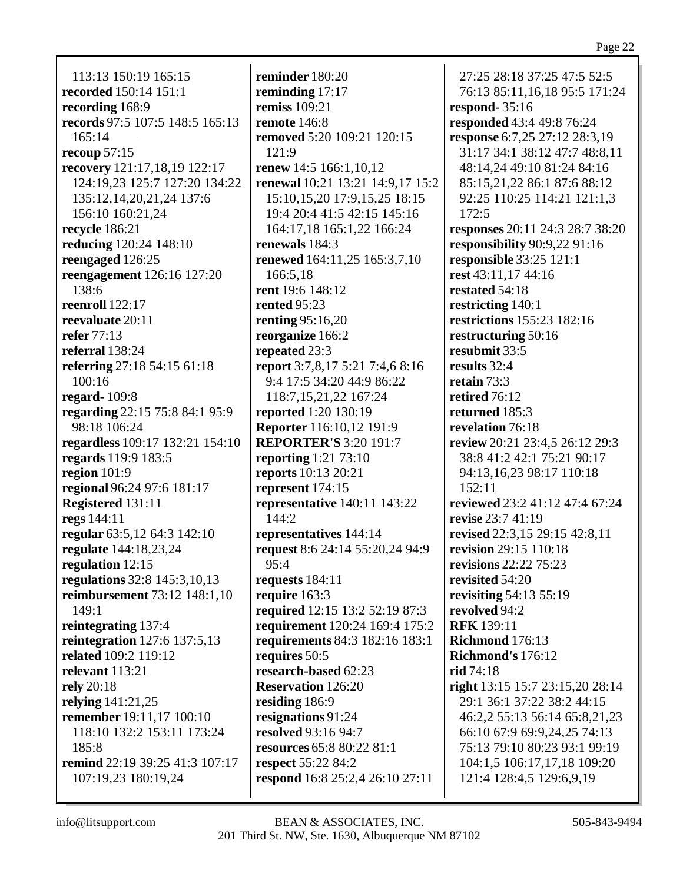113:13 150:19 165:15 **recorded** 150:14 151:1 **recording** 168:9 **records** 97:5 107:5 148:5 165:13 165:14 **recoup** 57:15 **recovery** 121:17,18,19 122:17 124:19,23 125:7 127:20 134:22 135:12,14,20,21,24 137:6 156:10 160:21,24 **recycle** 186:21 **reducing** 120:24 148:10 **reengaged** 126:25 **reengagement** 126:16 127:20 138:6 **reenroll** 122:17 **reevaluate** 20:11 **refer** 77:13 **referral** 138:24 **referring** 27:18 54:15 61:18 100:16 **regard-** 109:8 **regarding** 22:15 75:8 84:1 95:9 98:18 106:24 **regardless** 109:17 132:21 154:10 **regards** 119:9 183:5 **region** 101:9 **regional** 96:24 97:6 181:17 **Registered** 131:11 **regs** 144:11 **regular** 63:5,12 64:3 142:10 **regulate** 144:18,23,24 **regulation** 12:15 **regulations** 32:8 145:3,10,13 **reimbursement** 73:12 148:1,10 149:1 **reintegrating** 137:4 **reintegration** 127:6 137:5,13 **related** 109:2 119:12 **relevant** 113:21 **rely** 20:18 **relying** 141:21,25 **remember** 19:11,17 100:10 118:10 132:2 153:11 173:24 185:8 **remind** 22:19 39:25 41:3 107:17 107:19,23 180:19,24

**reminder** 180:20 **reminding** 17:17 **remiss** 109:21 **remote** 146:8 **removed** 5:20 109:21 120:15 121:9 **renew** 14:5 166:1,10,12 **renewal** 10:21 13:21 14:9,17 15:2 15:10,15,20 17:9,15,25 18:15 19:4 20:4 41:5 42:15 145:16 164:17,18 165:1,22 166:24 **renewals** 184:3 **renewed** 164:11,25 165:3,7,10 166:5,18 **rent** 19:6 148:12 **rented** 95:23 **renting** 95:16,20 **reorganize** 166:2 **repeated** 23:3 **report** 3:7,8,17 5:21 7:4,6 8:16 9:4 17:5 34:20 44:9 86:22 118:7,15,21,22 167:24 **reported** 1:20 130:19 **Reporter** 116:10,12 191:9 **REPORTER'S** 3:20 191:7 **reporting** 1:21 73:10 **reports** 10:13 20:21 **represent** 174:15 **representative** 140:11 143:22 144:2 **representatives** 144:14 **request** 8:6 24:14 55:20,24 94:9 95:4 **requests** 184:11 **require** 163:3 **required** 12:15 13:2 52:19 87:3 **requirement** 120:24 169:4 175:2 **requirements** 84:3 182:16 183:1 **requires** 50:5 **research-based** 62:23 **Reservation** 126:20 **residing** 186:9 **resignations** 91:24 **resolved** 93:16 94:7 **resources** 65:8 80:22 81:1 **respect** 55:22 84:2 **respond** 16:8 25:2,4 26:10 27:11

27:25 28:18 37:25 47:5 52:5 76:13 85:11,16,18 95:5 171:24 **respond-** 35:16 **responded** 43:4 49:8 76:24 **response** 6:7,25 27:12 28:3,19 31:17 34:1 38:12 47:7 48:8,11 48:14,24 49:10 81:24 84:16 85:15,21,22 86:1 87:6 88:12 92:25 110:25 114:21 121:1,3 172:5 **responses** 20:11 24:3 28:7 38:20 **responsibility** 90:9,22 91:16 **responsible** 33:25 121:1 **rest** 43:11,17 44:16 **restated** 54:18 **restricting** 140:1 **restrictions** 155:23 182:16 **restructuring** 50:16 **resubmit** 33:5 **results** 32:4 **retain** 73:3 **retired** 76:12 **returned** 185:3 **revelation** 76:18 **review** 20:21 23:4,5 26:12 29:3 38:8 41:2 42:1 75:21 90:17 94:13,16,23 98:17 110:18 152:11 **reviewed** 23:2 41:12 47:4 67:24 **revise** 23:7 41:19 **revised** 22:3,15 29:15 42:8,11 **revision** 29:15 110:18 **revisions** 22:22 75:23 **revisited** 54:20 **revisiting** 54:13 55:19 **revolved** 94:2 **RFK** 139:11 **Richmond** 176:13 **Richmond's** 176:12 **rid** 74:18 **right** 13:15 15:7 23:15,20 28:14 29:1 36:1 37:22 38:2 44:15 46:2,2 55:13 56:14 65:8,21,23 66:10 67:9 69:9,24,25 74:13 75:13 79:10 80:23 93:1 99:19 104:1,5 106:17,17,18 109:20 121:4 128:4,5 129:6,9,19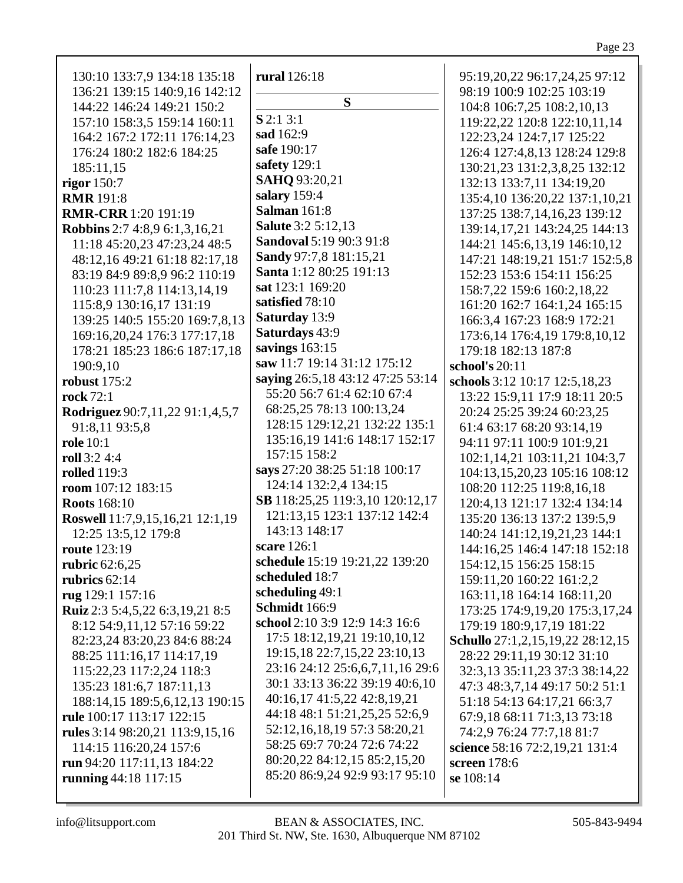| 130:10 133:7,9 134:18 135:18         | rural 126:18                     | 95:19,20,22 96:17,24,25 97:12      |
|--------------------------------------|----------------------------------|------------------------------------|
| 136:21 139:15 140:9,16 142:12        | S                                | 98:19 100:9 102:25 103:19          |
| 144:22 146:24 149:21 150:2           | $S$ 2:1 3:1                      | 104:8 106:7,25 108:2,10,13         |
| 157:10 158:3,5 159:14 160:11         |                                  | 119:22,22 120:8 122:10,11,14       |
| 164:2 167:2 172:11 176:14,23         | sad 162:9                        | 122:23,24 124:7,17 125:22          |
| 176:24 180:2 182:6 184:25            | safe 190:17                      | 126:4 127:4,8,13 128:24 129:8      |
| 185:11,15                            | safety 129:1                     | 130:21,23 131:2,3,8,25 132:12      |
| rigor 150:7                          | SAHQ 93:20,21                    | 132:13 133:7,11 134:19,20          |
| <b>RMR</b> 191:8                     | salary 159:4                     | 135:4,10 136:20,22 137:1,10,21     |
| <b>RMR-CRR</b> 1:20 191:19           | <b>Salman</b> 161:8              | 137:25 138:7,14,16,23 139:12       |
| <b>Robbins</b> 2:7 4:8,9 6:1,3,16,21 | <b>Salute</b> 3:2 5:12,13        | 139:14, 17, 21 143: 24, 25 144: 13 |
| 11:18 45:20,23 47:23,24 48:5         | <b>Sandoval 5:19 90:3 91:8</b>   | 144:21 145:6,13,19 146:10,12       |
| 48:12,16 49:21 61:18 82:17,18        | Sandy 97:7,8 181:15,21           | 147:21 148:19,21 151:7 152:5,8     |
| 83:19 84:9 89:8,9 96:2 110:19        | Santa 1:12 80:25 191:13          | 152:23 153:6 154:11 156:25         |
| 110:23 111:7,8 114:13,14,19          | sat 123:1 169:20                 | 158:7,22 159:6 160:2,18,22         |
| 115:8,9 130:16,17 131:19             | satisfied 78:10                  | 161:20 162:7 164:1,24 165:15       |
| 139:25 140:5 155:20 169:7,8,13       | Saturday 13:9                    | 166:3,4 167:23 168:9 172:21        |
| 169:16,20,24 176:3 177:17,18         | Saturdays 43:9                   | 173:6,14 176:4,19 179:8,10,12      |
| 178:21 185:23 186:6 187:17,18        | savings $163:15$                 | 179:18 182:13 187:8                |
| 190:9,10                             | saw 11:7 19:14 31:12 175:12      | school's 20:11                     |
| <b>robust</b> 175:2                  | saying 26:5,18 43:12 47:25 53:14 | schools 3:12 10:17 12:5,18,23      |
| <b>rock</b> 72:1                     | 55:20 56:7 61:4 62:10 67:4       | 13:22 15:9,11 17:9 18:11 20:5      |
| Rodriguez 90:7,11,22 91:1,4,5,7      | 68:25,25 78:13 100:13,24         | 20:24 25:25 39:24 60:23,25         |
| 91:8,11 93:5,8                       | 128:15 129:12,21 132:22 135:1    | 61:4 63:17 68:20 93:14,19          |
| <b>role</b> 10:1                     | 135:16,19 141:6 148:17 152:17    | 94:11 97:11 100:9 101:9,21         |
| roll 3:2 4:4                         | 157:15 158:2                     | 102:1,14,21 103:11,21 104:3,7      |
| <b>rolled</b> 119:3                  | says 27:20 38:25 51:18 100:17    | 104:13,15,20,23 105:16 108:12      |
| room 107:12 183:15                   | 124:14 132:2,4 134:15            | 108:20 112:25 119:8,16,18          |
| <b>Roots</b> 168:10                  | SB 118:25,25 119:3,10 120:12,17  | 120:4,13 121:17 132:4 134:14       |
| Roswell 11:7,9,15,16,21 12:1,19      | 121:13,15 123:1 137:12 142:4     | 135:20 136:13 137:2 139:5,9        |
| 12:25 13:5,12 179:8                  | 143:13 148:17                    | 140:24 141:12,19,21,23 144:1       |
| <b>route</b> 123:19                  | scare 126:1                      | 144:16,25 146:4 147:18 152:18      |
| rubric 62:6,25                       | schedule 15:19 19:21,22 139:20   | 154:12,15 156:25 158:15            |
| rubrics $62:14$                      | scheduled 18:7                   | 159:11,20 160:22 161:2,2           |
| rug 129:1 157:16                     | scheduling 49:1                  | 163:11,18 164:14 168:11,20         |
| Ruiz 2:3 5:4,5,22 6:3,19,21 8:5      | Schmidt 166:9                    | 173:25 174:9,19,20 175:3,17,24     |
| 8:12 54:9,11,12 57:16 59:22          | school 2:10 3:9 12:9 14:3 16:6   | 179:19 180:9,17,19 181:22          |
| 82:23,24 83:20,23 84:6 88:24         | 17:5 18:12,19,21 19:10,10,12     | Schullo 27:1,2,15,19,22 28:12,15   |
| 88:25 111:16,17 114:17,19            | 19:15, 18 22:7, 15, 22 23:10, 13 | 28:22 29:11,19 30:12 31:10         |
| 115:22,23 117:2,24 118:3             | 23:16 24:12 25:6,6,7,11,16 29:6  | 32:3,13 35:11,23 37:3 38:14,22     |
| 135:23 181:6,7 187:11,13             | 30:1 33:13 36:22 39:19 40:6,10   | 47:3 48:3,7,14 49:17 50:2 51:1     |
| 188:14,15 189:5,6,12,13 190:15       | 40:16,17 41:5,22 42:8,19,21      | 51:18 54:13 64:17,21 66:3,7        |
| <b>rule</b> 100:17 113:17 122:15     | 44:18 48:1 51:21,25,25 52:6,9    | 67:9,18 68:11 71:3,13 73:18        |
| rules 3:14 98:20,21 113:9,15,16      | 52:12,16,18,19 57:3 58:20,21     | 74:2,9 76:24 77:7,18 81:7          |
| 114:15 116:20,24 157:6               | 58:25 69:7 70:24 72:6 74:22      | science 58:16 72:2,19,21 131:4     |
| run 94:20 117:11,13 184:22           | 80:20,22 84:12,15 85:2,15,20     | screen 178:6                       |
| <b>running</b> 44:18 117:15          | 85:20 86:9,24 92:9 93:17 95:10   | se 108:14                          |
|                                      |                                  |                                    |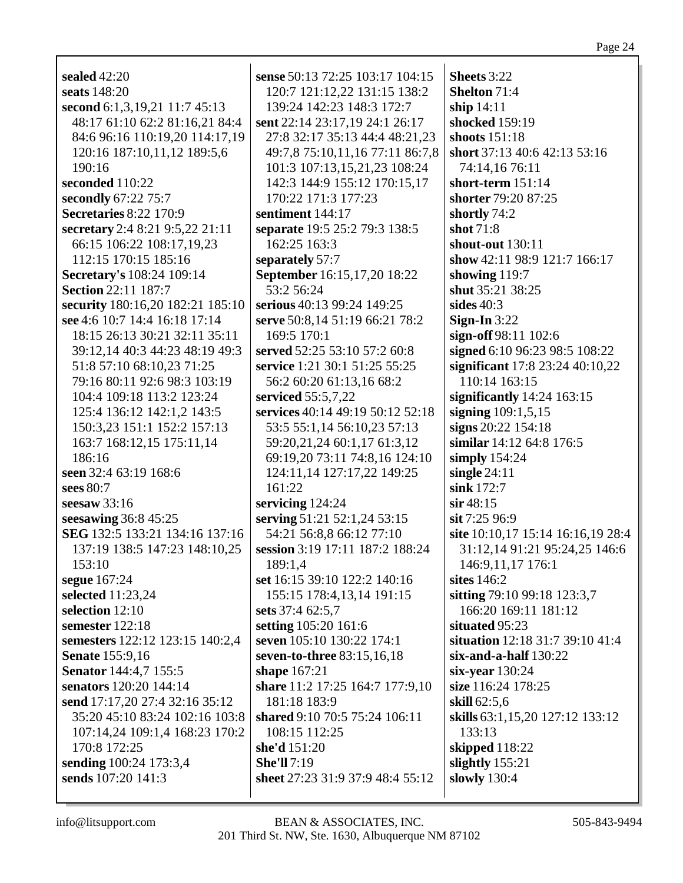| sealed $42:20$                   | sense 50:13 72:25 103:17 104:15  | Sheets 3:22                       |
|----------------------------------|----------------------------------|-----------------------------------|
| seats 148:20                     | 120:7 121:12,22 131:15 138:2     | <b>Shelton 71:4</b>               |
| second 6:1,3,19,21 11:7 45:13    | 139:24 142:23 148:3 172:7        | ship $14:11$                      |
| 48:17 61:10 62:2 81:16,21 84:4   | sent 22:14 23:17,19 24:1 26:17   | shocked 159:19                    |
| 84:6 96:16 110:19,20 114:17,19   | 27:8 32:17 35:13 44:4 48:21,23   | shoots $151:18$                   |
| 120:16 187:10,11,12 189:5,6      | 49:7,8 75:10,11,16 77:11 86:7,8  | short 37:13 40:6 42:13 53:16      |
| 190:16                           | 101:3 107:13,15,21,23 108:24     | 74:14,16 76:11                    |
| seconded 110:22                  | 142:3 144:9 155:12 170:15,17     | short-term 151:14                 |
| secondly 67:22 75:7              | 170:22 171:3 177:23              | shorter 79:20 87:25               |
| <b>Secretaries 8:22 170:9</b>    | sentiment 144:17                 | shortly 74:2                      |
| secretary 2:4 8:21 9:5,22 21:11  | separate 19:5 25:2 79:3 138:5    | shot 71:8                         |
| 66:15 106:22 108:17,19,23        | 162:25 163:3                     | shout-out 130:11                  |
| 112:15 170:15 185:16             |                                  | show 42:11 98:9 121:7 166:17      |
|                                  | separately 57:7                  |                                   |
| <b>Secretary's 108:24 109:14</b> | September 16:15,17,20 18:22      | showing 119:7                     |
| <b>Section 22:11 187:7</b>       | 53:2 56:24                       | shut 35:21 38:25                  |
| security 180:16,20 182:21 185:10 | serious 40:13 99:24 149:25       | sides $40:3$                      |
| see 4:6 10:7 14:4 16:18 17:14    | serve 50:8,14 51:19 66:21 78:2   | Sign-In $3:22$                    |
| 18:15 26:13 30:21 32:11 35:11    | 169:5 170:1                      | sign-off 98:11 102:6              |
| 39:12,14 40:3 44:23 48:19 49:3   | served 52:25 53:10 57:2 60:8     | signed 6:10 96:23 98:5 108:22     |
| 51:8 57:10 68:10,23 71:25        | service 1:21 30:1 51:25 55:25    | significant 17:8 23:24 40:10,22   |
| 79:16 80:11 92:6 98:3 103:19     | 56:2 60:20 61:13,16 68:2         | 110:14 163:15                     |
| 104:4 109:18 113:2 123:24        | serviced 55:5,7,22               | significantly $14:24$ 163:15      |
| 125:4 136:12 142:1,2 143:5       | services 40:14 49:19 50:12 52:18 | signing $109:1,5,15$              |
| 150:3,23 151:1 152:2 157:13      | 53:5 55:1,14 56:10,23 57:13      | signs 20:22 154:18                |
| 163:7 168:12,15 175:11,14        | 59:20,21,24 60:1,17 61:3,12      | similar 14:12 64:8 176:5          |
| 186:16                           | 69:19,20 73:11 74:8,16 124:10    | simply $154:24$                   |
| seen 32:4 63:19 168:6            | 124:11,14 127:17,22 149:25       | single $24:11$                    |
| sees 80:7                        | 161:22                           | sink 172:7                        |
| seesaw $33:16$                   | servicing 124:24                 | $\sin 48:15$                      |
| seesawing $36:8$ 45:25           | serving 51:21 52:1,24 53:15      | sit 7:25 96:9                     |
| SEG 132:5 133:21 134:16 137:16   | 54:21 56:8,8 66:12 77:10         | site 10:10,17 15:14 16:16,19 28:4 |
| 137:19 138:5 147:23 148:10,25    | session 3:19 17:11 187:2 188:24  | 31:12,14 91:21 95:24,25 146:6     |
|                                  |                                  |                                   |
| 153:10                           | 189:1,4                          | 146:9,11,17 176:1                 |
| segue 167:24                     | set 16:15 39:10 122:2 140:16     | sites 146:2                       |
| selected 11:23,24                | 155:15 178:4,13,14 191:15        | sitting 79:10 99:18 123:3,7       |
| selection 12:10                  | sets 37:4 62:5,7                 | 166:20 169:11 181:12              |
| semester 122:18                  | setting 105:20 161:6             | situated 95:23                    |
| semesters 122:12 123:15 140:2,4  | seven 105:10 130:22 174:1        | situation 12:18 31:7 39:10 41:4   |
| <b>Senate</b> 155:9,16           | seven-to-three 83:15,16,18       | $s$ ix-and-a-half $130:22$        |
| <b>Senator</b> 144:4,7 155:5     | shape 167:21                     | six-year $130:24$                 |
| senators 120:20 144:14           | share 11:2 17:25 164:7 177:9,10  | size 116:24 178:25                |
| send 17:17,20 27:4 32:16 35:12   | 181:18 183:9                     | skill 62:5,6                      |
| 35:20 45:10 83:24 102:16 103:8   | shared 9:10 70:5 75:24 106:11    | skills 63:1,15,20 127:12 133:12   |
| 107:14,24 109:1,4 168:23 170:2   | 108:15 112:25                    | 133:13                            |
| 170:8 172:25                     | she'd 151:20                     | skipped 118:22                    |
| sending 100:24 173:3,4           | <b>She'll</b> 7:19               | slightly $155:21$                 |
| sends 107:20 141:3               | sheet 27:23 31:9 37:9 48:4 55:12 | slowly 130:4                      |
|                                  |                                  |                                   |

info@litsupport.com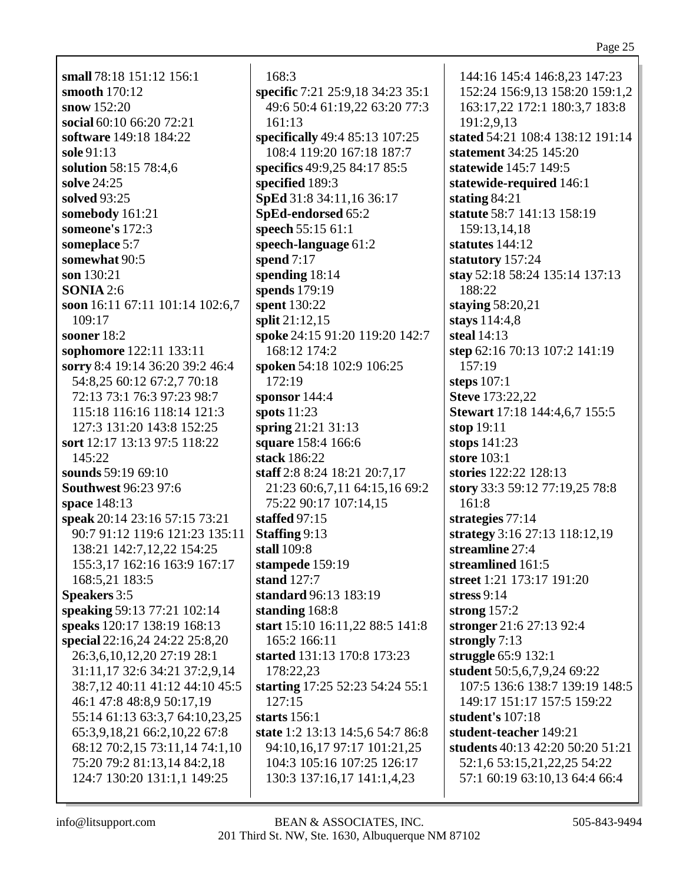## Page 25

small 78:18 151:12 156:1 smooth  $170:12$ snow  $152:20$ social 60:10 66:20 72:21 software 149:18 184:22 sole 91:13 solution 58:15 78:4,6 solve 24:25 solved 93:25 somebody 161:21 someone's  $172:3$ someplace 5:7 somewhat 90:5 son 130:21 **SONIA** 2:6 soon 16:11 67:11 101:14 102:6,7  $109:17$ sooner  $18:2$ sophomore 122:11 133:11 sorry 8:4 19:14 36:20 39:2 46:4 54:8,25 60:12 67:2,7 70:18 72:13 73:1 76:3 97:23 98:7 115:18 116:16 118:14 121:3 127:3 131:20 143:8 152:25 sort 12:17 13:13 97:5 118:22 145:22 sounds 59:19 69:10 **Southwest 96:23 97:6** space 148:13 speak 20:14 23:16 57:15 73:21 90:7 91:12 119:6 121:23 135:11 138:21 142:7,12,22 154:25 155:3,17 162:16 163:9 167:17 168:5,21 183:5 **Speakers** 3:5 speaking 59:13 77:21 102:14 speaks 120:17 138:19 168:13 special 22:16,24 24:22 25:8,20 26:3,6,10,12,20 27:19 28:1 31:11,17 32:6 34:21 37:2,9.14 38:7,12 40:11 41:12 44:10 45:5 46:1 47:8 48:8.9 50:17.19 55:14 61:13 63:3,7 64:10,23,25 65:3,9,18,21 66:2,10,22 67:8 68:12 70:2,15 73:11,14 74:1,10 75:20 79:2 81:13,14 84:2,18 124:7 130:20 131:1,1 149:25

 $168:3$ specific 7:21 25:9,18 34:23 35:1 49:6 50:4 61:19,22 63:20 77:3  $161:13$ specifically 49:4 85:13 107:25 108:4 119:20 167:18 187:7 specifics 49:9,25 84:17 85:5 specified 189:3 SpEd 31:8 34:11,16 36:17 SpEd-endorsed 65:2 speech 55:15 61:1 speech-language 61:2 spend  $7:17$ spending  $18:14$ spends 179:19 spent 130:22 split 21:12.15 spoke 24:15 91:20 119:20 142:7 168:12 174:2 spoken 54:18 102:9 106:25  $172:19$ sponsor  $144:4$ spots  $11:23$ spring  $21:21\,31:13$ square 158:4 166:6 stack 186:22 staff 2:8 8:24 18:21 20:7,17 21:23 60:6,7,11 64:15,16 69:2 75:22 90:17 107:14,15 staffed  $97:15$ **Staffing 9:13** stall  $109:8$ stampede 159:19 stand  $127:7$ standard 96:13 183:19 standing 168:8 start 15:10 16:11,22 88:5 141:8 165:2 166:11 started 131:13 170:8 173:23 178:22.23 starting 17:25 52:23 54:24 55:1  $127:15$ starts  $156:1$ state 1:2 13:13 14:5,6 54:7 86:8 94:10,16,17 97:17 101:21,25 104:3 105:16 107:25 126:17 130:3 137:16,17 141:1,4,23

144:16 145:4 146:8,23 147:23 152:24 156:9,13 158:20 159:1,2 163:17,22 172:1 180:3,7 183:8 191:2,9,13 stated 54:21 108:4 138:12 191:14 statement 34:25 145:20 statewide 145:7 149:5 statewide-required 146:1 stating  $84:21$ statute 58:7 141:13 158:19 159:13.14.18 statutes  $144:12$ statutory 157:24 stay 52:18 58:24 135:14 137:13 188:22 staying  $58:20,21$ stays 114:4,8 steal  $14:13$ step 62:16 70:13 107:2 141:19 157:19 steps  $107:1$ **Steve** 173:22,22 Stewart 17:18 144:4,6,7 155:5 stop  $19:11$ stops  $141:23$ store  $103:1$ stories 122:22 128:13 story 33:3 59:12 77:19,25 78:8  $161:8$ strategies  $77:14$ strategy 3:16 27:13 118:12,19 streamline 27:4 streamlined 161:5 street 1:21 173:17 191:20 stress  $9:14$ strong  $157:2$ stronger 21:6 27:13 92:4 strongly  $7:13$ struggle 65:9 132:1 student 50:5,6,7,9,24 69:22 107:5 136:6 138:7 139:19 148:5 149:17 151:17 157:5 159:22 student's 107:18 student-teacher 149:21 students 40:13 42:20 50:20 51:21 52:1,6 53:15,21,22,25 54:22 57:1 60:19 63:10,13 64:4 66:4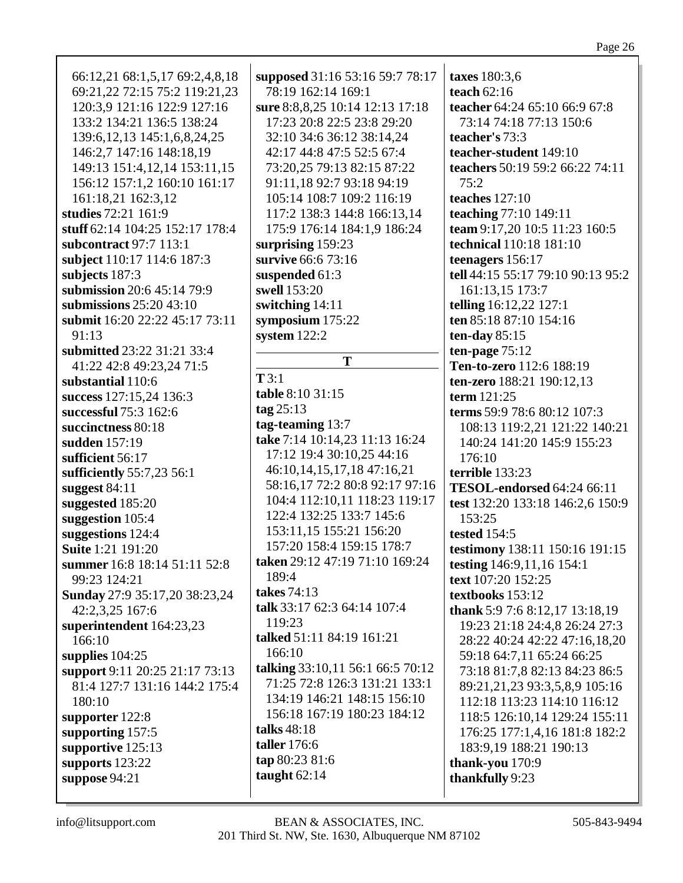66:12,21 68:1,5,17 69:2,4,8,18 69:21,22 72:15 75:2 119:21,23 120:3,9 121:16 122:9 127:16 133:2 134:21 136:5 138:24 139:6,12,13 145:1,6,8,24,25 146:2,7 147:16 148:18,19 149:13 151:4,12,14 153:11,15 156:12 157:1,2 160:10 161:17 161:18,21 162:3,12 **studies** 72:21 161:9 **stuff** 62:14 104:25 152:17 178:4 **subcontract** 97:7 113:1 **subject** 110:17 114:6 187:3 **subjects** 187:3 **submission** 20:6 45:14 79:9 **submissions** 25:20 43:10 **submit** 16:20 22:22 45:17 73:11 91:13 **submitted** 23:22 31:21 33:4 41:22 42:8 49:23,24 71:5 **substantial** 110:6 **success** 127:15,24 136:3 **successful** 75:3 162:6 **succinctness** 80:18 **sudden** 157:19 **sufficient** 56:17 **sufficiently** 55:7,23 56:1 **suggest** 84:11 **suggested** 185:20 **suggestion** 105:4 **suggestions** 124:4 **Suite** 1:21 191:20 **summer** 16:8 18:14 51:11 52:8 99:23 124:21 **Sunday** 27:9 35:17,20 38:23,24 42:2,3,25 167:6 **superintendent** 164:23,23 166:10 **supplies** 104:25 **support** 9:11 20:25 21:17 73:13 81:4 127:7 131:16 144:2 175:4 180:10 **supporter** 122:8 **supporting** 157:5 **supportive** 125:13 **supports** 123:22 **suppose** 94:21

**supposed** 31:16 53:16 59:7 78:17 78:19 162:14 169:1 **sure** 8:8,8,25 10:14 12:13 17:18 17:23 20:8 22:5 23:8 29:20 32:10 34:6 36:12 38:14,24 42:17 44:8 47:5 52:5 67:4 73:20,25 79:13 82:15 87:22 91:11,18 92:7 93:18 94:19 105:14 108:7 109:2 116:19 117:2 138:3 144:8 166:13,14 175:9 176:14 184:1,9 186:24 **surprising** 159:23 **survive** 66:6 73:16 **suspended** 61:3 **swell** 153:20 **switching** 14:11 **symposium** 175:22 **system** 122:2 **T T** 3:1 **table** 8:10 31:15 **tag** 25:13 **tag-teaming** 13:7 **take** 7:14 10:14,23 11:13 16:24 17:12 19:4 30:10,25 44:16 46:10,14,15,17,18 47:16,21 58:16,17 72:2 80:8 92:17 97:16 104:4 112:10,11 118:23 119:17 122:4 132:25 133:7 145:6 153:11,15 155:21 156:20 157:20 158:4 159:15 178:7 **taken** 29:12 47:19 71:10 169:24 189:4 **takes** 74:13 **talk** 33:17 62:3 64:14 107:4 119:23 **talked** 51:11 84:19 161:21 166:10 **talking** 33:10,11 56:1 66:5 70:12 71:25 72:8 126:3 131:21 133:1 134:19 146:21 148:15 156:10 156:18 167:19 180:23 184:12 **talks** 48:18 **taller** 176:6 **tap** 80:23 81:6 **taught** 62:14

**taxes** 180:3,6 **teach** 62:16 **teacher** 64:24 65:10 66:9 67:8 73:14 74:18 77:13 150:6 **teacher's** 73:3 **teacher-student** 149:10 **teachers** 50:19 59:2 66:22 74:11  $75:2$ **teaches** 127:10 **teaching** 77:10 149:11 **team** 9:17,20 10:5 11:23 160:5 **technical** 110:18 181:10 **teenagers** 156:17 **tell** 44:15 55:17 79:10 90:13 95:2 161:13,15 173:7 **telling** 16:12,22 127:1 **ten** 85:18 87:10 154:16 **ten-day** 85:15 **ten-page** 75:12 **Ten-to-zero** 112:6 188:19 **ten-zero** 188:21 190:12,13 **term** 121:25 **terms** 59:9 78:6 80:12 107:3 108:13 119:2,21 121:22 140:21 140:24 141:20 145:9 155:23 176:10 **terrible** 133:23 **TESOL-endorsed** 64:24 66:11 **test** 132:20 133:18 146:2,6 150:9 153:25 **tested** 154:5 **testimony** 138:11 150:16 191:15 **testing** 146:9,11,16 154:1 **text** 107:20 152:25 **textbooks** 153:12 **thank** 5:9 7:6 8:12,17 13:18,19 19:23 21:18 24:4,8 26:24 27:3 28:22 40:24 42:22 47:16,18,20 59:18 64:7,11 65:24 66:25 73:18 81:7,8 82:13 84:23 86:5 89:21,21,23 93:3,5,8,9 105:16 112:18 113:23 114:10 116:12 118:5 126:10,14 129:24 155:11 176:25 177:1,4,16 181:8 182:2 183:9,19 188:21 190:13 **thank-you** 170:9 **thankfully** 9:23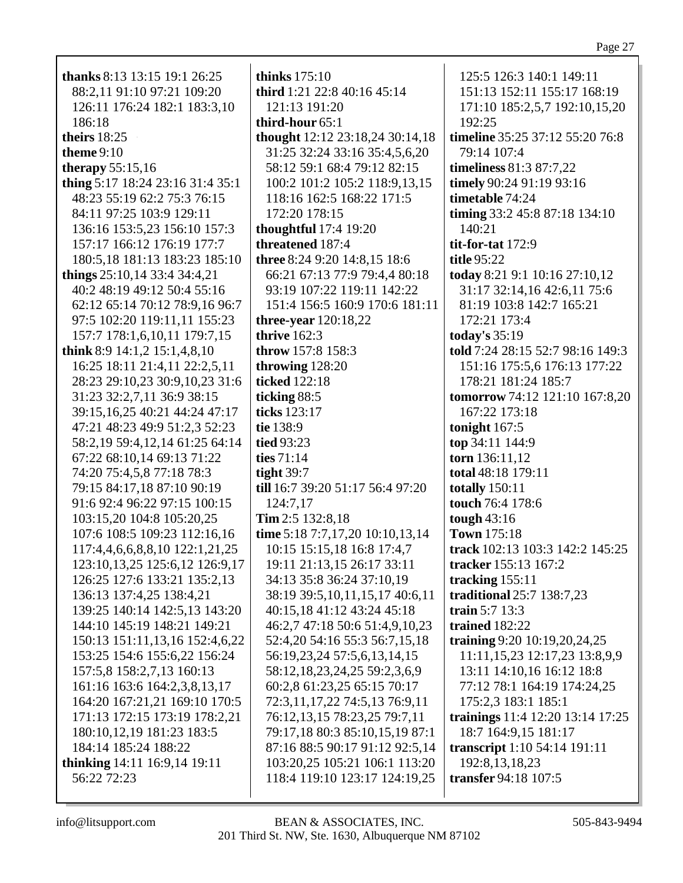| <b>thanks</b> 8:13 13:15 19:1 26:25  | thinks $175:10$                  | 125:5 126:3 140:1 149:11           |
|--------------------------------------|----------------------------------|------------------------------------|
| 88:2,11 91:10 97:21 109:20           | third 1:21 22:8 40:16 45:14      | 151:13 152:11 155:17 168:19        |
| 126:11 176:24 182:1 183:3,10         | 121:13 191:20                    | 171:10 185:2,5,7 192:10,15,20      |
| 186:18                               | third-hour 65:1                  | 192:25                             |
| theirs 18:25                         | thought 12:12 23:18,24 30:14,18  | timeline 35:25 37:12 55:20 76:8    |
| theme $9:10$                         | 31:25 32:24 33:16 35:4,5,6,20    | 79:14 107:4                        |
| therapy $55:15,16$                   | 58:12 59:1 68:4 79:12 82:15      | <b>timeliness</b> 81:3 87:7,22     |
| thing 5:17 18:24 23:16 31:4 35:1     | 100:2 101:2 105:2 118:9,13,15    | timely 90:24 91:19 93:16           |
| 48:23 55:19 62:2 75:3 76:15          | 118:16 162:5 168:22 171:5        | timetable 74:24                    |
| 84:11 97:25 103:9 129:11             | 172:20 178:15                    | timing 33:2 45:8 87:18 134:10      |
| 136:16 153:5,23 156:10 157:3         | <b>thoughtful</b> 17:4 19:20     | 140:21                             |
| 157:17 166:12 176:19 177:7           | threatened 187:4                 | tit-for-tat $172:9$                |
| 180:5,18 181:13 183:23 185:10        | three 8:24 9:20 14:8,15 18:6     | title 95:22                        |
|                                      |                                  |                                    |
| things $25:10,14$ 33:4 34:4,21       | 66:21 67:13 77:9 79:4,4 80:18    | today 8:21 9:1 10:16 27:10,12      |
| 40:2 48:19 49:12 50:4 55:16          | 93:19 107:22 119:11 142:22       | 31:17 32:14,16 42:6,11 75:6        |
| 62:12 65:14 70:12 78:9,16 96:7       | 151:4 156:5 160:9 170:6 181:11   | 81:19 103:8 142:7 165:21           |
| 97:5 102:20 119:11,11 155:23         | three-year $120:18,22$           | 172:21 173:4                       |
| 157:7 178:1,6,10,11 179:7,15         | thrive $162:3$                   | today's 35:19                      |
| think 8:9 14:1,2 15:1,4,8,10         | throw 157:8 158:3                | told 7:24 28:15 52:7 98:16 149:3   |
| 16:25 18:11 21:4,11 22:2,5,11        | throwing 128:20                  | 151:16 175:5,6 176:13 177:22       |
| 28:23 29:10,23 30:9,10,23 31:6       | ticked 122:18                    | 178:21 181:24 185:7                |
| 31:23 32:2,7,11 36:9 38:15           | ticking 88:5                     | tomorrow 74:12 121:10 167:8,20     |
| 39:15,16,25 40:21 44:24 47:17        | ticks 123:17                     | 167:22 173:18                      |
| 47:21 48:23 49:9 51:2,3 52:23        | tie 138:9                        | tonight $167:5$                    |
| 58:2,19 59:4,12,14 61:25 64:14       | tied 93:23                       | top 34:11 144:9                    |
| 67:22 68:10,14 69:13 71:22           | ties 71:14                       | torn 136:11,12                     |
| 74:20 75:4,5,8 77:18 78:3            | tight $39:7$                     | total 48:18 179:11                 |
| 79:15 84:17,18 87:10 90:19           | till 16:7 39:20 51:17 56:4 97:20 | <b>totally</b> 150:11              |
| 91:6 92:4 96:22 97:15 100:15         | 124:7,17                         | touch 76:4 178:6                   |
| 103:15,20 104:8 105:20,25            | Tim 2:5 132:8,18                 | tough $43:16$                      |
| 107:6 108:5 109:23 112:16,16         | time 5:18 7:7,17,20 10:10,13,14  | <b>Town</b> 175:18                 |
| 117:4,4,6,6,8,8,10 122:1,21,25       | 10:15 15:15,18 16:8 17:4,7       | track 102:13 103:3 142:2 145:25    |
| 123:10, 13, 25 125: 6, 12 126: 9, 17 | 19:11 21:13,15 26:17 33:11       | tracker 155:13 167:2               |
| 126:25 127:6 133:21 135:2,13         | 34:13 35:8 36:24 37:10,19        | tracking $155:11$                  |
| 136:13 137:4,25 138:4,21             | 38:19 39:5,10,11,15,17 40:6,11   | traditional 25:7 138:7,23          |
| 139:25 140:14 142:5,13 143:20        | 40:15,18 41:12 43:24 45:18       | train $5:7$ 13:3                   |
| 144:10 145:19 148:21 149:21          | 46:2,7 47:18 50:6 51:4,9,10,23   | trained 182:22                     |
| 150:13 151:11,13,16 152:4,6,22       | 52:4,20 54:16 55:3 56:7,15,18    | training 9:20 10:19,20,24,25       |
| 153:25 154:6 155:6,22 156:24         | 56:19,23,24 57:5,6,13,14,15      | 11:11, 15, 23 12:17, 23 13:8, 9, 9 |
| 157:5,8 158:2,7,13 160:13            | 58:12,18,23,24,25 59:2,3,6,9     | 13:11 14:10,16 16:12 18:8          |
| 161:16 163:6 164:2,3,8,13,17         |                                  | 77:12 78:1 164:19 174:24,25        |
|                                      | 60:2,8 61:23,25 65:15 70:17      |                                    |
| 164:20 167:21,21 169:10 170:5        | 72:3,11,17,22 74:5,13 76:9,11    | 175:2,3 183:1 185:1                |
| 171:13 172:15 173:19 178:2,21        | 76:12,13,15 78:23,25 79:7,11     | trainings 11:4 12:20 13:14 17:25   |
| 180:10,12,19 181:23 183:5            | 79:17,18 80:3 85:10,15,19 87:1   | 18:7 164:9,15 181:17               |
| 184:14 185:24 188:22                 | 87:16 88:5 90:17 91:12 92:5,14   | transcript 1:10 54:14 191:11       |
| thinking 14:11 16:9,14 19:11         | 103:20,25 105:21 106:1 113:20    | 192:8, 13, 18, 23                  |
| 56:22 72:23                          | 118:4 119:10 123:17 124:19,25    | transfer 94:18 107:5               |
|                                      |                                  |                                    |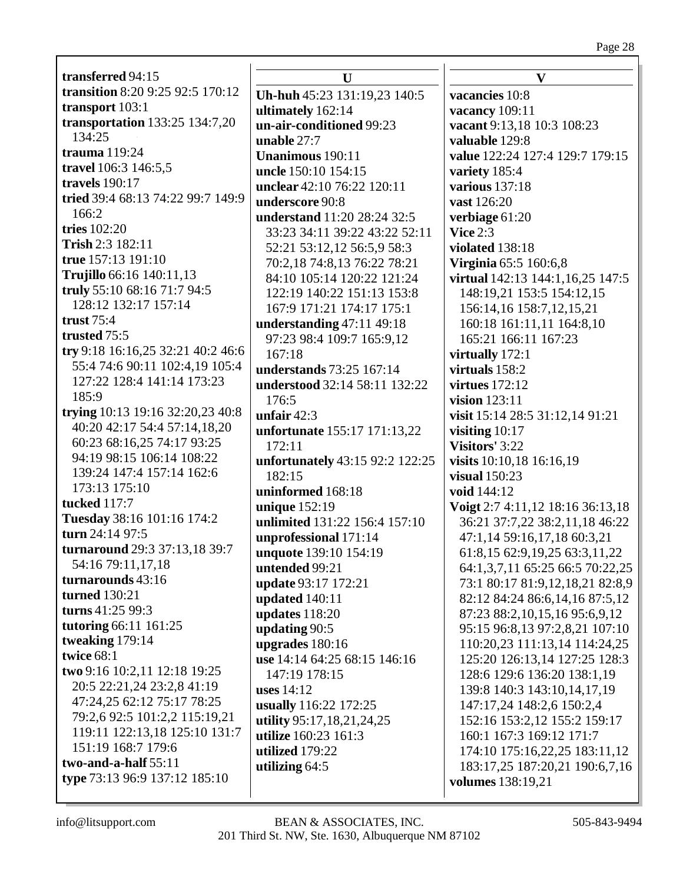Page 28

| transferred 94:15                                   | U                                      | $\mathbf{V}$                       |
|-----------------------------------------------------|----------------------------------------|------------------------------------|
| transition 8:20 9:25 92:5 170:12                    | Uh-huh 45:23 131:19,23 140:5           | vacancies 10:8                     |
| transport 103:1                                     | ultimately 162:14                      | vacancy 109:11                     |
| <b>transportation</b> 133:25 134:7,20               | un-air-conditioned 99:23               | vacant 9:13,18 10:3 108:23         |
| 134:25                                              | unable 27:7                            | valuable 129:8                     |
| trauma 119:24                                       | <b>Unanimous</b> 190:11                | value 122:24 127:4 129:7 179:15    |
| travel 106:3 146:5,5                                | uncle 150:10 154:15                    | variety 185:4                      |
| travels 190:17                                      | unclear 42:10 76:22 120:11             | <b>various</b> 137:18              |
| tried 39:4 68:13 74:22 99:7 149:9                   | underscore 90:8                        | vast 126:20                        |
| 166:2                                               | understand 11:20 28:24 32:5            | verbiage 61:20                     |
| tries 102:20                                        | 33:23 34:11 39:22 43:22 52:11          | Vice $2:3$                         |
| Trish 2:3 182:11                                    | 52:21 53:12,12 56:5,9 58:3             | violated 138:18                    |
| true 157:13 191:10                                  | 70:2,18 74:8,13 76:22 78:21            | <b>Virginia 65:5 160:6,8</b>       |
| Trujillo 66:16 140:11,13                            | 84:10 105:14 120:22 121:24             | virtual 142:13 144:1,16,25 147:5   |
| truly 55:10 68:16 71:7 94:5                         | 122:19 140:22 151:13 153:8             | 148:19,21 153:5 154:12,15          |
| 128:12 132:17 157:14                                | 167:9 171:21 174:17 175:1              | 156:14,16 158:7,12,15,21           |
| trust $75:4$                                        | understanding 47:11 49:18              | 160:18 161:11,11 164:8,10          |
| trusted 75:5<br>try 9:18 16:16,25 32:21 40:2 46:6   | 97:23 98:4 109:7 165:9,12              | 165:21 166:11 167:23               |
| 55:4 74:6 90:11 102:4,19 105:4                      | 167:18                                 | virtually 172:1                    |
| 127:22 128:4 141:14 173:23                          | understands 73:25 167:14               | virtuals 158:2                     |
| 185:9                                               | understood 32:14 58:11 132:22          | <b>virtues</b> 172:12              |
| trying 10:13 19:16 32:20,23 40:8                    | 176:5                                  | vision $123:11$                    |
| 40:20 42:17 54:4 57:14,18,20                        | unfair $42:3$                          | visit 15:14 28:5 31:12,14 91:21    |
| 60:23 68:16,25 74:17 93:25                          | unfortunate 155:17 171:13,22<br>172:11 | visiting $10:17$<br>Visitors' 3:22 |
| 94:19 98:15 106:14 108:22                           | unfortunately 43:15 92:2 122:25        | visits 10:10,18 16:16,19           |
| 139:24 147:4 157:14 162:6                           | 182:15                                 | visual $150:23$                    |
| 173:13 175:10                                       | uninformed 168:18                      | void 144:12                        |
| <b>tucked</b> 117:7                                 | unique 152:19                          | Voigt 2:7 4:11,12 18:16 36:13,18   |
| Tuesday 38:16 101:16 174:2                          | unlimited 131:22 156:4 157:10          | 36:21 37:7,22 38:2,11,18 46:22     |
| turn 24:14 97:5                                     | unprofessional 171:14                  | 47:1,14 59:16,17,18 60:3,21        |
| turnaround 29:3 37:13,18 39:7                       | unquote 139:10 154:19                  | 61:8,15 62:9,19,25 63:3,11,22      |
| 54:16 79:11,17,18                                   | untended 99:21                         | 64:1,3,7,11 65:25 66:5 70:22,25    |
| turnarounds 43:16                                   | update 93:17 172:21                    | 73:1 80:17 81:9,12,18,21 82:8,9    |
| turned 130:21                                       | updated 140:11                         | 82:12 84:24 86:6,14,16 87:5,12     |
| turns $41:2599:3$                                   | updates 118:20                         | 87:23 88:2,10,15,16 95:6,9,12      |
| tutoring 66:11 161:25                               | updating 90:5                          | 95:15 96:8,13 97:2,8,21 107:10     |
| tweaking 179:14                                     | upgrades 180:16                        | 110:20,23 111:13,14 114:24,25      |
| twice 68:1                                          | use 14:14 64:25 68:15 146:16           | 125:20 126:13,14 127:25 128:3      |
| two 9:16 10:2,11 12:18 19:25                        | 147:19 178:15                          | 128:6 129:6 136:20 138:1,19        |
| 20:5 22:21,24 23:2,8 41:19                          | uses $14:12$                           | 139:8 140:3 143:10,14,17,19        |
| 47:24,25 62:12 75:17 78:25                          | usually 116:22 172:25                  | 147:17,24 148:2,6 150:2,4          |
| 79:2,6 92:5 101:2,2 115:19,21                       | utility 95:17,18,21,24,25              | 152:16 153:2,12 155:2 159:17       |
| 119:11 122:13,18 125:10 131:7<br>151:19 168:7 179:6 | utilize 160:23 161:3                   | 160:1 167:3 169:12 171:7           |
| two-and-a-half $55:11$                              | utilized 179:22                        | 174:10 175:16,22,25 183:11,12      |
| type 73:13 96:9 137:12 185:10                       | utilizing 64:5                         | 183:17,25 187:20,21 190:6,7,16     |
|                                                     |                                        | volumes 138:19,21                  |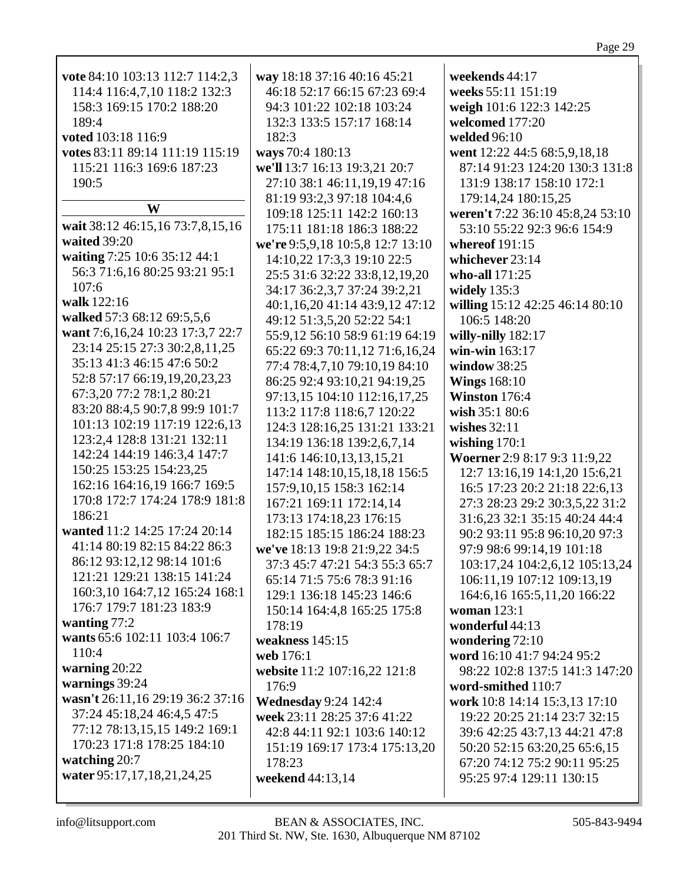| vote 84:10 103:13 112:7 114:2,3        | way 18:18 37:16 40:16 45:21      | weekends 44:17                   |
|----------------------------------------|----------------------------------|----------------------------------|
| 114:4 116:4,7,10 118:2 132:3           | 46:18 52:17 66:15 67:23 69:4     | weeks 55:11 151:19               |
| 158:3 169:15 170:2 188:20              | 94:3 101:22 102:18 103:24        | weigh 101:6 122:3 142:25         |
| 189:4                                  | 132:3 133:5 157:17 168:14        | welcomed 177:20                  |
| voted 103:18 116:9                     | 182:3                            | welded 96:10                     |
| votes 83:11 89:14 111:19 115:19        | ways 70:4 180:13                 | went 12:22 44:5 68:5,9,18,18     |
| 115:21 116:3 169:6 187:23              | we'll 13:7 16:13 19:3,21 20:7    | 87:14 91:23 124:20 130:3 131:8   |
| 190:5                                  | 27:10 38:1 46:11,19,19 47:16     | 131:9 138:17 158:10 172:1        |
|                                        | 81:19 93:2,3 97:18 104:4,6       | 179:14,24 180:15,25              |
| W                                      | 109:18 125:11 142:2 160:13       | weren't 7:22 36:10 45:8,24 53:10 |
| wait 38:12 46:15,16 73:7,8,15,16       | 175:11 181:18 186:3 188:22       | 53:10 55:22 92:3 96:6 154:9      |
| waited 39:20                           | we're 9:5,9,18 10:5,8 12:7 13:10 | whereof 191:15                   |
| waiting 7:25 10:6 35:12 44:1           | 14:10,22 17:3,3 19:10 22:5       | whichever 23:14                  |
| 56:3 71:6,16 80:25 93:21 95:1          | 25:5 31:6 32:22 33:8,12,19,20    | who-all 171:25                   |
| 107:6                                  | 34:17 36:2,3,7 37:24 39:2,21     | widely $135:3$                   |
| walk 122:16                            | 40:1,16,20 41:14 43:9,12 47:12   | willing 15:12 42:25 46:14 80:10  |
| walked 57:3 68:12 69:5,5,6             | 49:12 51:3,5,20 52:22 54:1       | 106:5 148:20                     |
| want 7:6, 16, 24 10: 23 17: 3, 7 22: 7 | 55:9,12 56:10 58:9 61:19 64:19   | willy-nilly 182:17               |
| 23:14 25:15 27:3 30:2,8,11,25          | 65:22 69:3 70:11,12 71:6,16,24   | win-win 163:17                   |
| 35:13 41:3 46:15 47:6 50:2             | 77:4 78:4,7,10 79:10,19 84:10    | window 38:25                     |
| 52:8 57:17 66:19,19,20,23,23           |                                  |                                  |
| 67:3,20 77:2 78:1,2 80:21              | 86:25 92:4 93:10,21 94:19,25     | <b>Wings 168:10</b>              |
| 83:20 88:4,5 90:7,8 99:9 101:7         | 97:13,15 104:10 112:16,17,25     | Winston 176:4                    |
| 101:13 102:19 117:19 122:6,13          | 113:2 117:8 118:6,7 120:22       | wish 35:1 80:6                   |
| 123:2,4 128:8 131:21 132:11            | 124:3 128:16,25 131:21 133:21    | wishes $32:11$                   |
| 142:24 144:19 146:3,4 147:7            | 134:19 136:18 139:2,6,7,14       | wishing $170:1$                  |
| 150:25 153:25 154:23,25                | 141:6 146:10,13,13,15,21         | Woerner 2:9 8:17 9:3 11:9,22     |
|                                        | 147:14 148:10,15,18,18 156:5     | 12:7 13:16,19 14:1,20 15:6,21    |
| 162:16 164:16,19 166:7 169:5           | 157:9, 10, 15 158:3 162:14       | 16:5 17:23 20:2 21:18 22:6,13    |
| 170:8 172:7 174:24 178:9 181:8         | 167:21 169:11 172:14,14          | 27:3 28:23 29:2 30:3,5,22 31:2   |
| 186:21                                 | 173:13 174:18,23 176:15          | 31:6,23 32:1 35:15 40:24 44:4    |
| wanted 11:2 14:25 17:24 20:14          | 182:15 185:15 186:24 188:23      | 90:2 93:11 95:8 96:10,20 97:3    |
| 41:14 80:19 82:15 84:22 86:3           | we've 18:13 19:8 21:9,22 34:5    | 97:9 98:6 99:14,19 101:18        |
| 86:12 93:12,12 98:14 101:6             | 37:3 45:7 47:21 54:3 55:3 65:7   | 103:17,24 104:2,6,12 105:13,24   |
| 121:21 129:21 138:15 141:24            | 65:14 71:5 75:6 78:3 91:16       | 106:11,19 107:12 109:13,19       |
| 160:3,10 164:7,12 165:24 168:1         | 129:1 136:18 145:23 146:6        | 164:6, 16 165:5, 11, 20 166:22   |
| 176:7 179:7 181:23 183:9               | 150:14 164:4,8 165:25 175:8      | woman 123:1                      |
| wanting $77:2$                         | 178:19                           | wonderful 44:13                  |
| wants 65:6 102:11 103:4 106:7          | weakness $145:15$                | wondering 72:10                  |
| 110:4                                  | web 176:1                        | word 16:10 41:7 94:24 95:2       |
| warning $20:22$                        | website 11:2 107:16,22 121:8     | 98:22 102:8 137:5 141:3 147:20   |
| warnings 39:24                         | 176:9                            | word-smithed 110:7               |
| wasn't 26:11,16 29:19 36:2 37:16       | <b>Wednesday 9:24 142:4</b>      | work 10:8 14:14 15:3,13 17:10    |
| 37:24 45:18,24 46:4,5 47:5             | week 23:11 28:25 37:6 41:22      | 19:22 20:25 21:14 23:7 32:15     |
| 77:12 78:13,15,15 149:2 169:1          | 42:8 44:11 92:1 103:6 140:12     | 39:6 42:25 43:7,13 44:21 47:8    |
| 170:23 171:8 178:25 184:10             | 151:19 169:17 173:4 175:13,20    | 50:20 52:15 63:20,25 65:6,15     |
| watching 20:7                          | 178:23                           | 67:20 74:12 75:2 90:11 95:25     |
| water 95:17, 17, 18, 21, 24, 25        | weekend 44:13,14                 | 95:25 97:4 129:11 130:15         |
|                                        |                                  |                                  |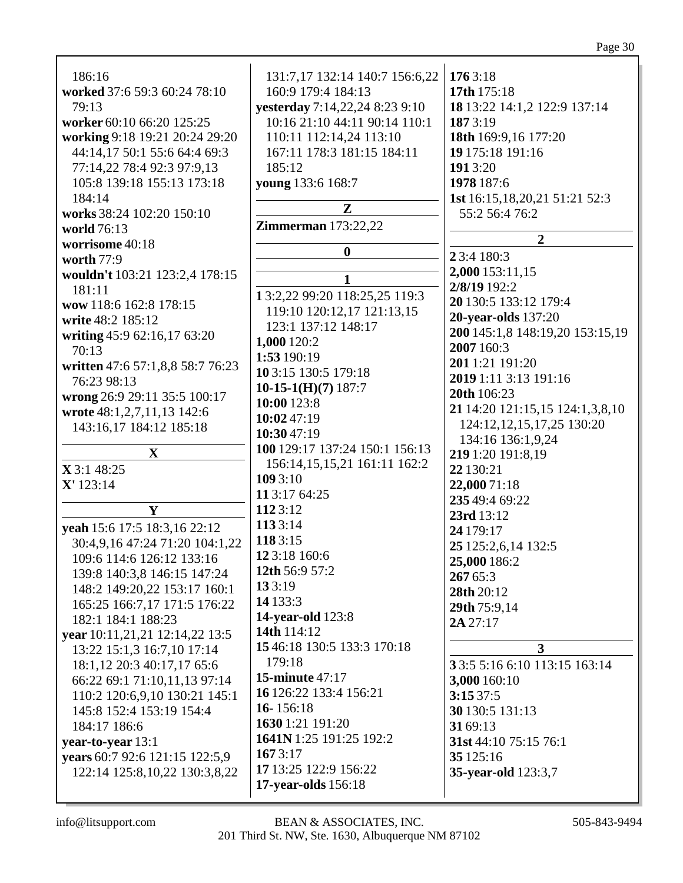| 186:16<br>worked 37:6 59:3 60:24 78:10<br>79:13<br>worker 60:10 66:20 125:25<br>working 9:18 19:21 20:24 29:20<br>44:14,17 50:1 55:6 64:4 69:3<br>77:14,22 78:4 92:3 97:9,13<br>105:8 139:18 155:13 173:18<br>184:14<br>works 38:24 102:20 150:10<br>world 76:13<br>worrisome 40:18<br>worth 77:9<br>wouldn't 103:21 123:2,4 178:15<br>181:11<br>wow 118:6 162:8 178:15<br>write 48:2 185:12<br>writing 45:9 62:16,17 63:20<br>70:13<br>written 47:6 57:1,8,8 58:7 76:23<br>76:23 98:13 | 131:7,17 132:14 140:7 156:6,22<br>160:9 179:4 184:13<br>yesterday 7:14,22,24 8:23 9:10<br>10:16 21:10 44:11 90:14 110:1<br>110:11 112:14,24 113:10<br>167:11 178:3 181:15 184:11<br>185:12<br>young 133:6 168:7<br>$\mathbf{Z}$<br><b>Zimmerman</b> 173:22,22<br>$\boldsymbol{0}$<br>1<br>13:2,22 99:20 118:25,25 119:3<br>119:10 120:12,17 121:13,15<br>123:1 137:12 148:17<br>1,000 120:2<br>1:53 190:19<br>10 3:15 130:5 179:18<br>10-15-1(H)(7) $187:7$ | 1763:18<br>17th 175:18<br>18 13:22 14:1,2 122:9 137:14<br>1873:19<br>18th 169:9,16 177:20<br>19 175:18 191:16<br>1913:20<br>1978 187:6<br>1st 16:15, 18, 20, 21 51: 21 52: 3<br>55:2 56:4 76:2<br>$\overline{2}$<br>23:4 180:3<br>2,000 153:11,15<br>2/8/19 192:2<br>20 130:5 133:12 179:4<br><b>20-year-olds</b> 137:20<br>200 145:1,8 148:19,20 153:15,19<br>2007 160:3<br>2011:21 191:20<br>2019 1:11 3:13 191:16<br>20th 106:23 |
|-----------------------------------------------------------------------------------------------------------------------------------------------------------------------------------------------------------------------------------------------------------------------------------------------------------------------------------------------------------------------------------------------------------------------------------------------------------------------------------------|-------------------------------------------------------------------------------------------------------------------------------------------------------------------------------------------------------------------------------------------------------------------------------------------------------------------------------------------------------------------------------------------------------------------------------------------------------------|-------------------------------------------------------------------------------------------------------------------------------------------------------------------------------------------------------------------------------------------------------------------------------------------------------------------------------------------------------------------------------------------------------------------------------------|
|                                                                                                                                                                                                                                                                                                                                                                                                                                                                                         |                                                                                                                                                                                                                                                                                                                                                                                                                                                             |                                                                                                                                                                                                                                                                                                                                                                                                                                     |
| wrong 26:9 29:11 35:5 100:17                                                                                                                                                                                                                                                                                                                                                                                                                                                            | 10:00 123:8                                                                                                                                                                                                                                                                                                                                                                                                                                                 | 21 14:20 121:15,15 124:1,3,8,10                                                                                                                                                                                                                                                                                                                                                                                                     |
| wrote 48:1,2,7,11,13 142:6                                                                                                                                                                                                                                                                                                                                                                                                                                                              | 10:02 47:19                                                                                                                                                                                                                                                                                                                                                                                                                                                 | 124:12,12,15,17,25 130:20                                                                                                                                                                                                                                                                                                                                                                                                           |
| 143:16,17 184:12 185:18                                                                                                                                                                                                                                                                                                                                                                                                                                                                 | 10:30 47:19                                                                                                                                                                                                                                                                                                                                                                                                                                                 | 134:16 136:1,9,24                                                                                                                                                                                                                                                                                                                                                                                                                   |
| $\mathbf X$<br>X3:148:25<br>$X'$ 123:14<br>Y                                                                                                                                                                                                                                                                                                                                                                                                                                            | 100 129:17 137:24 150:1 156:13<br>156:14,15,15,21 161:11 162:2<br>109 3:10<br>11 3:17 64:25<br>1123:12                                                                                                                                                                                                                                                                                                                                                      | 219 1:20 191:8,19<br>22 130:21<br>22,000 71:18<br>235 49:4 69:22                                                                                                                                                                                                                                                                                                                                                                    |
| yeah 15:6 17:5 18:3,16 22:12                                                                                                                                                                                                                                                                                                                                                                                                                                                            | 1133:14                                                                                                                                                                                                                                                                                                                                                                                                                                                     | 23rd 13:12                                                                                                                                                                                                                                                                                                                                                                                                                          |
| 30:4,9,16 47:24 71:20 104:1,22                                                                                                                                                                                                                                                                                                                                                                                                                                                          | 118 3:15                                                                                                                                                                                                                                                                                                                                                                                                                                                    | 24 179:17                                                                                                                                                                                                                                                                                                                                                                                                                           |
| 109:6 114:6 126:12 133:16                                                                                                                                                                                                                                                                                                                                                                                                                                                               | 12 3:18 160:6                                                                                                                                                                                                                                                                                                                                                                                                                                               | 25 125:2,6,14 132:5                                                                                                                                                                                                                                                                                                                                                                                                                 |
| 139:8 140:3,8 146:15 147:24                                                                                                                                                                                                                                                                                                                                                                                                                                                             | 12th 56:9 57:2                                                                                                                                                                                                                                                                                                                                                                                                                                              | 25,000 186:2                                                                                                                                                                                                                                                                                                                                                                                                                        |
| 148:2 149:20,22 153:17 160:1                                                                                                                                                                                                                                                                                                                                                                                                                                                            | 133:19                                                                                                                                                                                                                                                                                                                                                                                                                                                      | 267 65:3                                                                                                                                                                                                                                                                                                                                                                                                                            |
| 165:25 166:7,17 171:5 176:22                                                                                                                                                                                                                                                                                                                                                                                                                                                            | 14 133:3                                                                                                                                                                                                                                                                                                                                                                                                                                                    | 28th 20:12                                                                                                                                                                                                                                                                                                                                                                                                                          |
| 182:1 184:1 188:23                                                                                                                                                                                                                                                                                                                                                                                                                                                                      | 14-year-old 123:8                                                                                                                                                                                                                                                                                                                                                                                                                                           | 29th 75:9,14                                                                                                                                                                                                                                                                                                                                                                                                                        |
| year 10:11,21,21 12:14,22 13:5                                                                                                                                                                                                                                                                                                                                                                                                                                                          | 14th 114:12                                                                                                                                                                                                                                                                                                                                                                                                                                                 | 2A 27:17                                                                                                                                                                                                                                                                                                                                                                                                                            |
| 13:22 15:1,3 16:7,10 17:14                                                                                                                                                                                                                                                                                                                                                                                                                                                              | 15 46:18 130:5 133:3 170:18                                                                                                                                                                                                                                                                                                                                                                                                                                 | $\mathbf{3}$                                                                                                                                                                                                                                                                                                                                                                                                                        |
| 18:1,12 20:3 40:17,17 65:6                                                                                                                                                                                                                                                                                                                                                                                                                                                              | 179:18                                                                                                                                                                                                                                                                                                                                                                                                                                                      | 3 3:5 5:16 6:10 113:15 163:14                                                                                                                                                                                                                                                                                                                                                                                                       |
| 66:22 69:1 71:10,11,13 97:14                                                                                                                                                                                                                                                                                                                                                                                                                                                            | <b>15-minute 47:17</b>                                                                                                                                                                                                                                                                                                                                                                                                                                      | 3,000 160:10                                                                                                                                                                                                                                                                                                                                                                                                                        |
| 110:2 120:6,9,10 130:21 145:1                                                                                                                                                                                                                                                                                                                                                                                                                                                           | 16 126:22 133:4 156:21                                                                                                                                                                                                                                                                                                                                                                                                                                      | 3:1537:5                                                                                                                                                                                                                                                                                                                                                                                                                            |
| 145:8 152:4 153:19 154:4                                                                                                                                                                                                                                                                                                                                                                                                                                                                | 16-156:18                                                                                                                                                                                                                                                                                                                                                                                                                                                   | 30 130:5 131:13                                                                                                                                                                                                                                                                                                                                                                                                                     |
| 184:17 186:6                                                                                                                                                                                                                                                                                                                                                                                                                                                                            | 1630 1:21 191:20                                                                                                                                                                                                                                                                                                                                                                                                                                            | 31 69:13                                                                                                                                                                                                                                                                                                                                                                                                                            |
| year-to-year 13:1                                                                                                                                                                                                                                                                                                                                                                                                                                                                       | 1641N 1:25 191:25 192:2                                                                                                                                                                                                                                                                                                                                                                                                                                     | 31st 44:10 75:15 76:1                                                                                                                                                                                                                                                                                                                                                                                                               |
| years 60:7 92:6 121:15 122:5,9                                                                                                                                                                                                                                                                                                                                                                                                                                                          | 1673:17                                                                                                                                                                                                                                                                                                                                                                                                                                                     | 35 125:16                                                                                                                                                                                                                                                                                                                                                                                                                           |
| 122:14 125:8, 10, 22 130:3, 8, 22                                                                                                                                                                                                                                                                                                                                                                                                                                                       | 17 13:25 122:9 156:22                                                                                                                                                                                                                                                                                                                                                                                                                                       | 35-year-old 123:3,7                                                                                                                                                                                                                                                                                                                                                                                                                 |